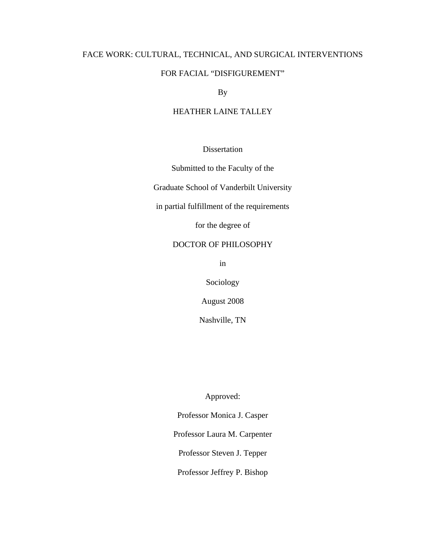## FACE WORK: CULTURAL, TECHNICAL, AND SURGICAL INTERVENTIONS

## FOR FACIAL "DISFIGUREMENT"

By

## HEATHER LAINE TALLEY

Dissertation

Submitted to the Faculty of the

Graduate School of Vanderbilt University

in partial fulfillment of the requirements

for the degree of

### DOCTOR OF PHILOSOPHY

in

Sociology

August 2008

Nashville, TN

Approved:

Professor Monica J. Casper Professor Laura M. Carpenter Professor Steven J. Tepper Professor Jeffrey P. Bishop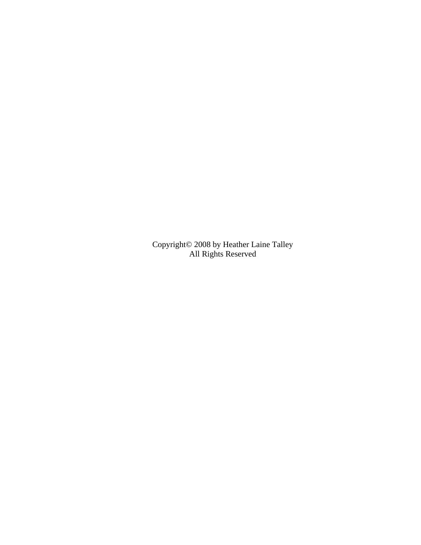Copyright© 2008 by Heather Laine Talley All Rights Reserved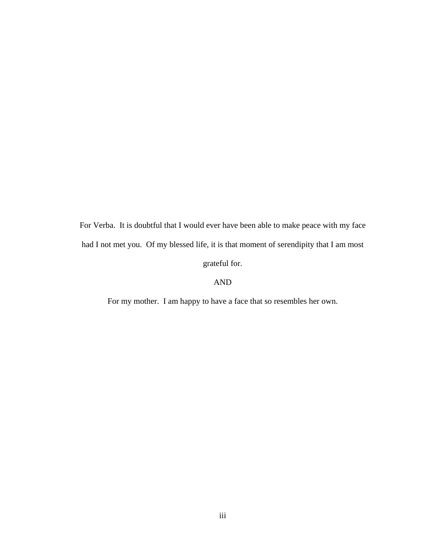For Verba. It is doubtful that I would ever have been able to make peace with my face had I not met you. Of my blessed life, it is that moment of serendipity that I am most grateful for.

AND

For my mother. I am happy to have a face that so resembles her own.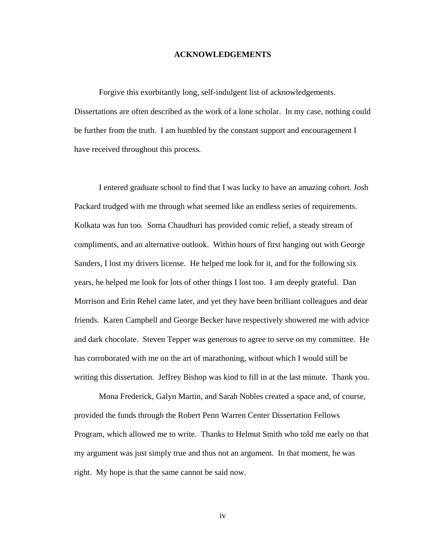#### **ACKNOWLEDGEMENTS**

Forgive this exorbitantly long, self-indulgent list of acknowledgements. Dissertations are often described as the work of a lone scholar. In my case, nothing could be further from the truth. I am humbled by the constant support and encouragement I have received throughout this process.

I entered graduate school to find that I was lucky to have an amazing cohort. Josh Packard trudged with me through what seemed like an endless series of requirements. Kolkata was fun too. Soma Chaudhuri has provided comic relief, a steady stream of compliments, and an alternative outlook. Within hours of first hanging out with George Sanders, I lost my drivers license. He helped me look for it, and for the following six years, he helped me look for lots of other things I lost too. I am deeply grateful. Dan Morrison and Erin Rehel came later, and yet they have been brilliant colleagues and dear friends. Karen Campbell and George Becker have respectively showered me with advice and dark chocolate. Steven Tepper was generous to agree to serve on my committee. He has corroborated with me on the art of marathoning, without which I would still be writing this dissertation. Jeffrey Bishop was kind to fill in at the last minute. Thank you.

Mona Frederick, Galyn Martin, and Sarah Nobles created a space and, of course, provided the funds through the Robert Penn Warren Center Dissertation Fellows Program, which allowed me to write. Thanks to Helmut Smith who told me early on that my argument was just simply true and thus not an argument. In that moment, he was right. My hope is that the same cannot be said now.

iv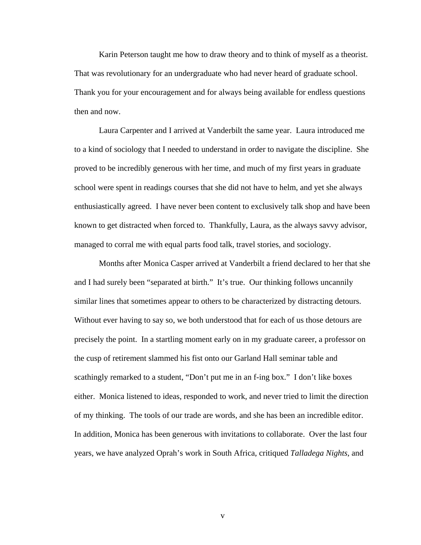Karin Peterson taught me how to draw theory and to think of myself as a theorist. That was revolutionary for an undergraduate who had never heard of graduate school. Thank you for your encouragement and for always being available for endless questions then and now.

Laura Carpenter and I arrived at Vanderbilt the same year. Laura introduced me to a kind of sociology that I needed to understand in order to navigate the discipline. She proved to be incredibly generous with her time, and much of my first years in graduate school were spent in readings courses that she did not have to helm, and yet she always enthusiastically agreed. I have never been content to exclusively talk shop and have been known to get distracted when forced to. Thankfully, Laura, as the always savvy advisor, managed to corral me with equal parts food talk, travel stories, and sociology.

Months after Monica Casper arrived at Vanderbilt a friend declared to her that she and I had surely been "separated at birth." It's true. Our thinking follows uncannily similar lines that sometimes appear to others to be characterized by distracting detours. Without ever having to say so, we both understood that for each of us those detours are precisely the point. In a startling moment early on in my graduate career, a professor on the cusp of retirement slammed his fist onto our Garland Hall seminar table and scathingly remarked to a student, "Don't put me in an f-ing box." I don't like boxes either. Monica listened to ideas, responded to work, and never tried to limit the direction of my thinking. The tools of our trade are words, and she has been an incredible editor. In addition, Monica has been generous with invitations to collaborate. Over the last four years, we have analyzed Oprah's work in South Africa, critiqued *Talladega Nights*, and

v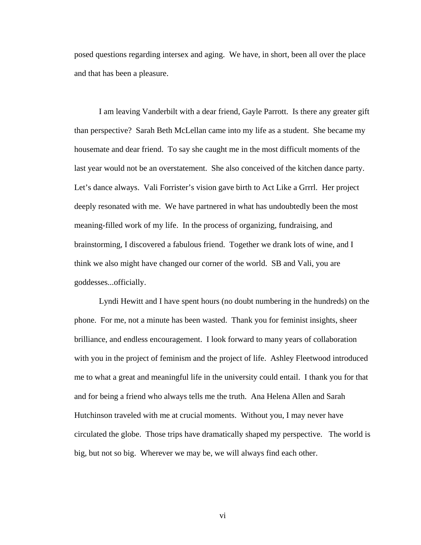posed questions regarding intersex and aging. We have, in short, been all over the place and that has been a pleasure.

I am leaving Vanderbilt with a dear friend, Gayle Parrott. Is there any greater gift than perspective? Sarah Beth McLellan came into my life as a student. She became my housemate and dear friend. To say she caught me in the most difficult moments of the last year would not be an overstatement. She also conceived of the kitchen dance party. Let's dance always. Vali Forrister's vision gave birth to Act Like a Grrrl. Her project deeply resonated with me. We have partnered in what has undoubtedly been the most meaning-filled work of my life. In the process of organizing, fundraising, and brainstorming, I discovered a fabulous friend. Together we drank lots of wine, and I think we also might have changed our corner of the world. SB and Vali, you are goddesses...officially.

Lyndi Hewitt and I have spent hours (no doubt numbering in the hundreds) on the phone. For me, not a minute has been wasted. Thank you for feminist insights, sheer brilliance, and endless encouragement. I look forward to many years of collaboration with you in the project of feminism and the project of life. Ashley Fleetwood introduced me to what a great and meaningful life in the university could entail. I thank you for that and for being a friend who always tells me the truth. Ana Helena Allen and Sarah Hutchinson traveled with me at crucial moments. Without you, I may never have circulated the globe. Those trips have dramatically shaped my perspective. The world is big, but not so big. Wherever we may be, we will always find each other.

vi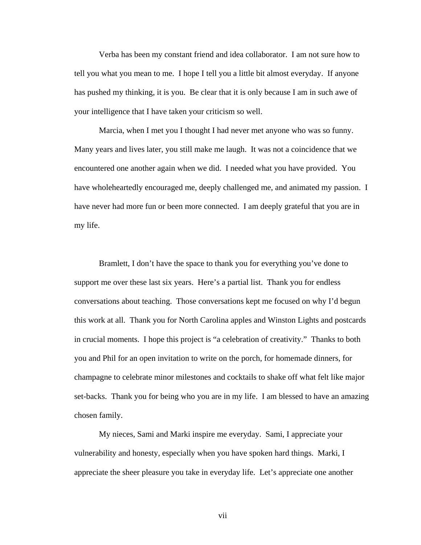Verba has been my constant friend and idea collaborator. I am not sure how to tell you what you mean to me. I hope I tell you a little bit almost everyday. If anyone has pushed my thinking, it is you. Be clear that it is only because I am in such awe of your intelligence that I have taken your criticism so well.

Marcia, when I met you I thought I had never met anyone who was so funny. Many years and lives later, you still make me laugh. It was not a coincidence that we encountered one another again when we did. I needed what you have provided. You have wholeheartedly encouraged me, deeply challenged me, and animated my passion. I have never had more fun or been more connected. I am deeply grateful that you are in my life.

Bramlett, I don't have the space to thank you for everything you've done to support me over these last six years. Here's a partial list. Thank you for endless conversations about teaching. Those conversations kept me focused on why I'd begun this work at all. Thank you for North Carolina apples and Winston Lights and postcards in crucial moments. I hope this project is "a celebration of creativity." Thanks to both you and Phil for an open invitation to write on the porch, for homemade dinners, for champagne to celebrate minor milestones and cocktails to shake off what felt like major set-backs. Thank you for being who you are in my life. I am blessed to have an amazing chosen family.

My nieces, Sami and Marki inspire me everyday. Sami, I appreciate your vulnerability and honesty, especially when you have spoken hard things. Marki, I appreciate the sheer pleasure you take in everyday life. Let's appreciate one another

vii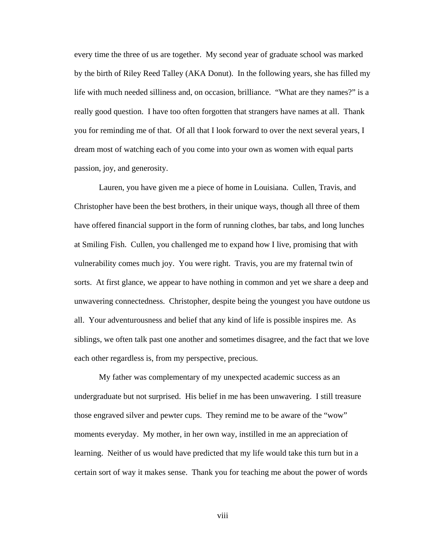every time the three of us are together. My second year of graduate school was marked by the birth of Riley Reed Talley (AKA Donut). In the following years, she has filled my life with much needed silliness and, on occasion, brilliance. "What are they names?" is a really good question. I have too often forgotten that strangers have names at all. Thank you for reminding me of that. Of all that I look forward to over the next several years, I dream most of watching each of you come into your own as women with equal parts passion, joy, and generosity.

Lauren, you have given me a piece of home in Louisiana. Cullen, Travis, and Christopher have been the best brothers, in their unique ways, though all three of them have offered financial support in the form of running clothes, bar tabs, and long lunches at Smiling Fish. Cullen, you challenged me to expand how I live, promising that with vulnerability comes much joy. You were right. Travis, you are my fraternal twin of sorts. At first glance, we appear to have nothing in common and yet we share a deep and unwavering connectedness. Christopher, despite being the youngest you have outdone us all. Your adventurousness and belief that any kind of life is possible inspires me. As siblings, we often talk past one another and sometimes disagree, and the fact that we love each other regardless is, from my perspective, precious.

My father was complementary of my unexpected academic success as an undergraduate but not surprised. His belief in me has been unwavering. I still treasure those engraved silver and pewter cups. They remind me to be aware of the "wow" moments everyday. My mother, in her own way, instilled in me an appreciation of learning. Neither of us would have predicted that my life would take this turn but in a certain sort of way it makes sense. Thank you for teaching me about the power of words

viii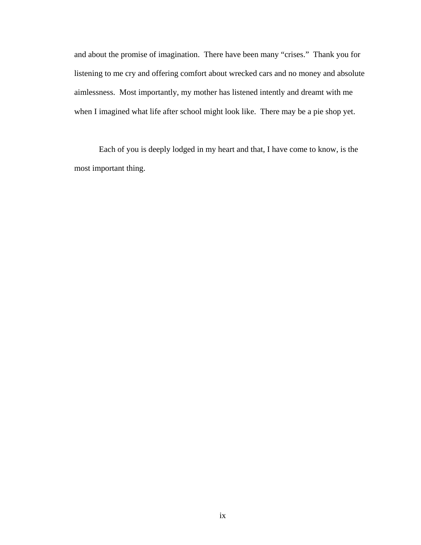and about the promise of imagination. There have been many "crises." Thank you for listening to me cry and offering comfort about wrecked cars and no money and absolute aimlessness. Most importantly, my mother has listened intently and dreamt with me when I imagined what life after school might look like. There may be a pie shop yet.

Each of you is deeply lodged in my heart and that, I have come to know, is the most important thing.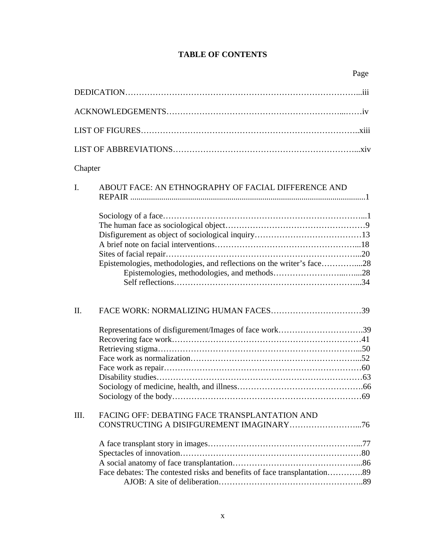# **TABLE OF CONTENTS**

| Chapter        |                                                                                                                           |  |
|----------------|---------------------------------------------------------------------------------------------------------------------------|--|
| $\mathbf{I}$ . | ABOUT FACE: AN ETHNOGRAPHY OF FACIAL DIFFERENCE AND                                                                       |  |
| $\Pi$ .        | Epistemologies, methodologies, and reflections on the writer's face28                                                     |  |
|                | Representations of disfigurement/Images of face work39                                                                    |  |
| III.           | FACING OFF: DEBATING FACE TRANSPLANTATION AND<br>Face debates: The contested risks and benefits of face transplantation89 |  |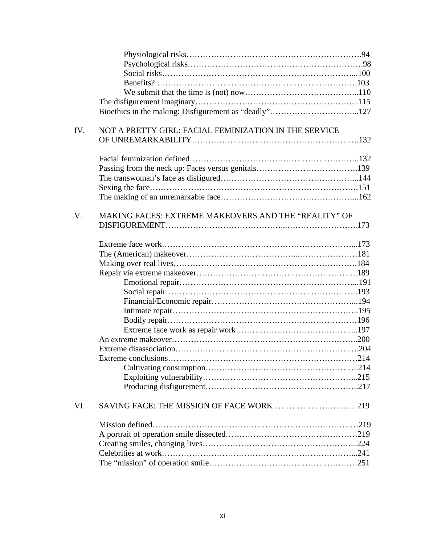| IV. | NOT A PRETTY GIRL: FACIAL FEMINIZATION IN THE SERVICE |  |
|-----|-------------------------------------------------------|--|
|     |                                                       |  |
|     |                                                       |  |
|     |                                                       |  |
|     |                                                       |  |
|     |                                                       |  |
|     |                                                       |  |
| V.  | MAKING FACES: EXTREME MAKEOVERS AND THE "REALITY" OF  |  |
|     |                                                       |  |
|     |                                                       |  |
|     |                                                       |  |
|     |                                                       |  |
|     |                                                       |  |
|     |                                                       |  |
|     |                                                       |  |
|     |                                                       |  |
|     |                                                       |  |
|     |                                                       |  |
|     |                                                       |  |
|     |                                                       |  |
|     |                                                       |  |
|     |                                                       |  |
|     |                                                       |  |
|     |                                                       |  |
|     |                                                       |  |
| VI. |                                                       |  |
|     |                                                       |  |
|     |                                                       |  |
|     |                                                       |  |
|     |                                                       |  |
|     |                                                       |  |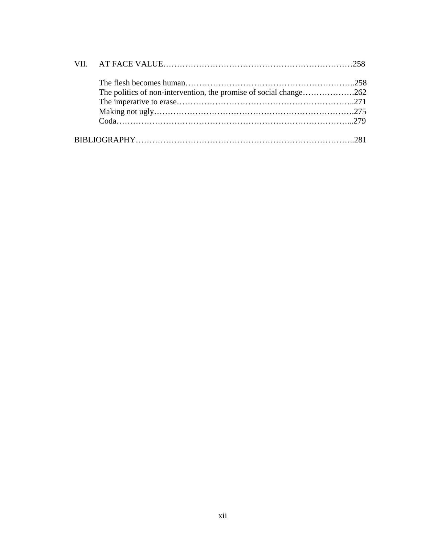|  | The politics of non-intervention, the promise of social change262 |  |
|--|-------------------------------------------------------------------|--|
|  |                                                                   |  |
|  |                                                                   |  |
|  |                                                                   |  |
|  |                                                                   |  |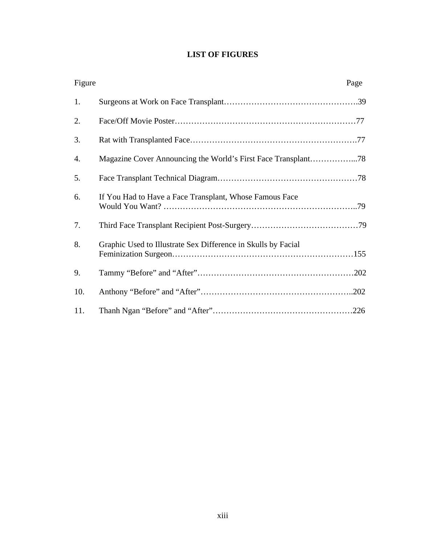# **LIST OF FIGURES**

| Figure |                                                               | Page |
|--------|---------------------------------------------------------------|------|
| 1.     |                                                               |      |
| 2.     |                                                               |      |
| 3.     |                                                               |      |
| 4.     |                                                               |      |
| 5.     |                                                               |      |
| 6.     | If You Had to Have a Face Transplant, Whose Famous Face       |      |
| 7.     |                                                               |      |
| 8.     | Graphic Used to Illustrate Sex Difference in Skulls by Facial |      |
| 9.     |                                                               |      |
| 10.    |                                                               |      |
| 11.    |                                                               |      |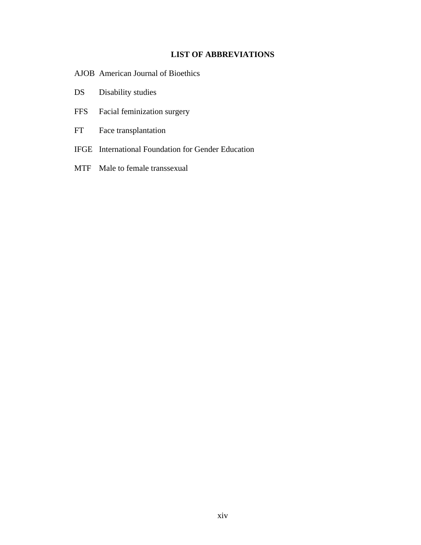# **LIST OF ABBREVIATIONS**

- AJOB American Journal of Bioethics
- DS Disability studies
- FFS Facial feminization surgery
- FT Face transplantation
- IFGE International Foundation for Gender Education
- MTF Male to female transsexual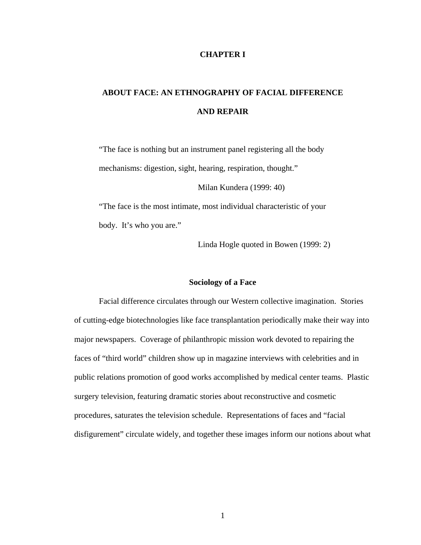#### **CHAPTER I**

# **ABOUT FACE: AN ETHNOGRAPHY OF FACIAL DIFFERENCE AND REPAIR**

"The face is nothing but an instrument panel registering all the body mechanisms: digestion, sight, hearing, respiration, thought."

Milan Kundera (1999: 40)

"The face is the most intimate, most individual characteristic of your body. It's who you are."

Linda Hogle quoted in Bowen (1999: 2)

#### **Sociology of a Face**

Facial difference circulates through our Western collective imagination. Stories of cutting-edge biotechnologies like face transplantation periodically make their way into major newspapers. Coverage of philanthropic mission work devoted to repairing the faces of "third world" children show up in magazine interviews with celebrities and in public relations promotion of good works accomplished by medical center teams. Plastic surgery television, featuring dramatic stories about reconstructive and cosmetic procedures, saturates the television schedule. Representations of faces and "facial disfigurement" circulate widely, and together these images inform our notions about what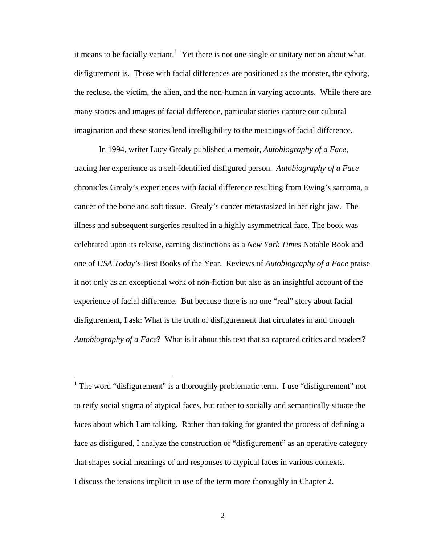it means to be facially variant.<sup>[1](#page-15-0)</sup> Yet there is not one single or unitary notion about what disfigurement is. Those with facial differences are positioned as the monster, the cyborg, the recluse, the victim, the alien, and the non-human in varying accounts. While there are many stories and images of facial difference, particular stories capture our cultural imagination and these stories lend intelligibility to the meanings of facial difference.

In 1994, writer Lucy Grealy published a memoir, *Autobiography of a Face*, tracing her experience as a self-identified disfigured person. *Autobiography of a Face*  chronicles Grealy's experiences with facial difference resulting from Ewing's sarcoma, a cancer of the bone and soft tissue. Grealy's cancer metastasized in her right jaw. The illness and subsequent surgeries resulted in a highly asymmetrical face. The book was celebrated upon its release, earning distinctions as a *New York Times* Notable Book and one of *USA Today*'s Best Books of the Year. Reviews of *Autobiography of a Face* praise it not only as an exceptional work of non-fiction but also as an insightful account of the experience of facial difference. But because there is no one "real" story about facial disfigurement, I ask: What is the truth of disfigurement that circulates in and through *Autobiography of a Face*? What is it about this text that so captured critics and readers?

<span id="page-15-0"></span><sup>1</sup> The word "disfigurement" is a thoroughly problematic term. I use "disfigurement" not to reify social stigma of atypical faces, but rather to socially and semantically situate the faces about which I am talking. Rather than taking for granted the process of defining a face as disfigured, I analyze the construction of "disfigurement" as an operative category that shapes social meanings of and responses to atypical faces in various contexts. I discuss the tensions implicit in use of the term more thoroughly in Chapter 2.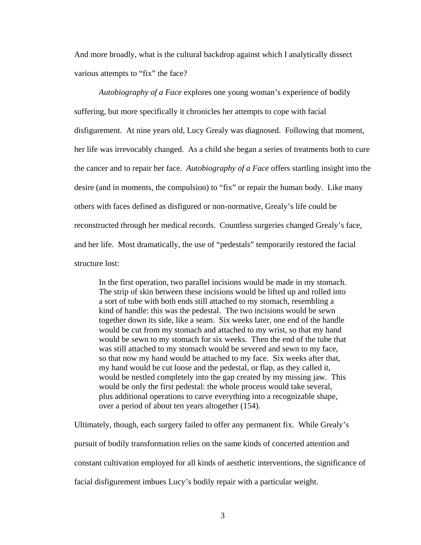And more broadly, what is the cultural backdrop against which I analytically dissect various attempts to "fix" the face?

*Autobiography of a Face* explores one young woman's experience of bodily suffering, but more specifically it chronicles her attempts to cope with facial disfigurement. At nine years old, Lucy Grealy was diagnosed. Following that moment, her life was irrevocably changed. As a child she began a series of treatments both to cure the cancer and to repair her face. *Autobiography of a Face* offers startling insight into the desire (and in moments, the compulsion) to "fix" or repair the human body. Like many others with faces defined as disfigured or non-normative, Grealy's life could be reconstructed through her medical records. Countless surgeries changed Grealy's face, and her life. Most dramatically, the use of "pedestals" temporarily restored the facial structure lost:

In the first operation, two parallel incisions would be made in my stomach. The strip of skin between these incisions would be lifted up and rolled into a sort of tube with both ends still attached to my stomach, resembling a kind of handle: this was the pedestal. The two incisions would be sewn together down its side, like a seam. Six weeks later, one end of the handle would be cut from my stomach and attached to my wrist, so that my hand would be sewn to my stomach for six weeks. Then the end of the tube that was still attached to my stomach would be severed and sewn to my face, so that now my hand would be attached to my face. Six weeks after that, my hand would be cut loose and the pedestal, or flap, as they called it, would be nestled completely into the gap created by my missing jaw. This would be only the first pedestal: the whole process would take several, plus additional operations to carve everything into a recognizable shape, over a period of about ten years altogether (154).

Ultimately, though, each surgery failed to offer any permanent fix. While Grealy's pursuit of bodily transformation relies on the same kinds of concerted attention and constant cultivation employed for all kinds of aesthetic interventions, the significance of facial disfigurement imbues Lucy's bodily repair with a particular weight.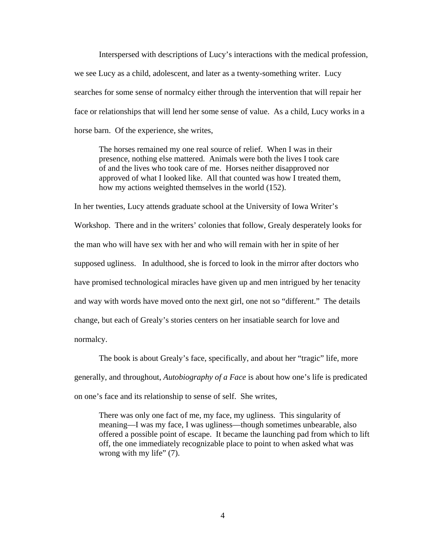Interspersed with descriptions of Lucy's interactions with the medical profession, we see Lucy as a child, adolescent, and later as a twenty-something writer. Lucy searches for some sense of normalcy either through the intervention that will repair her face or relationships that will lend her some sense of value. As a child, Lucy works in a horse barn. Of the experience, she writes,

The horses remained my one real source of relief. When I was in their presence, nothing else mattered. Animals were both the lives I took care of and the lives who took care of me. Horses neither disapproved nor approved of what I looked like. All that counted was how I treated them, how my actions weighted themselves in the world (152).

In her twenties, Lucy attends graduate school at the University of Iowa Writer's Workshop. There and in the writers' colonies that follow, Grealy desperately looks for the man who will have sex with her and who will remain with her in spite of her supposed ugliness. In adulthood, she is forced to look in the mirror after doctors who have promised technological miracles have given up and men intrigued by her tenacity and way with words have moved onto the next girl, one not so "different." The details change, but each of Grealy's stories centers on her insatiable search for love and normalcy.

The book is about Grealy's face, specifically, and about her "tragic" life, more generally, and throughout, *Autobiography of a Face* is about how one's life is predicated on one's face and its relationship to sense of self. She writes,

There was only one fact of me, my face, my ugliness. This singularity of meaning—I was my face, I was ugliness—though sometimes unbearable, also offered a possible point of escape. It became the launching pad from which to lift off, the one immediately recognizable place to point to when asked what was wrong with my life" (7).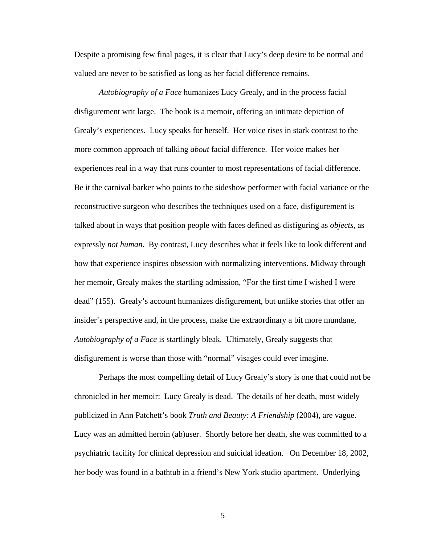Despite a promising few final pages, it is clear that Lucy's deep desire to be normal and valued are never to be satisfied as long as her facial difference remains.

*Autobiography of a Face* humanizes Lucy Grealy, and in the process facial disfigurement writ large. The book is a memoir, offering an intimate depiction of Grealy's experiences. Lucy speaks for herself. Her voice rises in stark contrast to the more common approach of talking *about* facial difference. Her voice makes her experiences real in a way that runs counter to most representations of facial difference. Be it the carnival barker who points to the sideshow performer with facial variance or the reconstructive surgeon who describes the techniques used on a face, disfigurement is talked about in ways that position people with faces defined as disfiguring as *objects*, as expressly *not human*. By contrast, Lucy describes what it feels like to look different and how that experience inspires obsession with normalizing interventions. Midway through her memoir, Grealy makes the startling admission, "For the first time I wished I were dead" (155). Grealy's account humanizes disfigurement, but unlike stories that offer an insider's perspective and, in the process, make the extraordinary a bit more mundane, *Autobiography of a Face* is startlingly bleak. Ultimately, Grealy suggests that disfigurement is worse than those with "normal" visages could ever imagine.

 Perhaps the most compelling detail of Lucy Grealy's story is one that could not be chronicled in her memoir: Lucy Grealy is dead. The details of her death, most widely publicized in Ann Patchett's book *Truth and Beauty: A Friendship* (2004), are vague. Lucy was an admitted heroin (ab)user. Shortly before her death, she was committed to a psychiatric facility for clinical depression and suicidal ideation. On December 18, 2002, her body was found in a bathtub in a friend's New York studio apartment. Underlying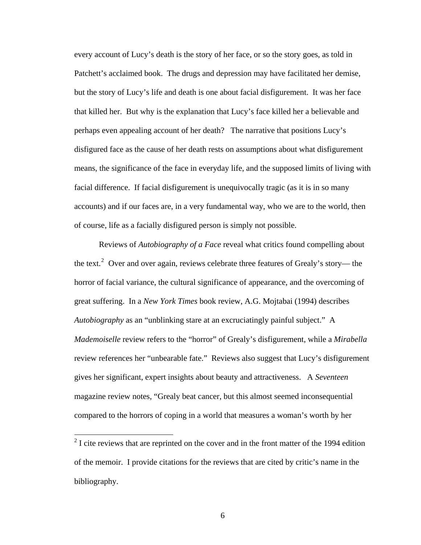every account of Lucy's death is the story of her face, or so the story goes, as told in Patchett's acclaimed book. The drugs and depression may have facilitated her demise, but the story of Lucy's life and death is one about facial disfigurement. It was her face that killed her. But why is the explanation that Lucy's face killed her a believable and perhaps even appealing account of her death? The narrative that positions Lucy's disfigured face as the cause of her death rests on assumptions about what disfigurement means, the significance of the face in everyday life, and the supposed limits of living with facial difference. If facial disfigurement is unequivocally tragic (as it is in so many accounts) and if our faces are, in a very fundamental way, who we are to the world, then of course, life as a facially disfigured person is simply not possible.

Reviews of *Autobiography of a Face* reveal what critics found compelling about the text.<sup>[2](#page-19-0)</sup> Over and over again, reviews celebrate three features of Grealy's story— the horror of facial variance, the cultural significance of appearance, and the overcoming of great suffering. In a *New York Times* book review, A.G. Mojtabai (1994) describes *Autobiography* as an "unblinking stare at an excruciatingly painful subject." A *Mademoiselle* review refers to the "horror" of Grealy's disfigurement, while a *Mirabella*  review references her "unbearable fate." Reviews also suggest that Lucy's disfigurement gives her significant, expert insights about beauty and attractiveness. A *Seventeen* magazine review notes, "Grealy beat cancer, but this almost seemed inconsequential compared to the horrors of coping in a world that measures a woman's worth by her

<u>.</u>

<span id="page-19-0"></span> $2<sup>2</sup>$  I cite reviews that are reprinted on the cover and in the front matter of the 1994 edition of the memoir. I provide citations for the reviews that are cited by critic's name in the bibliography.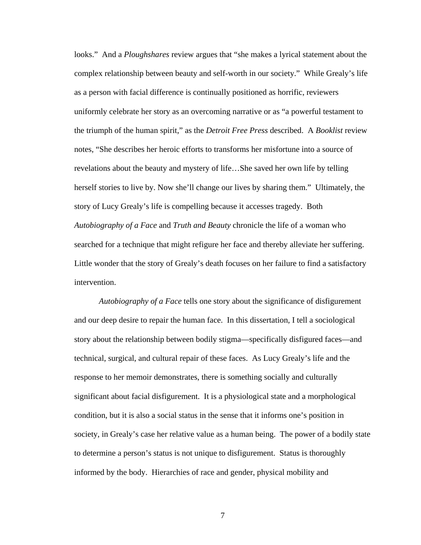looks." And a *Ploughshares* review argues that "she makes a lyrical statement about the complex relationship between beauty and self-worth in our society." While Grealy's life as a person with facial difference is continually positioned as horrific, reviewers uniformly celebrate her story as an overcoming narrative or as "a powerful testament to the triumph of the human spirit," as the *Detroit Free Press* described. A *Booklist* review notes, "She describes her heroic efforts to transforms her misfortune into a source of revelations about the beauty and mystery of life…She saved her own life by telling herself stories to live by. Now she'll change our lives by sharing them." Ultimately, the story of Lucy Grealy's life is compelling because it accesses tragedy. Both *Autobiography of a Face* and *Truth and Beauty* chronicle the life of a woman who searched for a technique that might refigure her face and thereby alleviate her suffering. Little wonder that the story of Grealy's death focuses on her failure to find a satisfactory intervention.

*Autobiography of a Face* tells one story about the significance of disfigurement and our deep desire to repair the human face. In this dissertation, I tell a sociological story about the relationship between bodily stigma—specifically disfigured faces—and technical, surgical, and cultural repair of these faces. As Lucy Grealy's life and the response to her memoir demonstrates, there is something socially and culturally significant about facial disfigurement. It is a physiological state and a morphological condition, but it is also a social status in the sense that it informs one's position in society, in Grealy's case her relative value as a human being. The power of a bodily state to determine a person's status is not unique to disfigurement. Status is thoroughly informed by the body. Hierarchies of race and gender, physical mobility and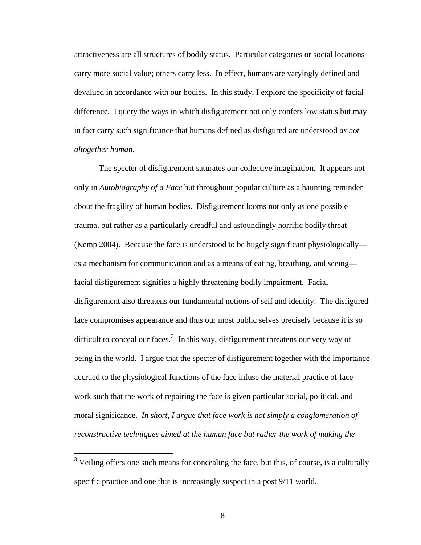attractiveness are all structures of bodily status. Particular categories or social locations carry more social value; others carry less. In effect, humans are varyingly defined and devalued in accordance with our bodies. In this study, I explore the specificity of facial difference. I query the ways in which disfigurement not only confers low status but may in fact carry such significance that humans defined as disfigured are understood *as not altogether human*.

The specter of disfigurement saturates our collective imagination. It appears not only in *Autobiography of a Face* but throughout popular culture as a haunting reminder about the fragility of human bodies. Disfigurement looms not only as one possible trauma, but rather as a particularly dreadful and astoundingly horrific bodily threat (Kemp 2004). Because the face is understood to be hugely significant physiologically as a mechanism for communication and as a means of eating, breathing, and seeing facial disfigurement signifies a highly threatening bodily impairment. Facial disfigurement also threatens our fundamental notions of self and identity. The disfigured face compromises appearance and thus our most public selves precisely because it is so difficult to conceal our faces.<sup>[3](#page-21-0)</sup> In this way, disfigurement threatens our very way of being in the world. I argue that the specter of disfigurement together with the importance accrued to the physiological functions of the face infuse the material practice of face work such that the work of repairing the face is given particular social, political, and moral significance. *In short, I argue that face work is not simply a conglomeration of reconstructive techniques aimed at the human face but rather the work of making the* 

 $\overline{a}$ 

<span id="page-21-0"></span> $3$  Veiling offers one such means for concealing the face, but this, of course, is a culturally specific practice and one that is increasingly suspect in a post 9/11 world.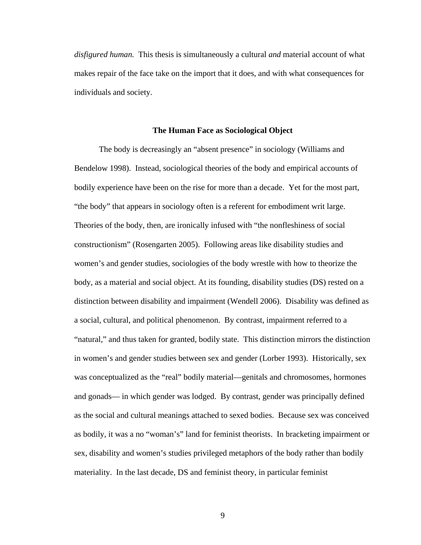*disfigured human.* This thesis is simultaneously a cultural *and* material account of what makes repair of the face take on the import that it does, and with what consequences for individuals and society.

#### **The Human Face as Sociological Object**

The body is decreasingly an "absent presence" in sociology (Williams and Bendelow 1998). Instead, sociological theories of the body and empirical accounts of bodily experience have been on the rise for more than a decade. Yet for the most part, "the body" that appears in sociology often is a referent for embodiment writ large. Theories of the body, then, are ironically infused with "the nonfleshiness of social constructionism" (Rosengarten 2005). Following areas like disability studies and women's and gender studies, sociologies of the body wrestle with how to theorize the body, as a material and social object. At its founding, disability studies (DS) rested on a distinction between disability and impairment (Wendell 2006). Disability was defined as a social, cultural, and political phenomenon. By contrast, impairment referred to a "natural," and thus taken for granted, bodily state. This distinction mirrors the distinction in women's and gender studies between sex and gender (Lorber 1993). Historically, sex was conceptualized as the "real" bodily material—genitals and chromosomes, hormones and gonads— in which gender was lodged. By contrast, gender was principally defined as the social and cultural meanings attached to sexed bodies. Because sex was conceived as bodily, it was a no "woman's" land for feminist theorists. In bracketing impairment or sex, disability and women's studies privileged metaphors of the body rather than bodily materiality. In the last decade, DS and feminist theory, in particular feminist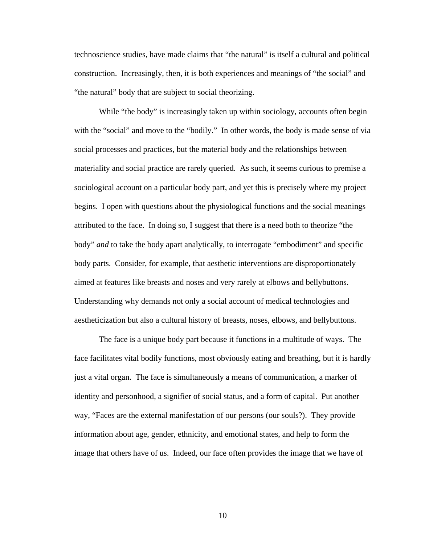technoscience studies, have made claims that "the natural" is itself a cultural and political construction. Increasingly, then, it is both experiences and meanings of "the social" and "the natural" body that are subject to social theorizing.

While "the body" is increasingly taken up within sociology, accounts often begin with the "social" and move to the "bodily." In other words, the body is made sense of via social processes and practices, but the material body and the relationships between materiality and social practice are rarely queried. As such, it seems curious to premise a sociological account on a particular body part, and yet this is precisely where my project begins. I open with questions about the physiological functions and the social meanings attributed to the face. In doing so, I suggest that there is a need both to theorize "the body" *and* to take the body apart analytically, to interrogate "embodiment" and specific body parts. Consider, for example, that aesthetic interventions are disproportionately aimed at features like breasts and noses and very rarely at elbows and bellybuttons. Understanding why demands not only a social account of medical technologies and aestheticization but also a cultural history of breasts, noses, elbows, and bellybuttons.

The face is a unique body part because it functions in a multitude of ways. The face facilitates vital bodily functions, most obviously eating and breathing, but it is hardly just a vital organ. The face is simultaneously a means of communication, a marker of identity and personhood, a signifier of social status, and a form of capital. Put another way, "Faces are the external manifestation of our persons (our souls?). They provide information about age, gender, ethnicity, and emotional states, and help to form the image that others have of us. Indeed, our face often provides the image that we have of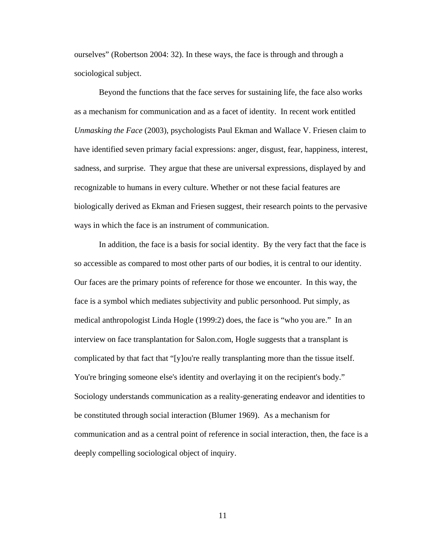ourselves" (Robertson 2004: 32). In these ways, the face is through and through a sociological subject.

 Beyond the functions that the face serves for sustaining life, the face also works as a mechanism for communication and as a facet of identity. In recent work entitled *Unmasking the Face* (2003), psychologists Paul Ekman and Wallace V. Friesen claim to have identified seven primary facial expressions: anger, disgust, fear, happiness, interest, sadness, and surprise. They argue that these are universal expressions, displayed by and recognizable to humans in every culture. Whether or not these facial features are biologically derived as Ekman and Friesen suggest, their research points to the pervasive ways in which the face is an instrument of communication.

In addition, the face is a basis for social identity. By the very fact that the face is so accessible as compared to most other parts of our bodies, it is central to our identity. Our faces are the primary points of reference for those we encounter. In this way, the face is a symbol which mediates subjectivity and public personhood. Put simply, as medical anthropologist Linda Hogle (1999:2) does, the face is "who you are." In an interview on face transplantation for Salon.com, Hogle suggests that a transplant is complicated by that fact that "[y]ou're really transplanting more than the tissue itself. You're bringing someone else's identity and overlaying it on the recipient's body." Sociology understands communication as a reality-generating endeavor and identities to be constituted through social interaction (Blumer 1969). As a mechanism for communication and as a central point of reference in social interaction, then, the face is a deeply compelling sociological object of inquiry.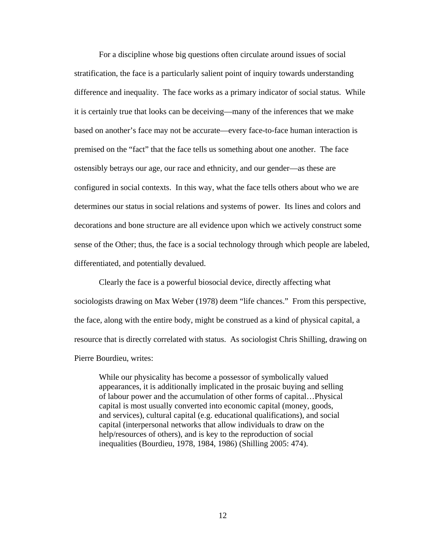For a discipline whose big questions often circulate around issues of social stratification, the face is a particularly salient point of inquiry towards understanding difference and inequality. The face works as a primary indicator of social status. While it is certainly true that looks can be deceiving—many of the inferences that we make based on another's face may not be accurate—every face-to-face human interaction is premised on the "fact" that the face tells us something about one another. The face ostensibly betrays our age, our race and ethnicity, and our gender—as these are configured in social contexts. In this way, what the face tells others about who we are determines our status in social relations and systems of power. Its lines and colors and decorations and bone structure are all evidence upon which we actively construct some sense of the Other; thus, the face is a social technology through which people are labeled, differentiated, and potentially devalued.

 Clearly the face is a powerful biosocial device, directly affecting what sociologists drawing on Max Weber (1978) deem "life chances." From this perspective, the face, along with the entire body, might be construed as a kind of physical capital, a resource that is directly correlated with status. As sociologist Chris Shilling, drawing on Pierre Bourdieu, writes:

While our physicality has become a possessor of symbolically valued appearances, it is additionally implicated in the prosaic buying and selling of labour power and the accumulation of other forms of capital…Physical capital is most usually converted into economic capital (money, goods, and services), cultural capital (e.g. educational qualifications), and social capital (interpersonal networks that allow individuals to draw on the help/resources of others), and is key to the reproduction of social inequalities (Bourdieu, 1978, 1984, 1986) (Shilling 2005: 474).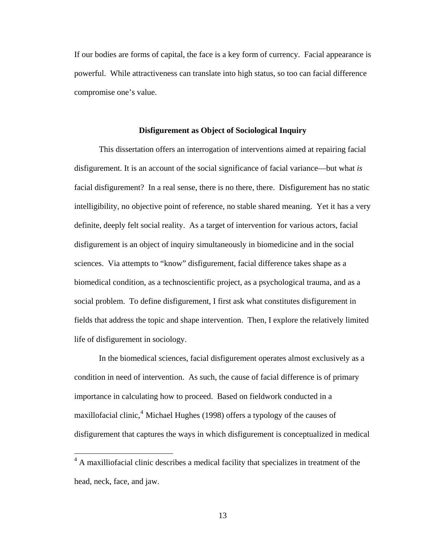If our bodies are forms of capital, the face is a key form of currency. Facial appearance is powerful. While attractiveness can translate into high status, so too can facial difference compromise one's value.

## **Disfigurement as Object of Sociological Inquiry**

 This dissertation offers an interrogation of interventions aimed at repairing facial disfigurement. It is an account of the social significance of facial variance—but what *is* facial disfigurement? In a real sense, there is no there, there. Disfigurement has no static intelligibility, no objective point of reference, no stable shared meaning. Yet it has a very definite, deeply felt social reality. As a target of intervention for various actors, facial disfigurement is an object of inquiry simultaneously in biomedicine and in the social sciences. Via attempts to "know" disfigurement, facial difference takes shape as a biomedical condition, as a technoscientific project, as a psychological trauma, and as a social problem. To define disfigurement, I first ask what constitutes disfigurement in fields that address the topic and shape intervention. Then, I explore the relatively limited life of disfigurement in sociology.

 In the biomedical sciences, facial disfigurement operates almost exclusively as a condition in need of intervention. As such, the cause of facial difference is of primary importance in calculating how to proceed. Based on fieldwork conducted in a maxillofacial clinic,<sup>[4](#page-26-0)</sup> Michael Hughes (1998) offers a typology of the causes of disfigurement that captures the ways in which disfigurement is conceptualized in medical

 $\overline{a}$ 

<span id="page-26-0"></span><sup>&</sup>lt;sup>4</sup> A maxilliofacial clinic describes a medical facility that specializes in treatment of the head, neck, face, and jaw.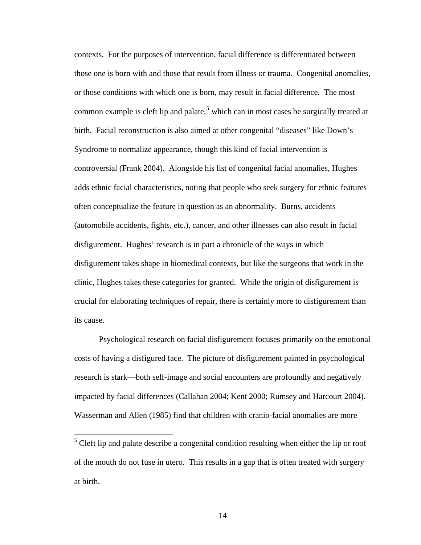contexts. For the purposes of intervention, facial difference is differentiated between those one is born with and those that result from illness or trauma. Congenital anomalies, or those conditions with which one is born, may result in facial difference. The most common example is cleft lip and palate,<sup>[5](#page-27-0)</sup> which can in most cases be surgically treated at birth. Facial reconstruction is also aimed at other congenital "diseases" like Down's Syndrome to normalize appearance, though this kind of facial intervention is controversial (Frank 2004). Alongside his list of congenital facial anomalies, Hughes adds ethnic facial characteristics, noting that people who seek surgery for ethnic features often conceptualize the feature in question as an abnormality. Burns, accidents (automobile accidents, fights, etc.), cancer, and other illnesses can also result in facial disfigurement. Hughes' research is in part a chronicle of the ways in which disfigurement takes shape in biomedical contexts, but like the surgeons that work in the clinic, Hughes takes these categories for granted. While the origin of disfigurement is crucial for elaborating techniques of repair, there is certainly more to disfigurement than its cause.

Psychological research on facial disfigurement focuses primarily on the emotional costs of having a disfigured face. The picture of disfigurement painted in psychological research is stark—both self-image and social encounters are profoundly and negatively impacted by facial differences (Callahan 2004; Kent 2000; Rumsey and Harcourt 2004). Wasserman and Allen (1985) find that children with cranio-facial anomalies are more

 $\overline{a}$ 

<span id="page-27-0"></span> $<sup>5</sup>$  Cleft lip and palate describe a congenital condition resulting when either the lip or roof</sup> of the mouth do not fuse in utero. This results in a gap that is often treated with surgery at birth.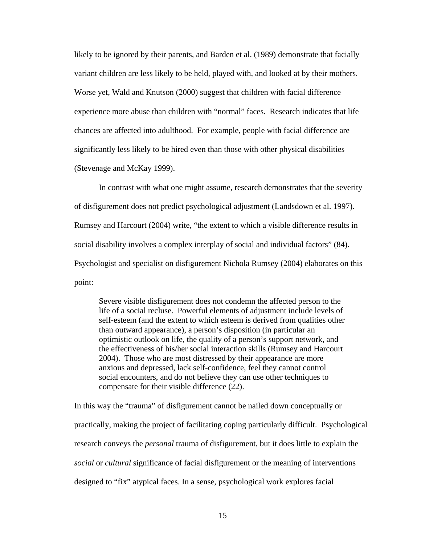likely to be ignored by their parents, and Barden et al. (1989) demonstrate that facially variant children are less likely to be held, played with, and looked at by their mothers. Worse yet, Wald and Knutson (2000) suggest that children with facial difference experience more abuse than children with "normal" faces. Research indicates that life chances are affected into adulthood. For example, people with facial difference are significantly less likely to be hired even than those with other physical disabilities (Stevenage and McKay 1999).

 In contrast with what one might assume, research demonstrates that the severity of disfigurement does not predict psychological adjustment (Landsdown et al. 1997). Rumsey and Harcourt (2004) write, "the extent to which a visible difference results in social disability involves a complex interplay of social and individual factors" (84). Psychologist and specialist on disfigurement Nichola Rumsey (2004) elaborates on this point:

Severe visible disfigurement does not condemn the affected person to the life of a social recluse. Powerful elements of adjustment include levels of self-esteem (and the extent to which esteem is derived from qualities other than outward appearance), a person's disposition (in particular an optimistic outlook on life, the quality of a person's support network, and the effectiveness of his/her social interaction skills (Rumsey and Harcourt 2004). Those who are most distressed by their appearance are more anxious and depressed, lack self-confidence, feel they cannot control social encounters, and do not believe they can use other techniques to compensate for their visible difference (22).

In this way the "trauma" of disfigurement cannot be nailed down conceptually or practically, making the project of facilitating coping particularly difficult. Psychological research conveys the *personal* trauma of disfigurement, but it does little to explain the *social* or *cultural* significance of facial disfigurement or the meaning of interventions designed to "fix" atypical faces. In a sense, psychological work explores facial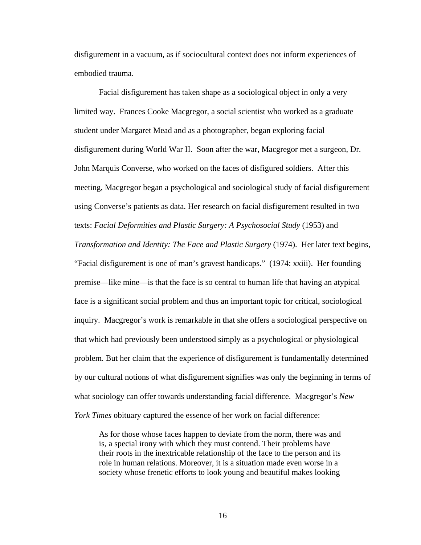disfigurement in a vacuum, as if sociocultural context does not inform experiences of embodied trauma.

Facial disfigurement has taken shape as a sociological object in only a very limited way. Frances Cooke Macgregor, a social scientist who worked as a graduate student under Margaret Mead and as a photographer, began exploring facial disfigurement during World War II. Soon after the war, Macgregor met a surgeon, Dr. John Marquis Converse, who worked on the faces of disfigured soldiers. After this meeting, Macgregor began a psychological and sociological study of facial disfigurement using Converse's patients as data. Her research on facial disfigurement resulted in two texts: *Facial Deformities and Plastic Surgery: A Psychosocial Study* (1953) and *Transformation and Identity: The Face and Plastic Surgery* (1974). Her later text begins, "Facial disfigurement is one of man's gravest handicaps." (1974: xxiii). Her founding premise—like mine—is that the face is so central to human life that having an atypical face is a significant social problem and thus an important topic for critical, sociological inquiry. Macgregor's work is remarkable in that she offers a sociological perspective on that which had previously been understood simply as a psychological or physiological problem. But her claim that the experience of disfigurement is fundamentally determined by our cultural notions of what disfigurement signifies was only the beginning in terms of what sociology can offer towards understanding facial difference. Macgregor's *New York Times* obituary captured the essence of her work on facial difference:

As for those whose faces happen to deviate from the norm, there was and is, a special irony with which they must contend. Their problems have their roots in the inextricable relationship of the face to the person and its role in human relations. Moreover, it is a situation made even worse in a society whose frenetic efforts to look young and beautiful makes looking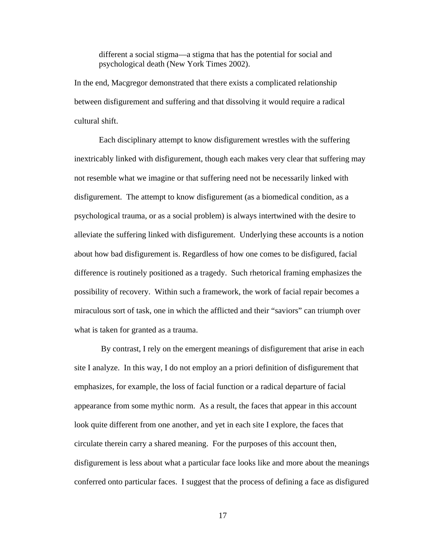different a social stigma—a stigma that has the potential for social and psychological death (New York Times 2002).

In the end, Macgregor demonstrated that there exists a complicated relationship between disfigurement and suffering and that dissolving it would require a radical cultural shift.

Each disciplinary attempt to know disfigurement wrestles with the suffering inextricably linked with disfigurement, though each makes very clear that suffering may not resemble what we imagine or that suffering need not be necessarily linked with disfigurement. The attempt to know disfigurement (as a biomedical condition, as a psychological trauma, or as a social problem) is always intertwined with the desire to alleviate the suffering linked with disfigurement. Underlying these accounts is a notion about how bad disfigurement is. Regardless of how one comes to be disfigured, facial difference is routinely positioned as a tragedy. Such rhetorical framing emphasizes the possibility of recovery. Within such a framework, the work of facial repair becomes a miraculous sort of task, one in which the afflicted and their "saviors" can triumph over what is taken for granted as a trauma.

 By contrast, I rely on the emergent meanings of disfigurement that arise in each site I analyze. In this way, I do not employ an a priori definition of disfigurement that emphasizes, for example, the loss of facial function or a radical departure of facial appearance from some mythic norm. As a result, the faces that appear in this account look quite different from one another, and yet in each site I explore, the faces that circulate therein carry a shared meaning. For the purposes of this account then, disfigurement is less about what a particular face looks like and more about the meanings conferred onto particular faces. I suggest that the process of defining a face as disfigured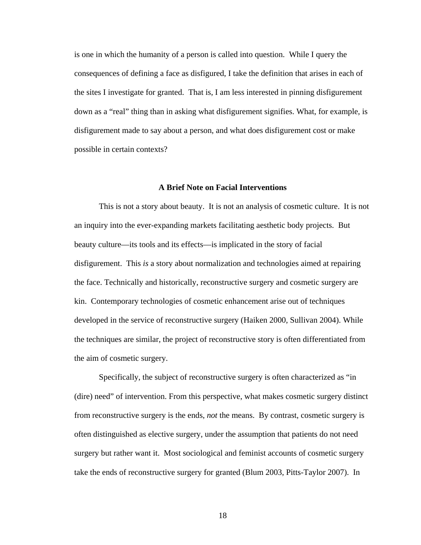is one in which the humanity of a person is called into question. While I query the consequences of defining a face as disfigured, I take the definition that arises in each of the sites I investigate for granted. That is, I am less interested in pinning disfigurement down as a "real" thing than in asking what disfigurement signifies. What, for example, is disfigurement made to say about a person, and what does disfigurement cost or make possible in certain contexts?

#### **A Brief Note on Facial Interventions**

This is not a story about beauty. It is not an analysis of cosmetic culture. It is not an inquiry into the ever-expanding markets facilitating aesthetic body projects. But beauty culture—its tools and its effects—is implicated in the story of facial disfigurement. This *is* a story about normalization and technologies aimed at repairing the face. Technically and historically, reconstructive surgery and cosmetic surgery are kin. Contemporary technologies of cosmetic enhancement arise out of techniques developed in the service of reconstructive surgery (Haiken 2000, Sullivan 2004). While the techniques are similar, the project of reconstructive story is often differentiated from the aim of cosmetic surgery.

Specifically, the subject of reconstructive surgery is often characterized as "in (dire) need" of intervention. From this perspective, what makes cosmetic surgery distinct from reconstructive surgery is the ends, *not* the means. By contrast, cosmetic surgery is often distinguished as elective surgery, under the assumption that patients do not need surgery but rather want it. Most sociological and feminist accounts of cosmetic surgery take the ends of reconstructive surgery for granted (Blum 2003, Pitts-Taylor 2007). In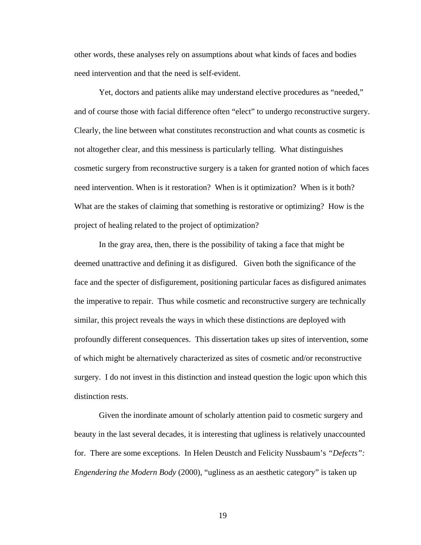other words, these analyses rely on assumptions about what kinds of faces and bodies need intervention and that the need is self-evident.

Yet, doctors and patients alike may understand elective procedures as "needed," and of course those with facial difference often "elect" to undergo reconstructive surgery. Clearly, the line between what constitutes reconstruction and what counts as cosmetic is not altogether clear, and this messiness is particularly telling. What distinguishes cosmetic surgery from reconstructive surgery is a taken for granted notion of which faces need intervention. When is it restoration? When is it optimization? When is it both? What are the stakes of claiming that something is restorative or optimizing? How is the project of healing related to the project of optimization?

In the gray area, then, there is the possibility of taking a face that might be deemed unattractive and defining it as disfigured. Given both the significance of the face and the specter of disfigurement, positioning particular faces as disfigured animates the imperative to repair. Thus while cosmetic and reconstructive surgery are technically similar, this project reveals the ways in which these distinctions are deployed with profoundly different consequences. This dissertation takes up sites of intervention, some of which might be alternatively characterized as sites of cosmetic and/or reconstructive surgery. I do not invest in this distinction and instead question the logic upon which this distinction rests.

Given the inordinate amount of scholarly attention paid to cosmetic surgery and beauty in the last several decades, it is interesting that ugliness is relatively unaccounted for. There are some exceptions. In Helen Deustch and Felicity Nussbaum's *"Defects": Engendering the Modern Body* (2000), "ugliness as an aesthetic category" is taken up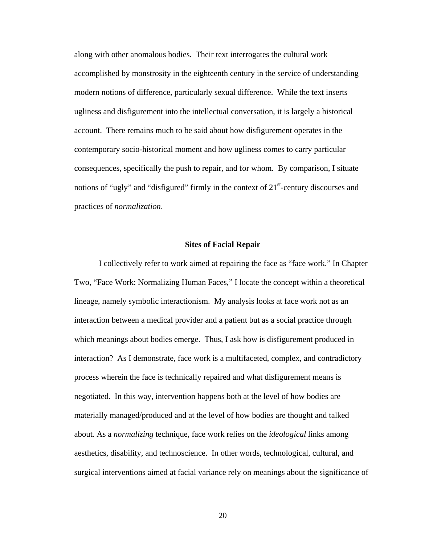along with other anomalous bodies. Their text interrogates the cultural work accomplished by monstrosity in the eighteenth century in the service of understanding modern notions of difference, particularly sexual difference. While the text inserts ugliness and disfigurement into the intellectual conversation, it is largely a historical account. There remains much to be said about how disfigurement operates in the contemporary socio-historical moment and how ugliness comes to carry particular consequences, specifically the push to repair, and for whom. By comparison, I situate notions of "ugly" and "disfigured" firmly in the context of  $21<sup>st</sup>$ -century discourses and practices of *normalization*.

#### **Sites of Facial Repair**

 I collectively refer to work aimed at repairing the face as "face work." In Chapter Two, "Face Work: Normalizing Human Faces," I locate the concept within a theoretical lineage, namely symbolic interactionism. My analysis looks at face work not as an interaction between a medical provider and a patient but as a social practice through which meanings about bodies emerge. Thus, I ask how is disfigurement produced in interaction? As I demonstrate, face work is a multifaceted, complex, and contradictory process wherein the face is technically repaired and what disfigurement means is negotiated. In this way, intervention happens both at the level of how bodies are materially managed/produced and at the level of how bodies are thought and talked about. As a *normalizing* technique, face work relies on the *ideological* links among aesthetics, disability, and technoscience.In other words, technological, cultural, and surgical interventions aimed at facial variance rely on meanings about the significance of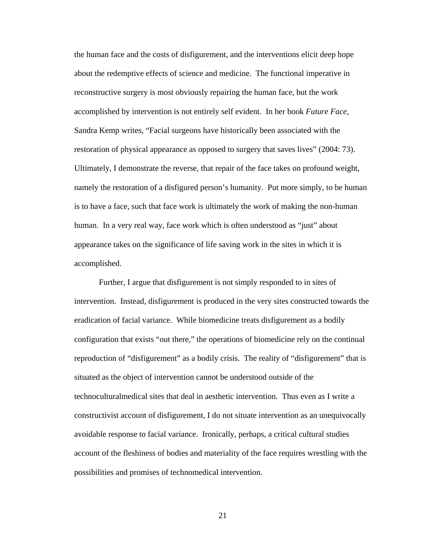the human face and the costs of disfigurement, and the interventions elicit deep hope about the redemptive effects of science and medicine. The functional imperative in reconstructive surgery is most obviously repairing the human face, but the work accomplished by intervention is not entirely self evident. In her book *Future Face*, Sandra Kemp writes, "Facial surgeons have historically been associated with the restoration of physical appearance as opposed to surgery that saves lives" (2004: 73). Ultimately, I demonstrate the reverse, that repair of the face takes on profound weight, namely the restoration of a disfigured person's humanity. Put more simply, to be human is to have a face, such that face work is ultimately the work of making the non-human human. In a very real way, face work which is often understood as "just" about appearance takes on the significance of life saving work in the sites in which it is accomplished.

Further, I argue that disfigurement is not simply responded to in sites of intervention. Instead, disfigurement is produced in the very sites constructed towards the eradication of facial variance. While biomedicine treats disfigurement as a bodily configuration that exists "out there," the operations of biomedicine rely on the continual reproduction of "disfigurement" as a bodily crisis. The reality of "disfigurement" that is situated as the object of intervention cannot be understood outside of the technoculturalmedical sites that deal in aesthetic intervention. Thus even as I write a constructivist account of disfigurement, I do not situate intervention as an unequivocally avoidable response to facial variance. Ironically, perhaps, a critical cultural studies account of the fleshiness of bodies and materiality of the face requires wrestling with the possibilities and promises of technomedical intervention.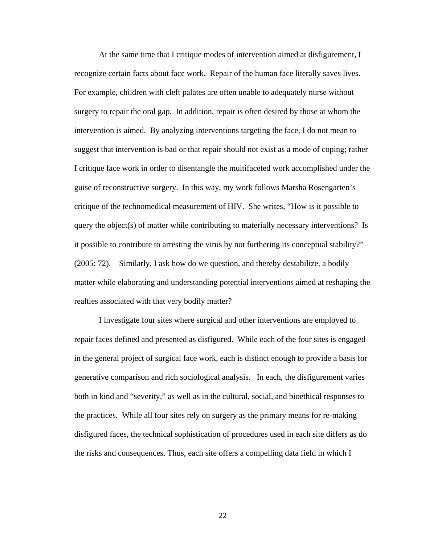At the same time that I critique modes of intervention aimed at disfigurement, I recognize certain facts about face work. Repair of the human face literally saves lives. For example, children with cleft palates are often unable to adequately nurse without surgery to repair the oral gap. In addition, repair is often desired by those at whom the intervention is aimed. By analyzing interventions targeting the face, I do not mean to suggest that intervention is bad or that repair should not exist as a mode of coping; rather I critique face work in order to disentangle the multifaceted work accomplished under the guise of reconstructive surgery. In this way, my work follows Marsha Rosengarten's critique of the technomedical measurement of HIV. She writes, "How is it possible to query the object(s) of matter while contributing to materially necessary interventions? Is it possible to contribute to arresting the virus by not furthering its conceptual stability?" (2005: 72). Similarly, I ask how do we question, and thereby destabilize, a bodily matter while elaborating and understanding potential interventions aimed at reshaping the realties associated with that very bodily matter?

I investigate four sites where surgical and other interventions are employed to repair faces defined and presented as disfigured. While each of the four sites is engaged in the general project of surgical face work, each is distinct enough to provide a basis for generative comparison and rich sociological analysis. In each, the disfigurement varies both in kind and "severity," as well as in the cultural, social, and bioethical responses to the practices. While all four sites rely on surgery as the primary means for re-making disfigured faces, the technical sophistication of procedures used in each site differs as do the risks and consequences. Thus, each site offers a compelling data field in which I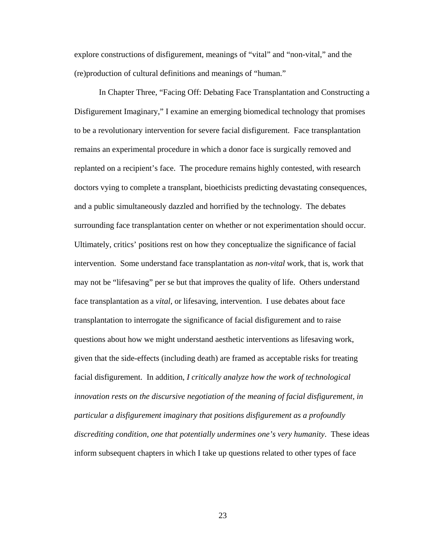explore constructions of disfigurement, meanings of "vital" and "non-vital," and the (re)production of cultural definitions and meanings of "human."

In Chapter Three, "Facing Off: Debating Face Transplantation and Constructing a Disfigurement Imaginary," I examine an emerging biomedical technology that promises to be a revolutionary intervention for severe facial disfigurement. Face transplantation remains an experimental procedure in which a donor face is surgically removed and replanted on a recipient's face. The procedure remains highly contested, with research doctors vying to complete a transplant, bioethicists predicting devastating consequences, and a public simultaneously dazzled and horrified by the technology. The debates surrounding face transplantation center on whether or not experimentation should occur. Ultimately, critics' positions rest on how they conceptualize the significance of facial intervention. Some understand face transplantation as *non-vital* work, that is, work that may not be "lifesaving" per se but that improves the quality of life. Others understand face transplantation as a *vital*, or lifesaving, intervention. I use debates about face transplantation to interrogate the significance of facial disfigurement and to raise questions about how we might understand aesthetic interventions as lifesaving work, given that the side-effects (including death) are framed as acceptable risks for treating facial disfigurement. In addition, *I critically analyze how the work of technological innovation rests on the discursive negotiation of the meaning of facial disfigurement, in particular a disfigurement imaginary that positions disfigurement as a profoundly discrediting condition, one that potentially undermines one's very humanity*. These ideas inform subsequent chapters in which I take up questions related to other types of face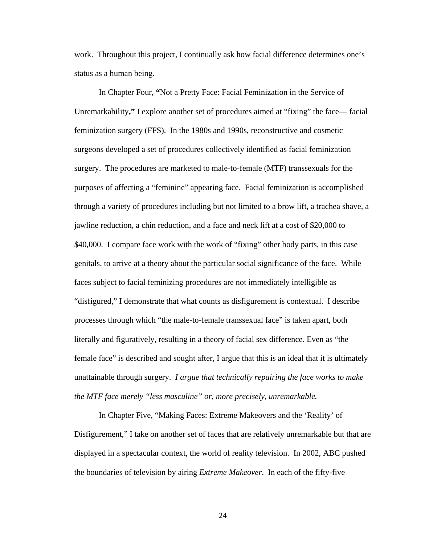work. Throughout this project, I continually ask how facial difference determines one's status as a human being.

In Chapter Four, **"**Not a Pretty Face: Facial Feminization in the Service of Unremarkability**,"** I explore another set of procedures aimed at "fixing" the face— facial feminization surgery (FFS). In the 1980s and 1990s, reconstructive and cosmetic surgeons developed a set of procedures collectively identified as facial feminization surgery. The procedures are marketed to male-to-female (MTF) transsexuals for the purposes of affecting a "feminine" appearing face. Facial feminization is accomplished through a variety of procedures including but not limited to a brow lift, a trachea shave, a jawline reduction, a chin reduction, and a face and neck lift at a cost of \$20,000 to \$40,000. I compare face work with the work of "fixing" other body parts, in this case genitals, to arrive at a theory about the particular social significance of the face. While faces subject to facial feminizing procedures are not immediately intelligible as "disfigured," I demonstrate that what counts as disfigurement is contextual. I describe processes through which "the male-to-female transsexual face" is taken apart, both literally and figuratively, resulting in a theory of facial sex difference. Even as "the female face" is described and sought after, I argue that this is an ideal that it is ultimately unattainable through surgery. *I argue that technically repairing the face works to make the MTF face merely "less masculine" or, more precisely, unremarkable.*

 In Chapter Five, "Making Faces: Extreme Makeovers and the 'Reality' of Disfigurement," I take on another set of faces that are relatively unremarkable but that are displayed in a spectacular context, the world of reality television. In 2002, ABC pushed the boundaries of television by airing *Extreme Makeover*. In each of the fifty-five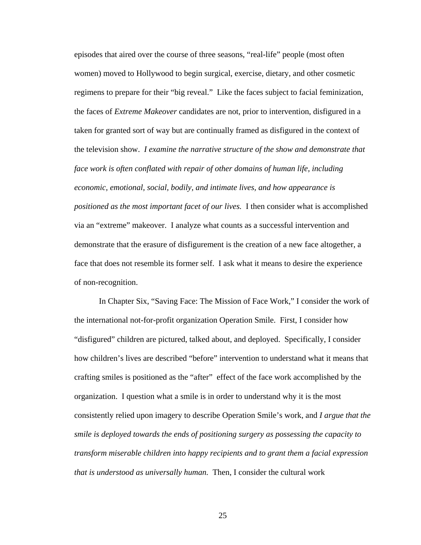episodes that aired over the course of three seasons, "real-life" people (most often women) moved to Hollywood to begin surgical, exercise, dietary, and other cosmetic regimens to prepare for their "big reveal." Like the faces subject to facial feminization, the faces of *Extreme Makeover* candidates are not, prior to intervention, disfigured in a taken for granted sort of way but are continually framed as disfigured in the context of the television show. *I examine the narrative structure of the show and demonstrate that face work is often conflated with repair of other domains of human life, including economic, emotional, social, bodily, and intimate lives, and how appearance is positioned as the most important facet of our lives.* I then consider what is accomplished via an "extreme" makeover. I analyze what counts as a successful intervention and demonstrate that the erasure of disfigurement is the creation of a new face altogether, a face that does not resemble its former self. I ask what it means to desire the experience of non-recognition.

 In Chapter Six, "Saving Face: The Mission of Face Work," I consider the work of the international not-for-profit organization Operation Smile. First, I consider how "disfigured" children are pictured, talked about, and deployed. Specifically, I consider how children's lives are described "before" intervention to understand what it means that crafting smiles is positioned as the "after" effect of the face work accomplished by the organization. I question what a smile is in order to understand why it is the most consistently relied upon imagery to describe Operation Smile's work, and *I argue that the smile is deployed towards the ends of positioning surgery as possessing the capacity to transform miserable children into happy recipients and to grant them a facial expression that is understood as universally human.* Then, I consider the cultural work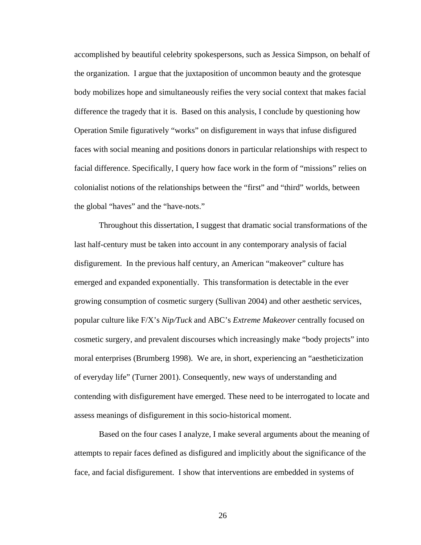accomplished by beautiful celebrity spokespersons, such as Jessica Simpson, on behalf of the organization. I argue that the juxtaposition of uncommon beauty and the grotesque body mobilizes hope and simultaneously reifies the very social context that makes facial difference the tragedy that it is. Based on this analysis, I conclude by questioning how Operation Smile figuratively "works" on disfigurement in ways that infuse disfigured faces with social meaning and positions donors in particular relationships with respect to facial difference. Specifically, I query how face work in the form of "missions" relies on colonialist notions of the relationships between the "first" and "third" worlds, between the global "haves" and the "have-nots."

Throughout this dissertation, I suggest that dramatic social transformations of the last half-century must be taken into account in any contemporary analysis of facial disfigurement. In the previous half century, an American "makeover" culture has emerged and expanded exponentially. This transformation is detectable in the ever growing consumption of cosmetic surgery (Sullivan 2004) and other aesthetic services, popular culture like F/X's *Nip/Tuck* and ABC's *Extreme Makeover* centrally focused on cosmetic surgery, and prevalent discourses which increasingly make "body projects" into moral enterprises (Brumberg 1998). We are, in short, experiencing an "aestheticization of everyday life" (Turner 2001). Consequently, new ways of understanding and contending with disfigurement have emerged. These need to be interrogated to locate and assess meanings of disfigurement in this socio-historical moment.

Based on the four cases I analyze, I make several arguments about the meaning of attempts to repair faces defined as disfigured and implicitly about the significance of the face, and facial disfigurement. I show that interventions are embedded in systems of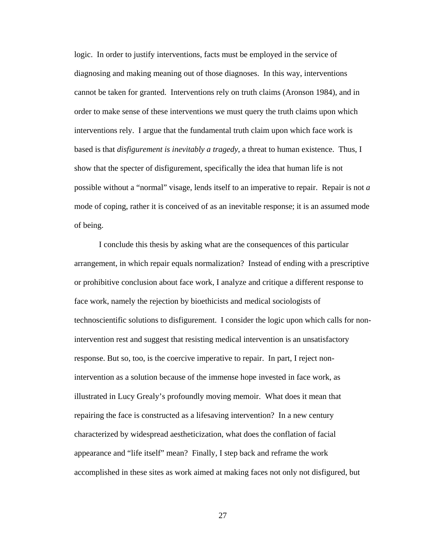logic. In order to justify interventions, facts must be employed in the service of diagnosing and making meaning out of those diagnoses. In this way, interventions cannot be taken for granted. Interventions rely on truth claims (Aronson 1984), and in order to make sense of these interventions we must query the truth claims upon which interventions rely. I argue that the fundamental truth claim upon which face work is based is that *disfigurement is inevitably a tragedy*, a threat to human existence. Thus, I show that the specter of disfigurement, specifically the idea that human life is not possible without a "normal" visage, lends itself to an imperative to repair. Repair is not *a* mode of coping, rather it is conceived of as an inevitable response; it is an assumed mode of being.

I conclude this thesis by asking what are the consequences of this particular arrangement, in which repair equals normalization? Instead of ending with a prescriptive or prohibitive conclusion about face work, I analyze and critique a different response to face work, namely the rejection by bioethicists and medical sociologists of technoscientific solutions to disfigurement. I consider the logic upon which calls for nonintervention rest and suggest that resisting medical intervention is an unsatisfactory response. But so, too, is the coercive imperative to repair. In part, I reject nonintervention as a solution because of the immense hope invested in face work, as illustrated in Lucy Grealy's profoundly moving memoir. What does it mean that repairing the face is constructed as a lifesaving intervention? In a new century characterized by widespread aestheticization, what does the conflation of facial appearance and "life itself" mean? Finally, I step back and reframe the work accomplished in these sites as work aimed at making faces not only not disfigured, but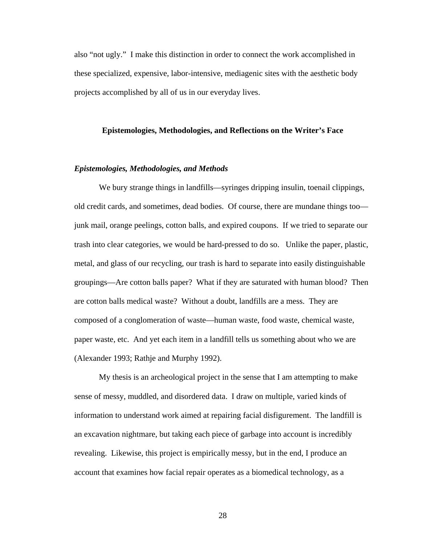also "not ugly." I make this distinction in order to connect the work accomplished in these specialized, expensive, labor-intensive, mediagenic sites with the aesthetic body projects accomplished by all of us in our everyday lives.

### **Epistemologies, Methodologies, and Reflections on the Writer's Face**

## *Epistemologies, Methodologies, and Methods*

We bury strange things in landfills—syringes dripping insulin, toenail clippings, old credit cards, and sometimes, dead bodies. Of course, there are mundane things too junk mail, orange peelings, cotton balls, and expired coupons. If we tried to separate our trash into clear categories, we would be hard-pressed to do so. Unlike the paper, plastic, metal, and glass of our recycling, our trash is hard to separate into easily distinguishable groupings—Are cotton balls paper? What if they are saturated with human blood? Then are cotton balls medical waste? Without a doubt, landfills are a mess. They are composed of a conglomeration of waste—human waste, food waste, chemical waste, paper waste, etc. And yet each item in a landfill tells us something about who we are (Alexander 1993; Rathje and Murphy 1992).

My thesis is an archeological project in the sense that I am attempting to make sense of messy, muddled, and disordered data. I draw on multiple, varied kinds of information to understand work aimed at repairing facial disfigurement. The landfill is an excavation nightmare, but taking each piece of garbage into account is incredibly revealing. Likewise, this project is empirically messy, but in the end, I produce an account that examines how facial repair operates as a biomedical technology, as a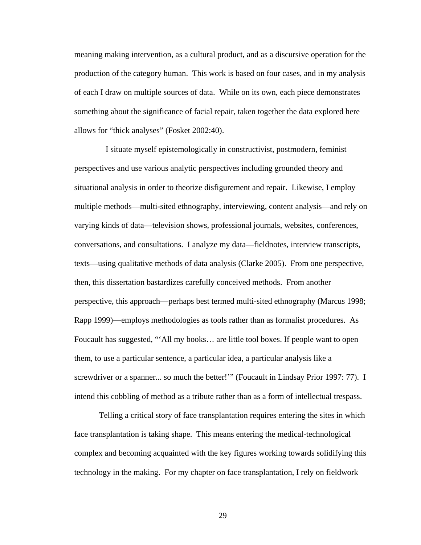meaning making intervention, as a cultural product, and as a discursive operation for the production of the category human. This work is based on four cases, and in my analysis of each I draw on multiple sources of data. While on its own, each piece demonstrates something about the significance of facial repair, taken together the data explored here allows for "thick analyses" (Fosket 2002:40).

 I situate myself epistemologically in constructivist, postmodern, feminist perspectives and use various analytic perspectives including grounded theory and situational analysis in order to theorize disfigurement and repair. Likewise, I employ multiple methods—multi-sited ethnography, interviewing, content analysis—and rely on varying kinds of data—television shows, professional journals, websites, conferences, conversations, and consultations. I analyze my data—fieldnotes, interview transcripts, texts—using qualitative methods of data analysis (Clarke 2005). From one perspective, then, this dissertation bastardizes carefully conceived methods. From another perspective, this approach—perhaps best termed multi-sited ethnography (Marcus 1998; Rapp 1999)—employs methodologies as tools rather than as formalist procedures. As Foucault has suggested, "'All my books… are little tool boxes. If people want to open them, to use a particular sentence, a particular idea, a particular analysis like a screwdriver or a spanner... so much the better!"" (Foucault in Lindsay Prior 1997: 77). I intend this cobbling of method as a tribute rather than as a form of intellectual trespass.

Telling a critical story of face transplantation requires entering the sites in which face transplantation is taking shape. This means entering the medical-technological complex and becoming acquainted with the key figures working towards solidifying this technology in the making. For my chapter on face transplantation, I rely on fieldwork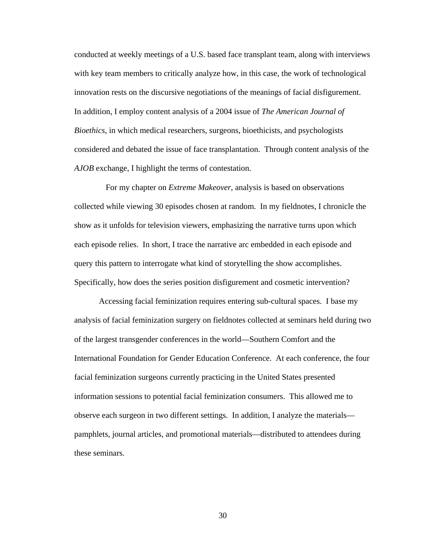conducted at weekly meetings of a U.S. based face transplant team, along with interviews with key team members to critically analyze how, in this case, the work of technological innovation rests on the discursive negotiations of the meanings of facial disfigurement. In addition, I employ content analysis of a 2004 issue of *The American Journal of Bioethics*, in which medical researchers, surgeons, bioethicists, and psychologists considered and debated the issue of face transplantation. Through content analysis of the *AJOB* exchange, I highlight the terms of contestation.

For my chapter on *Extreme Makeover*, analysis is based on observations collected while viewing 30 episodes chosen at random.In my fieldnotes, I chronicle the show as it unfolds for television viewers, emphasizing the narrative turns upon which each episode relies. In short, I trace the narrative arc embedded in each episode and query this pattern to interrogate what kind of storytelling the show accomplishes. Specifically, how does the series position disfigurement and cosmetic intervention?

 Accessing facial feminization requires entering sub-cultural spaces. I base my analysis of facial feminization surgery on fieldnotes collected at seminars held during two of the largest transgender conferences in the world—Southern Comfort and the International Foundation for Gender Education Conference. At each conference, the four facial feminization surgeons currently practicing in the United States presented information sessions to potential facial feminization consumers. This allowed me to observe each surgeon in two different settings. In addition, I analyze the materials pamphlets, journal articles, and promotional materials—distributed to attendees during these seminars.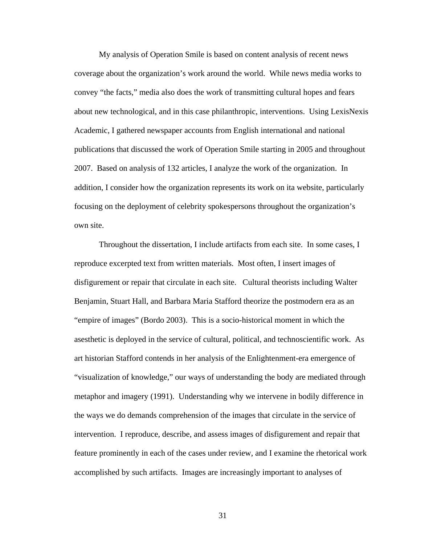My analysis of Operation Smile is based on content analysis of recent news coverage about the organization's work around the world. While news media works to convey "the facts," media also does the work of transmitting cultural hopes and fears about new technological, and in this case philanthropic, interventions. Using LexisNexis Academic, I gathered newspaper accounts from English international and national publications that discussed the work of Operation Smile starting in 2005 and throughout 2007. Based on analysis of 132 articles, I analyze the work of the organization. In addition, I consider how the organization represents its work on ita website, particularly focusing on the deployment of celebrity spokespersons throughout the organization's own site.

Throughout the dissertation, I include artifacts from each site. In some cases, I reproduce excerpted text from written materials. Most often, I insert images of disfigurement or repair that circulate in each site. Cultural theorists including Walter Benjamin, Stuart Hall, and Barbara Maria Stafford theorize the postmodern era as an "empire of images" (Bordo 2003). This is a socio-historical moment in which the asesthetic is deployed in the service of cultural, political, and technoscientific work. As art historian Stafford contends in her analysis of the Enlightenment-era emergence of "visualization of knowledge," our ways of understanding the body are mediated through metaphor and imagery (1991). Understanding why we intervene in bodily difference in the ways we do demands comprehension of the images that circulate in the service of intervention. I reproduce, describe, and assess images of disfigurement and repair that feature prominently in each of the cases under review, and I examine the rhetorical work accomplished by such artifacts. Images are increasingly important to analyses of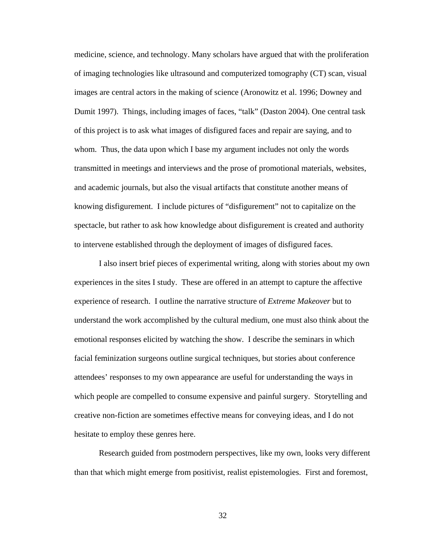medicine, science, and technology. Many scholars have argued that with the proliferation of imaging technologies like ultrasound and computerized tomography (CT) scan, visual images are central actors in the making of science (Aronowitz et al. 1996; Downey and Dumit 1997). Things, including images of faces, "talk" (Daston 2004). One central task of this project is to ask what images of disfigured faces and repair are saying, and to whom. Thus, the data upon which I base my argument includes not only the words transmitted in meetings and interviews and the prose of promotional materials, websites, and academic journals, but also the visual artifacts that constitute another means of knowing disfigurement. I include pictures of "disfigurement" not to capitalize on the spectacle, but rather to ask how knowledge about disfigurement is created and authority to intervene established through the deployment of images of disfigured faces.

I also insert brief pieces of experimental writing, along with stories about my own experiences in the sites I study. These are offered in an attempt to capture the affective experience of research. I outline the narrative structure of *Extreme Makeover* but to understand the work accomplished by the cultural medium, one must also think about the emotional responses elicited by watching the show. I describe the seminars in which facial feminization surgeons outline surgical techniques, but stories about conference attendees' responses to my own appearance are useful for understanding the ways in which people are compelled to consume expensive and painful surgery. Storytelling and creative non-fiction are sometimes effective means for conveying ideas, and I do not hesitate to employ these genres here.

Research guided from postmodern perspectives, like my own, looks very different than that which might emerge from positivist, realist epistemologies. First and foremost,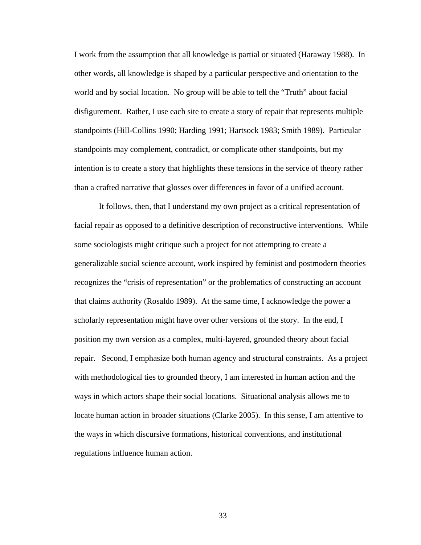I work from the assumption that all knowledge is partial or situated (Haraway 1988). In other words, all knowledge is shaped by a particular perspective and orientation to the world and by social location. No group will be able to tell the "Truth" about facial disfigurement. Rather, I use each site to create a story of repair that represents multiple standpoints (Hill-Collins 1990; Harding 1991; Hartsock 1983; Smith 1989). Particular standpoints may complement, contradict, or complicate other standpoints, but my intention is to create a story that highlights these tensions in the service of theory rather than a crafted narrative that glosses over differences in favor of a unified account.

It follows, then, that I understand my own project as a critical representation of facial repair as opposed to a definitive description of reconstructive interventions. While some sociologists might critique such a project for not attempting to create a generalizable social science account, work inspired by feminist and postmodern theories recognizes the "crisis of representation" or the problematics of constructing an account that claims authority (Rosaldo 1989). At the same time, I acknowledge the power a scholarly representation might have over other versions of the story. In the end, I position my own version as a complex, multi-layered, grounded theory about facial repair. Second, I emphasize both human agency and structural constraints. As a project with methodological ties to grounded theory, I am interested in human action and the ways in which actors shape their social locations. Situational analysis allows me to locate human action in broader situations (Clarke 2005). In this sense, I am attentive to the ways in which discursive formations, historical conventions, and institutional regulations influence human action.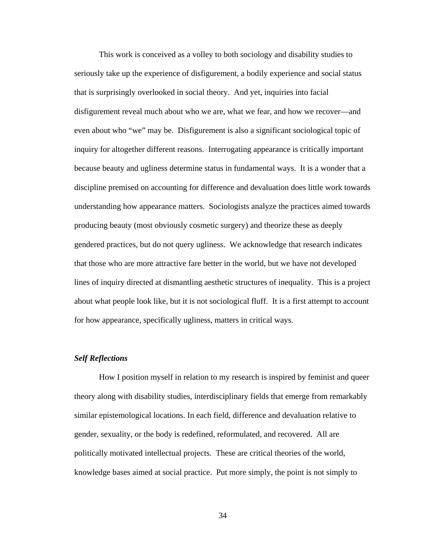This work is conceived as a volley to both sociology and disability studies to seriously take up the experience of disfigurement, a bodily experience and social status that is surprisingly overlooked in social theory. And yet, inquiries into facial disfigurement reveal much about who we are, what we fear, and how we recover—and even about who "we" may be. Disfigurement is also a significant sociological topic of inquiry for altogether different reasons. Interrogating appearance is critically important because beauty and ugliness determine status in fundamental ways. It is a wonder that a discipline premised on accounting for difference and devaluation does little work towards understanding how appearance matters. Sociologists analyze the practices aimed towards producing beauty (most obviously cosmetic surgery) and theorize these as deeply gendered practices, but do not query ugliness. We acknowledge that research indicates that those who are more attractive fare better in the world, but we have not developed lines of inquiry directed at dismantling aesthetic structures of inequality. This is a project about what people look like, but it is not sociological fluff. It is a first attempt to account for how appearance, specifically ugliness, matters in critical ways.

## *Self Reflections*

 How I position myself in relation to my research is inspired by feminist and queer theory along with disability studies, interdisciplinary fields that emerge from remarkably similar epistemological locations. In each field, difference and devaluation relative to gender, sexuality, or the body is redefined, reformulated, and recovered. All are politically motivated intellectual projects. These are critical theories of the world, knowledge bases aimed at social practice. Put more simply, the point is not simply to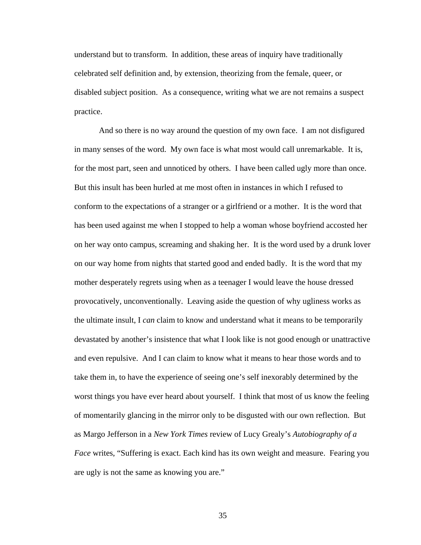understand but to transform. In addition, these areas of inquiry have traditionally celebrated self definition and, by extension, theorizing from the female, queer, or disabled subject position. As a consequence, writing what we are not remains a suspect practice.

 And so there is no way around the question of my own face. I am not disfigured in many senses of the word. My own face is what most would call unremarkable. It is, for the most part, seen and unnoticed by others. I have been called ugly more than once. But this insult has been hurled at me most often in instances in which I refused to conform to the expectations of a stranger or a girlfriend or a mother. It is the word that has been used against me when I stopped to help a woman whose boyfriend accosted her on her way onto campus, screaming and shaking her. It is the word used by a drunk lover on our way home from nights that started good and ended badly. It is the word that my mother desperately regrets using when as a teenager I would leave the house dressed provocatively, unconventionally. Leaving aside the question of why ugliness works as the ultimate insult, I *can* claim to know and understand what it means to be temporarily devastated by another's insistence that what I look like is not good enough or unattractive and even repulsive. And I can claim to know what it means to hear those words and to take them in, to have the experience of seeing one's self inexorably determined by the worst things you have ever heard about yourself. I think that most of us know the feeling of momentarily glancing in the mirror only to be disgusted with our own reflection. But as Margo Jefferson in a *New York Times* review of Lucy Grealy's *Autobiography of a Face* writes, "Suffering is exact. Each kind has its own weight and measure. Fearing you are ugly is not the same as knowing you are."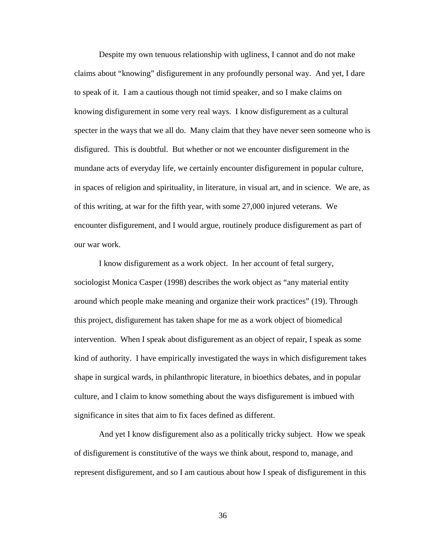Despite my own tenuous relationship with ugliness, I cannot and do not make claims about "knowing" disfigurement in any profoundly personal way. And yet, I dare to speak of it. I am a cautious though not timid speaker, and so I make claims on knowing disfigurement in some very real ways. I know disfigurement as a cultural specter in the ways that we all do. Many claim that they have never seen someone who is disfigured. This is doubtful. But whether or not we encounter disfigurement in the mundane acts of everyday life, we certainly encounter disfigurement in popular culture, in spaces of religion and spirituality, in literature, in visual art, and in science. We are, as of this writing, at war for the fifth year, with some 27,000 injured veterans. We encounter disfigurement, and I would argue, routinely produce disfigurement as part of our war work.

I know disfigurement as a work object. In her account of fetal surgery, sociologist Monica Casper (1998) describes the work object as "any material entity around which people make meaning and organize their work practices" (19). Through this project, disfigurement has taken shape for me as a work object of biomedical intervention. When I speak about disfigurement as an object of repair, I speak as some kind of authority. I have empirically investigated the ways in which disfigurement takes shape in surgical wards, in philanthropic literature, in bioethics debates, and in popular culture, and I claim to know something about the ways disfigurement is imbued with significance in sites that aim to fix faces defined as different.

And yet I know disfigurement also as a politically tricky subject. How we speak of disfigurement is constitutive of the ways we think about, respond to, manage, and represent disfigurement, and so I am cautious about how I speak of disfigurement in this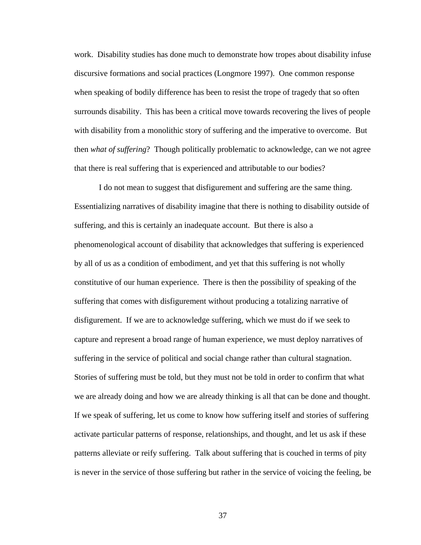work. Disability studies has done much to demonstrate how tropes about disability infuse discursive formations and social practices (Longmore 1997). One common response when speaking of bodily difference has been to resist the trope of tragedy that so often surrounds disability. This has been a critical move towards recovering the lives of people with disability from a monolithic story of suffering and the imperative to overcome. But then *what of suffering*? Though politically problematic to acknowledge, can we not agree that there is real suffering that is experienced and attributable to our bodies?

I do not mean to suggest that disfigurement and suffering are the same thing. Essentializing narratives of disability imagine that there is nothing to disability outside of suffering, and this is certainly an inadequate account. But there is also a phenomenological account of disability that acknowledges that suffering is experienced by all of us as a condition of embodiment, and yet that this suffering is not wholly constitutive of our human experience. There is then the possibility of speaking of the suffering that comes with disfigurement without producing a totalizing narrative of disfigurement. If we are to acknowledge suffering, which we must do if we seek to capture and represent a broad range of human experience, we must deploy narratives of suffering in the service of political and social change rather than cultural stagnation. Stories of suffering must be told, but they must not be told in order to confirm that what we are already doing and how we are already thinking is all that can be done and thought. If we speak of suffering, let us come to know how suffering itself and stories of suffering activate particular patterns of response, relationships, and thought, and let us ask if these patterns alleviate or reify suffering. Talk about suffering that is couched in terms of pity is never in the service of those suffering but rather in the service of voicing the feeling, be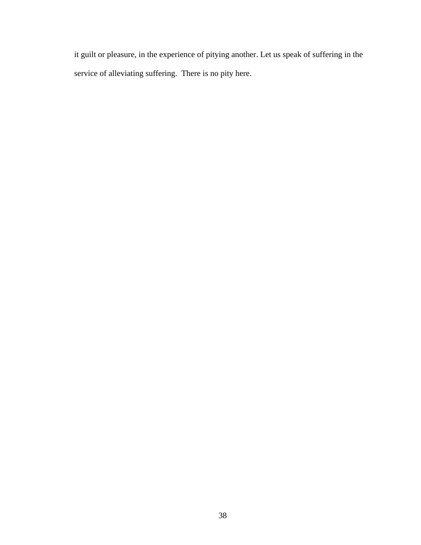it guilt or pleasure, in the experience of pitying another. Let us speak of suffering in the service of alleviating suffering. There is no pity here.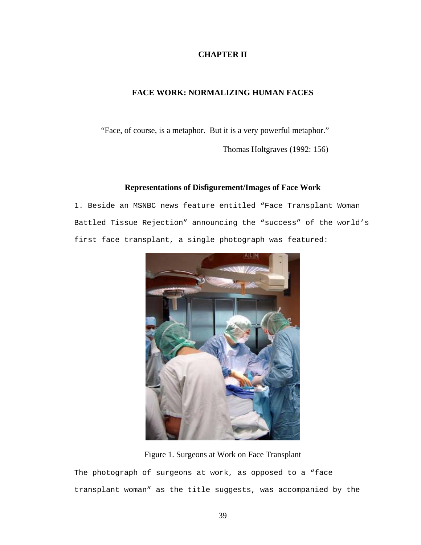# **CHAPTER II**

# **FACE WORK: NORMALIZING HUMAN FACES**

"Face, of course, is a metaphor. But it is a very powerful metaphor."

Thomas Holtgraves (1992: 156)

#### **Representations of Disfigurement/Images of Face Work**

1. Beside an MSNBC news feature entitled "Face Transplant Woman Battled Tissue Rejection" announcing the "success" of the world's first face transplant, a single photograph was featured:



Figure 1. Surgeons at Work on Face Transplant

The photograph of surgeons at work, as opposed to a "face transplant woman" as the title suggests, was accompanied by the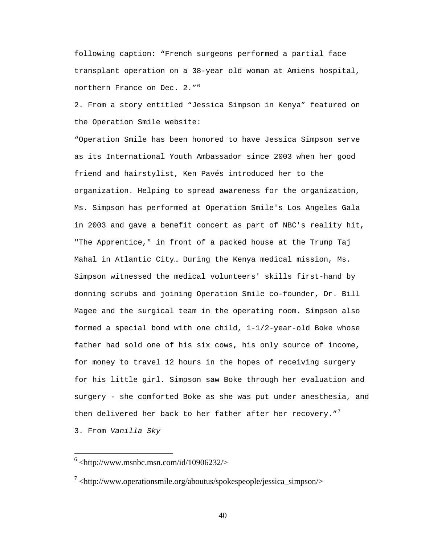following caption: "French surgeons performed a partial face transplant operation on a 38-year old woman at Amiens hospital, northern France on Dec. 2."[6](#page-53-0)

2. From a story entitled "Jessica Simpson in Kenya" featured on the Operation Smile website:

"Operation Smile has been honored to have Jessica Simpson serve as its International Youth Ambassador since 2003 when her good friend and hairstylist, Ken Pavés introduced her to the organization. Helping to spread awareness for the organization, Ms. Simpson has performed at Operation Smile's Los Angeles Gala in 2003 and gave a benefit concert as part of NBC's reality hit, "The Apprentice," in front of a packed house at the Trump Taj Mahal in Atlantic City… During the Kenya medical mission, Ms. Simpson witnessed the medical volunteers' skills first-hand by donning scrubs and joining Operation Smile co-founder, Dr. Bill Magee and the surgical team in the operating room. Simpson also formed a special bond with one child, 1-1/2-year-old Boke whose father had sold one of his six cows, his only source of income, for money to travel 12 hours in the hopes of receiving surgery for his little girl. Simpson saw Boke through her evaluation and surgery - she comforted Boke as she was put under anesthesia, and then delivered her back to her father after her recovery."<sup>[7](#page-53-1)</sup>

3. From *Vanilla Sky*

 $\overline{a}$ 

<span id="page-53-0"></span> $6$  <http://www.msnbc.msn.com/id/10906232/>

<span id="page-53-1"></span> $7$  <http://www.operationsmile.org/aboutus/spokespeople/jessica\_simpson/>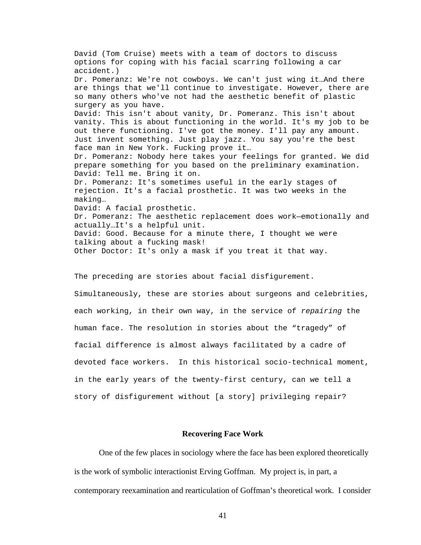David (Tom Cruise) meets with a team of doctors to discuss options for coping with his facial scarring following a car accident.) Dr. Pomeranz: We're not cowboys. We can't just wing it…And there are things that we'll continue to investigate. However, there are so many others who've not had the aesthetic benefit of plastic surgery as you have. David: This isn't about vanity, Dr. Pomeranz. This isn't about vanity. This is about functioning in the world. It's my job to be out there functioning. I've got the money. I'll pay any amount. Just invent something. Just play jazz. You say you're the best face man in New York. Fucking prove it… Dr. Pomeranz: Nobody here takes your feelings for granted. We did prepare something for you based on the preliminary examination. David: Tell me. Bring it on. Dr. Pomeranz: It's sometimes useful in the early stages of rejection. It's a facial prosthetic. It was two weeks in the making… David: A facial prosthetic. Dr. Pomeranz: The aesthetic replacement does work—emotionally and actually…It's a helpful unit. David: Good. Because for a minute there, I thought we were talking about a fucking mask! Other Doctor: It's only a mask if you treat it that way.

The preceding are stories about facial disfigurement.

Simultaneously, these are stories about surgeons and celebrities, each working, in their own way, in the service of *repairing* the human face. The resolution in stories about the "tragedy" of facial difference is almost always facilitated by a cadre of devoted face workers. In this historical socio-technical moment, in the early years of the twenty-first century, can we tell a story of disfigurement without [a story] privileging repair?

#### **Recovering Face Work**

One of the few places in sociology where the face has been explored theoretically is the work of symbolic interactionist Erving Goffman. My project is, in part, a contemporary reexamination and rearticulation of Goffman's theoretical work. I consider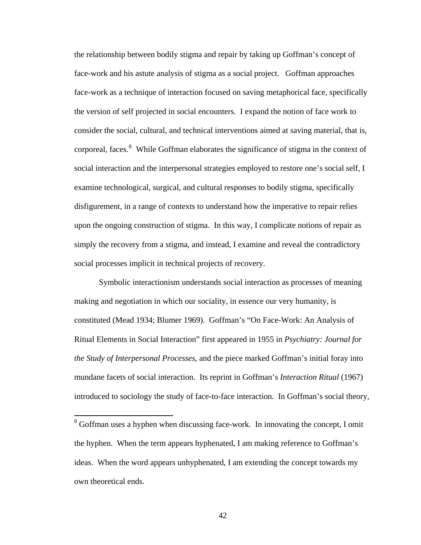the relationship between bodily stigma and repair by taking up Goffman's concept of face-work and his astute analysis of stigma as a social project. Goffman approaches face-work as a technique of interaction focused on saving metaphorical face, specifically the version of self projected in social encounters. I expand the notion of face work to consider the social, cultural, and technical interventions aimed at saving material, that is, corporeal, faces.<sup>[8](#page-55-0)</sup> While Goffman elaborates the significance of stigma in the context of social interaction and the interpersonal strategies employed to restore one's social self, I examine technological, surgical, and cultural responses to bodily stigma, specifically disfigurement, in a range of contexts to understand how the imperative to repair relies upon the ongoing construction of stigma. In this way, I complicate notions of repair as simply the recovery from a stigma, and instead, I examine and reveal the contradictory social processes implicit in technical projects of recovery.

Symbolic interactionism understands social interaction as processes of meaning making and negotiation in which our sociality, in essence our very humanity, is constituted (Mead 1934; Blumer 1969). Goffman's "On Face-Work: An Analysis of Ritual Elements in Social Interaction" first appeared in 1955 in *Psychiatry: Journal for the Study of Interpersonal Processes*, and the piece marked Goffman's initial foray into mundane facets of social interaction. Its reprint in Goffman's *Interaction Ritual* (1967) introduced to sociology the study of face-to-face interaction. In Goffman's social theory,

<span id="page-55-0"></span><sup>&</sup>lt;sup>8</sup> Goffman uses a hyphen when discussing face-work. In innovating the concept, I omit the hyphen. When the term appears hyphenated, I am making reference to Goffman's ideas. When the word appears unhyphenated, I am extending the concept towards my own theoretical ends.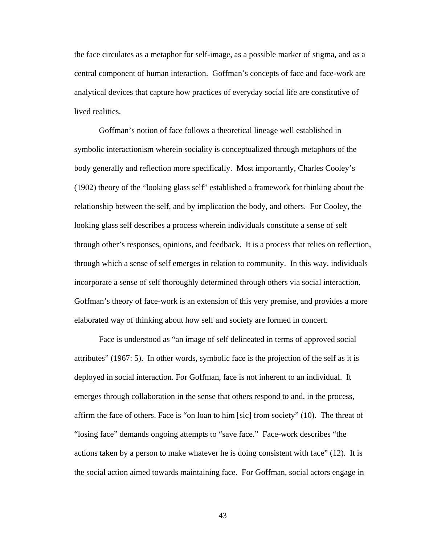the face circulates as a metaphor for self-image, as a possible marker of stigma, and as a central component of human interaction. Goffman's concepts of face and face-work are analytical devices that capture how practices of everyday social life are constitutive of lived realities.

Goffman's notion of face follows a theoretical lineage well established in symbolic interactionism wherein sociality is conceptualized through metaphors of the body generally and reflection more specifically. Most importantly, Charles Cooley's (1902) theory of the "looking glass self" established a framework for thinking about the relationship between the self, and by implication the body, and others. For Cooley, the looking glass self describes a process wherein individuals constitute a sense of self through other's responses, opinions, and feedback. It is a process that relies on reflection, through which a sense of self emerges in relation to community. In this way, individuals incorporate a sense of self thoroughly determined through others via social interaction. Goffman's theory of face-work is an extension of this very premise, and provides a more elaborated way of thinking about how self and society are formed in concert.

Face is understood as "an image of self delineated in terms of approved social attributes" (1967: 5). In other words, symbolic face is the projection of the self as it is deployed in social interaction. For Goffman, face is not inherent to an individual. It emerges through collaboration in the sense that others respond to and, in the process, affirm the face of others. Face is "on loan to him [sic] from society" (10). The threat of "losing face" demands ongoing attempts to "save face." Face-work describes "the actions taken by a person to make whatever he is doing consistent with face" (12). It is the social action aimed towards maintaining face. For Goffman, social actors engage in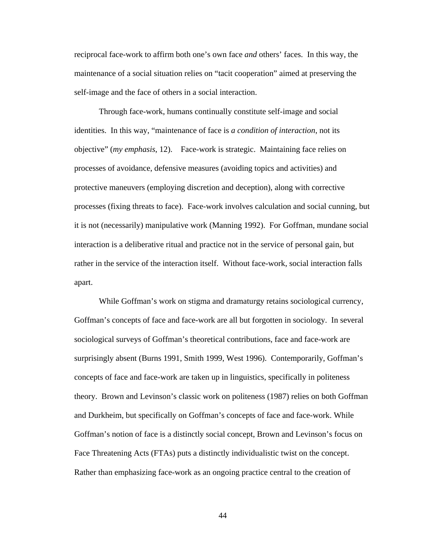reciprocal face-work to affirm both one's own face *and* others' faces. In this way, the maintenance of a social situation relies on "tacit cooperation" aimed at preserving the self-image and the face of others in a social interaction.

 Through face-work, humans continually constitute self-image and social identities. In this way, "maintenance of face is *a condition of interaction*, not its objective" (*my emphasis*, 12). Face-work is strategic. Maintaining face relies on processes of avoidance, defensive measures (avoiding topics and activities) and protective maneuvers (employing discretion and deception), along with corrective processes (fixing threats to face). Face-work involves calculation and social cunning, but it is not (necessarily) manipulative work (Manning 1992). For Goffman, mundane social interaction is a deliberative ritual and practice not in the service of personal gain, but rather in the service of the interaction itself. Without face-work, social interaction falls apart.

While Goffman's work on stigma and dramaturgy retains sociological currency, Goffman's concepts of face and face-work are all but forgotten in sociology. In several sociological surveys of Goffman's theoretical contributions, face and face-work are surprisingly absent (Burns 1991, Smith 1999, West 1996). Contemporarily, Goffman's concepts of face and face-work are taken up in linguistics, specifically in politeness theory. Brown and Levinson's classic work on politeness (1987) relies on both Goffman and Durkheim, but specifically on Goffman's concepts of face and face-work. While Goffman's notion of face is a distinctly social concept, Brown and Levinson's focus on Face Threatening Acts (FTAs) puts a distinctly individualistic twist on the concept. Rather than emphasizing face-work as an ongoing practice central to the creation of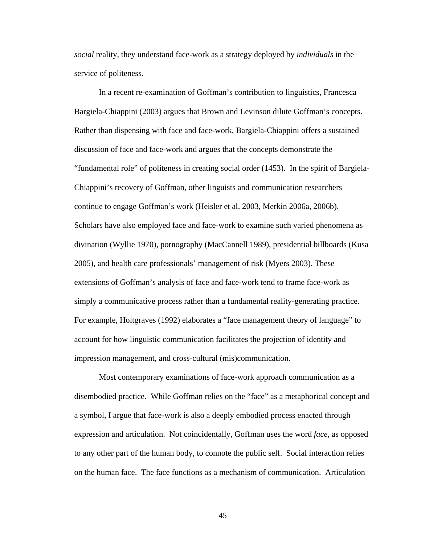*social* reality, they understand face-work as a strategy deployed by *individuals* in the service of politeness.

In a recent re-examination of Goffman's contribution to linguistics, Francesca Bargiela-Chiappini (2003) argues that Brown and Levinson dilute Goffman's concepts. Rather than dispensing with face and face-work, Bargiela-Chiappini offers a sustained discussion of face and face-work and argues that the concepts demonstrate the "fundamental role" of politeness in creating social order (1453). In the spirit of Bargiela-Chiappini's recovery of Goffman, other linguists and communication researchers continue to engage Goffman's work (Heisler et al. 2003, Merkin 2006a, 2006b). Scholars have also employed face and face-work to examine such varied phenomena as divination (Wyllie 1970), pornography (MacCannell 1989), presidential billboards (Kusa 2005), and health care professionals' management of risk (Myers 2003). These extensions of Goffman's analysis of face and face-work tend to frame face-work as simply a communicative process rather than a fundamental reality-generating practice. For example, Holtgraves (1992) elaborates a "face management theory of language" to account for how linguistic communication facilitates the projection of identity and impression management, and cross-cultural (mis)communication.

Most contemporary examinations of face-work approach communication as a disembodied practice. While Goffman relies on the "face" as a metaphorical concept and a symbol, I argue that face-work is also a deeply embodied process enacted through expression and articulation. Not coincidentally, Goffman uses the word *face*, as opposed to any other part of the human body, to connote the public self. Social interaction relies on the human face. The face functions as a mechanism of communication. Articulation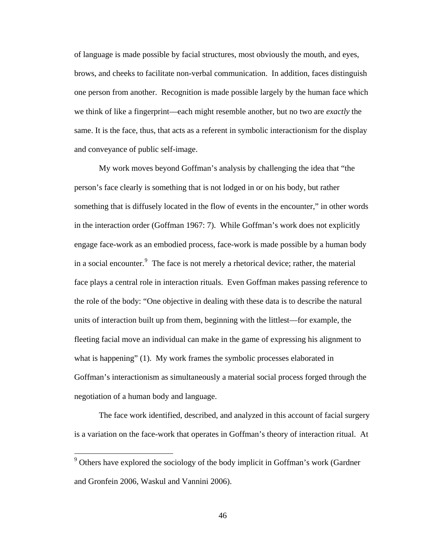of language is made possible by facial structures, most obviously the mouth, and eyes, brows, and cheeks to facilitate non-verbal communication. In addition, faces distinguish one person from another. Recognition is made possible largely by the human face which we think of like a fingerprint—each might resemble another, but no two are *exactly* the same. It is the face, thus, that acts as a referent in symbolic interactionism for the display and conveyance of public self-image.

My work moves beyond Goffman's analysis by challenging the idea that "the person's face clearly is something that is not lodged in or on his body, but rather something that is diffusely located in the flow of events in the encounter," in other words in the interaction order (Goffman 1967: 7). While Goffman's work does not explicitly engage face-work as an embodied process, face-work is made possible by a human body in a social encounter. $9$  The face is not merely a rhetorical device; rather, the material face plays a central role in interaction rituals. Even Goffman makes passing reference to the role of the body: "One objective in dealing with these data is to describe the natural units of interaction built up from them, beginning with the littlest—for example, the fleeting facial move an individual can make in the game of expressing his alignment to what is happening" (1). My work frames the symbolic processes elaborated in Goffman's interactionism as simultaneously a material social process forged through the negotiation of a human body and language.

 The face work identified, described, and analyzed in this account of facial surgery is a variation on the face-work that operates in Goffman's theory of interaction ritual. At

 $\overline{a}$ 

<span id="page-59-0"></span><sup>&</sup>lt;sup>9</sup> Others have explored the sociology of the body implicit in Goffman's work (Gardner and Gronfein 2006, Waskul and Vannini 2006).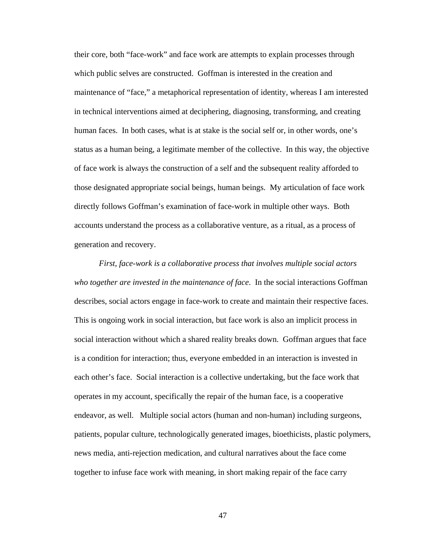their core, both "face-work" and face work are attempts to explain processes through which public selves are constructed. Goffman is interested in the creation and maintenance of "face," a metaphorical representation of identity, whereas I am interested in technical interventions aimed at deciphering, diagnosing, transforming, and creating human faces. In both cases, what is at stake is the social self or, in other words, one's status as a human being, a legitimate member of the collective. In this way, the objective of face work is always the construction of a self and the subsequent reality afforded to those designated appropriate social beings, human beings. My articulation of face work directly follows Goffman's examination of face-work in multiple other ways. Both accounts understand the process as a collaborative venture, as a ritual, as a process of generation and recovery.

*First, face-work is a collaborative process that involves multiple social actors who together are invested in the maintenance of face*. In the social interactions Goffman describes, social actors engage in face-work to create and maintain their respective faces. This is ongoing work in social interaction, but face work is also an implicit process in social interaction without which a shared reality breaks down. Goffman argues that face is a condition for interaction; thus, everyone embedded in an interaction is invested in each other's face. Social interaction is a collective undertaking, but the face work that operates in my account, specifically the repair of the human face, is a cooperative endeavor, as well. Multiple social actors (human and non-human) including surgeons, patients, popular culture, technologically generated images, bioethicists, plastic polymers, news media, anti-rejection medication, and cultural narratives about the face come together to infuse face work with meaning, in short making repair of the face carry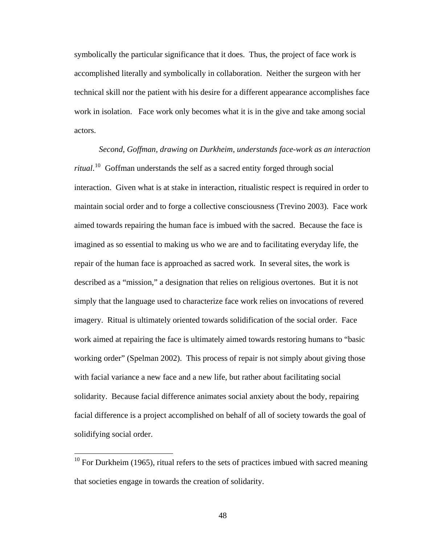symbolically the particular significance that it does. Thus, the project of face work is accomplished literally and symbolically in collaboration. Neither the surgeon with her technical skill nor the patient with his desire for a different appearance accomplishes face work in isolation. Face work only becomes what it is in the give and take among social actors.

*Second, Goffman, drawing on Durkheim, understands face-work as an interaction ritual*. [10](#page-61-0) Goffman understands the self as a sacred entity forged through social interaction. Given what is at stake in interaction, ritualistic respect is required in order to maintain social order and to forge a collective consciousness (Trevino 2003). Face work aimed towards repairing the human face is imbued with the sacred. Because the face is imagined as so essential to making us who we are and to facilitating everyday life, the repair of the human face is approached as sacred work. In several sites, the work is described as a "mission," a designation that relies on religious overtones. But it is not simply that the language used to characterize face work relies on invocations of revered imagery. Ritual is ultimately oriented towards solidification of the social order. Face work aimed at repairing the face is ultimately aimed towards restoring humans to "basic working order" (Spelman 2002). This process of repair is not simply about giving those with facial variance a new face and a new life, but rather about facilitating social solidarity. Because facial difference animates social anxiety about the body, repairing facial difference is a project accomplished on behalf of all of society towards the goal of solidifying social order.

 $\overline{a}$ 

<span id="page-61-0"></span> $10$  For Durkheim (1965), ritual refers to the sets of practices imbued with sacred meaning that societies engage in towards the creation of solidarity.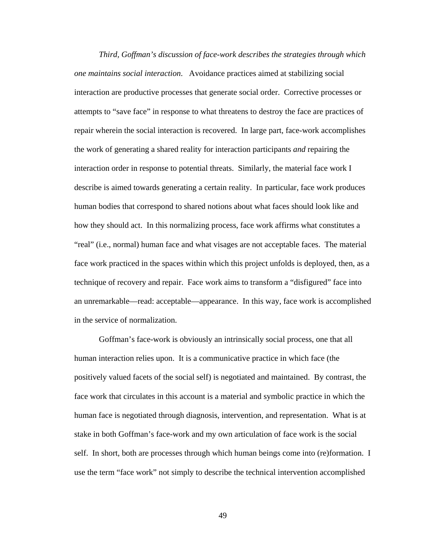*Third, Goffman's discussion of face-work describes the strategies through which one maintains social interaction*. Avoidance practices aimed at stabilizing social interaction are productive processes that generate social order. Corrective processes or attempts to "save face" in response to what threatens to destroy the face are practices of repair wherein the social interaction is recovered. In large part, face-work accomplishes the work of generating a shared reality for interaction participants *and* repairing the interaction order in response to potential threats. Similarly, the material face work I describe is aimed towards generating a certain reality. In particular, face work produces human bodies that correspond to shared notions about what faces should look like and how they should act. In this normalizing process, face work affirms what constitutes a "real" (i.e., normal) human face and what visages are not acceptable faces. The material face work practiced in the spaces within which this project unfolds is deployed, then, as a technique of recovery and repair. Face work aims to transform a "disfigured" face into an unremarkable—read: acceptable—appearance. In this way, face work is accomplished in the service of normalization.

Goffman's face-work is obviously an intrinsically social process, one that all human interaction relies upon. It is a communicative practice in which face (the positively valued facets of the social self) is negotiated and maintained. By contrast, the face work that circulates in this account is a material and symbolic practice in which the human face is negotiated through diagnosis, intervention, and representation. What is at stake in both Goffman's face-work and my own articulation of face work is the social self. In short, both are processes through which human beings come into (re)formation. I use the term "face work" not simply to describe the technical intervention accomplished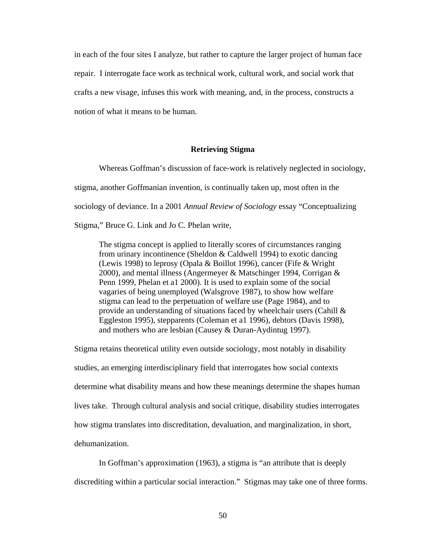in each of the four sites I analyze, but rather to capture the larger project of human face repair. I interrogate face work as technical work, cultural work, and social work that crafts a new visage, infuses this work with meaning, and, in the process, constructs a notion of what it means to be human.

# **Retrieving Stigma**

Whereas Goffman's discussion of face-work is relatively neglected in sociology, stigma, another Goffmanian invention, is continually taken up, most often in the sociology of deviance. In a 2001 *Annual Review of Sociology* essay "Conceptualizing Stigma," Bruce G. Link and Jo C. Phelan write,

The stigma concept is applied to literally scores of circumstances ranging from urinary incontinence (Sheldon & Caldwell 1994) to exotic dancing (Lewis 1998) to leprosy (Opala & Boillot 1996), cancer (Fife & Wright 2000), and mental illness (Angermeyer & Matschinger 1994, Corrigan & Penn 1999, Phelan et a1 2000). It is used to explain some of the social vagaries of being unemployed (Walsgrove 1987), to show how welfare stigma can lead to the perpetuation of welfare use (Page 1984), and to provide an understanding of situations faced by wheelchair users (Cahill & Eggleston 1995), stepparents (Coleman et a1 1996), debtors (Davis 1998), and mothers who are lesbian (Causey & Duran-Aydintug 1997).

Stigma retains theoretical utility even outside sociology, most notably in disability studies, an emerging interdisciplinary field that interrogates how social contexts determine what disability means and how these meanings determine the shapes human lives take. Through cultural analysis and social critique, disability studies interrogates how stigma translates into discreditation, devaluation, and marginalization, in short, dehumanization.

In Goffman's approximation (1963), a stigma is "an attribute that is deeply discrediting within a particular social interaction." Stigmas may take one of three forms.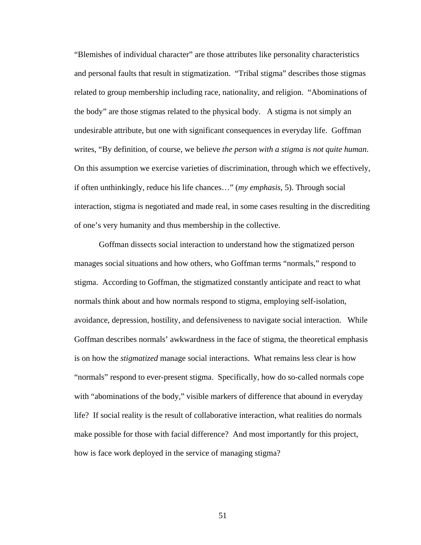"Blemishes of individual character" are those attributes like personality characteristics and personal faults that result in stigmatization. "Tribal stigma" describes those stigmas related to group membership including race, nationality, and religion. "Abominations of the body" are those stigmas related to the physical body. A stigma is not simply an undesirable attribute, but one with significant consequences in everyday life. Goffman writes, "By definition, of course, we believe *the person with a stigma is not quite human*. On this assumption we exercise varieties of discrimination, through which we effectively, if often unthinkingly, reduce his life chances…" (*my emphasis*, 5). Through social interaction, stigma is negotiated and made real, in some cases resulting in the discrediting of one's very humanity and thus membership in the collective.

Goffman dissects social interaction to understand how the stigmatized person manages social situations and how others, who Goffman terms "normals," respond to stigma. According to Goffman, the stigmatized constantly anticipate and react to what normals think about and how normals respond to stigma, employing self-isolation, avoidance, depression, hostility, and defensiveness to navigate social interaction. While Goffman describes normals' awkwardness in the face of stigma, the theoretical emphasis is on how the *stigmatized* manage social interactions. What remains less clear is how "normals" respond to ever-present stigma. Specifically, how do so-called normals cope with "abominations of the body," visible markers of difference that abound in everyday life? If social reality is the result of collaborative interaction, what realities do normals make possible for those with facial difference? And most importantly for this project, how is face work deployed in the service of managing stigma?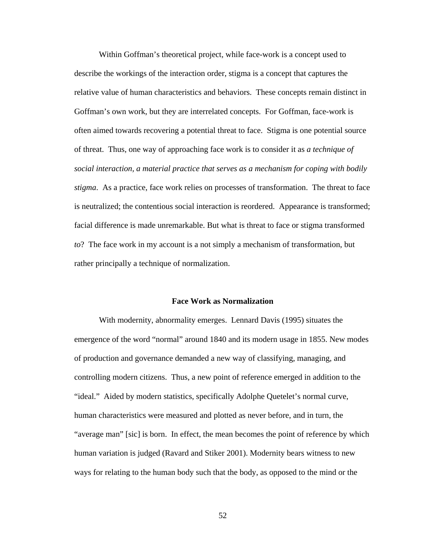Within Goffman's theoretical project, while face-work is a concept used to describe the workings of the interaction order, stigma is a concept that captures the relative value of human characteristics and behaviors. These concepts remain distinct in Goffman's own work, but they are interrelated concepts. For Goffman, face-work is often aimed towards recovering a potential threat to face. Stigma is one potential source of threat. Thus, one way of approaching face work is to consider it as *a technique of social interaction, a material practice that serves as a mechanism for coping with bodily stigma*. As a practice, face work relies on processes of transformation. The threat to face is neutralized; the contentious social interaction is reordered. Appearance is transformed; facial difference is made unremarkable. But what is threat to face or stigma transformed *to*? The face work in my account is a not simply a mechanism of transformation, but rather principally a technique of normalization.

#### **Face Work as Normalization**

 With modernity, abnormality emerges. Lennard Davis (1995) situates the emergence of the word "normal" around 1840 and its modern usage in 1855. New modes of production and governance demanded a new way of classifying, managing, and controlling modern citizens. Thus, a new point of reference emerged in addition to the "ideal." Aided by modern statistics, specifically Adolphe Quetelet's normal curve, human characteristics were measured and plotted as never before, and in turn, the "average man" [sic] is born. In effect, the mean becomes the point of reference by which human variation is judged (Ravard and Stiker 2001). Modernity bears witness to new ways for relating to the human body such that the body, as opposed to the mind or the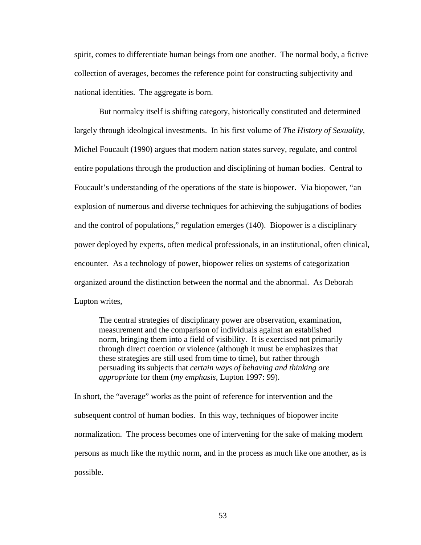spirit, comes to differentiate human beings from one another. The normal body, a fictive collection of averages, becomes the reference point for constructing subjectivity and national identities. The aggregate is born.

But normalcy itself is shifting category, historically constituted and determined largely through ideological investments. In his first volume of *The History of Sexuality*, Michel Foucault (1990) argues that modern nation states survey, regulate, and control entire populations through the production and disciplining of human bodies. Central to Foucault's understanding of the operations of the state is biopower. Via biopower, "an explosion of numerous and diverse techniques for achieving the subjugations of bodies and the control of populations," regulation emerges (140). Biopower is a disciplinary power deployed by experts, often medical professionals, in an institutional, often clinical, encounter. As a technology of power, biopower relies on systems of categorization organized around the distinction between the normal and the abnormal. As Deborah Lupton writes,

The central strategies of disciplinary power are observation, examination, measurement and the comparison of individuals against an established norm, bringing them into a field of visibility. It is exercised not primarily through direct coercion or violence (although it must be emphasizes that these strategies are still used from time to time), but rather through persuading its subjects that *certain ways of behaving and thinking are appropriate* for them (*my emphasis*, Lupton 1997: 99).

In short, the "average" works as the point of reference for intervention and the subsequent control of human bodies. In this way, techniques of biopower incite normalization. The process becomes one of intervening for the sake of making modern persons as much like the mythic norm, and in the process as much like one another, as is possible.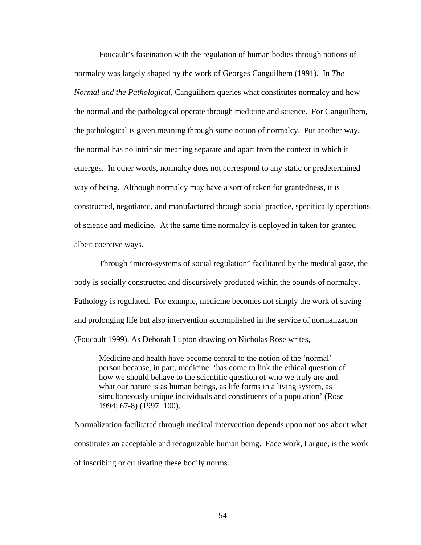Foucault's fascination with the regulation of human bodies through notions of normalcy was largely shaped by the work of Georges Canguilhem (1991). In *The Normal and the Pathological*, Canguilhem queries what constitutes normalcy and how the normal and the pathological operate through medicine and science. For Canguilhem, the pathological is given meaning through some notion of normalcy. Put another way, the normal has no intrinsic meaning separate and apart from the context in which it emerges. In other words, normalcy does not correspond to any static or predetermined way of being. Although normalcy may have a sort of taken for grantedness, it is constructed, negotiated, and manufactured through social practice, specifically operations of science and medicine. At the same time normalcy is deployed in taken for granted albeit coercive ways.

Through "micro-systems of social regulation" facilitated by the medical gaze, the body is socially constructed and discursively produced within the bounds of normalcy. Pathology is regulated. For example, medicine becomes not simply the work of saving and prolonging life but also intervention accomplished in the service of normalization (Foucault 1999). As Deborah Lupton drawing on Nicholas Rose writes,

Medicine and health have become central to the notion of the 'normal' person because, in part, medicine: 'has come to link the ethical question of how we should behave to the scientific question of who we truly are and what our nature is as human beings, as life forms in a living system, as simultaneously unique individuals and constituents of a population' (Rose 1994: 67-8) (1997: 100).

Normalization facilitated through medical intervention depends upon notions about what constitutes an acceptable and recognizable human being. Face work, I argue, is the work of inscribing or cultivating these bodily norms.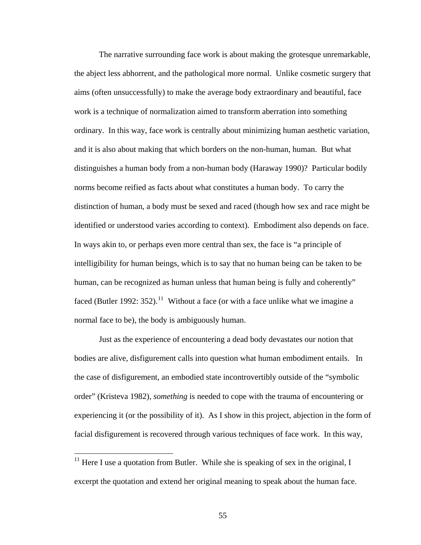The narrative surrounding face work is about making the grotesque unremarkable, the abject less abhorrent, and the pathological more normal. Unlike cosmetic surgery that aims (often unsuccessfully) to make the average body extraordinary and beautiful, face work is a technique of normalization aimed to transform aberration into something ordinary. In this way, face work is centrally about minimizing human aesthetic variation, and it is also about making that which borders on the non-human, human. But what distinguishes a human body from a non-human body (Haraway 1990)? Particular bodily norms become reified as facts about what constitutes a human body. To carry the distinction of human, a body must be sexed and raced (though how sex and race might be identified or understood varies according to context). Embodiment also depends on face. In ways akin to, or perhaps even more central than sex, the face is "a principle of intelligibility for human beings, which is to say that no human being can be taken to be human, can be recognized as human unless that human being is fully and coherently" faced (Butler 1992: 352).<sup>[11](#page-68-0)</sup> Without a face (or with a face unlike what we imagine a normal face to be), the body is ambiguously human.

 Just as the experience of encountering a dead body devastates our notion that bodies are alive, disfigurement calls into question what human embodiment entails. In the case of disfigurement, an embodied state incontrovertibly outside of the "symbolic order" (Kristeva 1982), *something* is needed to cope with the trauma of encountering or experiencing it (or the possibility of it). As I show in this project, abjection in the form of facial disfigurement is recovered through various techniques of face work. In this way,

 $\overline{a}$ 

<span id="page-68-0"></span><sup>&</sup>lt;sup>11</sup> Here I use a quotation from Butler. While she is speaking of sex in the original, I excerpt the quotation and extend her original meaning to speak about the human face.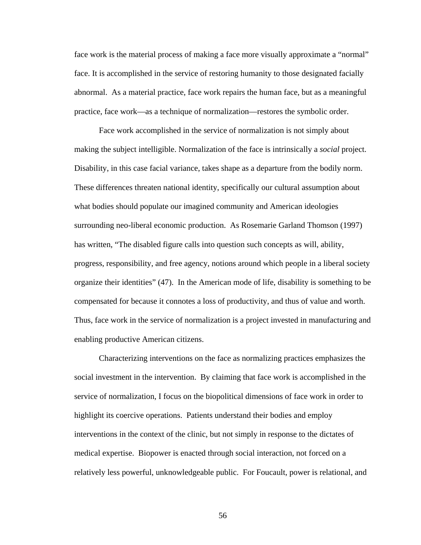face work is the material process of making a face more visually approximate a "normal" face. It is accomplished in the service of restoring humanity to those designated facially abnormal. As a material practice, face work repairs the human face, but as a meaningful practice, face work—as a technique of normalization—restores the symbolic order.

Face work accomplished in the service of normalization is not simply about making the subject intelligible. Normalization of the face is intrinsically a *social* project. Disability, in this case facial variance, takes shape as a departure from the bodily norm. These differences threaten national identity, specifically our cultural assumption about what bodies should populate our imagined community and American ideologies surrounding neo-liberal economic production. As Rosemarie Garland Thomson (1997) has written, "The disabled figure calls into question such concepts as will, ability, progress, responsibility, and free agency, notions around which people in a liberal society organize their identities" (47). In the American mode of life, disability is something to be compensated for because it connotes a loss of productivity, and thus of value and worth. Thus, face work in the service of normalization is a project invested in manufacturing and enabling productive American citizens.

Characterizing interventions on the face as normalizing practices emphasizes the social investment in the intervention. By claiming that face work is accomplished in the service of normalization, I focus on the biopolitical dimensions of face work in order to highlight its coercive operations. Patients understand their bodies and employ interventions in the context of the clinic, but not simply in response to the dictates of medical expertise. Biopower is enacted through social interaction, not forced on a relatively less powerful, unknowledgeable public. For Foucault, power is relational, and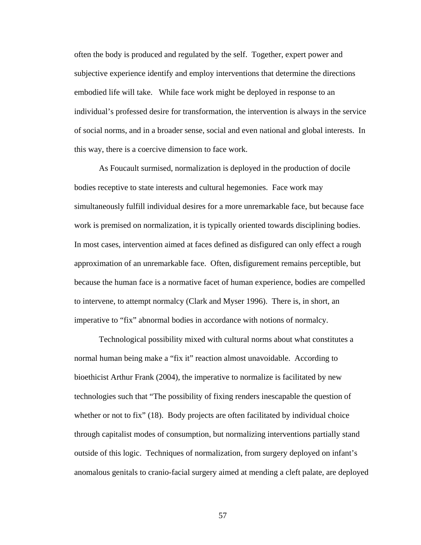often the body is produced and regulated by the self. Together, expert power and subjective experience identify and employ interventions that determine the directions embodied life will take. While face work might be deployed in response to an individual's professed desire for transformation, the intervention is always in the service of social norms, and in a broader sense, social and even national and global interests. In this way, there is a coercive dimension to face work.

As Foucault surmised, normalization is deployed in the production of docile bodies receptive to state interests and cultural hegemonies. Face work may simultaneously fulfill individual desires for a more unremarkable face, but because face work is premised on normalization, it is typically oriented towards disciplining bodies. In most cases, intervention aimed at faces defined as disfigured can only effect a rough approximation of an unremarkable face. Often, disfigurement remains perceptible, but because the human face is a normative facet of human experience, bodies are compelled to intervene, to attempt normalcy (Clark and Myser 1996). There is, in short, an imperative to "fix" abnormal bodies in accordance with notions of normalcy.

Technological possibility mixed with cultural norms about what constitutes a normal human being make a "fix it" reaction almost unavoidable. According to bioethicist Arthur Frank (2004), the imperative to normalize is facilitated by new technologies such that "The possibility of fixing renders inescapable the question of whether or not to fix" (18). Body projects are often facilitated by individual choice through capitalist modes of consumption, but normalizing interventions partially stand outside of this logic. Techniques of normalization, from surgery deployed on infant's anomalous genitals to cranio-facial surgery aimed at mending a cleft palate, are deployed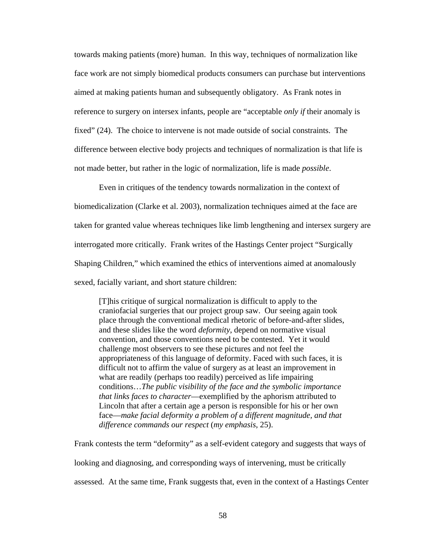towards making patients (more) human. In this way, techniques of normalization like face work are not simply biomedical products consumers can purchase but interventions aimed at making patients human and subsequently obligatory. As Frank notes in reference to surgery on intersex infants, people are "acceptable *only if* their anomaly is fixed" (24). The choice to intervene is not made outside of social constraints. The difference between elective body projects and techniques of normalization is that life is not made better, but rather in the logic of normalization, life is made *possible*.

Even in critiques of the tendency towards normalization in the context of biomedicalization (Clarke et al. 2003), normalization techniques aimed at the face are taken for granted value whereas techniques like limb lengthening and intersex surgery are interrogated more critically. Frank writes of the Hastings Center project "Surgically Shaping Children," which examined the ethics of interventions aimed at anomalously sexed, facially variant, and short stature children:

[T]his critique of surgical normalization is difficult to apply to the craniofacial surgeries that our project group saw. Our seeing again took place through the conventional medical rhetoric of before-and-after slides, and these slides like the word *deformity*, depend on normative visual convention, and those conventions need to be contested. Yet it would challenge most observers to see these pictures and not feel the appropriateness of this language of deformity. Faced with such faces, it is difficult not to affirm the value of surgery as at least an improvement in what are readily (perhaps too readily) perceived as life impairing conditions…*The public visibility of the face and the symbolic importance that links faces to character*—exemplified by the aphorism attributed to Lincoln that after a certain age a person is responsible for his or her own face—*make facial deformity a problem of a different magnitude, and that difference commands our respect* (*my emphasis*, 25).

Frank contests the term "deformity" as a self-evident category and suggests that ways of looking and diagnosing, and corresponding ways of intervening, must be critically assessed. At the same time, Frank suggests that, even in the context of a Hastings Center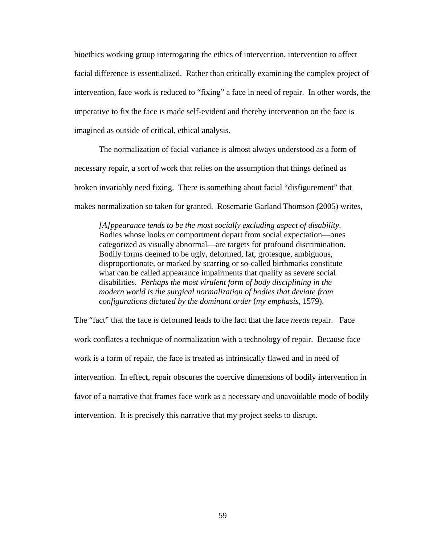bioethics working group interrogating the ethics of intervention, intervention to affect facial difference is essentialized. Rather than critically examining the complex project of intervention, face work is reduced to "fixing" a face in need of repair. In other words, the imperative to fix the face is made self-evident and thereby intervention on the face is imagined as outside of critical, ethical analysis.

 The normalization of facial variance is almost always understood as a form of necessary repair, a sort of work that relies on the assumption that things defined as broken invariably need fixing. There is something about facial "disfigurement" that makes normalization so taken for granted. Rosemarie Garland Thomson (2005) writes,

*[A]ppearance tends to be the most socially excluding aspect of disability*. Bodies whose looks or comportment depart from social expectation—ones categorized as visually abnormal—are targets for profound discrimination. Bodily forms deemed to be ugly, deformed, fat, grotesque, ambiguous, disproportionate, or marked by scarring or so-called birthmarks constitute what can be called appearance impairments that qualify as severe social disabilities. *Perhaps the most virulent form of body disciplining in the modern world is the surgical normalization of bodies that deviate from configurations dictated by the dominant order* (*my emphasis*, 1579).

The "fact" that the face *is* deformed leads to the fact that the face *needs* repair. Face work conflates a technique of normalization with a technology of repair. Because face work is a form of repair, the face is treated as intrinsically flawed and in need of intervention. In effect, repair obscures the coercive dimensions of bodily intervention in favor of a narrative that frames face work as a necessary and unavoidable mode of bodily intervention. It is precisely this narrative that my project seeks to disrupt.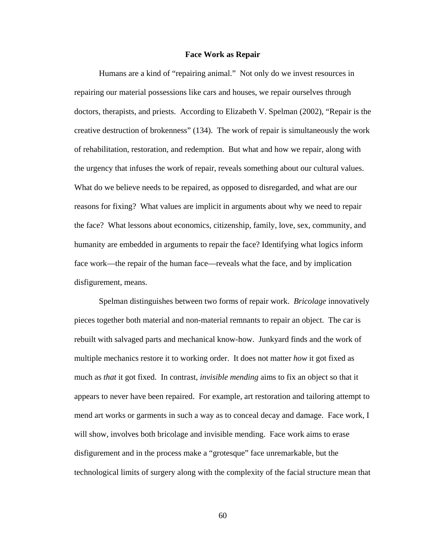### **Face Work as Repair**

Humans are a kind of "repairing animal." Not only do we invest resources in repairing our material possessions like cars and houses, we repair ourselves through doctors, therapists, and priests. According to Elizabeth V. Spelman (2002), "Repair is the creative destruction of brokenness" (134). The work of repair is simultaneously the work of rehabilitation, restoration, and redemption. But what and how we repair, along with the urgency that infuses the work of repair, reveals something about our cultural values. What do we believe needs to be repaired, as opposed to disregarded, and what are our reasons for fixing? What values are implicit in arguments about why we need to repair the face? What lessons about economics, citizenship, family, love, sex, community, and humanity are embedded in arguments to repair the face? Identifying what logics inform face work—the repair of the human face—reveals what the face, and by implication disfigurement, means.

Spelman distinguishes between two forms of repair work. *Bricolage* innovatively pieces together both material and non-material remnants to repair an object. The car is rebuilt with salvaged parts and mechanical know-how. Junkyard finds and the work of multiple mechanics restore it to working order. It does not matter *how* it got fixed as much as *that* it got fixed. In contrast, *invisible mending* aims to fix an object so that it appears to never have been repaired. For example, art restoration and tailoring attempt to mend art works or garments in such a way as to conceal decay and damage. Face work, I will show, involves both bricolage and invisible mending. Face work aims to erase disfigurement and in the process make a "grotesque" face unremarkable, but the technological limits of surgery along with the complexity of the facial structure mean that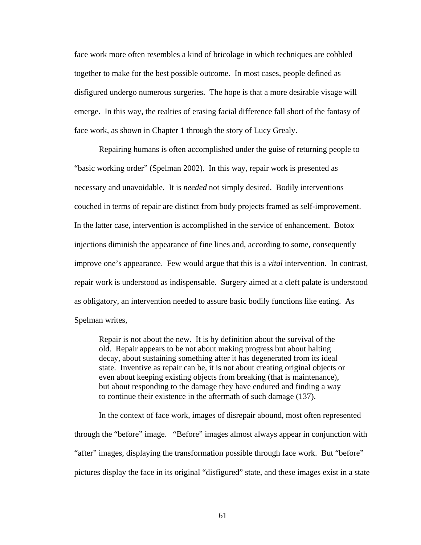face work more often resembles a kind of bricolage in which techniques are cobbled together to make for the best possible outcome. In most cases, people defined as disfigured undergo numerous surgeries. The hope is that a more desirable visage will emerge. In this way, the realties of erasing facial difference fall short of the fantasy of face work, as shown in Chapter 1 through the story of Lucy Grealy.

Repairing humans is often accomplished under the guise of returning people to "basic working order" (Spelman 2002). In this way, repair work is presented as necessary and unavoidable. It is *needed* not simply desired. Bodily interventions couched in terms of repair are distinct from body projects framed as self-improvement. In the latter case, intervention is accomplished in the service of enhancement. Botox injections diminish the appearance of fine lines and, according to some, consequently improve one's appearance. Few would argue that this is a *vital* intervention. In contrast, repair work is understood as indispensable. Surgery aimed at a cleft palate is understood as obligatory, an intervention needed to assure basic bodily functions like eating. As Spelman writes,

Repair is not about the new. It is by definition about the survival of the old. Repair appears to be not about making progress but about halting decay, about sustaining something after it has degenerated from its ideal state. Inventive as repair can be, it is not about creating original objects or even about keeping existing objects from breaking (that is maintenance), but about responding to the damage they have endured and finding a way to continue their existence in the aftermath of such damage (137).

In the context of face work, images of disrepair abound, most often represented through the "before" image. "Before" images almost always appear in conjunction with "after" images, displaying the transformation possible through face work. But "before" pictures display the face in its original "disfigured" state, and these images exist in a state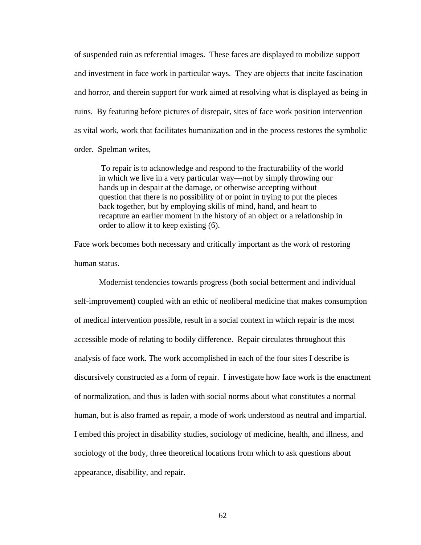of suspended ruin as referential images. These faces are displayed to mobilize support and investment in face work in particular ways. They are objects that incite fascination and horror, and therein support for work aimed at resolving what is displayed as being in ruins. By featuring before pictures of disrepair, sites of face work position intervention as vital work, work that facilitates humanization and in the process restores the symbolic order. Spelman writes,

 To repair is to acknowledge and respond to the fracturability of the world in which we live in a very particular way—not by simply throwing our hands up in despair at the damage, or otherwise accepting without question that there is no possibility of or point in trying to put the pieces back together, but by employing skills of mind, hand, and heart to recapture an earlier moment in the history of an object or a relationship in order to allow it to keep existing (6).

Face work becomes both necessary and critically important as the work of restoring human status.

 Modernist tendencies towards progress (both social betterment and individual self-improvement) coupled with an ethic of neoliberal medicine that makes consumption of medical intervention possible, result in a social context in which repair is the most accessible mode of relating to bodily difference. Repair circulates throughout this analysis of face work. The work accomplished in each of the four sites I describe is discursively constructed as a form of repair. I investigate how face work is the enactment of normalization, and thus is laden with social norms about what constitutes a normal human, but is also framed as repair, a mode of work understood as neutral and impartial. I embed this project in disability studies, sociology of medicine, health, and illness, and sociology of the body, three theoretical locations from which to ask questions about appearance, disability, and repair.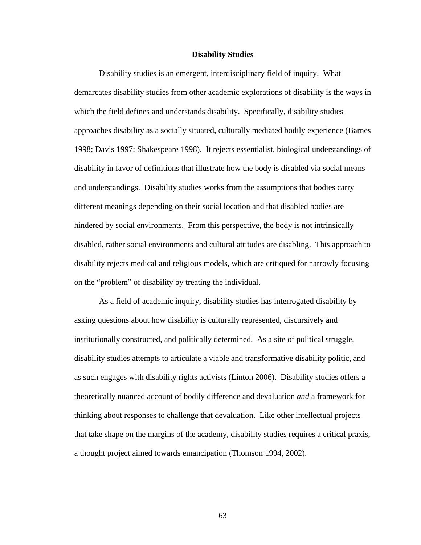### **Disability Studies**

 Disability studies is an emergent, interdisciplinary field of inquiry. What demarcates disability studies from other academic explorations of disability is the ways in which the field defines and understands disability. Specifically, disability studies approaches disability as a socially situated, culturally mediated bodily experience (Barnes 1998; Davis 1997; Shakespeare 1998). It rejects essentialist, biological understandings of disability in favor of definitions that illustrate how the body is disabled via social means and understandings. Disability studies works from the assumptions that bodies carry different meanings depending on their social location and that disabled bodies are hindered by social environments. From this perspective, the body is not intrinsically disabled, rather social environments and cultural attitudes are disabling. This approach to disability rejects medical and religious models, which are critiqued for narrowly focusing on the "problem" of disability by treating the individual.

 As a field of academic inquiry, disability studies has interrogated disability by asking questions about how disability is culturally represented, discursively and institutionally constructed, and politically determined. As a site of political struggle, disability studies attempts to articulate a viable and transformative disability politic, and as such engages with disability rights activists (Linton 2006). Disability studies offers a theoretically nuanced account of bodily difference and devaluation *and* a framework for thinking about responses to challenge that devaluation. Like other intellectual projects that take shape on the margins of the academy, disability studies requires a critical praxis, a thought project aimed towards emancipation (Thomson 1994, 2002).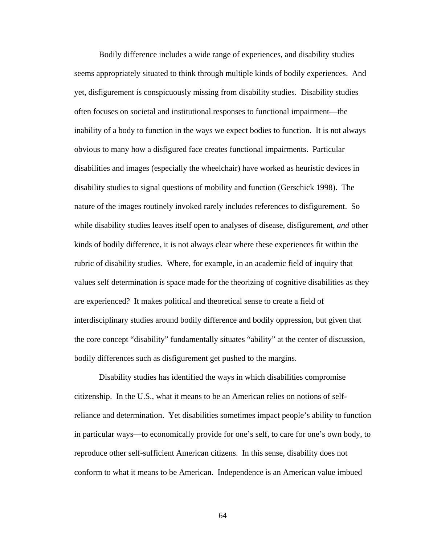Bodily difference includes a wide range of experiences, and disability studies seems appropriately situated to think through multiple kinds of bodily experiences. And yet, disfigurement is conspicuously missing from disability studies. Disability studies often focuses on societal and institutional responses to functional impairment—the inability of a body to function in the ways we expect bodies to function. It is not always obvious to many how a disfigured face creates functional impairments. Particular disabilities and images (especially the wheelchair) have worked as heuristic devices in disability studies to signal questions of mobility and function (Gerschick 1998). The nature of the images routinely invoked rarely includes references to disfigurement. So while disability studies leaves itself open to analyses of disease, disfigurement, *and* other kinds of bodily difference, it is not always clear where these experiences fit within the rubric of disability studies. Where, for example, in an academic field of inquiry that values self determination is space made for the theorizing of cognitive disabilities as they are experienced? It makes political and theoretical sense to create a field of interdisciplinary studies around bodily difference and bodily oppression, but given that the core concept "disability" fundamentally situates "ability" at the center of discussion, bodily differences such as disfigurement get pushed to the margins.

Disability studies has identified the ways in which disabilities compromise citizenship. In the U.S., what it means to be an American relies on notions of selfreliance and determination. Yet disabilities sometimes impact people's ability to function in particular ways—to economically provide for one's self, to care for one's own body, to reproduce other self-sufficient American citizens. In this sense, disability does not conform to what it means to be American. Independence is an American value imbued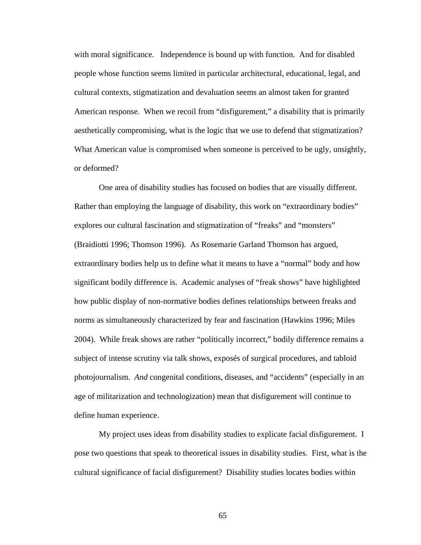with moral significance. Independence is bound up with function. And for disabled people whose function seems limited in particular architectural, educational, legal, and cultural contexts, stigmatization and devaluation seems an almost taken for granted American response. When we recoil from "disfigurement," a disability that is primarily aesthetically compromising, what is the logic that we use to defend that stigmatization? What American value is compromised when someone is perceived to be ugly, unsightly, or deformed?

 One area of disability studies has focused on bodies that are visually different. Rather than employing the language of disability, this work on "extraordinary bodies" explores our cultural fascination and stigmatization of "freaks" and "monsters" (Braidiotti 1996; Thomson 1996). As Rosemarie Garland Thomson has argued, extraordinary bodies help us to define what it means to have a "normal" body and how significant bodily difference is. Academic analyses of "freak shows" have highlighted how public display of non-normative bodies defines relationships between freaks and norms as simultaneously characterized by fear and fascination (Hawkins 1996; Miles 2004). While freak shows are rather "politically incorrect," bodily difference remains a subject of intense scrutiny via talk shows, exposés of surgical procedures, and tabloid photojournalism. *And* congenital conditions, diseases, and "accidents" (especially in an age of militarization and technologization) mean that disfigurement will continue to define human experience.

My project uses ideas from disability studies to explicate facial disfigurement. I pose two questions that speak to theoretical issues in disability studies. First, what is the cultural significance of facial disfigurement? Disability studies locates bodies within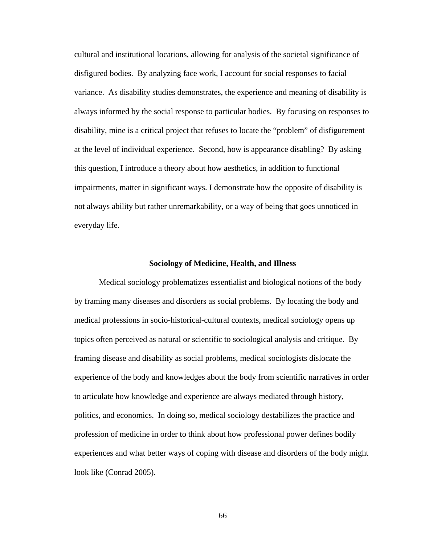cultural and institutional locations, allowing for analysis of the societal significance of disfigured bodies. By analyzing face work, I account for social responses to facial variance. As disability studies demonstrates, the experience and meaning of disability is always informed by the social response to particular bodies. By focusing on responses to disability, mine is a critical project that refuses to locate the "problem" of disfigurement at the level of individual experience. Second, how is appearance disabling? By asking this question, I introduce a theory about how aesthetics, in addition to functional impairments, matter in significant ways. I demonstrate how the opposite of disability is not always ability but rather unremarkability, or a way of being that goes unnoticed in everyday life.

### **Sociology of Medicine, Health, and Illness**

Medical sociology problematizes essentialist and biological notions of the body by framing many diseases and disorders as social problems. By locating the body and medical professions in socio-historical-cultural contexts, medical sociology opens up topics often perceived as natural or scientific to sociological analysis and critique. By framing disease and disability as social problems, medical sociologists dislocate the experience of the body and knowledges about the body from scientific narratives in order to articulate how knowledge and experience are always mediated through history, politics, and economics. In doing so, medical sociology destabilizes the practice and profession of medicine in order to think about how professional power defines bodily experiences and what better ways of coping with disease and disorders of the body might look like (Conrad 2005).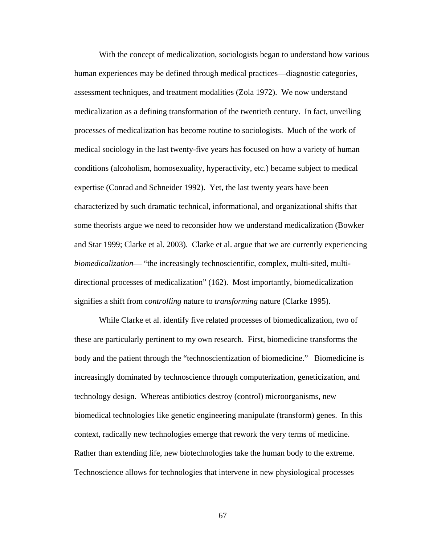With the concept of medicalization, sociologists began to understand how various human experiences may be defined through medical practices—diagnostic categories, assessment techniques, and treatment modalities (Zola 1972). We now understand medicalization as a defining transformation of the twentieth century. In fact, unveiling processes of medicalization has become routine to sociologists. Much of the work of medical sociology in the last twenty-five years has focused on how a variety of human conditions (alcoholism, homosexuality, hyperactivity, etc.) became subject to medical expertise (Conrad and Schneider 1992). Yet, the last twenty years have been characterized by such dramatic technical, informational, and organizational shifts that some theorists argue we need to reconsider how we understand medicalization (Bowker and Star 1999; Clarke et al. 2003). Clarke et al. argue that we are currently experiencing *biomedicalization*— "the increasingly technoscientific, complex, multi-sited, multidirectional processes of medicalization" (162). Most importantly, biomedicalization signifies a shift from *controlling* nature to *transforming* nature (Clarke 1995).

While Clarke et al. identify five related processes of biomedicalization, two of these are particularly pertinent to my own research. First, biomedicine transforms the body and the patient through the "technoscientization of biomedicine." Biomedicine is increasingly dominated by technoscience through computerization, geneticization, and technology design. Whereas antibiotics destroy (control) microorganisms, new biomedical technologies like genetic engineering manipulate (transform) genes. In this context, radically new technologies emerge that rework the very terms of medicine. Rather than extending life, new biotechnologies take the human body to the extreme. Technoscience allows for technologies that intervene in new physiological processes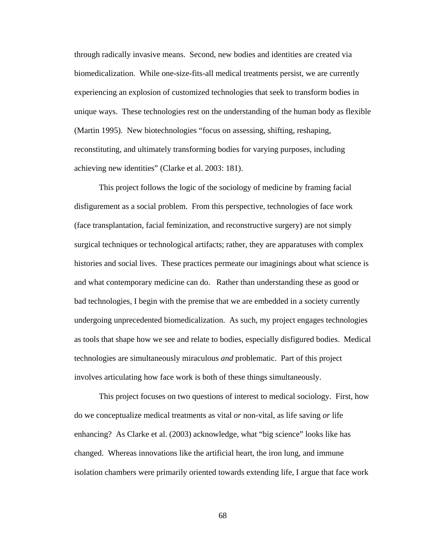through radically invasive means. Second, new bodies and identities are created via biomedicalization. While one-size-fits-all medical treatments persist, we are currently experiencing an explosion of customized technologies that seek to transform bodies in unique ways. These technologies rest on the understanding of the human body as flexible (Martin 1995). New biotechnologies "focus on assessing, shifting, reshaping, reconstituting, and ultimately transforming bodies for varying purposes, including achieving new identities" (Clarke et al. 2003: 181).

This project follows the logic of the sociology of medicine by framing facial disfigurement as a social problem. From this perspective, technologies of face work (face transplantation, facial feminization, and reconstructive surgery) are not simply surgical techniques or technological artifacts; rather, they are apparatuses with complex histories and social lives. These practices permeate our imaginings about what science is and what contemporary medicine can do. Rather than understanding these as good or bad technologies, I begin with the premise that we are embedded in a society currently undergoing unprecedented biomedicalization. As such, my project engages technologies as tools that shape how we see and relate to bodies, especially disfigured bodies. Medical technologies are simultaneously miraculous *and* problematic. Part of this project involves articulating how face work is both of these things simultaneously.

This project focuses on two questions of interest to medical sociology. First, how do we conceptualize medical treatments as vital *or* non-vital, as life saving *or* life enhancing? As Clarke et al. (2003) acknowledge, what "big science" looks like has changed. Whereas innovations like the artificial heart, the iron lung, and immune isolation chambers were primarily oriented towards extending life, I argue that face work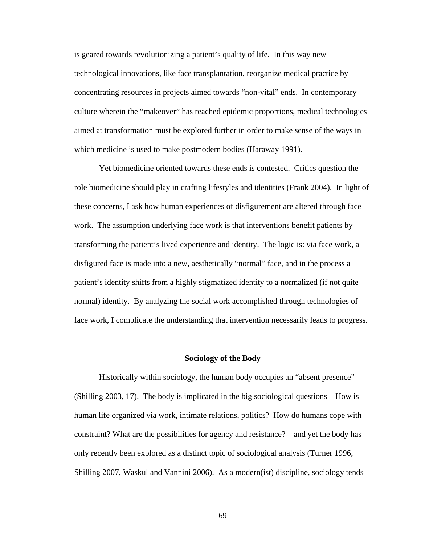is geared towards revolutionizing a patient's quality of life. In this way new technological innovations, like face transplantation, reorganize medical practice by concentrating resources in projects aimed towards "non-vital" ends. In contemporary culture wherein the "makeover" has reached epidemic proportions, medical technologies aimed at transformation must be explored further in order to make sense of the ways in which medicine is used to make postmodern bodies (Haraway 1991).

Yet biomedicine oriented towards these ends is contested. Critics question the role biomedicine should play in crafting lifestyles and identities (Frank 2004). In light of these concerns, I ask how human experiences of disfigurement are altered through face work. The assumption underlying face work is that interventions benefit patients by transforming the patient's lived experience and identity. The logic is: via face work, a disfigured face is made into a new, aesthetically "normal" face, and in the process a patient's identity shifts from a highly stigmatized identity to a normalized (if not quite normal) identity. By analyzing the social work accomplished through technologies of face work, I complicate the understanding that intervention necessarily leads to progress.

### **Sociology of the Body**

Historically within sociology, the human body occupies an "absent presence" (Shilling 2003, 17). The body is implicated in the big sociological questions—How is human life organized via work, intimate relations, politics? How do humans cope with constraint? What are the possibilities for agency and resistance?—and yet the body has only recently been explored as a distinct topic of sociological analysis (Turner 1996, Shilling 2007, Waskul and Vannini 2006). As a modern(ist) discipline, sociology tends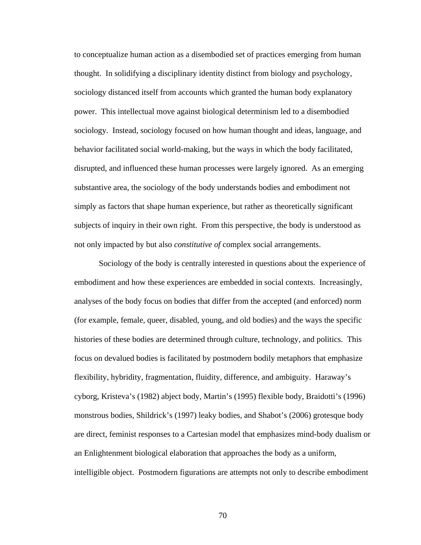to conceptualize human action as a disembodied set of practices emerging from human thought. In solidifying a disciplinary identity distinct from biology and psychology, sociology distanced itself from accounts which granted the human body explanatory power. This intellectual move against biological determinism led to a disembodied sociology. Instead, sociology focused on how human thought and ideas, language, and behavior facilitated social world-making, but the ways in which the body facilitated, disrupted, and influenced these human processes were largely ignored. As an emerging substantive area, the sociology of the body understands bodies and embodiment not simply as factors that shape human experience, but rather as theoretically significant subjects of inquiry in their own right. From this perspective, the body is understood as not only impacted by but also *constitutive of* complex social arrangements.

Sociology of the body is centrally interested in questions about the experience of embodiment and how these experiences are embedded in social contexts. Increasingly, analyses of the body focus on bodies that differ from the accepted (and enforced) norm (for example, female, queer, disabled, young, and old bodies) and the ways the specific histories of these bodies are determined through culture, technology, and politics. This focus on devalued bodies is facilitated by postmodern bodily metaphors that emphasize flexibility, hybridity, fragmentation, fluidity, difference, and ambiguity. Haraway's cyborg, Kristeva's (1982) abject body, Martin's (1995) flexible body, Braidotti's (1996) monstrous bodies, Shildrick's (1997) leaky bodies, and Shabot's (2006) grotesque body are direct, feminist responses to a Cartesian model that emphasizes mind-body dualism or an Enlightenment biological elaboration that approaches the body as a uniform, intelligible object. Postmodern figurations are attempts not only to describe embodiment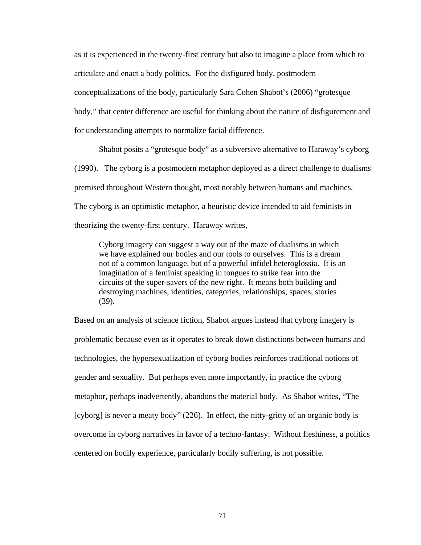as it is experienced in the twenty-first century but also to imagine a place from which to articulate and enact a body politics. For the disfigured body, postmodern conceptualizations of the body, particularly Sara Cohen Shabot's (2006) "grotesque body," that center difference are useful for thinking about the nature of disfigurement and for understanding attempts to normalize facial difference.

Shabot posits a "grotesque body" as a subversive alternative to Haraway's cyborg (1990). The cyborg is a postmodern metaphor deployed as a direct challenge to dualisms premised throughout Western thought, most notably between humans and machines. The cyborg is an optimistic metaphor, a heuristic device intended to aid feminists in theorizing the twenty-first century. Haraway writes,

Cyborg imagery can suggest a way out of the maze of dualisms in which we have explained our bodies and our tools to ourselves. This is a dream not of a common language, but of a powerful infidel heteroglossia. It is an imagination of a feminist speaking in tongues to strike fear into the circuits of the super-savers of the new right. It means both building and destroying machines, identities, categories, relationships, spaces, stories (39).

Based on an analysis of science fiction, Shabot argues instead that cyborg imagery is problematic because even as it operates to break down distinctions between humans and technologies, the hypersexualization of cyborg bodies reinforces traditional notions of gender and sexuality. But perhaps even more importantly, in practice the cyborg metaphor, perhaps inadvertently, abandons the material body. As Shabot writes, "The [cyborg] is never a meaty body" (226). In effect, the nitty-gritty of an organic body is overcome in cyborg narratives in favor of a techno-fantasy. Without fleshiness, a politics centered on bodily experience, particularly bodily suffering, is not possible.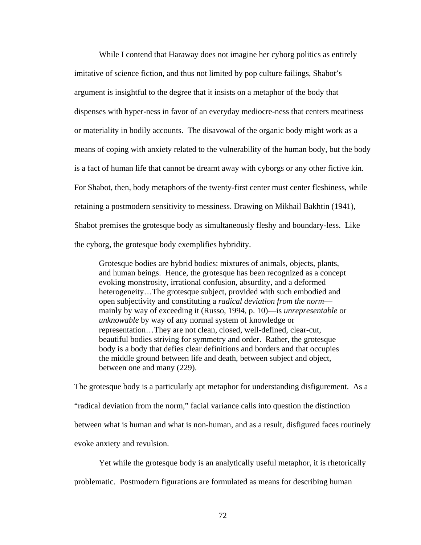While I contend that Haraway does not imagine her cyborg politics as entirely imitative of science fiction, and thus not limited by pop culture failings, Shabot's argument is insightful to the degree that it insists on a metaphor of the body that dispenses with hyper-ness in favor of an everyday mediocre-ness that centers meatiness or materiality in bodily accounts. The disavowal of the organic body might work as a means of coping with anxiety related to the vulnerability of the human body, but the body is a fact of human life that cannot be dreamt away with cyborgs or any other fictive kin. For Shabot, then, body metaphors of the twenty-first center must center fleshiness, while retaining a postmodern sensitivity to messiness. Drawing on Mikhail Bakhtin (1941), Shabot premises the grotesque body as simultaneously fleshy and boundary-less. Like the cyborg, the grotesque body exemplifies hybridity.

Grotesque bodies are hybrid bodies: mixtures of animals, objects, plants, and human beings. Hence, the grotesque has been recognized as a concept evoking monstrosity, irrational confusion, absurdity, and a deformed heterogeneity…The grotesque subject, provided with such embodied and open subjectivity and constituting a *radical deviation from the norm* mainly by way of exceeding it (Russo, 1994, p. 10)—is *unrepresentable* or *unknowable* by way of any normal system of knowledge or representation…They are not clean, closed, well-defined, clear-cut, beautiful bodies striving for symmetry and order. Rather, the grotesque body is a body that defies clear definitions and borders and that occupies the middle ground between life and death, between subject and object, between one and many (229).

The grotesque body is a particularly apt metaphor for understanding disfigurement. As a "radical deviation from the norm," facial variance calls into question the distinction between what is human and what is non-human, and as a result, disfigured faces routinely evoke anxiety and revulsion.

Yet while the grotesque body is an analytically useful metaphor, it is rhetorically

problematic. Postmodern figurations are formulated as means for describing human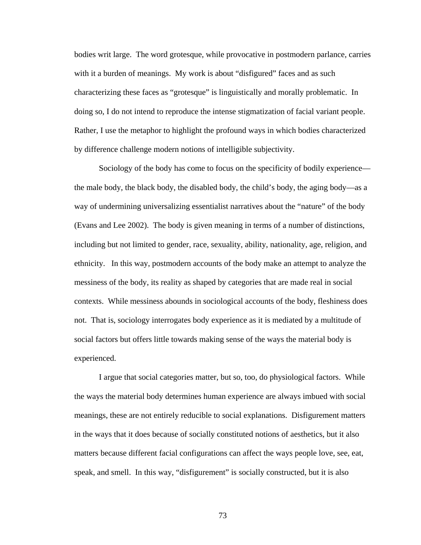bodies writ large. The word grotesque, while provocative in postmodern parlance, carries with it a burden of meanings. My work is about "disfigured" faces and as such characterizing these faces as "grotesque" is linguistically and morally problematic. In doing so, I do not intend to reproduce the intense stigmatization of facial variant people. Rather, I use the metaphor to highlight the profound ways in which bodies characterized by difference challenge modern notions of intelligible subjectivity.

Sociology of the body has come to focus on the specificity of bodily experience the male body, the black body, the disabled body, the child's body, the aging body—as a way of undermining universalizing essentialist narratives about the "nature" of the body (Evans and Lee 2002). The body is given meaning in terms of a number of distinctions, including but not limited to gender, race, sexuality, ability, nationality, age, religion, and ethnicity. In this way, postmodern accounts of the body make an attempt to analyze the messiness of the body, its reality as shaped by categories that are made real in social contexts. While messiness abounds in sociological accounts of the body, fleshiness does not. That is, sociology interrogates body experience as it is mediated by a multitude of social factors but offers little towards making sense of the ways the material body is experienced.

I argue that social categories matter, but so, too, do physiological factors. While the ways the material body determines human experience are always imbued with social meanings, these are not entirely reducible to social explanations. Disfigurement matters in the ways that it does because of socially constituted notions of aesthetics, but it also matters because different facial configurations can affect the ways people love, see, eat, speak, and smell. In this way, "disfigurement" is socially constructed, but it is also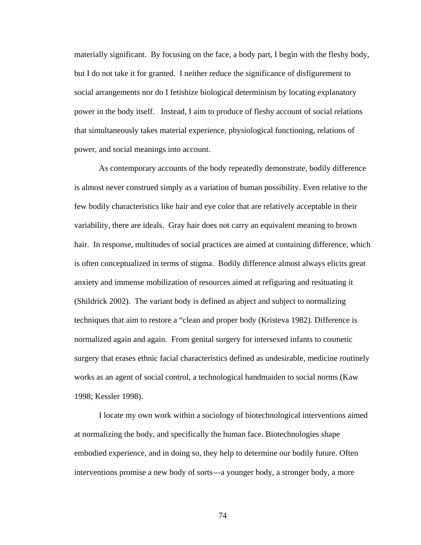materially significant. By focusing on the face, a body part, I begin with the fleshy body, but I do not take it for granted. I neither reduce the significance of disfigurement to social arrangements nor do I fetishize biological determinism by locating explanatory power in the body itself. Instead, I aim to produce of fleshy account of social relations that simultaneously takes material experience, physiological functioning, relations of power, and social meanings into account.

As contemporary accounts of the body repeatedly demonstrate, bodily difference is almost never construed simply as a variation of human possibility. Even relative to the few bodily characteristics like hair and eye color that are relatively acceptable in their variability, there are ideals. Gray hair does not carry an equivalent meaning to brown hair. In response, multitudes of social practices are aimed at containing difference, which is often conceptualized in terms of stigma. Bodily difference almost always elicits great anxiety and immense mobilization of resources aimed at refiguring and resituating it (Shildrick 2002). The variant body is defined as abject and subject to normalizing techniques that aim to restore a "clean and proper body (Kristeva 1982). Difference is normalized again and again. From genital surgery for intersexed infants to cosmetic surgery that erases ethnic facial characteristics defined as undesirable, medicine routinely works as an agent of social control, a technological handmaiden to social norms (Kaw 1998; Kessler 1998).

I locate my own work within a sociology of biotechnological interventions aimed at normalizing the body, and specifically the human face. Biotechnologies shape embodied experience, and in doing so, they help to determine our bodily future. Often interventions promise a new body of sorts—a younger body, a stronger body, a more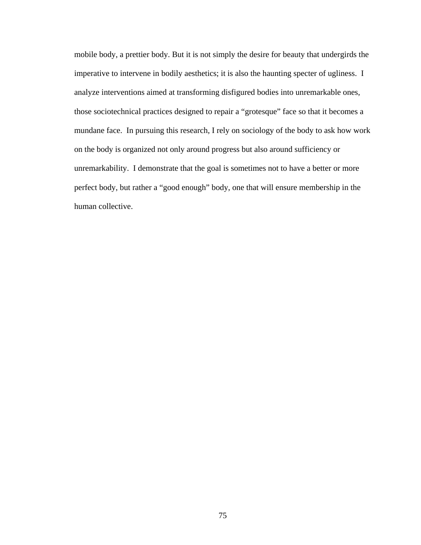mobile body, a prettier body. But it is not simply the desire for beauty that undergirds the imperative to intervene in bodily aesthetics; it is also the haunting specter of ugliness. I analyze interventions aimed at transforming disfigured bodies into unremarkable ones, those sociotechnical practices designed to repair a "grotesque" face so that it becomes a mundane face. In pursuing this research, I rely on sociology of the body to ask how work on the body is organized not only around progress but also around sufficiency or unremarkability. I demonstrate that the goal is sometimes not to have a better or more perfect body, but rather a "good enough" body, one that will ensure membership in the human collective.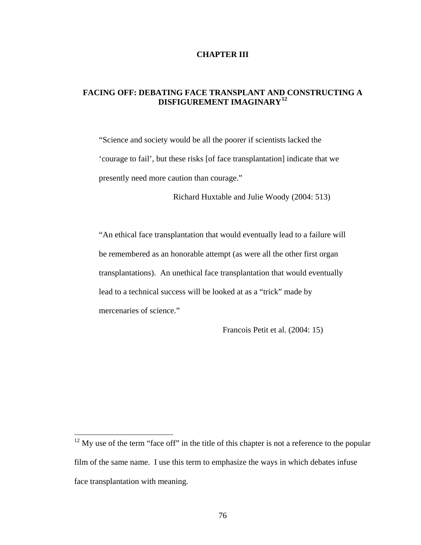# **CHAPTER III**

# **FACING OFF: DEBATING FACE TRANSPLANT AND CONSTRUCTING A DISFIGUREMENT IMAGINARY[12](#page-89-0)**

"Science and society would be all the poorer if scientists lacked the 'courage to fail', but these risks [of face transplantation] indicate that we presently need more caution than courage."

Richard Huxtable and Julie Woody (2004: 513)

"An ethical face transplantation that would eventually lead to a failure will be remembered as an honorable attempt (as were all the other first organ transplantations). An unethical face transplantation that would eventually lead to a technical success will be looked at as a "trick" made by mercenaries of science."

Francois Petit et al. (2004: 15)

 $\overline{a}$ 

<span id="page-89-0"></span> $12$  My use of the term "face off" in the title of this chapter is not a reference to the popular film of the same name. I use this term to emphasize the ways in which debates infuse face transplantation with meaning.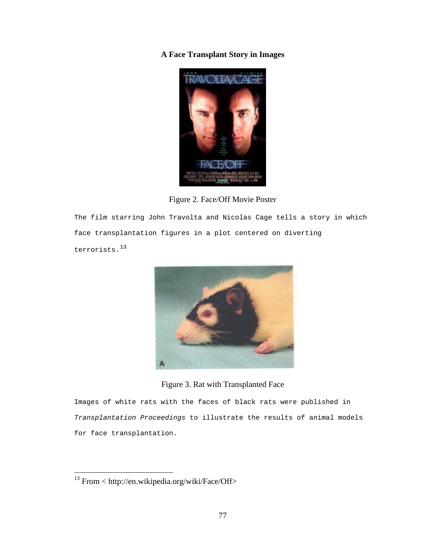# **A Face Transplant Story in Images**



Figure 2. Face/Off Movie Poster

The film starring John Travolta and Nicolas Cage tells a story in which face transplantation figures in a plot centered on diverting terrorists.[13](#page-90-0)



Figure 3. Rat with Transplanted Face

Images of white rats with the faces of black rats were published in *Transplantation Proceedings* to illustrate the results of animal models for face transplantation.

 $\overline{a}$ 

<span id="page-90-0"></span> $13$  From < http://en.wikipedia.org/wiki/Face/Off>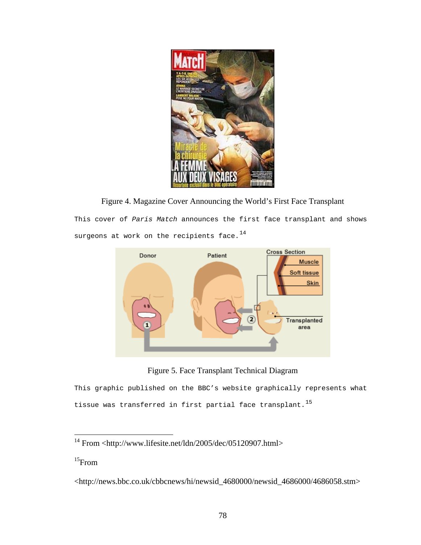

Figure 4. Magazine Cover Announcing the World's First Face Transplant This cover of *Paris Match* announces the first face transplant and shows surgeons at work on the recipients face.  $^{14}$  $^{14}$  $^{14}$ 



Figure 5. Face Transplant Technical Diagram

This graphic published on the BBC's website graphically represents what tissue was transferred in first partial face transplant.<sup>[15](#page-91-1)</sup>

<span id="page-91-1"></span> $15$ From

<span id="page-91-0"></span> $\overline{a}$  $14$  From <http://www.lifesite.net/ldn/2005/dec/05120907.html>

<sup>&</sup>lt;http://news.bbc.co.uk/cbbcnews/hi/newsid\_4680000/newsid\_4686000/4686058.stm>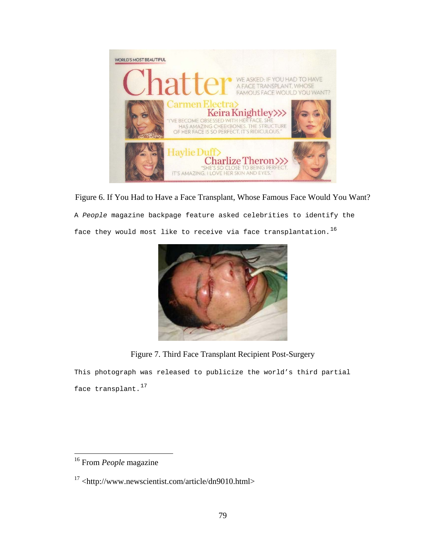

Figure 6. If You Had to Have a Face Transplant, Whose Famous Face Would You Want?

A *People* magazine backpage feature asked celebrities to identify the face they would most like to receive via face transplantation.<sup>[16](#page-92-0)</sup>



Figure 7. Third Face Transplant Recipient Post-Surgery

This photograph was released to publicize the world's third partial face transplant.<sup>[17](#page-92-1)</sup>

 $\overline{a}$ 

<span id="page-92-0"></span><sup>16</sup> From *People* magazine

<span id="page-92-1"></span> $17$  <http://www.newscientist.com/article/dn9010.html>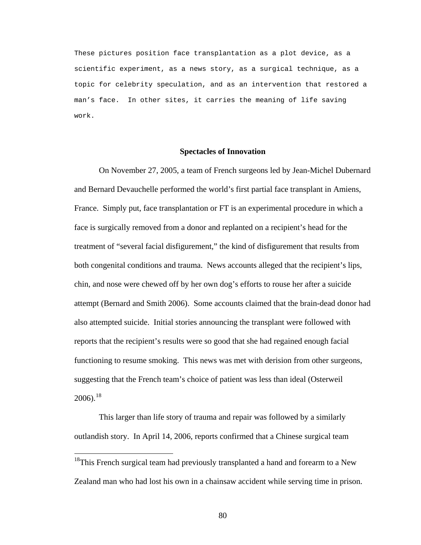These pictures position face transplantation as a plot device, as a scientific experiment, as a news story, as a surgical technique, as a topic for celebrity speculation, and as an intervention that restored a man's face. In other sites, it carries the meaning of life saving work.

## **Spectacles of Innovation**

On November 27, 2005, a team of French surgeons led by Jean-Michel Dubernard and Bernard Devauchelle performed the world's first partial face transplant in Amiens, France. Simply put, face transplantation or FT is an experimental procedure in which a face is surgically removed from a donor and replanted on a recipient's head for the treatment of "several facial disfigurement," the kind of disfigurement that results from both congenital conditions and trauma. News accounts alleged that the recipient's lips, chin, and nose were chewed off by her own dog's efforts to rouse her after a suicide attempt (Bernard and Smith 2006). Some accounts claimed that the brain-dead donor had also attempted suicide. Initial stories announcing the transplant were followed with reports that the recipient's results were so good that she had regained enough facial functioning to resume smoking. This news was met with derision from other surgeons, suggesting that the French team's choice of patient was less than ideal (Osterweil  $2006$ ).<sup>[18](#page-93-0)</sup>

This larger than life story of trauma and repair was followed by a similarly outlandish story. In April 14, 2006, reports confirmed that a Chinese surgical team

 $\overline{a}$ 

<span id="page-93-0"></span><sup>&</sup>lt;sup>18</sup>This French surgical team had previously transplanted a hand and forearm to a New Zealand man who had lost his own in a chainsaw accident while serving time in prison.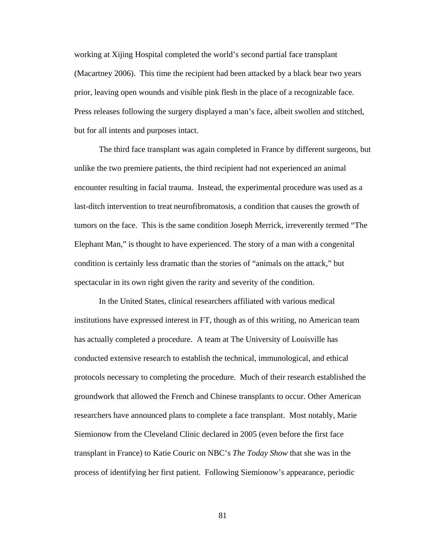working at Xijing Hospital completed the world's second partial face transplant (Macartney 2006). This time the recipient had been attacked by a black bear two years prior, leaving open wounds and visible pink flesh in the place of a recognizable face. Press releases following the surgery displayed a man's face, albeit swollen and stitched, but for all intents and purposes intact.

The third face transplant was again completed in France by different surgeons, but unlike the two premiere patients, the third recipient had not experienced an animal encounter resulting in facial trauma. Instead, the experimental procedure was used as a last-ditch intervention to treat neurofibromatosis, a condition that causes the growth of tumors on the face. This is the same condition Joseph Merrick, irreverently termed "The Elephant Man," is thought to have experienced. The story of a man with a congenital condition is certainly less dramatic than the stories of "animals on the attack," but spectacular in its own right given the rarity and severity of the condition.

In the United States, clinical researchers affiliated with various medical institutions have expressed interest in FT, though as of this writing, no American team has actually completed a procedure. A team at The University of Louisville has conducted extensive research to establish the technical, immunological, and ethical protocols necessary to completing the procedure. Much of their research established the groundwork that allowed the French and Chinese transplants to occur. Other American researchers have announced plans to complete a face transplant. Most notably, Marie Siemionow from the Cleveland Clinic declared in 2005 (even before the first face transplant in France) to Katie Couric on NBC's *The Today Show* that she was in the process of identifying her first patient. Following Siemionow's appearance, periodic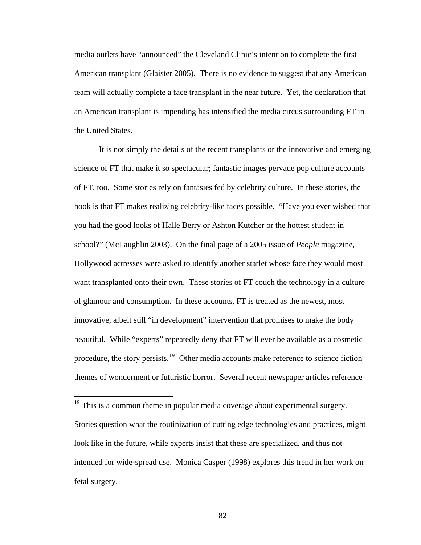media outlets have "announced" the Cleveland Clinic's intention to complete the first American transplant (Glaister 2005). There is no evidence to suggest that any American team will actually complete a face transplant in the near future. Yet, the declaration that an American transplant is impending has intensified the media circus surrounding FT in the United States.

 It is not simply the details of the recent transplants or the innovative and emerging science of FT that make it so spectacular; fantastic images pervade pop culture accounts of FT, too. Some stories rely on fantasies fed by celebrity culture. In these stories, the hook is that FT makes realizing celebrity-like faces possible. "Have you ever wished that you had the good looks of Halle Berry or Ashton Kutcher or the hottest student in school?" (McLaughlin 2003). On the final page of a 2005 issue of *People* magazine, Hollywood actresses were asked to identify another starlet whose face they would most want transplanted onto their own. These stories of FT couch the technology in a culture of glamour and consumption. In these accounts, FT is treated as the newest, most innovative, albeit still "in development" intervention that promises to make the body beautiful. While "experts" repeatedly deny that FT will ever be available as a cosmetic procedure, the story persists.<sup>[19](#page-95-0)</sup> Other media accounts make reference to science fiction themes of wonderment or futuristic horror. Several recent newspaper articles reference

 $\overline{a}$ 

<span id="page-95-0"></span> $19$  This is a common theme in popular media coverage about experimental surgery. Stories question what the routinization of cutting edge technologies and practices, might look like in the future, while experts insist that these are specialized, and thus not intended for wide-spread use. Monica Casper (1998) explores this trend in her work on fetal surgery.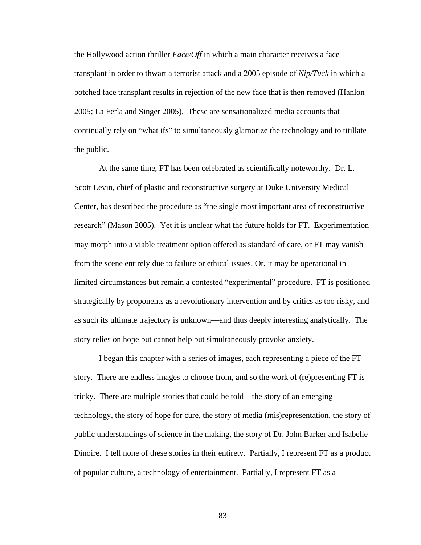the Hollywood action thriller *Face/Off* in which a main character receives a face transplant in order to thwart a terrorist attack and a 2005 episode of *Nip/Tuck* in which a botched face transplant results in rejection of the new face that is then removed (Hanlon 2005; La Ferla and Singer 2005). These are sensationalized media accounts that continually rely on "what ifs" to simultaneously glamorize the technology and to titillate the public.

At the same time, FT has been celebrated as scientifically noteworthy. Dr. L. Scott Levin, chief of plastic and reconstructive surgery at Duke University Medical Center, has described the procedure as "the single most important area of reconstructive research" (Mason 2005). Yet it is unclear what the future holds for FT. Experimentation may morph into a viable treatment option offered as standard of care, or FT may vanish from the scene entirely due to failure or ethical issues. Or, it may be operational in limited circumstances but remain a contested "experimental" procedure. FT is positioned strategically by proponents as a revolutionary intervention and by critics as too risky, and as such its ultimate trajectory is unknown—and thus deeply interesting analytically. The story relies on hope but cannot help but simultaneously provoke anxiety.

I began this chapter with a series of images, each representing a piece of the FT story. There are endless images to choose from, and so the work of (re)presenting FT is tricky. There are multiple stories that could be told—the story of an emerging technology, the story of hope for cure, the story of media (mis)representation, the story of public understandings of science in the making, the story of Dr. John Barker and Isabelle Dinoire. I tell none of these stories in their entirety. Partially, I represent FT as a product of popular culture, a technology of entertainment. Partially, I represent FT as a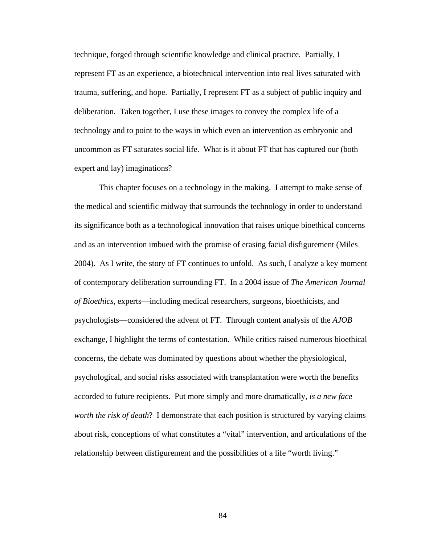technique, forged through scientific knowledge and clinical practice. Partially, I represent FT as an experience, a biotechnical intervention into real lives saturated with trauma, suffering, and hope. Partially, I represent FT as a subject of public inquiry and deliberation. Taken together, I use these images to convey the complex life of a technology and to point to the ways in which even an intervention as embryonic and uncommon as FT saturates social life. What is it about FT that has captured our (both expert and lay) imaginations?

This chapter focuses on a technology in the making. I attempt to make sense of the medical and scientific midway that surrounds the technology in order to understand its significance both as a technological innovation that raises unique bioethical concerns and as an intervention imbued with the promise of erasing facial disfigurement (Miles 2004). As I write, the story of FT continues to unfold. As such, I analyze a key moment of contemporary deliberation surrounding FT. In a 2004 issue of *The American Journal of Bioethics*, experts—including medical researchers, surgeons, bioethicists, and psychologists—considered the advent of FT. Through content analysis of the *AJOB* exchange, I highlight the terms of contestation. While critics raised numerous bioethical concerns, the debate was dominated by questions about whether the physiological, psychological, and social risks associated with transplantation were worth the benefits accorded to future recipients. Put more simply and more dramatically, *is a new face worth the risk of death*? I demonstrate that each position is structured by varying claims about risk, conceptions of what constitutes a "vital" intervention, and articulations of the relationship between disfigurement and the possibilities of a life "worth living."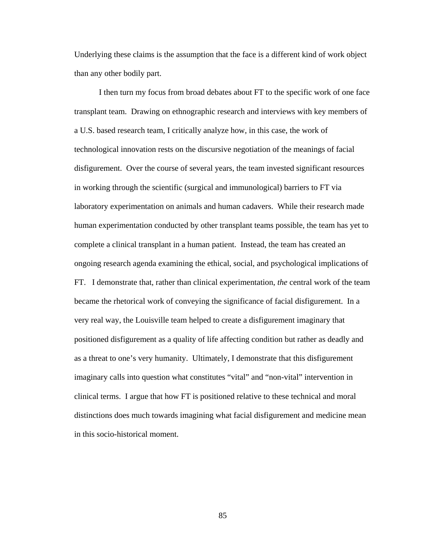Underlying these claims is the assumption that the face is a different kind of work object than any other bodily part.

I then turn my focus from broad debates about FT to the specific work of one face transplant team. Drawing on ethnographic research and interviews with key members of a U.S. based research team, I critically analyze how, in this case, the work of technological innovation rests on the discursive negotiation of the meanings of facial disfigurement. Over the course of several years, the team invested significant resources in working through the scientific (surgical and immunological) barriers to FT via laboratory experimentation on animals and human cadavers. While their research made human experimentation conducted by other transplant teams possible, the team has yet to complete a clinical transplant in a human patient. Instead, the team has created an ongoing research agenda examining the ethical, social, and psychological implications of FT. I demonstrate that, rather than clinical experimentation, *the* central work of the team became the rhetorical work of conveying the significance of facial disfigurement. In a very real way, the Louisville team helped to create a disfigurement imaginary that positioned disfigurement as a quality of life affecting condition but rather as deadly and as a threat to one's very humanity. Ultimately, I demonstrate that this disfigurement imaginary calls into question what constitutes "vital" and "non-vital" intervention in clinical terms. I argue that how FT is positioned relative to these technical and moral distinctions does much towards imagining what facial disfigurement and medicine mean in this socio-historical moment.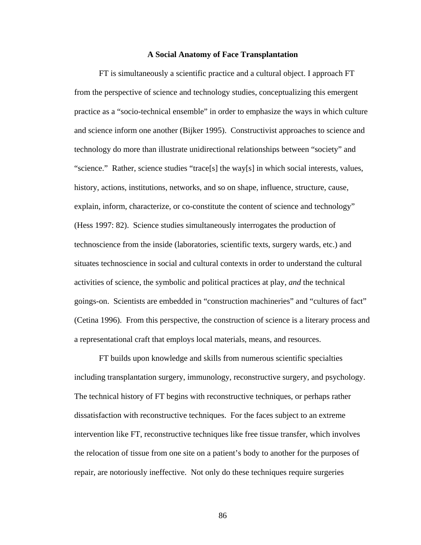### **A Social Anatomy of Face Transplantation**

FT is simultaneously a scientific practice and a cultural object. I approach FT from the perspective of science and technology studies, conceptualizing this emergent practice as a "socio-technical ensemble" in order to emphasize the ways in which culture and science inform one another (Bijker 1995). Constructivist approaches to science and technology do more than illustrate unidirectional relationships between "society" and "science." Rather, science studies "trace[s] the way[s] in which social interests, values, history, actions, institutions, networks, and so on shape, influence, structure, cause, explain, inform, characterize, or co-constitute the content of science and technology" (Hess 1997: 82). Science studies simultaneously interrogates the production of technoscience from the inside (laboratories, scientific texts, surgery wards, etc.) and situates technoscience in social and cultural contexts in order to understand the cultural activities of science, the symbolic and political practices at play, *and* the technical goings-on. Scientists are embedded in "construction machineries" and "cultures of fact" (Cetina 1996). From this perspective, the construction of science is a literary process and a representational craft that employs local materials, means, and resources.

 FT builds upon knowledge and skills from numerous scientific specialties including transplantation surgery, immunology, reconstructive surgery, and psychology. The technical history of FT begins with reconstructive techniques, or perhaps rather dissatisfaction with reconstructive techniques. For the faces subject to an extreme intervention like FT, reconstructive techniques like free tissue transfer, which involves the relocation of tissue from one site on a patient's body to another for the purposes of repair, are notoriously ineffective. Not only do these techniques require surgeries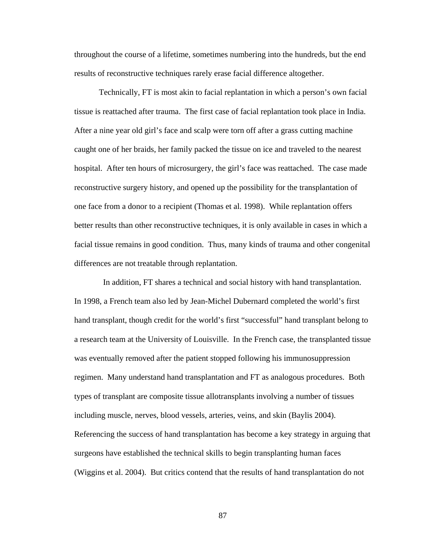throughout the course of a lifetime, sometimes numbering into the hundreds, but the end results of reconstructive techniques rarely erase facial difference altogether.

Technically, FT is most akin to facial replantation in which a person's own facial tissue is reattached after trauma. The first case of facial replantation took place in India. After a nine year old girl's face and scalp were torn off after a grass cutting machine caught one of her braids, her family packed the tissue on ice and traveled to the nearest hospital. After ten hours of microsurgery, the girl's face was reattached. The case made reconstructive surgery history, and opened up the possibility for the transplantation of one face from a donor to a recipient (Thomas et al. 1998). While replantation offers better results than other reconstructive techniques, it is only available in cases in which a facial tissue remains in good condition. Thus, many kinds of trauma and other congenital differences are not treatable through replantation.

 In addition, FT shares a technical and social history with hand transplantation. In 1998, a French team also led by Jean-Michel Dubernard completed the world's first hand transplant, though credit for the world's first "successful" hand transplant belong to a research team at the University of Louisville. In the French case, the transplanted tissue was eventually removed after the patient stopped following his immunosuppression regimen. Many understand hand transplantation and FT as analogous procedures. Both types of transplant are composite tissue allotransplants involving a number of tissues including muscle, nerves, blood vessels, arteries, veins, and skin (Baylis 2004). Referencing the success of hand transplantation has become a key strategy in arguing that surgeons have established the technical skills to begin transplanting human faces (Wiggins et al. 2004). But critics contend that the results of hand transplantation do not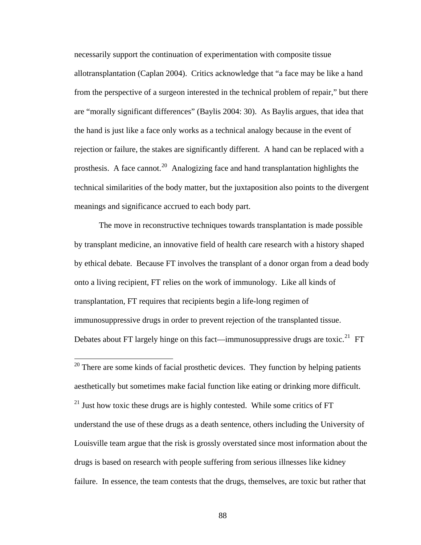necessarily support the continuation of experimentation with composite tissue allotransplantation (Caplan 2004). Critics acknowledge that "a face may be like a hand from the perspective of a surgeon interested in the technical problem of repair," but there are "morally significant differences" (Baylis 2004: 30). As Baylis argues, that idea that the hand is just like a face only works as a technical analogy because in the event of rejection or failure, the stakes are significantly different. A hand can be replaced with a prosthesis. A face cannot.<sup>[20](#page-101-0)</sup> Analogizing face and hand transplantation highlights the technical similarities of the body matter, but the juxtaposition also points to the divergent meanings and significance accrued to each body part.

The move in reconstructive techniques towards transplantation is made possible by transplant medicine, an innovative field of health care research with a history shaped by ethical debate. Because FT involves the transplant of a donor organ from a dead body onto a living recipient, FT relies on the work of immunology. Like all kinds of transplantation, FT requires that recipients begin a life-long regimen of immunosuppressive drugs in order to prevent rejection of the transplanted tissue. Debates about FT largely hinge on this fact—immunosuppressive drugs are toxic.<sup>[21](#page-101-1)</sup> FT

<span id="page-101-1"></span><span id="page-101-0"></span> $20$  There are some kinds of facial prosthetic devices. They function by helping patients aesthetically but sometimes make facial function like eating or drinking more difficult.  $^{21}$  Just how toxic these drugs are is highly contested. While some critics of FT understand the use of these drugs as a death sentence, others including the University of Louisville team argue that the risk is grossly overstated since most information about the drugs is based on research with people suffering from serious illnesses like kidney failure. In essence, the team contests that the drugs, themselves, are toxic but rather that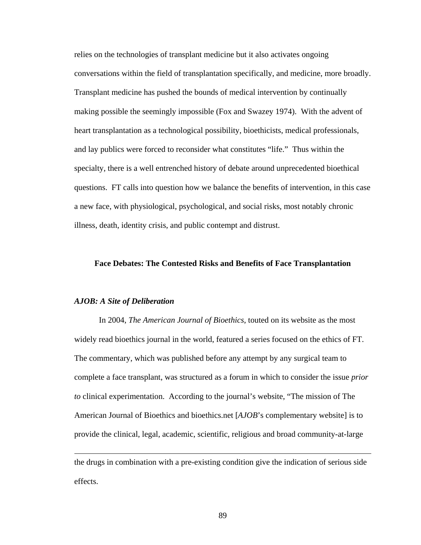relies on the technologies of transplant medicine but it also activates ongoing conversations within the field of transplantation specifically, and medicine, more broadly. Transplant medicine has pushed the bounds of medical intervention by continually making possible the seemingly impossible (Fox and Swazey 1974). With the advent of heart transplantation as a technological possibility, bioethicists, medical professionals, and lay publics were forced to reconsider what constitutes "life." Thus within the specialty, there is a well entrenched history of debate around unprecedented bioethical questions. FT calls into question how we balance the benefits of intervention, in this case a new face, with physiological, psychological, and social risks, most notably chronic illness, death, identity crisis, and public contempt and distrust.

### **Face Debates: The Contested Risks and Benefits of Face Transplantation**

#### *AJOB: A Site of Deliberation*

 $\overline{a}$ 

In 2004, *The American Journal of Bioethics*, touted on its website as the most widely read bioethics journal in the world, featured a series focused on the ethics of FT. The commentary, which was published before any attempt by any surgical team to complete a face transplant, was structured as a forum in which to consider the issue *prior to* clinical experimentation. According to the journal's website, "The mission of The American Journal of Bioethics and bioethics.net [*AJOB*'s complementary website] is to provide the clinical, legal, academic, scientific, religious and broad community-at-large

the drugs in combination with a pre-existing condition give the indication of serious side effects.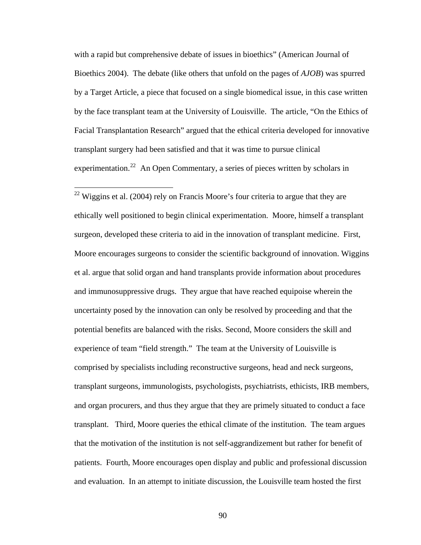with a rapid but comprehensive debate of issues in bioethics" (American Journal of Bioethics 2004). The debate (like others that unfold on the pages of *AJOB*) was spurred by a Target Article, a piece that focused on a single biomedical issue, in this case written by the face transplant team at the University of Louisville. The article, "On the Ethics of Facial Transplantation Research" argued that the ethical criteria developed for innovative transplant surgery had been satisfied and that it was time to pursue clinical experimentation.<sup>[22](#page-103-0)</sup> An Open Commentary, a series of pieces written by scholars in

 $\overline{a}$ 

<span id="page-103-0"></span> $22$  Wiggins et al. (2004) rely on Francis Moore's four criteria to argue that they are ethically well positioned to begin clinical experimentation. Moore, himself a transplant surgeon, developed these criteria to aid in the innovation of transplant medicine. First, Moore encourages surgeons to consider the scientific background of innovation. Wiggins et al. argue that solid organ and hand transplants provide information about procedures and immunosuppressive drugs. They argue that have reached equipoise wherein the uncertainty posed by the innovation can only be resolved by proceeding and that the potential benefits are balanced with the risks. Second, Moore considers the skill and experience of team "field strength." The team at the University of Louisville is comprised by specialists including reconstructive surgeons, head and neck surgeons, transplant surgeons, immunologists, psychologists, psychiatrists, ethicists, IRB members, and organ procurers, and thus they argue that they are primely situated to conduct a face transplant. Third, Moore queries the ethical climate of the institution. The team argues that the motivation of the institution is not self-aggrandizement but rather for benefit of patients. Fourth, Moore encourages open display and public and professional discussion and evaluation. In an attempt to initiate discussion, the Louisville team hosted the first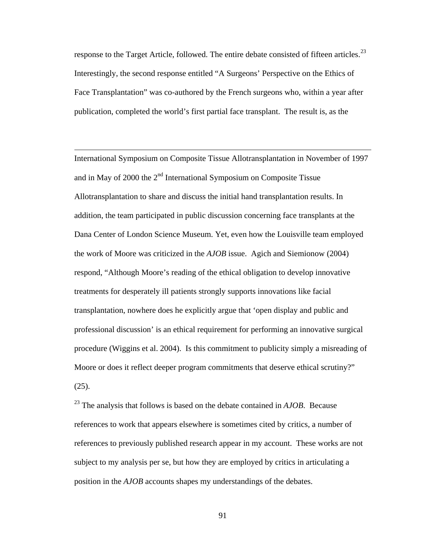response to the Target Article, followed. The entire debate consisted of fifteen articles.<sup>[23](#page-104-0)</sup> Interestingly, the second response entitled "A Surgeons' Perspective on the Ethics of Face Transplantation" was co-authored by the French surgeons who, within a year after publication, completed the world's first partial face transplant. The result is, as the

<u>.</u>

International Symposium on Composite Tissue Allotransplantation in November of 1997 and in May of 2000 the  $2<sup>nd</sup>$  International Symposium on Composite Tissue Allotransplantation to share and discuss the initial hand transplantation results. In addition, the team participated in public discussion concerning face transplants at the Dana Center of London Science Museum. Yet, even how the Louisville team employed the work of Moore was criticized in the *AJOB* issue. Agich and Siemionow (2004) respond, "Although Moore's reading of the ethical obligation to develop innovative treatments for desperately ill patients strongly supports innovations like facial transplantation, nowhere does he explicitly argue that 'open display and public and professional discussion' is an ethical requirement for performing an innovative surgical procedure (Wiggins et al. 2004). Is this commitment to publicity simply a misreading of Moore or does it reflect deeper program commitments that deserve ethical scrutiny?" (25).

<span id="page-104-0"></span>23 The analysis that follows is based on the debate contained in *AJOB*. Because references to work that appears elsewhere is sometimes cited by critics, a number of references to previously published research appear in my account. These works are not subject to my analysis per se, but how they are employed by critics in articulating a position in the *AJOB* accounts shapes my understandings of the debates.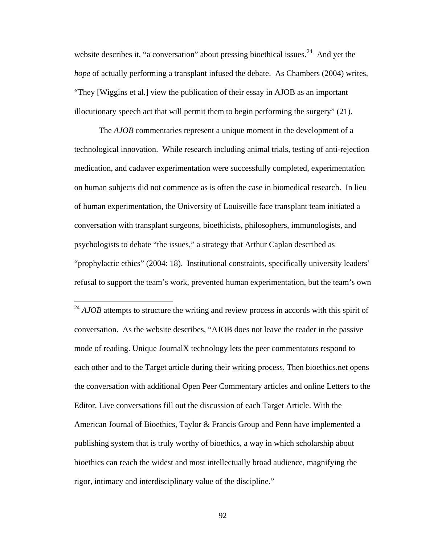website describes it, "a conversation" about pressing bioethical issues. $^{24}$  $^{24}$  $^{24}$  And yet the *hope* of actually performing a transplant infused the debate. As Chambers (2004) writes, "They [Wiggins et al.] view the publication of their essay in AJOB as an important illocutionary speech act that will permit them to begin performing the surgery" (21).

The *AJOB* commentaries represent a unique moment in the development of a technological innovation. While research including animal trials, testing of anti-rejection medication, and cadaver experimentation were successfully completed, experimentation on human subjects did not commence as is often the case in biomedical research. In lieu of human experimentation, the University of Louisville face transplant team initiated a conversation with transplant surgeons, bioethicists, philosophers, immunologists, and psychologists to debate "the issues," a strategy that Arthur Caplan described as "prophylactic ethics" (2004: 18). Institutional constraints, specifically university leaders' refusal to support the team's work, prevented human experimentation, but the team's own

<span id="page-105-0"></span><sup>24</sup> AJOB attempts to structure the writing and review process in accords with this spirit of conversation. As the website describes, "AJOB does not leave the reader in the passive mode of reading. Unique JournalX technology lets the peer commentators respond to each other and to the Target article during their writing process. Then bioethics.net opens the conversation with additional Open Peer Commentary articles and online Letters to the Editor. Live conversations fill out the discussion of each Target Article. With the American Journal of Bioethics, Taylor & Francis Group and Penn have implemented a publishing system that is truly worthy of bioethics, a way in which scholarship about bioethics can reach the widest and most intellectually broad audience, magnifying the rigor, intimacy and interdisciplinary value of the discipline."

 $\overline{a}$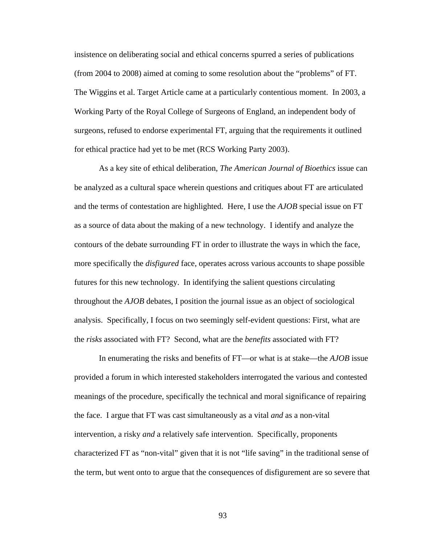insistence on deliberating social and ethical concerns spurred a series of publications (from 2004 to 2008) aimed at coming to some resolution about the "problems" of FT. The Wiggins et al. Target Article came at a particularly contentious moment. In 2003, a Working Party of the Royal College of Surgeons of England, an independent body of surgeons, refused to endorse experimental FT, arguing that the requirements it outlined for ethical practice had yet to be met (RCS Working Party 2003).

As a key site of ethical deliberation, *The American Journal of Bioethics* issue can be analyzed as a cultural space wherein questions and critiques about FT are articulated and the terms of contestation are highlighted. Here, I use the *AJOB* special issue on FT as a source of data about the making of a new technology. I identify and analyze the contours of the debate surrounding FT in order to illustrate the ways in which the face, more specifically the *disfigured* face, operates across various accounts to shape possible futures for this new technology. In identifying the salient questions circulating throughout the *AJOB* debates, I position the journal issue as an object of sociological analysis. Specifically, I focus on two seemingly self-evident questions: First, what are the *risks* associated with FT? Second, what are the *benefits* associated with FT?

In enumerating the risks and benefits of FT—or what is at stake—the *AJOB* issue provided a forum in which interested stakeholders interrogated the various and contested meanings of the procedure, specifically the technical and moral significance of repairing the face. I argue that FT was cast simultaneously as a vital *and* as a non-vital intervention, a risky *and* a relatively safe intervention. Specifically, proponents characterized FT as "non-vital" given that it is not "life saving" in the traditional sense of the term, but went onto to argue that the consequences of disfigurement are so severe that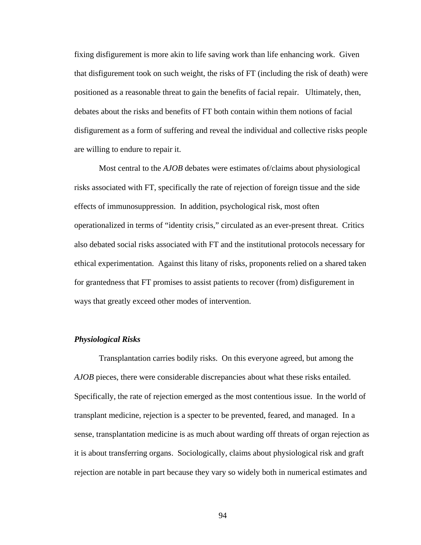fixing disfigurement is more akin to life saving work than life enhancing work. Given that disfigurement took on such weight, the risks of FT (including the risk of death) were positioned as a reasonable threat to gain the benefits of facial repair. Ultimately, then, debates about the risks and benefits of FT both contain within them notions of facial disfigurement as a form of suffering and reveal the individual and collective risks people are willing to endure to repair it.

Most central to the *AJOB* debates were estimates of/claims about physiological risks associated with FT, specifically the rate of rejection of foreign tissue and the side effects of immunosuppression. In addition, psychological risk, most often operationalized in terms of "identity crisis," circulated as an ever-present threat. Critics also debated social risks associated with FT and the institutional protocols necessary for ethical experimentation. Against this litany of risks, proponents relied on a shared taken for grantedness that FT promises to assist patients to recover (from) disfigurement in ways that greatly exceed other modes of intervention.

### *Physiological Risks*

Transplantation carries bodily risks. On this everyone agreed, but among the *AJOB* pieces, there were considerable discrepancies about what these risks entailed. Specifically, the rate of rejection emerged as the most contentious issue. In the world of transplant medicine, rejection is a specter to be prevented, feared, and managed. In a sense, transplantation medicine is as much about warding off threats of organ rejection as it is about transferring organs. Sociologically, claims about physiological risk and graft rejection are notable in part because they vary so widely both in numerical estimates and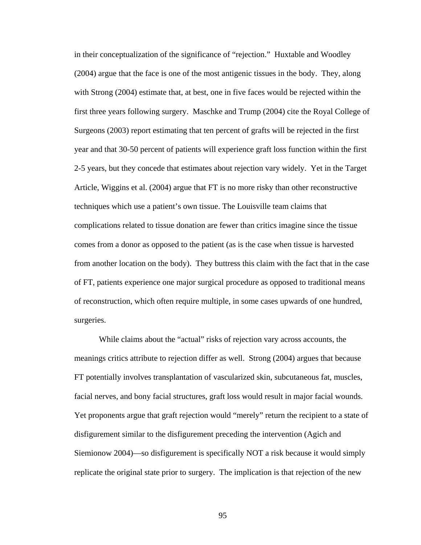in their conceptualization of the significance of "rejection." Huxtable and Woodley (2004) argue that the face is one of the most antigenic tissues in the body. They, along with Strong (2004) estimate that, at best, one in five faces would be rejected within the first three years following surgery. Maschke and Trump (2004) cite the Royal College of Surgeons (2003) report estimating that ten percent of grafts will be rejected in the first year and that 30-50 percent of patients will experience graft loss function within the first 2-5 years, but they concede that estimates about rejection vary widely. Yet in the Target Article, Wiggins et al. (2004) argue that FT is no more risky than other reconstructive techniques which use a patient's own tissue. The Louisville team claims that complications related to tissue donation are fewer than critics imagine since the tissue comes from a donor as opposed to the patient (as is the case when tissue is harvested from another location on the body). They buttress this claim with the fact that in the case of FT, patients experience one major surgical procedure as opposed to traditional means of reconstruction, which often require multiple, in some cases upwards of one hundred, surgeries.

While claims about the "actual" risks of rejection vary across accounts, the meanings critics attribute to rejection differ as well. Strong (2004) argues that because FT potentially involves transplantation of vascularized skin, subcutaneous fat, muscles, facial nerves, and bony facial structures, graft loss would result in major facial wounds. Yet proponents argue that graft rejection would "merely" return the recipient to a state of disfigurement similar to the disfigurement preceding the intervention (Agich and Siemionow 2004)—so disfigurement is specifically NOT a risk because it would simply replicate the original state prior to surgery. The implication is that rejection of the new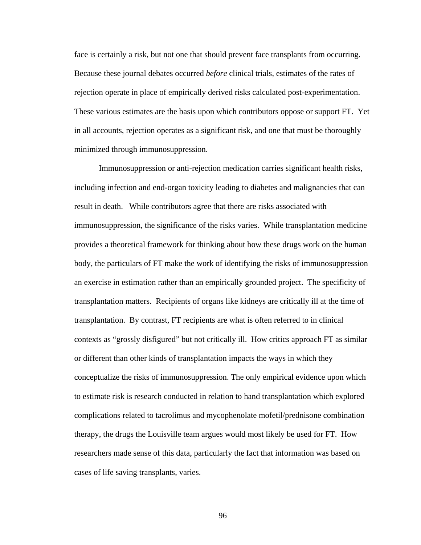face is certainly a risk, but not one that should prevent face transplants from occurring. Because these journal debates occurred *before* clinical trials, estimates of the rates of rejection operate in place of empirically derived risks calculated post-experimentation. These various estimates are the basis upon which contributors oppose or support FT. Yet in all accounts, rejection operates as a significant risk, and one that must be thoroughly minimized through immunosuppression.

Immunosuppression or anti-rejection medication carries significant health risks, including infection and end-organ toxicity leading to diabetes and malignancies that can result in death. While contributors agree that there are risks associated with immunosuppression, the significance of the risks varies. While transplantation medicine provides a theoretical framework for thinking about how these drugs work on the human body, the particulars of FT make the work of identifying the risks of immunosuppression an exercise in estimation rather than an empirically grounded project. The specificity of transplantation matters. Recipients of organs like kidneys are critically ill at the time of transplantation. By contrast, FT recipients are what is often referred to in clinical contexts as "grossly disfigured" but not critically ill. How critics approach FT as similar or different than other kinds of transplantation impacts the ways in which they conceptualize the risks of immunosuppression. The only empirical evidence upon which to estimate risk is research conducted in relation to hand transplantation which explored complications related to tacrolimus and mycophenolate mofetil/prednisone combination therapy, the drugs the Louisville team argues would most likely be used for FT. How researchers made sense of this data, particularly the fact that information was based on cases of life saving transplants, varies.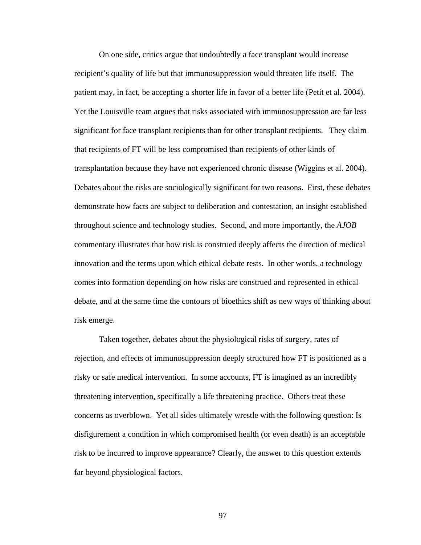On one side, critics argue that undoubtedly a face transplant would increase recipient's quality of life but that immunosuppression would threaten life itself. The patient may, in fact, be accepting a shorter life in favor of a better life (Petit et al. 2004). Yet the Louisville team argues that risks associated with immunosuppression are far less significant for face transplant recipients than for other transplant recipients. They claim that recipients of FT will be less compromised than recipients of other kinds of transplantation because they have not experienced chronic disease (Wiggins et al. 2004). Debates about the risks are sociologically significant for two reasons. First, these debates demonstrate how facts are subject to deliberation and contestation, an insight established throughout science and technology studies. Second, and more importantly, the *AJOB* commentary illustrates that how risk is construed deeply affects the direction of medical innovation and the terms upon which ethical debate rests. In other words, a technology comes into formation depending on how risks are construed and represented in ethical debate, and at the same time the contours of bioethics shift as new ways of thinking about risk emerge.

Taken together, debates about the physiological risks of surgery, rates of rejection, and effects of immunosuppression deeply structured how FT is positioned as a risky or safe medical intervention. In some accounts, FT is imagined as an incredibly threatening intervention, specifically a life threatening practice. Others treat these concerns as overblown. Yet all sides ultimately wrestle with the following question: Is disfigurement a condition in which compromised health (or even death) is an acceptable risk to be incurred to improve appearance? Clearly, the answer to this question extends far beyond physiological factors.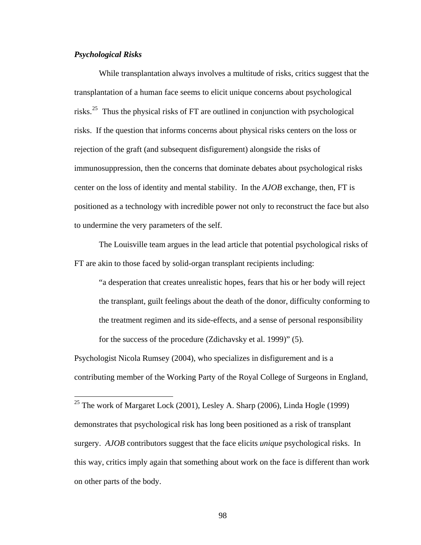# *Psychological Risks*

 $\overline{a}$ 

 While transplantation always involves a multitude of risks, critics suggest that the transplantation of a human face seems to elicit unique concerns about psychological risks.<sup>[25](#page-111-0)</sup> Thus the physical risks of FT are outlined in conjunction with psychological risks. If the question that informs concerns about physical risks centers on the loss or rejection of the graft (and subsequent disfigurement) alongside the risks of immunosuppression, then the concerns that dominate debates about psychological risks center on the loss of identity and mental stability. In the *AJOB* exchange, then, FT is positioned as a technology with incredible power not only to reconstruct the face but also to undermine the very parameters of the self.

The Louisville team argues in the lead article that potential psychological risks of FT are akin to those faced by solid-organ transplant recipients including:

"a desperation that creates unrealistic hopes, fears that his or her body will reject the transplant, guilt feelings about the death of the donor, difficulty conforming to the treatment regimen and its side-effects, and a sense of personal responsibility for the success of the procedure (Zdichavsky et al. 1999)" (5).

Psychologist Nicola Rumsey (2004), who specializes in disfigurement and is a contributing member of the Working Party of the Royal College of Surgeons in England,

<span id="page-111-0"></span><sup>&</sup>lt;sup>25</sup> The work of Margaret Lock (2001), Lesley A. Sharp (2006), Linda Hogle (1999) demonstrates that psychological risk has long been positioned as a risk of transplant surgery. *AJOB* contributors suggest that the face elicits *unique* psychological risks. In this way, critics imply again that something about work on the face is different than work on other parts of the body.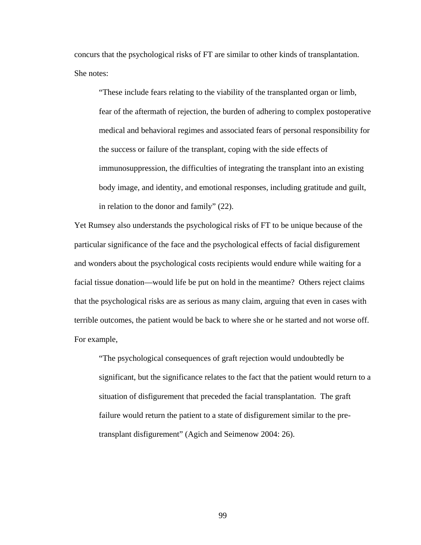concurs that the psychological risks of FT are similar to other kinds of transplantation. She notes:

"These include fears relating to the viability of the transplanted organ or limb, fear of the aftermath of rejection, the burden of adhering to complex postoperative medical and behavioral regimes and associated fears of personal responsibility for the success or failure of the transplant, coping with the side effects of immunosuppression, the difficulties of integrating the transplant into an existing body image, and identity, and emotional responses, including gratitude and guilt, in relation to the donor and family" (22).

Yet Rumsey also understands the psychological risks of FT to be unique because of the particular significance of the face and the psychological effects of facial disfigurement and wonders about the psychological costs recipients would endure while waiting for a facial tissue donation—would life be put on hold in the meantime? Others reject claims that the psychological risks are as serious as many claim, arguing that even in cases with terrible outcomes, the patient would be back to where she or he started and not worse off. For example,

"The psychological consequences of graft rejection would undoubtedly be significant, but the significance relates to the fact that the patient would return to a situation of disfigurement that preceded the facial transplantation. The graft failure would return the patient to a state of disfigurement similar to the pretransplant disfigurement" (Agich and Seimenow 2004: 26).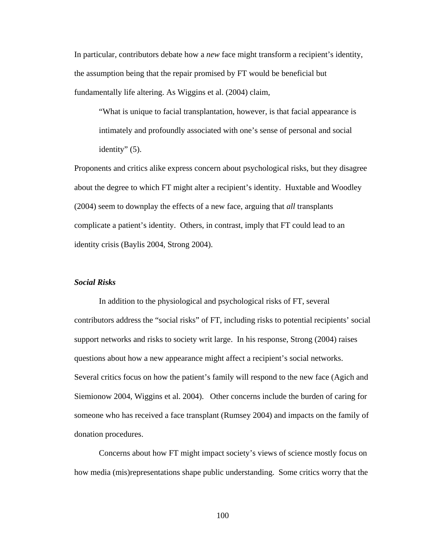In particular, contributors debate how a *new* face might transform a recipient's identity, the assumption being that the repair promised by FT would be beneficial but fundamentally life altering. As Wiggins et al. (2004) claim,

"What is unique to facial transplantation, however, is that facial appearance is intimately and profoundly associated with one's sense of personal and social identity" (5).

Proponents and critics alike express concern about psychological risks, but they disagree about the degree to which FT might alter a recipient's identity. Huxtable and Woodley (2004) seem to downplay the effects of a new face, arguing that *all* transplants complicate a patient's identity. Others, in contrast, imply that FT could lead to an identity crisis (Baylis 2004, Strong 2004).

## *Social Risks*

In addition to the physiological and psychological risks of FT, several contributors address the "social risks" of FT, including risks to potential recipients' social support networks and risks to society writ large. In his response, Strong (2004) raises questions about how a new appearance might affect a recipient's social networks. Several critics focus on how the patient's family will respond to the new face (Agich and Siemionow 2004, Wiggins et al. 2004). Other concerns include the burden of caring for someone who has received a face transplant (Rumsey 2004) and impacts on the family of donation procedures.

Concerns about how FT might impact society's views of science mostly focus on how media (mis)representations shape public understanding. Some critics worry that the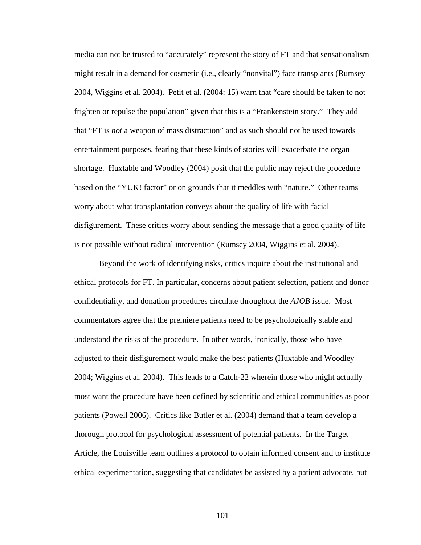media can not be trusted to "accurately" represent the story of FT and that sensationalism might result in a demand for cosmetic (i.e., clearly "nonvital") face transplants (Rumsey 2004, Wiggins et al. 2004). Petit et al. (2004: 15) warn that "care should be taken to not frighten or repulse the population" given that this is a "Frankenstein story." They add that "FT is *not* a weapon of mass distraction" and as such should not be used towards entertainment purposes, fearing that these kinds of stories will exacerbate the organ shortage. Huxtable and Woodley (2004) posit that the public may reject the procedure based on the "YUK! factor" or on grounds that it meddles with "nature." Other teams worry about what transplantation conveys about the quality of life with facial disfigurement. These critics worry about sending the message that a good quality of life is not possible without radical intervention (Rumsey 2004, Wiggins et al. 2004).

 Beyond the work of identifying risks, critics inquire about the institutional and ethical protocols for FT. In particular, concerns about patient selection, patient and donor confidentiality, and donation procedures circulate throughout the *AJOB* issue. Most commentators agree that the premiere patients need to be psychologically stable and understand the risks of the procedure. In other words, ironically, those who have adjusted to their disfigurement would make the best patients (Huxtable and Woodley 2004; Wiggins et al. 2004). This leads to a Catch-22 wherein those who might actually most want the procedure have been defined by scientific and ethical communities as poor patients (Powell 2006). Critics like Butler et al. (2004) demand that a team develop a thorough protocol for psychological assessment of potential patients. In the Target Article, the Louisville team outlines a protocol to obtain informed consent and to institute ethical experimentation, suggesting that candidates be assisted by a patient advocate, but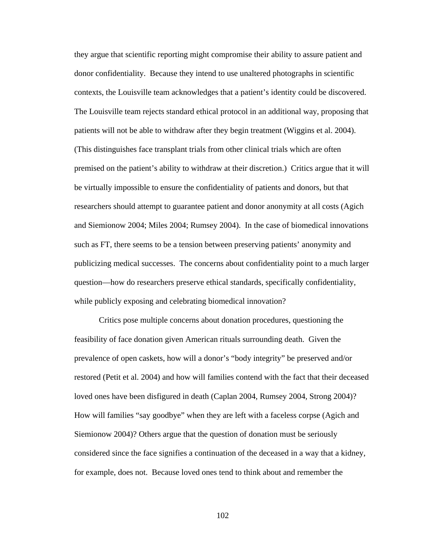they argue that scientific reporting might compromise their ability to assure patient and donor confidentiality. Because they intend to use unaltered photographs in scientific contexts, the Louisville team acknowledges that a patient's identity could be discovered. The Louisville team rejects standard ethical protocol in an additional way, proposing that patients will not be able to withdraw after they begin treatment (Wiggins et al. 2004). (This distinguishes face transplant trials from other clinical trials which are often premised on the patient's ability to withdraw at their discretion.) Critics argue that it will be virtually impossible to ensure the confidentiality of patients and donors, but that researchers should attempt to guarantee patient and donor anonymity at all costs (Agich and Siemionow 2004; Miles 2004; Rumsey 2004). In the case of biomedical innovations such as FT, there seems to be a tension between preserving patients' anonymity and publicizing medical successes. The concerns about confidentiality point to a much larger question—how do researchers preserve ethical standards, specifically confidentiality, while publicly exposing and celebrating biomedical innovation?

Critics pose multiple concerns about donation procedures, questioning the feasibility of face donation given American rituals surrounding death. Given the prevalence of open caskets, how will a donor's "body integrity" be preserved and/or restored (Petit et al. 2004) and how will families contend with the fact that their deceased loved ones have been disfigured in death (Caplan 2004, Rumsey 2004, Strong 2004)? How will families "say goodbye" when they are left with a faceless corpse (Agich and Siemionow 2004)? Others argue that the question of donation must be seriously considered since the face signifies a continuation of the deceased in a way that a kidney, for example, does not. Because loved ones tend to think about and remember the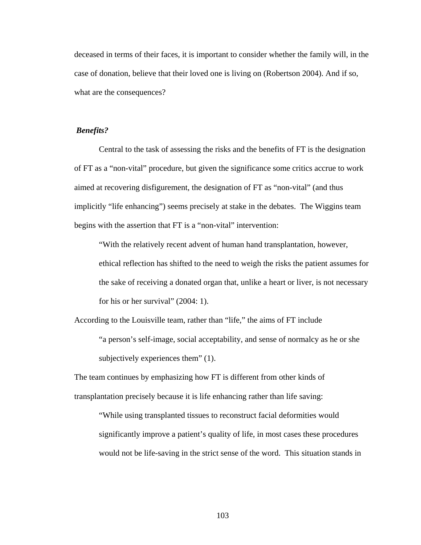deceased in terms of their faces, it is important to consider whether the family will, in the case of donation, believe that their loved one is living on (Robertson 2004). And if so, what are the consequences?

### *Benefits?*

Central to the task of assessing the risks and the benefits of FT is the designation of FT as a "non-vital" procedure, but given the significance some critics accrue to work aimed at recovering disfigurement, the designation of FT as "non-vital" (and thus implicitly "life enhancing") seems precisely at stake in the debates. The Wiggins team begins with the assertion that FT is a "non-vital" intervention:

"With the relatively recent advent of human hand transplantation, however, ethical reflection has shifted to the need to weigh the risks the patient assumes for the sake of receiving a donated organ that, unlike a heart or liver, is not necessary for his or her survival" (2004: 1).

According to the Louisville team, rather than "life," the aims of FT include

"a person's self-image, social acceptability, and sense of normalcy as he or she subjectively experiences them" (1).

The team continues by emphasizing how FT is different from other kinds of transplantation precisely because it is life enhancing rather than life saving:

"While using transplanted tissues to reconstruct facial deformities would significantly improve a patient's quality of life, in most cases these procedures would not be life-saving in the strict sense of the word. This situation stands in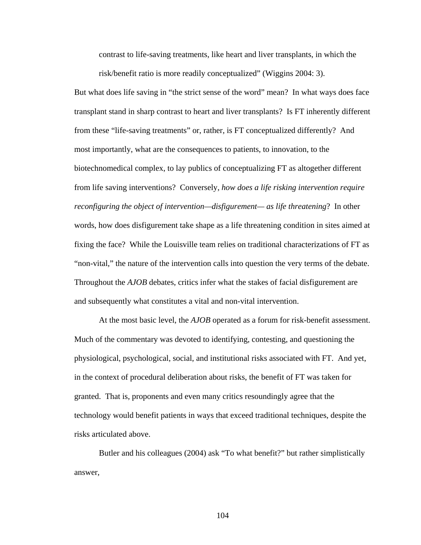contrast to life-saving treatments, like heart and liver transplants, in which the

risk/benefit ratio is more readily conceptualized" (Wiggins 2004: 3).

But what does life saving in "the strict sense of the word" mean? In what ways does face transplant stand in sharp contrast to heart and liver transplants? Is FT inherently different from these "life-saving treatments" or, rather, is FT conceptualized differently? And most importantly, what are the consequences to patients, to innovation, to the biotechnomedical complex, to lay publics of conceptualizing FT as altogether different from life saving interventions? Conversely, *how does a life risking intervention require reconfiguring the object of intervention—disfigurement— as life threatening*? In other words, how does disfigurement take shape as a life threatening condition in sites aimed at fixing the face? While the Louisville team relies on traditional characterizations of FT as "non-vital," the nature of the intervention calls into question the very terms of the debate. Throughout the *AJOB* debates, critics infer what the stakes of facial disfigurement are and subsequently what constitutes a vital and non-vital intervention.

At the most basic level, the *AJOB* operated as a forum for risk-benefit assessment. Much of the commentary was devoted to identifying, contesting, and questioning the physiological, psychological, social, and institutional risks associated with FT. And yet, in the context of procedural deliberation about risks, the benefit of FT was taken for granted. That is, proponents and even many critics resoundingly agree that the technology would benefit patients in ways that exceed traditional techniques, despite the risks articulated above.

Butler and his colleagues (2004) ask "To what benefit?" but rather simplistically answer,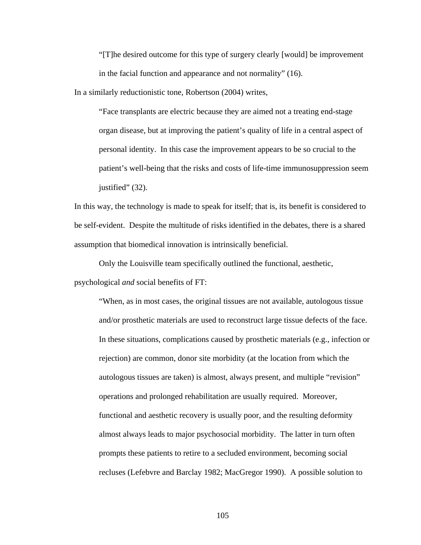"[T]he desired outcome for this type of surgery clearly [would] be improvement in the facial function and appearance and not normality" (16).

In a similarly reductionistic tone, Robertson (2004) writes,

"Face transplants are electric because they are aimed not a treating end-stage organ disease, but at improving the patient's quality of life in a central aspect of personal identity. In this case the improvement appears to be so crucial to the patient's well-being that the risks and costs of life-time immunosuppression seem justified" (32).

In this way, the technology is made to speak for itself; that is, its benefit is considered to be self-evident. Despite the multitude of risks identified in the debates, there is a shared assumption that biomedical innovation is intrinsically beneficial.

Only the Louisville team specifically outlined the functional, aesthetic, psychological *and* social benefits of FT:

"When, as in most cases, the original tissues are not available, autologous tissue and/or prosthetic materials are used to reconstruct large tissue defects of the face. In these situations, complications caused by prosthetic materials (e.g., infection or rejection) are common, donor site morbidity (at the location from which the autologous tissues are taken) is almost, always present, and multiple "revision" operations and prolonged rehabilitation are usually required. Moreover, functional and aesthetic recovery is usually poor, and the resulting deformity almost always leads to major psychosocial morbidity. The latter in turn often prompts these patients to retire to a secluded environment, becoming social recluses (Lefebvre and Barclay 1982; MacGregor 1990). A possible solution to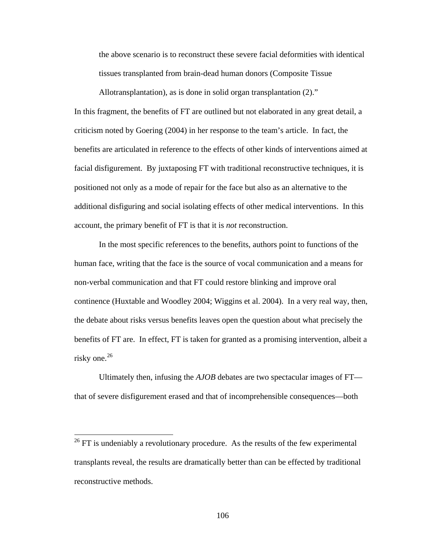the above scenario is to reconstruct these severe facial deformities with identical tissues transplanted from brain-dead human donors (Composite Tissue

Allotransplantation), as is done in solid organ transplantation (2)." In this fragment, the benefits of FT are outlined but not elaborated in any great detail, a criticism noted by Goering (2004) in her response to the team's article. In fact, the benefits are articulated in reference to the effects of other kinds of interventions aimed at facial disfigurement. By juxtaposing FT with traditional reconstructive techniques, it is positioned not only as a mode of repair for the face but also as an alternative to the additional disfiguring and social isolating effects of other medical interventions. In this account, the primary benefit of FT is that it is *not* reconstruction.

In the most specific references to the benefits, authors point to functions of the human face, writing that the face is the source of vocal communication and a means for non-verbal communication and that FT could restore blinking and improve oral continence (Huxtable and Woodley 2004; Wiggins et al. 2004). In a very real way, then, the debate about risks versus benefits leaves open the question about what precisely the benefits of FT are. In effect, FT is taken for granted as a promising intervention, albeit a risky one.<sup>[26](#page-119-0)</sup>

Ultimately then, infusing the *AJOB* debates are two spectacular images of FT that of severe disfigurement erased and that of incomprehensible consequences—both

 $\overline{a}$ 

<span id="page-119-0"></span> $^{26}$  FT is undeniably a revolutionary procedure. As the results of the few experimental transplants reveal, the results are dramatically better than can be effected by traditional reconstructive methods.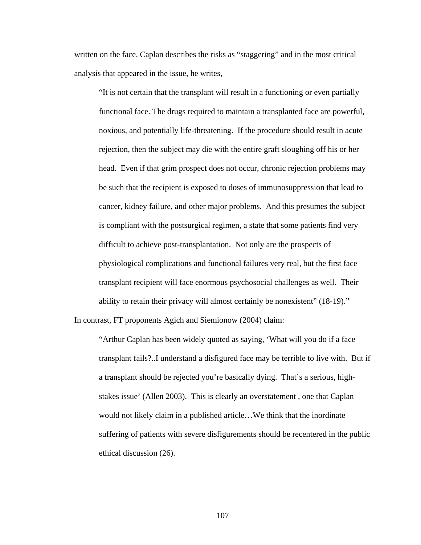written on the face. Caplan describes the risks as "staggering" and in the most critical analysis that appeared in the issue, he writes,

"It is not certain that the transplant will result in a functioning or even partially functional face. The drugs required to maintain a transplanted face are powerful, noxious, and potentially life-threatening. If the procedure should result in acute rejection, then the subject may die with the entire graft sloughing off his or her head. Even if that grim prospect does not occur, chronic rejection problems may be such that the recipient is exposed to doses of immunosuppression that lead to cancer, kidney failure, and other major problems. And this presumes the subject is compliant with the postsurgical regimen, a state that some patients find very difficult to achieve post-transplantation. Not only are the prospects of physiological complications and functional failures very real, but the first face transplant recipient will face enormous psychosocial challenges as well. Their ability to retain their privacy will almost certainly be nonexistent" (18-19)."

In contrast, FT proponents Agich and Siemionow (2004) claim:

"Arthur Caplan has been widely quoted as saying, 'What will you do if a face transplant fails?..I understand a disfigured face may be terrible to live with. But if a transplant should be rejected you're basically dying. That's a serious, highstakes issue' (Allen 2003). This is clearly an overstatement , one that Caplan would not likely claim in a published article…We think that the inordinate suffering of patients with severe disfigurements should be recentered in the public ethical discussion (26).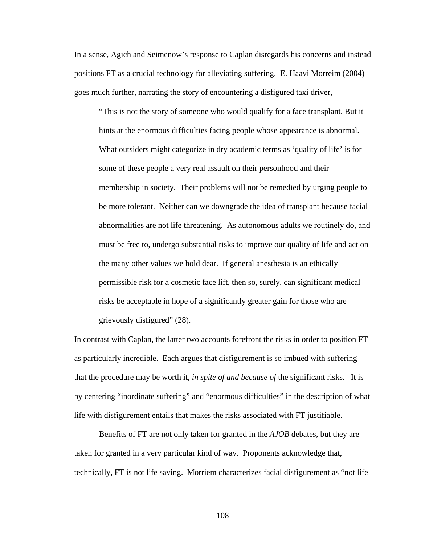In a sense, Agich and Seimenow's response to Caplan disregards his concerns and instead positions FT as a crucial technology for alleviating suffering. E. Haavi Morreim (2004) goes much further, narrating the story of encountering a disfigured taxi driver,

"This is not the story of someone who would qualify for a face transplant. But it hints at the enormous difficulties facing people whose appearance is abnormal. What outsiders might categorize in dry academic terms as 'quality of life' is for some of these people a very real assault on their personhood and their membership in society. Their problems will not be remedied by urging people to be more tolerant. Neither can we downgrade the idea of transplant because facial abnormalities are not life threatening. As autonomous adults we routinely do, and must be free to, undergo substantial risks to improve our quality of life and act on the many other values we hold dear. If general anesthesia is an ethically permissible risk for a cosmetic face lift, then so, surely, can significant medical risks be acceptable in hope of a significantly greater gain for those who are grievously disfigured" (28).

In contrast with Caplan, the latter two accounts forefront the risks in order to position FT as particularly incredible. Each argues that disfigurement is so imbued with suffering that the procedure may be worth it, *in spite of and because of* the significant risks. It is by centering "inordinate suffering" and "enormous difficulties" in the description of what life with disfigurement entails that makes the risks associated with FT justifiable.

 Benefits of FT are not only taken for granted in the *AJOB* debates, but they are taken for granted in a very particular kind of way. Proponents acknowledge that, technically, FT is not life saving. Morriem characterizes facial disfigurement as "not life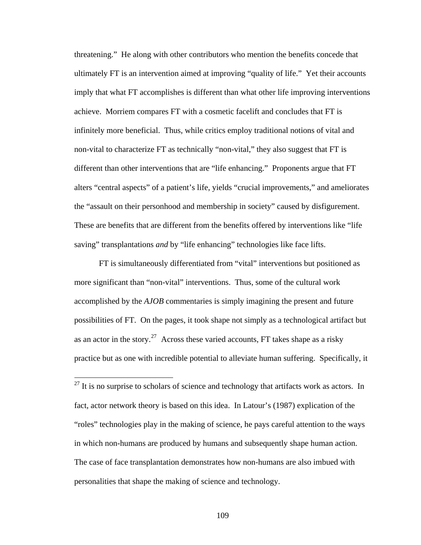threatening." He along with other contributors who mention the benefits concede that ultimately FT is an intervention aimed at improving "quality of life." Yet their accounts imply that what FT accomplishes is different than what other life improving interventions achieve. Morriem compares FT with a cosmetic facelift and concludes that FT is infinitely more beneficial. Thus, while critics employ traditional notions of vital and non-vital to characterize FT as technically "non-vital," they also suggest that FT is different than other interventions that are "life enhancing." Proponents argue that FT alters "central aspects" of a patient's life, yields "crucial improvements," and ameliorates the "assault on their personhood and membership in society" caused by disfigurement. These are benefits that are different from the benefits offered by interventions like "life saving" transplantations *and* by "life enhancing" technologies like face lifts.

FT is simultaneously differentiated from "vital" interventions but positioned as more significant than "non-vital" interventions. Thus, some of the cultural work accomplished by the *AJOB* commentaries is simply imagining the present and future possibilities of FT. On the pages, it took shape not simply as a technological artifact but as an actor in the story.<sup>[27](#page-122-0)</sup> Across these varied accounts, FT takes shape as a risky practice but as one with incredible potential to alleviate human suffering. Specifically, it

 $\overline{a}$ 

<span id="page-122-0"></span> $^{27}$  It is no surprise to scholars of science and technology that artifacts work as actors. In fact, actor network theory is based on this idea. In Latour's (1987) explication of the "roles" technologies play in the making of science, he pays careful attention to the ways in which non-humans are produced by humans and subsequently shape human action. The case of face transplantation demonstrates how non-humans are also imbued with personalities that shape the making of science and technology.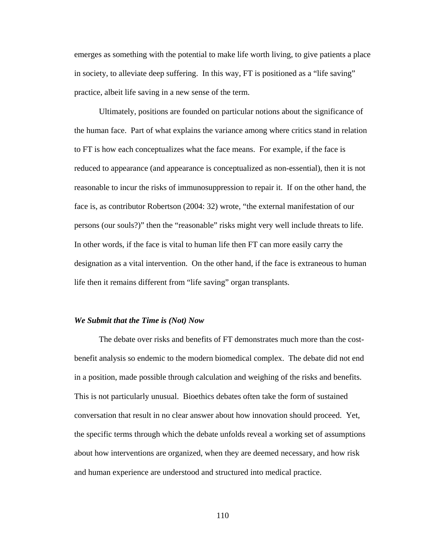emerges as something with the potential to make life worth living, to give patients a place in society, to alleviate deep suffering. In this way, FT is positioned as a "life saving " practice, albeit life saving in a new sense of the term.

Ultimately, positions are founded on particular notions about the significance of the human face. Part of what explains the variance among where critics stand in relation to FT is how each conceptualizes what the face means. For example, if the face is reduced to appearance (and appearance is conceptualized as non-essential), then it is not reasonable to incur the risks of immunosuppression to repair it. If on the other hand, the face is, as contributor Robertson (2004: 32) wrote, "the external manifestation of our persons (our souls?)" then the "reasonable" risks might very well include threats to life. In other words, if the face is vital to human life then FT can more easily carry the designation as a vital intervention. On the other hand, if the face is extraneous to human life then it remains different from "life saving" organ transplants.

#### *We Submit that the Time is (Not) Now*

The debate over risks and benefits of FT demonstrates much more than the costbenefit analysis so endemic to the modern biomedical complex. The debate did not end in a position, made possible through calculation and weighing of the risks and benefits. This is not particularly unusual. Bioethics debates often take the form of sustained conversation that result in no clear answer about how innovation should proceed. Yet, the specific terms through which the debate unfolds reveal a working set of assumptions about how interventions are organized, when they are deemed necessary, and how risk and human experience are understood and structured into medical practice.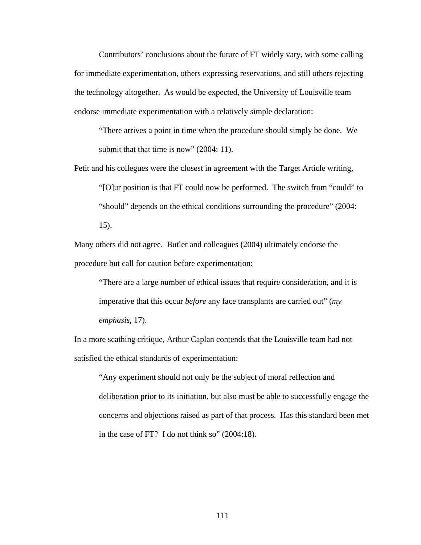Contributors' conclusions about the future of FT widely vary, with some calling for immediate experimentation, others expressing reservations, and still others rejecting the technology altogether. As would be expected, the University of Louisville team endorse immediate experimentation with a relatively simple declaration:

"There arrives a point in time when the procedure should simply be done. We submit that that time is now" (2004: 11).

Petit and his collegues were the closest in agreement with the Target Article writing,

"[O]ur position is that FT could now be performed. The switch from "could" to "should" depends on the ethical conditions surrounding the procedure" (2004:

15).

Many others did not agree. Butler and colleagues (2004) ultimately endorse the procedure but call for caution before experimentation:

"There are a large number of ethical issues that require consideration, and it is imperative that this occur *before* any face transplants are carried out" (*my emphasis*, 17).

In a more scathing critique, Arthur Caplan contends that the Louisville team had not satisfied the ethical standards of experimentation:

"Any experiment should not only be the subject of moral reflection and deliberation prior to its initiation, but also must be able to successfully engage the concerns and objections raised as part of that process. Has this standard been met in the case of FT? I do not think so" (2004:18).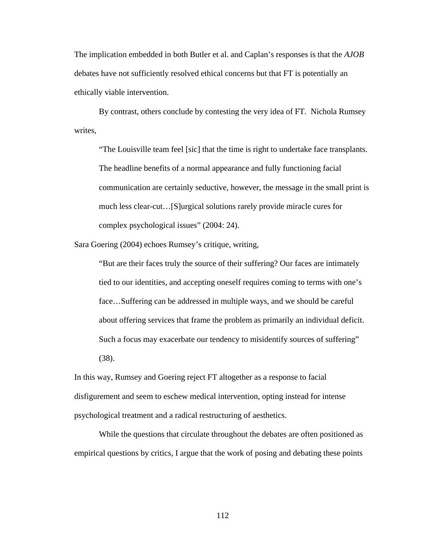The implication embedded in both Butler et al. and Caplan's responses is that the *AJOB* debates have not sufficiently resolved ethical concerns but that FT is potentially an ethically viable intervention.

By contrast, others conclude by contesting the very idea of FT. Nichola Rumsey writes,

"The Louisville team feel [sic] that the time is right to undertake face transplants. The headline benefits of a normal appearance and fully functioning facial communication are certainly seductive, however, the message in the small print is much less clear-cut…[S]urgical solutions rarely provide miracle cures for complex psychological issues" (2004: 24).

Sara Goering (2004) echoes Rumsey's critique, writing,

"But are their faces truly the source of their suffering? Our faces are intimately tied to our identities, and accepting oneself requires coming to terms with one's face…Suffering can be addressed in multiple ways, and we should be careful about offering services that frame the problem as primarily an individual deficit. Such a focus may exacerbate our tendency to misidentify sources of suffering" (38).

In this way, Rumsey and Goering reject FT altogether as a response to facial disfigurement and seem to eschew medical intervention, opting instead for intense psychological treatment and a radical restructuring of aesthetics.

While the questions that circulate throughout the debates are often positioned as empirical questions by critics, I argue that the work of posing and debating these points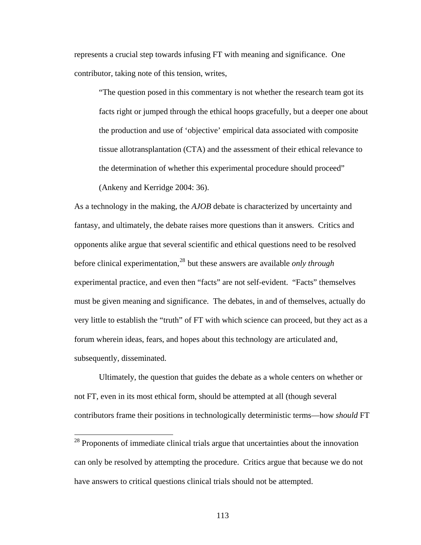represents a crucial step towards infusing FT with meaning and significance. One contributor, taking note of this tension, writes,

"The question posed in this commentary is not whether the research team got its facts right or jumped through the ethical hoops gracefully, but a deeper one about the production and use of 'objective' empirical data associated with composite tissue allotransplantation (CTA) and the assessment of their ethical relevance to the determination of whether this experimental procedure should proceed" (Ankeny and Kerridge 2004: 36).

As a technology in the making, the *AJOB* debate is characterized by uncertainty and fantasy, and ultimately, the debate raises more questions than it answers. Critics and opponents alike argue that several scientific and ethical questions need to be resolved before clinical experimentation,[28](#page-126-0) but these answers are available *only through* experimental practice, and even then "facts" are not self-evident. "Facts" themselves must be given meaning and significance. The debates, in and of themselves, actually do very little to establish the "truth" of FT with which science can proceed, but they act as a forum wherein ideas, fears, and hopes about this technology are articulated and, subsequently, disseminated.

Ultimately, the question that guides the debate as a whole centers on whether or not FT, even in its most ethical form, should be attempted at all (though several contributors frame their positions in technologically deterministic terms—how *should* FT

 $\overline{a}$ 

<span id="page-126-0"></span><sup>&</sup>lt;sup>28</sup> Proponents of immediate clinical trials argue that uncertainties about the innovation can only be resolved by attempting the procedure. Critics argue that because we do not have answers to critical questions clinical trials should not be attempted.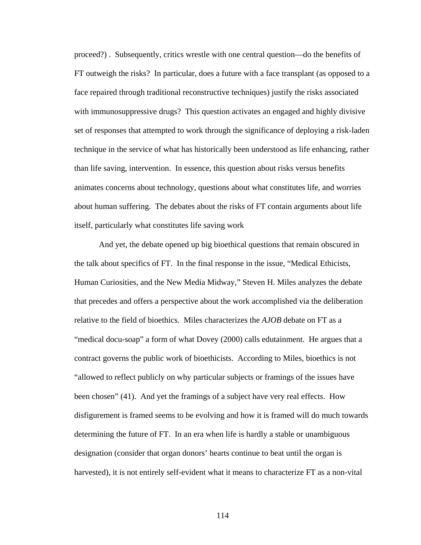proceed?) . Subsequently, critics wrestle with one central question—do the benefits of FT outweigh the risks? In particular, does a future with a face transplant (as opposed to a face repaired through traditional reconstructive techniques) justify the risks associated with immunosuppressive drugs? This question activates an engaged and highly divisive set of responses that attempted to work through the significance of deploying a risk-laden technique in the service of what has historically been understood as life enhancing, rather than life saving, intervention. In essence, this question about risks versus benefits animates concerns about technology, questions about what constitutes life, and worries about human suffering. The debates about the risks of FT contain arguments about life itself, particularly what constitutes life saving work

And yet, the debate opened up big bioethical questions that remain obscured in the talk about specifics of FT. In the final response in the issue, "Medical Ethicists, Human Curiosities, and the New Media Midway," Steven H. Miles analyzes the debate that precedes and offers a perspective about the work accomplished via the deliberation relative to the field of bioethics. Miles characterizes the *AJOB* debate on FT as a "medical docu-soap" a form of what Dovey (2000) calls edutainment. He argues that a contract governs the public work of bioethicists. According to Miles, bioethics is not "allowed to reflect publicly on why particular subjects or framings of the issues have been chosen" (41). And yet the framings of a subject have very real effects. How disfigurement is framed seems to be evolving and how it is framed will do much towards determining the future of FT. In an era when life is hardly a stable or unambiguous designation (consider that organ donors' hearts continue to beat until the organ is harvested), it is not entirely self-evident what it means to characterize FT as a non-vital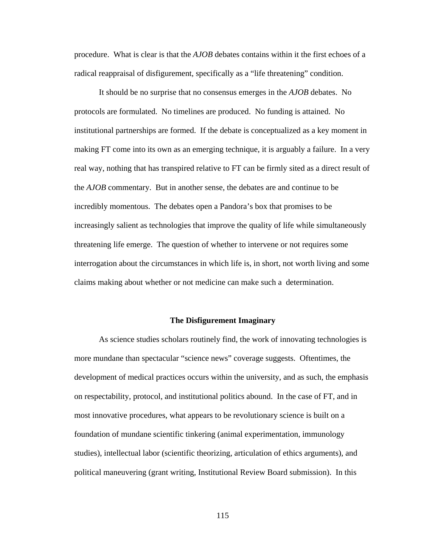procedure. What is clear is that the *AJOB* debates contains within it the first echoes of a radical reappraisal of disfigurement, specifically as a "life threatening" condition.

It should be no surprise that no consensus emerges in the *AJOB* debates. No protocols are formulated. No timelines are produced. No funding is attained. No institutional partnerships are formed. If the debate is conceptualized as a key moment in making FT come into its own as an emerging technique, it is arguably a failure. In a very real way, nothing that has transpired relative to FT can be firmly sited as a direct result of the *AJOB* commentary. But in another sense, the debates are and continue to be incredibly momentous. The debates open a Pandora's box that promises to be increasingly salient as technologies that improve the quality of life while simultaneously threatening life emerge. The question of whether to intervene or not requires some interrogation about the circumstances in which life is, in short, not worth living and some claims making about whether or not medicine can make such a determination.

#### **The Disfigurement Imaginary**

As science studies scholars routinely find, the work of innovating technologies is more mundane than spectacular "science news" coverage suggests. Oftentimes, the development of medical practices occurs within the university, and as such, the emphasis on respectability, protocol, and institutional politics abound. In the case of FT, and in most innovative procedures, what appears to be revolutionary science is built on a foundation of mundane scientific tinkering (animal experimentation, immunology studies), intellectual labor (scientific theorizing, articulation of ethics arguments), and political maneuvering (grant writing, Institutional Review Board submission). In this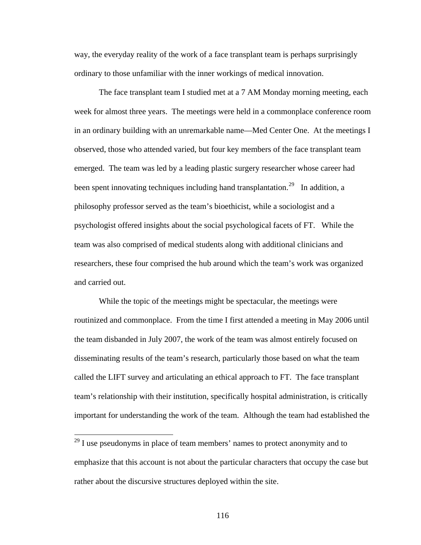way, the everyday reality of the work of a face transplant team is perhaps surprisingly ordinary to those unfamiliar with the inner workings of medical innovation.

 The face transplant team I studied met at a 7 AM Monday morning meeting, each week for almost three years. The meetings were held in a commonplace conference room in an ordinary building with an unremarkable name—Med Center One. At the meetings I observed, those who attended varied, but four key members of the face transplant team emerged. The team was led by a leading plastic surgery researcher whose career had been spent innovating techniques including hand transplantation.<sup>[29](#page-129-0)</sup> In addition, a philosophy professor served as the team's bioethicist, while a sociologist and a psychologist offered insights about the social psychological facets of FT. While the team was also comprised of medical students along with additional clinicians and researchers, these four comprised the hub around which the team's work was organized and carried out.

 While the topic of the meetings might be spectacular, the meetings were routinized and commonplace. From the time I first attended a meeting in May 2006 until the team disbanded in July 2007, the work of the team was almost entirely focused on disseminating results of the team's research, particularly those based on what the team called the LIFT survey and articulating an ethical approach to FT. The face transplant team's relationship with their institution, specifically hospital administration, is critically important for understanding the work of the team. Although the team had established the

 $\overline{a}$ 

<span id="page-129-0"></span> $29$  I use pseudonyms in place of team members' names to protect anonymity and to emphasize that this account is not about the particular characters that occupy the case but rather about the discursive structures deployed within the site.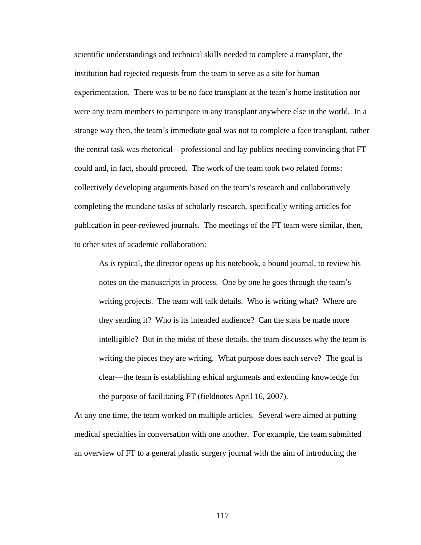scientific understandings and technical skills needed to complete a transplant, the institution had rejected requests from the team to serve as a site for human experimentation. There was to be no face transplant at the team's home institution nor were any team members to participate in any transplant anywhere else in the world. In a strange way then, the team's immediate goal was not to complete a face transplant, rather the central task was rhetorical—professional and lay publics needing convincing that FT could and, in fact, should proceed. The work of the team took two related forms: collectively developing arguments based on the team's research and collaboratively completing the mundane tasks of scholarly research, specifically writing articles for publication in peer-reviewed journals. The meetings of the FT team were similar, then, to other sites of academic collaboration:

As is typical, the director opens up his notebook, a bound journal, to review his notes on the manuscripts in process. One by one he goes through the team's writing projects. The team will talk details. Who is writing what? Where are they sending it? Who is its intended audience? Can the stats be made more intelligible? But in the midst of these details, the team discusses why the team is writing the pieces they are writing. What purpose does each serve? The goal is clear—the team is establishing ethical arguments and extending knowledge for the purpose of facilitating FT (fieldnotes April 16, 2007).

At any one time, the team worked on multiple articles. Several were aimed at putting medical specialties in conversation with one another. For example, the team submitted an overview of FT to a general plastic surgery journal with the aim of introducing the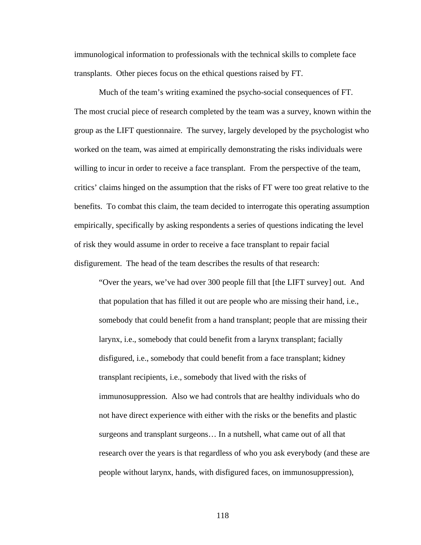immunological information to professionals with the technical skills to complete face transplants. Other pieces focus on the ethical questions raised by FT.

Much of the team's writing examined the psycho-social consequences of FT. The most crucial piece of research completed by the team was a survey, known within the group as the LIFT questionnaire. The survey, largely developed by the psychologist who worked on the team, was aimed at empirically demonstrating the risks individuals were willing to incur in order to receive a face transplant. From the perspective of the team, critics' claims hinged on the assumption that the risks of FT were too great relative to the benefits. To combat this claim, the team decided to interrogate this operating assumption empirically, specifically by asking respondents a series of questions indicating the level of risk they would assume in order to receive a face transplant to repair facial disfigurement. The head of the team describes the results of that research:

"Over the years, we've had over 300 people fill that [the LIFT survey] out. And that population that has filled it out are people who are missing their hand, i.e., somebody that could benefit from a hand transplant; people that are missing their larynx, i.e., somebody that could benefit from a larynx transplant; facially disfigured, i.e., somebody that could benefit from a face transplant; kidney transplant recipients, i.e., somebody that lived with the risks of immunosuppression. Also we had controls that are healthy individuals who do not have direct experience with either with the risks or the benefits and plastic surgeons and transplant surgeons… In a nutshell, what came out of all that research over the years is that regardless of who you ask everybody (and these are people without larynx, hands, with disfigured faces, on immunosuppression),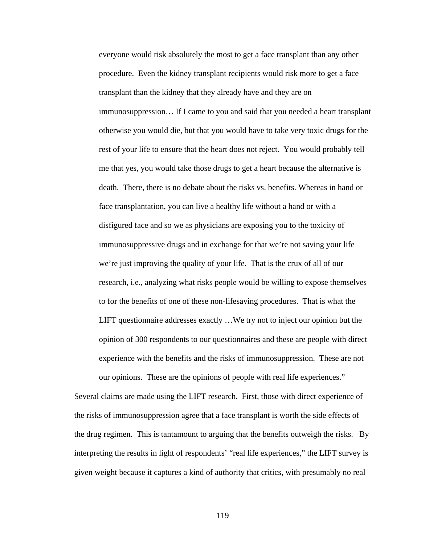everyone would risk absolutely the most to get a face transplant than any other procedure. Even the kidney transplant recipients would risk more to get a face transplant than the kidney that they already have and they are on immunosuppression… If I came to you and said that you needed a heart transplant otherwise you would die, but that you would have to take very toxic drugs for the rest of your life to ensure that the heart does not reject. You would probably tell me that yes, you would take those drugs to get a heart because the alternative is death. There, there is no debate about the risks vs. benefits. Whereas in hand or face transplantation, you can live a healthy life without a hand or with a disfigured face and so we as physicians are exposing you to the toxicity of immunosuppressive drugs and in exchange for that we're not saving your life we're just improving the quality of your life. That is the crux of all of our research, i.e., analyzing what risks people would be willing to expose themselves to for the benefits of one of these non-lifesaving procedures. That is what the LIFT questionnaire addresses exactly …We try not to inject our opinion but the opinion of 300 respondents to our questionnaires and these are people with direct experience with the benefits and the risks of immunosuppression. These are not

Several claims are made using the LIFT research. First, those with direct experience of the risks of immunosuppression agree that a face transplant is worth the side effects of the drug regimen. This is tantamount to arguing that the benefits outweigh the risks. By interpreting the results in light of respondents' "real life experiences," the LIFT survey is given weight because it captures a kind of authority that critics, with presumably no real

our opinions. These are the opinions of people with real life experiences."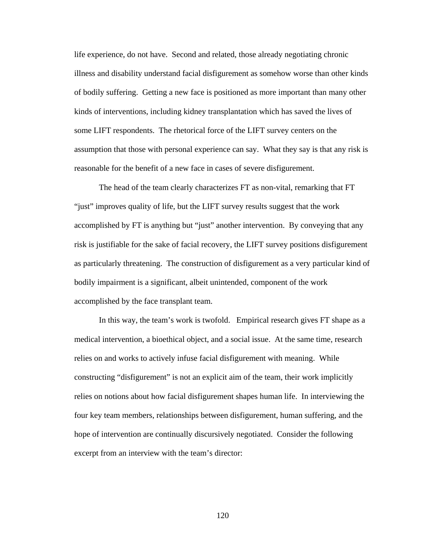life experience, do not have. Second and related, those already negotiating chronic illness and disability understand facial disfigurement as somehow worse than other kinds of bodily suffering. Getting a new face is positioned as more important than many other kinds of interventions, including kidney transplantation which has saved the lives of some LIFT respondents. The rhetorical force of the LIFT survey centers on the assumption that those with personal experience can say. What they say is that any risk is reasonable for the benefit of a new face in cases of severe disfigurement.

 The head of the team clearly characterizes FT as non-vital, remarking that FT "just" improves quality of life, but the LIFT survey results suggest that the work accomplished by FT is anything but "just" another intervention. By conveying that any risk is justifiable for the sake of facial recovery, the LIFT survey positions disfigurement as particularly threatening. The construction of disfigurement as a very particular kind of bodily impairment is a significant, albeit unintended, component of the work accomplished by the face transplant team.

In this way, the team's work is twofold. Empirical research gives FT shape as a medical intervention, a bioethical object, and a social issue. At the same time, research relies on and works to actively infuse facial disfigurement with meaning. While constructing "disfigurement" is not an explicit aim of the team, their work implicitly relies on notions about how facial disfigurement shapes human life. In interviewing the four key team members, relationships between disfigurement, human suffering, and the hope of intervention are continually discursively negotiated. Consider the following excerpt from an interview with the team's director: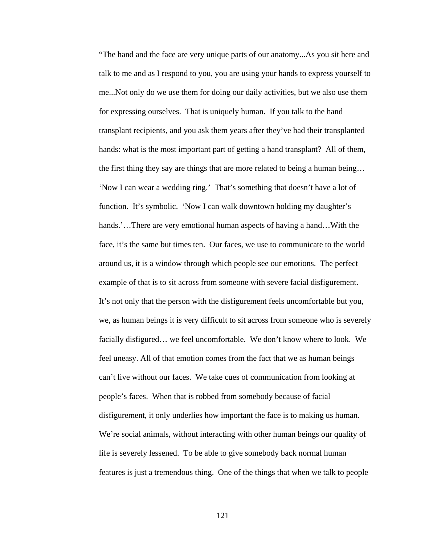"The hand and the face are very unique parts of our anatomy...As you sit here and talk to me and as I respond to you, you are using your hands to express yourself to me...Not only do we use them for doing our daily activities, but we also use them for expressing ourselves. That is uniquely human. If you talk to the hand transplant recipients, and you ask them years after they've had their transplanted hands: what is the most important part of getting a hand transplant? All of them, the first thing they say are things that are more related to being a human being… 'Now I can wear a wedding ring.' That's something that doesn't have a lot of function. It's symbolic. 'Now I can walk downtown holding my daughter's hands.'…There are very emotional human aspects of having a hand…With the face, it's the same but times ten. Our faces, we use to communicate to the world around us, it is a window through which people see our emotions. The perfect example of that is to sit across from someone with severe facial disfigurement. It's not only that the person with the disfigurement feels uncomfortable but you, we, as human beings it is very difficult to sit across from someone who is severely facially disfigured… we feel uncomfortable. We don't know where to look. We feel uneasy. All of that emotion comes from the fact that we as human beings can't live without our faces. We take cues of communication from looking at people's faces. When that is robbed from somebody because of facial disfigurement, it only underlies how important the face is to making us human. We're social animals, without interacting with other human beings our quality of life is severely lessened. To be able to give somebody back normal human features is just a tremendous thing. One of the things that when we talk to people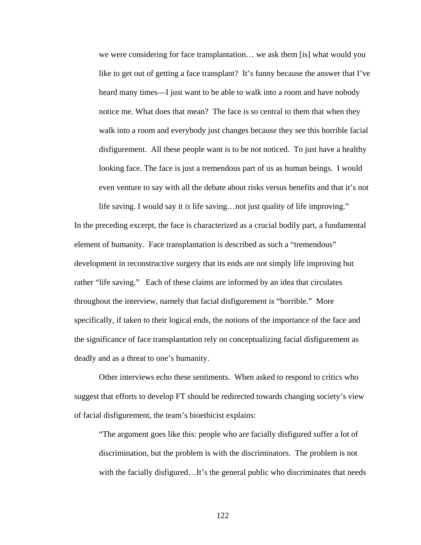we were considering for face transplantation… we ask them [is] what would you like to get out of getting a face transplant? It's funny because the answer that I've heard many times—I just want to be able to walk into a room and have nobody notice me. What does that mean? The face is so central to them that when they walk into a room and everybody just changes because they see this horrible facial disfigurement. All these people want is to be not noticed. To just have a healthy looking face. The face is just a tremendous part of us as human beings. I would even venture to say with all the debate about risks versus benefits and that it's not

life saving. I would say it *is* life saving…not just quality of life improving." In the preceding excerpt, the face is characterized as a crucial bodily part, a fundamental element of humanity. Face transplantation is described as such a "tremendous" development in reconstructive surgery that its ends are not simply life improving but rather "life saving." Each of these claims are informed by an idea that circulates throughout the interview, namely that facial disfigurement is "horrible." More specifically, if taken to their logical ends, the notions of the importance of the face and the significance of face transplantation rely on conceptualizing facial disfigurement as deadly and as a threat to one's humanity.

Other interviews echo these sentiments. When asked to respond to critics who suggest that efforts to develop FT should be redirected towards changing society's view of facial disfigurement, the team's bioethicist explains:

"The argument goes like this: people who are facially disfigured suffer a lot of discrimination, but the problem is with the discriminators. The problem is not with the facially disfigured…It's the general public who discriminates that needs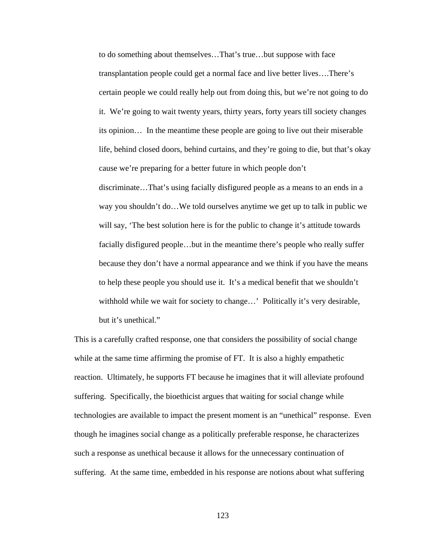to do something about themselves…That's true…but suppose with face transplantation people could get a normal face and live better lives….There's certain people we could really help out from doing this, but we're not going to do it. We're going to wait twenty years, thirty years, forty years till society changes its opinion… In the meantime these people are going to live out their miserable life, behind closed doors, behind curtains, and they're going to die, but that's okay cause we're preparing for a better future in which people don't discriminate…That's using facially disfigured people as a means to an ends in a way you shouldn't do…We told ourselves anytime we get up to talk in public we will say, 'The best solution here is for the public to change it's attitude towards facially disfigured people…but in the meantime there's people who really suffer because they don't have a normal appearance and we think if you have the means to help these people you should use it. It's a medical benefit that we shouldn't withhold while we wait for society to change...' Politically it's very desirable, but it's unethical."

This is a carefully crafted response, one that considers the possibility of social change while at the same time affirming the promise of FT. It is also a highly empathetic reaction. Ultimately, he supports FT because he imagines that it will alleviate profound suffering. Specifically, the bioethicist argues that waiting for social change while technologies are available to impact the present moment is an "unethical" response. Even though he imagines social change as a politically preferable response, he characterizes such a response as unethical because it allows for the unnecessary continuation of suffering. At the same time, embedded in his response are notions about what suffering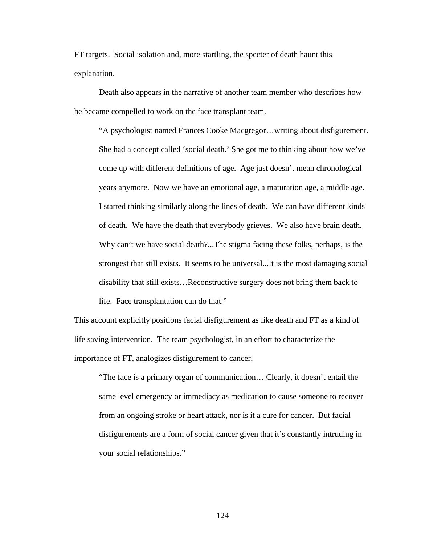FT targets. Social isolation and, more startling, the specter of death haunt this explanation.

 Death also appears in the narrative of another team member who describes how he became compelled to work on the face transplant team.

"A psychologist named Frances Cooke Macgregor…writing about disfigurement. She had a concept called 'social death.' She got me to thinking about how we've come up with different definitions of age. Age just doesn't mean chronological years anymore. Now we have an emotional age, a maturation age, a middle age. I started thinking similarly along the lines of death. We can have different kinds of death. We have the death that everybody grieves. We also have brain death. Why can't we have social death?...The stigma facing these folks, perhaps, is the strongest that still exists. It seems to be universal...It is the most damaging social disability that still exists…Reconstructive surgery does not bring them back to life. Face transplantation can do that."

This account explicitly positions facial disfigurement as like death and FT as a kind of life saving intervention. The team psychologist, in an effort to characterize the importance of FT, analogizes disfigurement to cancer,

"The face is a primary organ of communication… Clearly, it doesn't entail the same level emergency or immediacy as medication to cause someone to recover from an ongoing stroke or heart attack, nor is it a cure for cancer. But facial disfigurements are a form of social cancer given that it's constantly intruding in your social relationships."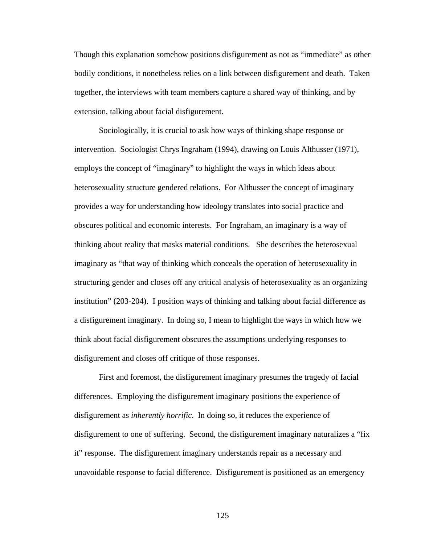Though this explanation somehow positions disfigurement as not as "immediate" as other bodily conditions, it nonetheless relies on a link between disfigurement and death. Taken together, the interviews with team members capture a shared way of thinking, and by extension, talking about facial disfigurement.

 Sociologically, it is crucial to ask how ways of thinking shape response or intervention. Sociologist Chrys Ingraham (1994), drawing on Louis Althusser (1971), employs the concept of "imaginary" to highlight the ways in which ideas about heterosexuality structure gendered relations. For Althusser the concept of imaginary provides a way for understanding how ideology translates into social practice and obscures political and economic interests. For Ingraham, an imaginary is a way of thinking about reality that masks material conditions. She describes the heterosexual imaginary as "that way of thinking which conceals the operation of heterosexuality in structuring gender and closes off any critical analysis of heterosexuality as an organizing institution" (203-204). I position ways of thinking and talking about facial difference as a disfigurement imaginary. In doing so, I mean to highlight the ways in which how we think about facial disfigurement obscures the assumptions underlying responses to disfigurement and closes off critique of those responses.

First and foremost, the disfigurement imaginary presumes the tragedy of facial differences. Employing the disfigurement imaginary positions the experience of disfigurement as *inherently horrific*. In doing so, it reduces the experience of disfigurement to one of suffering. Second, the disfigurement imaginary naturalizes a "fix it" response. The disfigurement imaginary understands repair as a necessary and unavoidable response to facial difference. Disfigurement is positioned as an emergency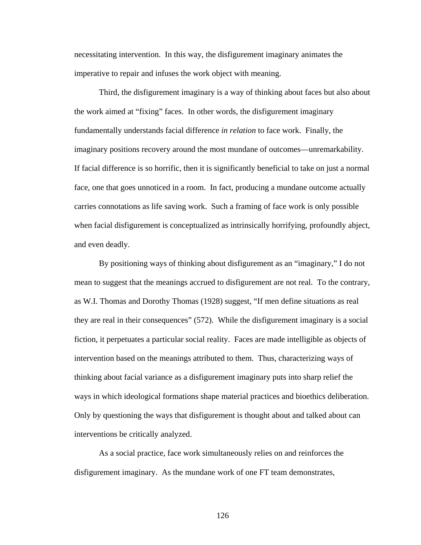necessitating intervention. In this way, the disfigurement imaginary animates the imperative to repair and infuses the work object with meaning.

Third, the disfigurement imaginary is a way of thinking about faces but also about the work aimed at "fixing" faces. In other words, the disfigurement imaginary fundamentally understands facial difference *in relation* to face work. Finally, the imaginary positions recovery around the most mundane of outcomes—unremarkability. If facial difference is so horrific, then it is significantly beneficial to take on just a normal face, one that goes unnoticed in a room. In fact, producing a mundane outcome actually carries connotations as life saving work. Such a framing of face work is only possible when facial disfigurement is conceptualized as intrinsically horrifying, profoundly abject, and even deadly.

By positioning ways of thinking about disfigurement as an "imaginary," I do not mean to suggest that the meanings accrued to disfigurement are not real. To the contrary, as W.I. Thomas and Dorothy Thomas (1928) suggest, "If men define situations as real they are real in their consequences" (572). While the disfigurement imaginary is a social fiction, it perpetuates a particular social reality. Faces are made intelligible as objects of intervention based on the meanings attributed to them. Thus, characterizing ways of thinking about facial variance as a disfigurement imaginary puts into sharp relief the ways in which ideological formations shape material practices and bioethics deliberation. Only by questioning the ways that disfigurement is thought about and talked about can interventions be critically analyzed.

As a social practice, face work simultaneously relies on and reinforces the disfigurement imaginary. As the mundane work of one FT team demonstrates,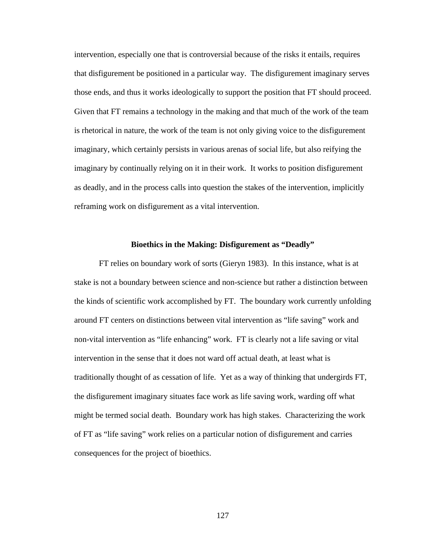intervention, especially one that is controversial because of the risks it entails, requires that disfigurement be positioned in a particular way. The disfigurement imaginary serves those ends, and thus it works ideologically to support the position that FT should proceed. Given that FT remains a technology in the making and that much of the work of the team is rhetorical in nature, the work of the team is not only giving voice to the disfigurement imaginary, which certainly persists in various arenas of social life, but also reifying the imaginary by continually relying on it in their work. It works to position disfigurement as deadly, and in the process calls into question the stakes of the intervention, implicitly reframing work on disfigurement as a vital intervention.

### **Bioethics in the Making: Disfigurement as "Deadly"**

FT relies on boundary work of sorts (Gieryn 1983). In this instance, what is at stake is not a boundary between science and non-science but rather a distinction between the kinds of scientific work accomplished by FT. The boundary work currently unfolding around FT centers on distinctions between vital intervention as "life saving" work and non-vital intervention as "life enhancing" work. FT is clearly not a life saving or vital intervention in the sense that it does not ward off actual death, at least what is traditionally thought of as cessation of life. Yet as a way of thinking that undergirds FT, the disfigurement imaginary situates face work as life saving work, warding off what might be termed social death. Boundary work has high stakes. Characterizing the work of FT as "life saving" work relies on a particular notion of disfigurement and carries consequences for the project of bioethics.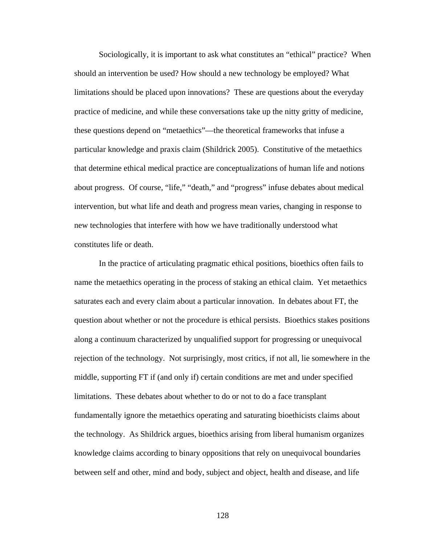Sociologically, it is important to ask what constitutes an "ethical" practice? When should an intervention be used? How should a new technology be employed? What limitations should be placed upon innovations? These are questions about the everyday practice of medicine, and while these conversations take up the nitty gritty of medicine, these questions depend on "metaethics"—the theoretical frameworks that infuse a particular knowledge and praxis claim (Shildrick 2005). Constitutive of the metaethics that determine ethical medical practice are conceptualizations of human life and notions about progress. Of course, "life," "death," and "progress" infuse debates about medical intervention, but what life and death and progress mean varies, changing in response to new technologies that interfere with how we have traditionally understood what constitutes life or death.

 In the practice of articulating pragmatic ethical positions, bioethics often fails to name the metaethics operating in the process of staking an ethical claim. Yet metaethics saturates each and every claim about a particular innovation. In debates about FT, the question about whether or not the procedure is ethical persists. Bioethics stakes positions along a continuum characterized by unqualified support for progressing or unequivocal rejection of the technology. Not surprisingly, most critics, if not all, lie somewhere in the middle, supporting FT if (and only if) certain conditions are met and under specified limitations. These debates about whether to do or not to do a face transplant fundamentally ignore the metaethics operating and saturating bioethicists claims about the technology. As Shildrick argues, bioethics arising from liberal humanism organizes knowledge claims according to binary oppositions that rely on unequivocal boundaries between self and other, mind and body, subject and object, health and disease, and life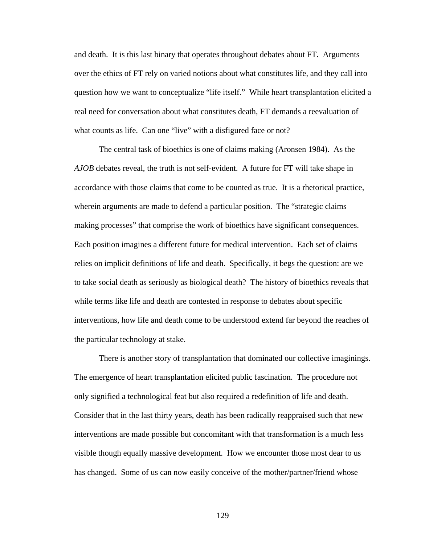and death. It is this last binary that operates throughout debates about FT. Arguments over the ethics of FT rely on varied notions about what constitutes life, and they call into question how we want to conceptualize "life itself." While heart transplantation elicited a real need for conversation about what constitutes death, FT demands a reevaluation of what counts as life. Can one "live" with a disfigured face or not?

 The central task of bioethics is one of claims making (Aronsen 1984). As the *AJOB* debates reveal, the truth is not self-evident. A future for FT will take shape in accordance with those claims that come to be counted as true. It is a rhetorical practice, wherein arguments are made to defend a particular position. The "strategic claims making processes" that comprise the work of bioethics have significant consequences. Each position imagines a different future for medical intervention. Each set of claims relies on implicit definitions of life and death. Specifically, it begs the question: are we to take social death as seriously as biological death? The history of bioethics reveals that while terms like life and death are contested in response to debates about specific interventions, how life and death come to be understood extend far beyond the reaches of the particular technology at stake.

There is another story of transplantation that dominated our collective imaginings. The emergence of heart transplantation elicited public fascination. The procedure not only signified a technological feat but also required a redefinition of life and death. Consider that in the last thirty years, death has been radically reappraised such that new interventions are made possible but concomitant with that transformation is a much less visible though equally massive development. How we encounter those most dear to us has changed. Some of us can now easily conceive of the mother/partner/friend whose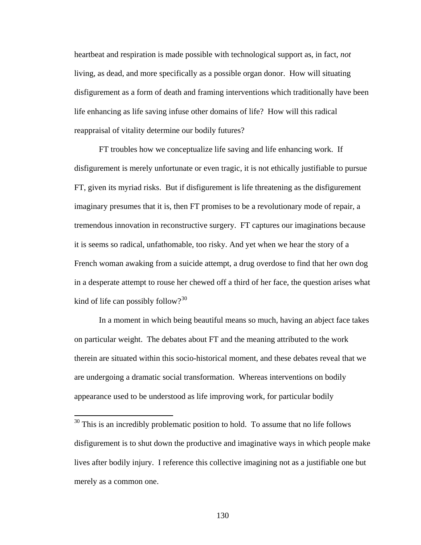heartbeat and respiration is made possible with technological support as, in fact, *not* living, as dead, and more specifically as a possible organ donor. How will situating disfigurement as a form of death and framing interventions which traditionally have been life enhancing as life saving infuse other domains of life? How will this radical reappraisal of vitality determine our bodily futures?

FT troubles how we conceptualize life saving and life enhancing work. If disfigurement is merely unfortunate or even tragic, it is not ethically justifiable to pursue FT, given its myriad risks. But if disfigurement is life threatening as the disfigurement imaginary presumes that it is, then FT promises to be a revolutionary mode of repair, a tremendous innovation in reconstructive surgery. FT captures our imaginations because it is seems so radical, unfathomable, too risky. And yet when we hear the story of a French woman awaking from a suicide attempt, a drug overdose to find that her own dog in a desperate attempt to rouse her chewed off a third of her face, the question arises what kind of life can possibly follow? $30$ 

In a moment in which being beautiful means so much, having an abject face takes on particular weight. The debates about FT and the meaning attributed to the work therein are situated within this socio-historical moment, and these debates reveal that we are undergoing a dramatic social transformation. Whereas interventions on bodily appearance used to be understood as life improving work, for particular bodily

 $\overline{a}$ 

<span id="page-143-0"></span> $30$  This is an incredibly problematic position to hold. To assume that no life follows disfigurement is to shut down the productive and imaginative ways in which people make lives after bodily injury. I reference this collective imagining not as a justifiable one but merely as a common one.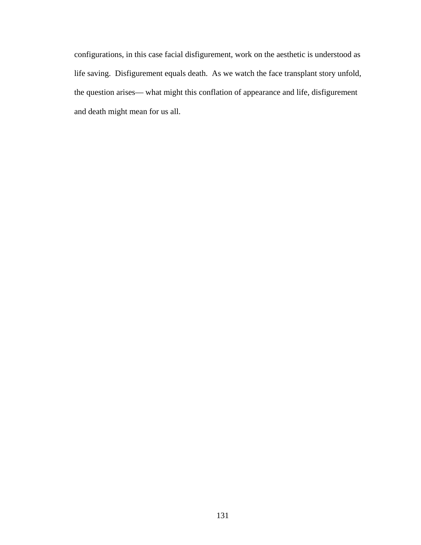configurations, in this case facial disfigurement, work on the aesthetic is understood as life saving. Disfigurement equals death. As we watch the face transplant story unfold, the question arises— what might this conflation of appearance and life, disfigurement and death might mean for us all.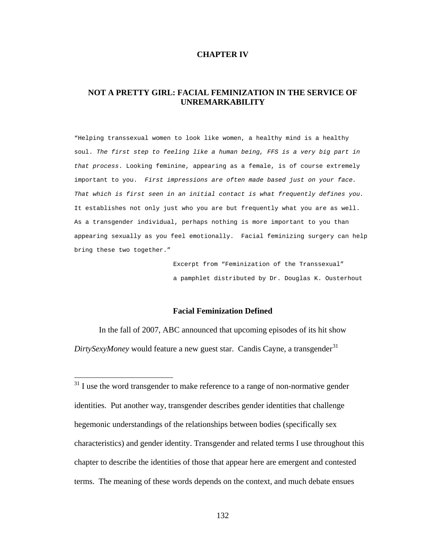## **CHAPTER IV**

# **NOT A PRETTY GIRL: FACIAL FEMINIZATION IN THE SERVICE OF UNREMARKABILITY**

"Helping transsexual women to look like women, a healthy mind is a healthy soul. *The first step to feeling like a human being, FFS is a very big part in that process*. Looking feminine, appearing as a female, is of course extremely important to you. *First impressions are often made based just on your face. That which is first seen in an initial contact is what frequently defines you.* It establishes not only just who you are but frequently what you are as well. As a transgender individual, perhaps nothing is more important to you than appearing sexually as you feel emotionally. Facial feminizing surgery can help bring these two together."

> Excerpt from "Feminization of the Transsexual" a pamphlet distributed by Dr. Douglas K. Ousterhout

#### **Facial Feminization Defined**

In the fall of 2007, ABC announced that upcoming episodes of its hit show *DirtySexyMoney* would feature a new guest star. Candis Cayne, a transgender<sup>[31](#page-145-0)</sup>

<span id="page-145-0"></span> $31$  I use the word transgender to make reference to a range of non-normative gender identities. Put another way, transgender describes gender identities that challenge hegemonic understandings of the relationships between bodies (specifically sex characteristics) and gender identity. Transgender and related terms I use throughout this chapter to describe the identities of those that appear here are emergent and contested terms. The meaning of these words depends on the context, and much debate ensues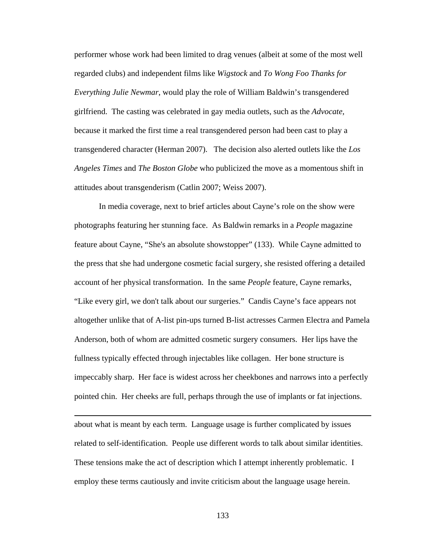performer whose work had been limited to drag venues (albeit at some of the most well regarded clubs) and independent films like *Wigstock* and *To Wong Foo Thanks for Everything Julie Newmar*, would play the role of William Baldwin's transgendered girlfriend. The casting was celebrated in gay media outlets, such as the *Advocate*, because it marked the first time a real transgendered person had been cast to play a transgendered character (Herman 2007). The decision also alerted outlets like the *Los Angeles Times* and *The Boston Globe* who publicized the move as a momentous shift in attitudes about transgenderism (Catlin 2007; Weiss 2007).

In media coverage, next to brief articles about Cayne's role on the show were photographs featuring her stunning face. As Baldwin remarks in a *People* magazine feature about Cayne, "She's an absolute showstopper" (133). While Cayne admitted to the press that she had undergone cosmetic facial surgery, she resisted offering a detailed account of her physical transformation. In the same *People* feature, Cayne remarks, "Like every girl, we don't talk about our surgeries." Candis Cayne's face appears not altogether unlike that of A-list pin-ups turned B-list actresses Carmen Electra and Pamela Anderson, both of whom are admitted cosmetic surgery consumers. Her lips have the fullness typically effected through injectables like collagen. Her bone structure is impeccably sharp. Her face is widest across her cheekbones and narrows into a perfectly pointed chin. Her cheeks are full, perhaps through the use of implants or fat injections.

about what is meant by each term. Language usage is further complicated by issues related to self-identification. People use different words to talk about similar identities. These tensions make the act of description which I attempt inherently problematic. I employ these terms cautiously and invite criticism about the language usage herein.

1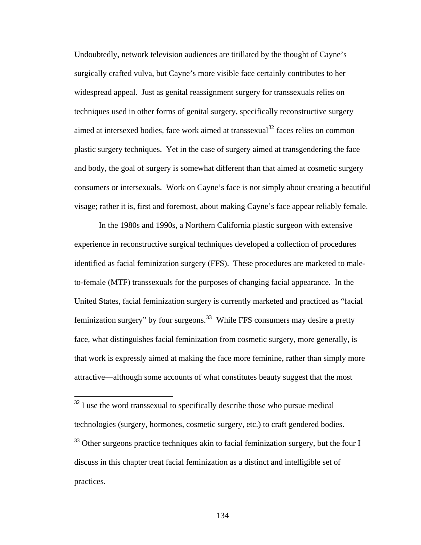Undoubtedly, network television audiences are titillated by the thought of Cayne's surgically crafted vulva, but Cayne's more visible face certainly contributes to her widespread appeal. Just as genital reassignment surgery for transsexuals relies on techniques used in other forms of genital surgery, specifically reconstructive surgery aimed at intersexed bodies, face work aimed at transsexual  $32$  faces relies on common plastic surgery techniques. Yet in the case of surgery aimed at transgendering the face and body, the goal of surgery is somewhat different than that aimed at cosmetic surgery consumers or intersexuals. Work on Cayne's face is not simply about creating a beautiful visage; rather it is, first and foremost, about making Cayne's face appear reliably female.

In the 1980s and 1990s, a Northern California plastic surgeon with extensive experience in reconstructive surgical techniques developed a collection of procedures identified as facial feminization surgery (FFS). These procedures are marketed to maleto-female (MTF) transsexuals for the purposes of changing facial appearance. In the United States, facial feminization surgery is currently marketed and practiced as "facial feminization surgery" by four surgeons.<sup>[33](#page-147-1)</sup> While FFS consumers may desire a pretty face, what distinguishes facial feminization from cosmetic surgery, more generally, is that work is expressly aimed at making the face more feminine, rather than simply more attractive—although some accounts of what constitutes beauty suggest that the most

<span id="page-147-1"></span><span id="page-147-0"></span> $32$  I use the word transsexual to specifically describe those who pursue medical technologies (surgery, hormones, cosmetic surgery, etc.) to craft gendered bodies.  $33$  Other surgeons practice techniques akin to facial feminization surgery, but the four I discuss in this chapter treat facial feminization as a distinct and intelligible set of practices.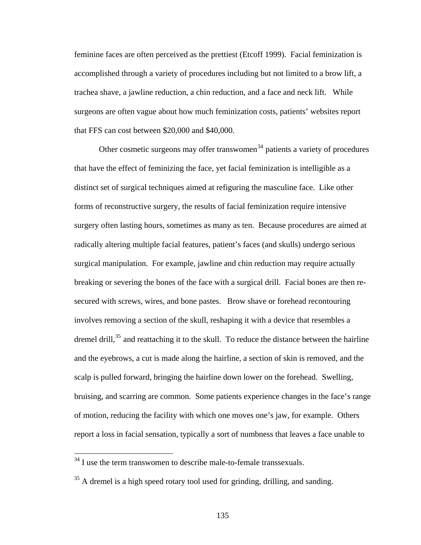feminine faces are often perceived as the prettiest (Etcoff 1999). Facial feminization is accomplished through a variety of procedures including but not limited to a brow lift, a trachea shave, a jawline reduction, a chin reduction, and a face and neck lift. While surgeons are often vague about how much feminization costs, patients' websites report that FFS can cost between \$20,000 and \$40,000.

Other cosmetic surgeons may offer transwomen<sup>[34](#page-148-0)</sup> patients a variety of procedures that have the effect of feminizing the face, yet facial feminization is intelligible as a distinct set of surgical techniques aimed at refiguring the masculine face. Like other forms of reconstructive surgery, the results of facial feminization require intensive surgery often lasting hours, sometimes as many as ten. Because procedures are aimed at radically altering multiple facial features, patient's faces (and skulls) undergo serious surgical manipulation. For example, jawline and chin reduction may require actually breaking or severing the bones of the face with a surgical drill. Facial bones are then resecured with screws, wires, and bone pastes. Brow shave or forehead recontouring involves removing a section of the skull, reshaping it with a device that resembles a dremel drill, $35$  and reattaching it to the skull. To reduce the distance between the hairline and the eyebrows, a cut is made along the hairline, a section of skin is removed, and the scalp is pulled forward, bringing the hairline down lower on the forehead. Swelling, bruising, and scarring are common. Some patients experience changes in the face's range of motion, reducing the facility with which one moves one's jaw, for example. Others report a loss in facial sensation, typically a sort of numbness that leaves a face unable to

<span id="page-148-0"></span> $34$  I use the term transwomen to describe male-to-female transsexuals.

<span id="page-148-1"></span> $35$  A dremel is a high speed rotary tool used for grinding, drilling, and sanding.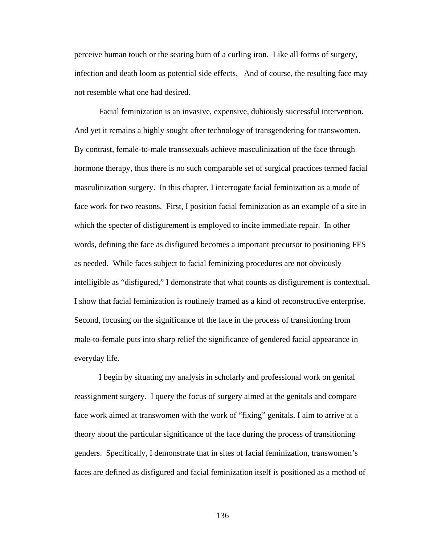perceive human touch or the searing burn of a curling iron. Like all forms of surgery, infection and death loom as potential side effects. And of course, the resulting face may not resemble what one had desired.

Facial feminization is an invasive, expensive, dubiously successful intervention. And yet it remains a highly sought after technology of transgendering for transwomen. By contrast, female-to-male transsexuals achieve masculinization of the face through hormone therapy, thus there is no such comparable set of surgical practices termed facial masculinization surgery. In this chapter, I interrogate facial feminization as a mode of face work for two reasons. First, I position facial feminization as an example of a site in which the specter of disfigurement is employed to incite immediate repair. In other words, defining the face as disfigured becomes a important precursor to positioning FFS as needed. While faces subject to facial feminizing procedures are not obviously intelligible as "disfigured," I demonstrate that what counts as disfigurement is contextual. I show that facial feminization is routinely framed as a kind of reconstructive enterprise. Second, focusing on the significance of the face in the process of transitioning from male-to-female puts into sharp relief the significance of gendered facial appearance in everyday life.

I begin by situating my analysis in scholarly and professional work on genital reassignment surgery. I query the focus of surgery aimed at the genitals and compare face work aimed at transwomen with the work of "fixing" genitals. I aim to arrive at a theory about the particular significance of the face during the process of transitioning genders. Specifically, I demonstrate that in sites of facial feminization, transwomen's faces are defined as disfigured and facial feminization itself is positioned as a method of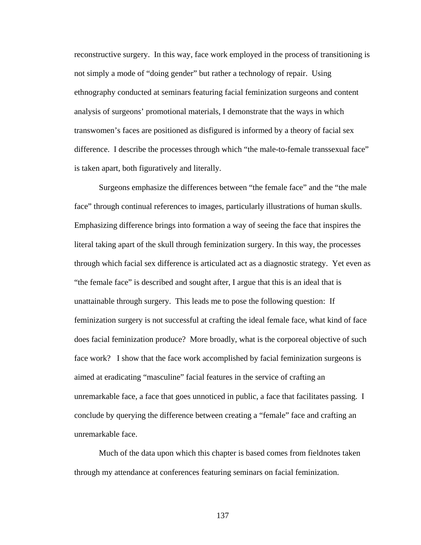reconstructive surgery. In this way, face work employed in the process of transitioning is not simply a mode of "doing gender" but rather a technology of repair. Using ethnography conducted at seminars featuring facial feminization surgeons and content analysis of surgeons' promotional materials, I demonstrate that the ways in which transwomen's faces are positioned as disfigured is informed by a theory of facial sex difference. I describe the processes through which "the male-to-female transsexual face" is taken apart, both figuratively and literally.

Surgeons emphasize the differences between "the female face" and the "the male face" through continual references to images, particularly illustrations of human skulls. Emphasizing difference brings into formation a way of seeing the face that inspires the literal taking apart of the skull through feminization surgery. In this way, the processes through which facial sex difference is articulated act as a diagnostic strategy. Yet even as "the female face" is described and sought after, I argue that this is an ideal that is unattainable through surgery. This leads me to pose the following question: If feminization surgery is not successful at crafting the ideal female face, what kind of face does facial feminization produce? More broadly, what is the corporeal objective of such face work? I show that the face work accomplished by facial feminization surgeons is aimed at eradicating "masculine" facial features in the service of crafting an unremarkable face, a face that goes unnoticed in public, a face that facilitates passing. I conclude by querying the difference between creating a "female" face and crafting an unremarkable face.

Much of the data upon which this chapter is based comes from fieldnotes taken through my attendance at conferences featuring seminars on facial feminization.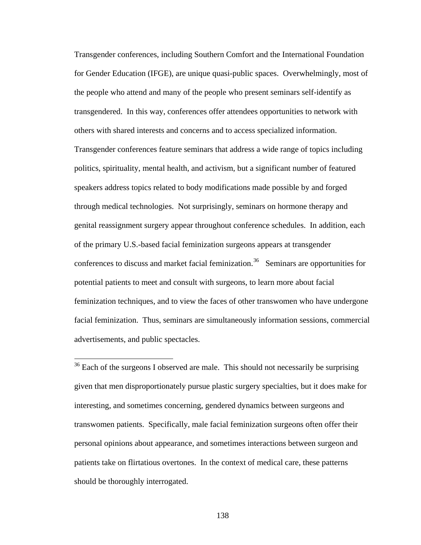Transgender conferences, including Southern Comfort and the International Foundation for Gender Education (IFGE), are unique quasi-public spaces. Overwhelmingly, most of the people who attend and many of the people who present seminars self-identify as transgendered. In this way, conferences offer attendees opportunities to network with others with shared interests and concerns and to access specialized information. Transgender conferences feature seminars that address a wide range of topics including politics, spirituality, mental health, and activism, but a significant number of featured speakers address topics related to body modifications made possible by and forged through medical technologies. Not surprisingly, seminars on hormone therapy and genital reassignment surgery appear throughout conference schedules. In addition, each of the primary U.S.-based facial feminization surgeons appears at transgender conferences to discuss and market facial feminization.<sup>[36](#page-151-0)</sup> Seminars are opportunities for potential patients to meet and consult with surgeons, to learn more about facial feminization techniques, and to view the faces of other transwomen who have undergone facial feminization. Thus, seminars are simultaneously information sessions, commercial advertisements, and public spectacles.

<span id="page-151-0"></span><sup>36</sup> Each of the surgeons I observed are male. This should not necessarily be surprising given that men disproportionately pursue plastic surgery specialties, but it does make for interesting, and sometimes concerning, gendered dynamics between surgeons and transwomen patients. Specifically, male facial feminization surgeons often offer their personal opinions about appearance, and sometimes interactions between surgeon and patients take on flirtatious overtones. In the context of medical care, these patterns should be thoroughly interrogated.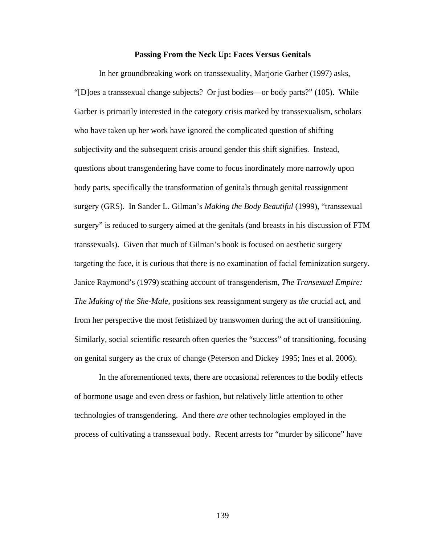## **Passing From the Neck Up: Faces Versus Genitals**

In her groundbreaking work on transsexuality, Marjorie Garber (1997) asks, "[D]oes a transsexual change subjects? Or just bodies—or body parts?" (105). While Garber is primarily interested in the category crisis marked by transsexualism, scholars who have taken up her work have ignored the complicated question of shifting subjectivity and the subsequent crisis around gender this shift signifies. Instead, questions about transgendering have come to focus inordinately more narrowly upon body parts, specifically the transformation of genitals through genital reassignment surgery (GRS). In Sander L. Gilman's *Making the Body Beautiful* (1999), "transsexual surgery" is reduced to surgery aimed at the genitals (and breasts in his discussion of FTM transsexuals). Given that much of Gilman's book is focused on aesthetic surgery targeting the face, it is curious that there is no examination of facial feminization surgery. Janice Raymond's (1979) scathing account of transgenderism, *The Transexual Empire: The Making of the She-Male,* positions sex reassignment surgery as *the* crucial act, and from her perspective the most fetishized by transwomen during the act of transitioning. Similarly, social scientific research often queries the "success" of transitioning, focusing on genital surgery as the crux of change (Peterson and Dickey 1995; Ines et al. 2006).

In the aforementioned texts, there are occasional references to the bodily effects of hormone usage and even dress or fashion, but relatively little attention to other technologies of transgendering. And there *are* other technologies employed in the process of cultivating a transsexual body. Recent arrests for "murder by silicone" have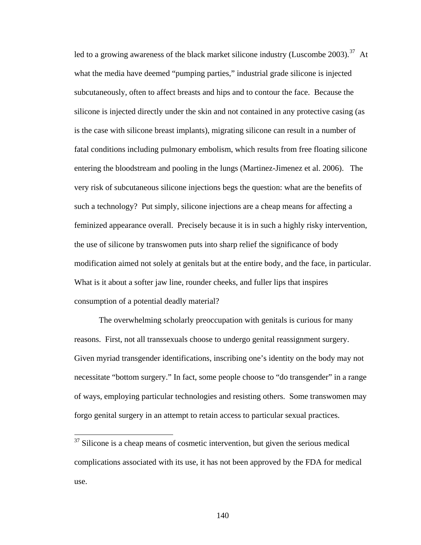led to a growing awareness of the black market silicone industry (Luscombe 2003).<sup>[37](#page-153-0)</sup> At what the media have deemed "pumping parties," industrial grade silicone is injected subcutaneously, often to affect breasts and hips and to contour the face. Because the silicone is injected directly under the skin and not contained in any protective casing (as is the case with silicone breast implants), migrating silicone can result in a number of fatal conditions including pulmonary embolism, which results from free floating silicone entering the bloodstream and pooling in the lungs (Martinez-Jimenez et al. 2006). The very risk of subcutaneous silicone injections begs the question: what are the benefits of such a technology? Put simply, silicone injections are a cheap means for affecting a feminized appearance overall. Precisely because it is in such a highly risky intervention, the use of silicone by transwomen puts into sharp relief the significance of body modification aimed not solely at genitals but at the entire body, and the face, in particular. What is it about a softer jaw line, rounder cheeks, and fuller lips that inspires consumption of a potential deadly material?

 The overwhelming scholarly preoccupation with genitals is curious for many reasons. First, not all transsexuals choose to undergo genital reassignment surgery. Given myriad transgender identifications, inscribing one's identity on the body may not necessitate "bottom surgery." In fact, some people choose to "do transgender" in a range of ways, employing particular technologies and resisting others. Some transwomen may forgo genital surgery in an attempt to retain access to particular sexual practices.

<span id="page-153-0"></span> $37$  Silicone is a cheap means of cosmetic intervention, but given the serious medical complications associated with its use, it has not been approved by the FDA for medical use.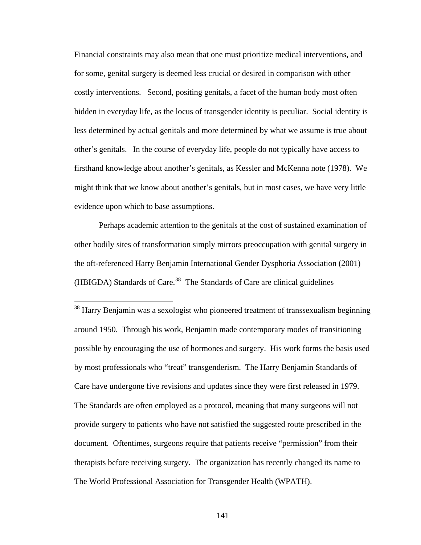Financial constraints may also mean that one must prioritize medical interventions, and for some, genital surgery is deemed less crucial or desired in comparison with other costly interventions. Second, positing genitals, a facet of the human body most often hidden in everyday life, as the locus of transgender identity is peculiar. Social identity is less determined by actual genitals and more determined by what we assume is true about other's genitals. In the course of everyday life, people do not typically have access to firsthand knowledge about another's genitals, as Kessler and McKenna note (1978). We might think that we know about another's genitals, but in most cases, we have very little evidence upon which to base assumptions.

Perhaps academic attention to the genitals at the cost of sustained examination of other bodily sites of transformation simply mirrors preoccupation with genital surgery in the oft-referenced Harry Benjamin International Gender Dysphoria Association (2001) (HBIGDA) Standards of Care.<sup>[38](#page-154-0)</sup> The Standards of Care are clinical guidelines

 $\overline{a}$ 

<span id="page-154-0"></span> $38$  Harry Benjamin was a sexologist who pioneered treatment of transsexualism beginning around 1950. Through his work, Benjamin made contemporary modes of transitioning possible by encouraging the use of hormones and surgery. His work forms the basis used by most professionals who "treat" transgenderism. The Harry Benjamin Standards of Care have undergone five revisions and updates since they were first released in 1979. The Standards are often employed as a protocol, meaning that many surgeons will not provide surgery to patients who have not satisfied the suggested route prescribed in the document. Oftentimes, surgeons require that patients receive "permission" from their therapists before receiving surgery. The organization has recently changed its name to The World Professional Association for Transgender Health (WPATH).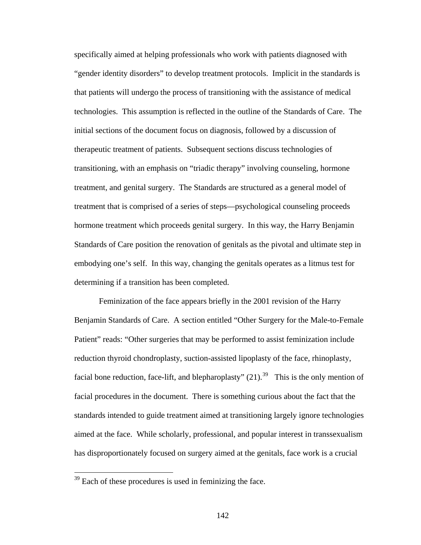specifically aimed at helping professionals who work with patients diagnosed with "gender identity disorders" to develop treatment protocols. Implicit in the standards is that patients will undergo the process of transitioning with the assistance of medical technologies. This assumption is reflected in the outline of the Standards of Care. The initial sections of the document focus on diagnosis, followed by a discussion of therapeutic treatment of patients. Subsequent sections discuss technologies of transitioning, with an emphasis on "triadic therapy" involving counseling, hormone treatment, and genital surgery. The Standards are structured as a general model of treatment that is comprised of a series of steps—psychological counseling proceeds hormone treatment which proceeds genital surgery. In this way, the Harry Benjamin Standards of Care position the renovation of genitals as the pivotal and ultimate step in embodying one's self. In this way, changing the genitals operates as a litmus test for determining if a transition has been completed.

Feminization of the face appears briefly in the 2001 revision of the Harry Benjamin Standards of Care. A section entitled "Other Surgery for the Male-to-Female Patient" reads: "Other surgeries that may be performed to assist feminization include reduction thyroid chondroplasty, suction-assisted lipoplasty of the face, rhinoplasty, facial bone reduction, face-lift, and blepharoplasty"  $(21)$ <sup>[39](#page-155-0)</sup> This is the only mention of facial procedures in the document. There is something curious about the fact that the standards intended to guide treatment aimed at transitioning largely ignore technologies aimed at the face. While scholarly, professional, and popular interest in transsexualism has disproportionately focused on surgery aimed at the genitals, face work is a crucial

<span id="page-155-0"></span> $39$  Each of these procedures is used in feminizing the face.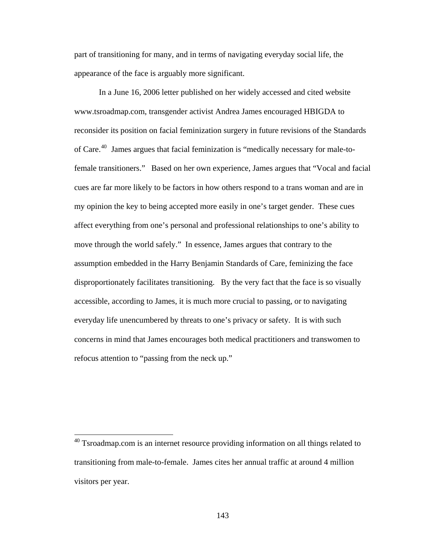part of transitioning for many, and in terms of navigating everyday social life, the appearance of the face is arguably more significant.

In a June 16, 2006 letter published on her widely accessed and cited website www.tsroadmap.com, transgender activist Andrea James encouraged HBIGDA to reconsider its position on facial feminization surgery in future revisions of the Standards of Care.[40](#page-156-0) James argues that facial feminization is "medically necessary for male-tofemale transitioners." Based on her own experience, James argues that "Vocal and facial cues are far more likely to be factors in how others respond to a trans woman and are in my opinion the key to being accepted more easily in one's target gender. These cues affect everything from one's personal and professional relationships to one's ability to move through the world safely." In essence, James argues that contrary to the assumption embedded in the Harry Benjamin Standards of Care, feminizing the face disproportionately facilitates transitioning. By the very fact that the face is so visually accessible, according to James, it is much more crucial to passing, or to navigating everyday life unencumbered by threats to one's privacy or safety. It is with such concerns in mind that James encourages both medical practitioners and transwomen to refocus attention to "passing from the neck up."

<span id="page-156-0"></span> $40$  Tsroadmap.com is an internet resource providing information on all things related to transitioning from male-to-female. James cites her annual traffic at around 4 million visitors per year.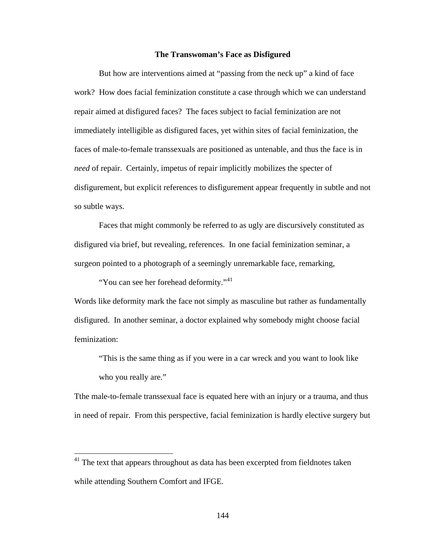## **The Transwoman's Face as Disfigured**

But how are interventions aimed at "passing from the neck up" a kind of face work? How does facial feminization constitute a case through which we can understand repair aimed at disfigured faces? The faces subject to facial feminization are not immediately intelligible as disfigured faces, yet within sites of facial feminization, the faces of male-to-female transsexuals are positioned as untenable, and thus the face is in *need* of repair. Certainly, impetus of repair implicitly mobilizes the specter of disfigurement, but explicit references to disfigurement appear frequently in subtle and not so subtle ways.

Faces that might commonly be referred to as ugly are discursively constituted as disfigured via brief, but revealing, references. In one facial feminization seminar, a surgeon pointed to a photograph of a seemingly unremarkable face, remarking,

"You can see her forehead deformity."<sup>[41](#page-157-0)</sup>

 $\overline{a}$ 

Words like deformity mark the face not simply as masculine but rather as fundamentally disfigured. In another seminar, a doctor explained why somebody might choose facial feminization:

"This is the same thing as if you were in a car wreck and you want to look like who you really are."

Tthe male-to-female transsexual face is equated here with an injury or a trauma, and thus in need of repair. From this perspective, facial feminization is hardly elective surgery but

<span id="page-157-0"></span><sup>&</sup>lt;sup>41</sup> The text that appears throughout as data has been excerpted from fieldnotes taken while attending Southern Comfort and IFGE.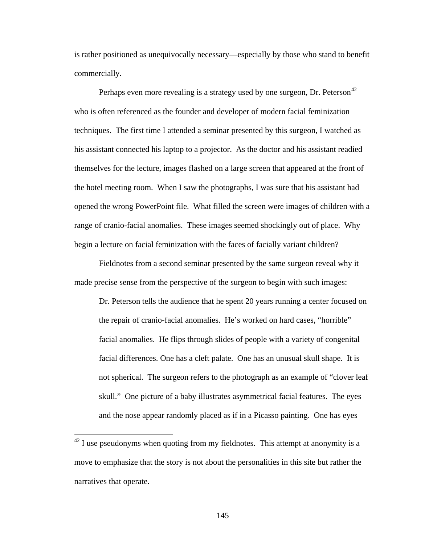is rather positioned as unequivocally necessary—especially by those who stand to benefit commercially.

Perhaps even more revealing is a strategy used by one surgeon, Dr. Peterson<sup>[42](#page-158-0)</sup> who is often referenced as the founder and developer of modern facial feminization techniques. The first time I attended a seminar presented by this surgeon, I watched as his assistant connected his laptop to a projector. As the doctor and his assistant readied themselves for the lecture, images flashed on a large screen that appeared at the front of the hotel meeting room. When I saw the photographs, I was sure that his assistant had opened the wrong PowerPoint file. What filled the screen were images of children with a range of cranio-facial anomalies. These images seemed shockingly out of place. Why begin a lecture on facial feminization with the faces of facially variant children?

Fieldnotes from a second seminar presented by the same surgeon reveal why it made precise sense from the perspective of the surgeon to begin with such images:

Dr. Peterson tells the audience that he spent 20 years running a center focused on the repair of cranio-facial anomalies. He's worked on hard cases, "horrible" facial anomalies. He flips through slides of people with a variety of congenital facial differences. One has a cleft palate. One has an unusual skull shape. It is not spherical. The surgeon refers to the photograph as an example of "clover leaf skull." One picture of a baby illustrates asymmetrical facial features. The eyes and the nose appear randomly placed as if in a Picasso painting. One has eyes

 $\overline{a}$ 

<span id="page-158-0"></span> $^{42}$  I use pseudonyms when quoting from my fieldnotes. This attempt at anonymity is a move to emphasize that the story is not about the personalities in this site but rather the narratives that operate.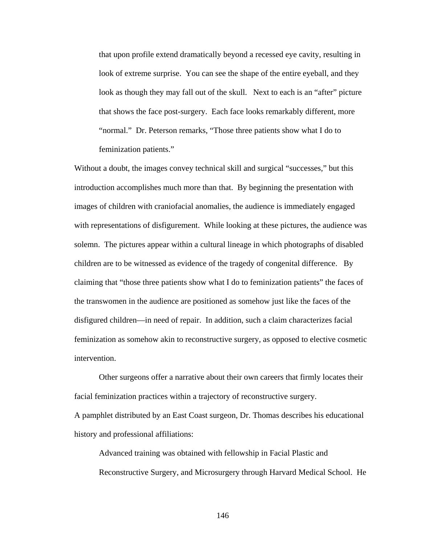that upon profile extend dramatically beyond a recessed eye cavity, resulting in look of extreme surprise. You can see the shape of the entire eyeball, and they look as though they may fall out of the skull. Next to each is an "after" picture that shows the face post-surgery. Each face looks remarkably different, more "normal." Dr. Peterson remarks, "Those three patients show what I do to feminization patients."

Without a doubt, the images convey technical skill and surgical "successes," but this introduction accomplishes much more than that. By beginning the presentation with images of children with craniofacial anomalies, the audience is immediately engaged with representations of disfigurement. While looking at these pictures, the audience was solemn. The pictures appear within a cultural lineage in which photographs of disabled children are to be witnessed as evidence of the tragedy of congenital difference. By claiming that "those three patients show what I do to feminization patients" the faces of the transwomen in the audience are positioned as somehow just like the faces of the disfigured children—in need of repair. In addition, such a claim characterizes facial feminization as somehow akin to reconstructive surgery, as opposed to elective cosmetic intervention.

 Other surgeons offer a narrative about their own careers that firmly locates their facial feminization practices within a trajectory of reconstructive surgery. A pamphlet distributed by an East Coast surgeon, Dr. Thomas describes his educational history and professional affiliations:

Advanced training was obtained with fellowship in Facial Plastic and Reconstructive Surgery, and Microsurgery through Harvard Medical School. He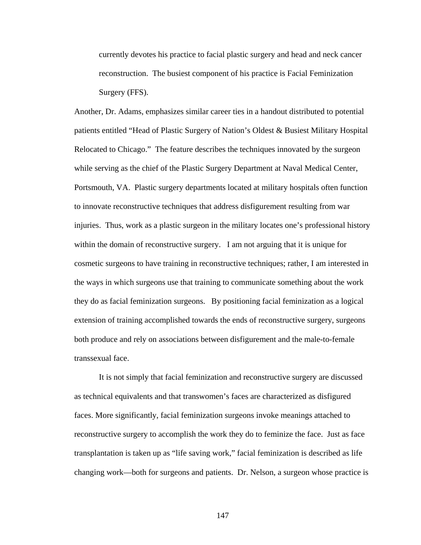currently devotes his practice to facial plastic surgery and head and neck cancer reconstruction. The busiest component of his practice is Facial Feminization Surgery (FFS).

Another, Dr. Adams, emphasizes similar career ties in a handout distributed to potential patients entitled "Head of Plastic Surgery of Nation's Oldest & Busiest Military Hospital Relocated to Chicago." The feature describes the techniques innovated by the surgeon while serving as the chief of the Plastic Surgery Department at Naval Medical Center, Portsmouth, VA. Plastic surgery departments located at military hospitals often function to innovate reconstructive techniques that address disfigurement resulting from war injuries. Thus, work as a plastic surgeon in the military locates one's professional history within the domain of reconstructive surgery. I am not arguing that it is unique for cosmetic surgeons to have training in reconstructive techniques; rather, I am interested in the ways in which surgeons use that training to communicate something about the work they do as facial feminization surgeons. By positioning facial feminization as a logical extension of training accomplished towards the ends of reconstructive surgery, surgeons both produce and rely on associations between disfigurement and the male-to-female transsexual face.

It is not simply that facial feminization and reconstructive surgery are discussed as technical equivalents and that transwomen's faces are characterized as disfigured faces. More significantly, facial feminization surgeons invoke meanings attached to reconstructive surgery to accomplish the work they do to feminize the face. Just as face transplantation is taken up as "life saving work," facial feminization is described as life changing work—both for surgeons and patients. Dr. Nelson, a surgeon whose practice is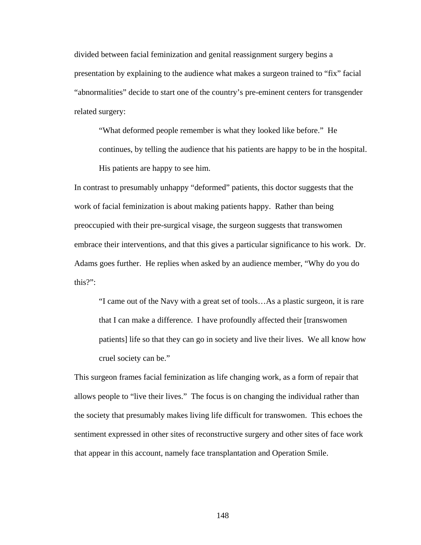divided between facial feminization and genital reassignment surgery begins a presentation by explaining to the audience what makes a surgeon trained to "fix" facial "abnormalities" decide to start one of the country's pre-eminent centers for transgender related surgery:

"What deformed people remember is what they looked like before." He continues, by telling the audience that his patients are happy to be in the hospital. His patients are happy to see him.

In contrast to presumably unhappy "deformed" patients, this doctor suggests that the work of facial feminization is about making patients happy. Rather than being preoccupied with their pre-surgical visage, the surgeon suggests that transwomen embrace their interventions, and that this gives a particular significance to his work. Dr. Adams goes further. He replies when asked by an audience member, "Why do you do this?":

"I came out of the Navy with a great set of tools…As a plastic surgeon, it is rare that I can make a difference. I have profoundly affected their [transwomen patients] life so that they can go in society and live their lives. We all know how cruel society can be."

This surgeon frames facial feminization as life changing work, as a form of repair that allows people to "live their lives." The focus is on changing the individual rather than the society that presumably makes living life difficult for transwomen. This echoes the sentiment expressed in other sites of reconstructive surgery and other sites of face work that appear in this account, namely face transplantation and Operation Smile.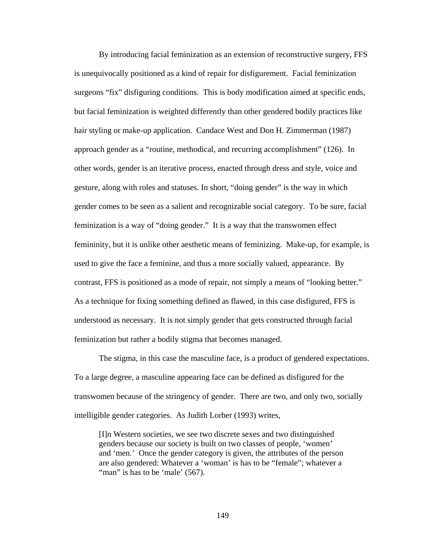By introducing facial feminization as an extension of reconstructive surgery, FFS is unequivocally positioned as a kind of repair for disfigurement. Facial feminization surgeons "fix" disfiguring conditions. This is body modification aimed at specific ends, but facial feminization is weighted differently than other gendered bodily practices like hair styling or make-up application. Candace West and Don H. Zimmerman (1987) approach gender as a "routine, methodical, and recurring accomplishment" (126). In other words, gender is an iterative process, enacted through dress and style, voice and gesture, along with roles and statuses. In short, "doing gender" is the way in which gender comes to be seen as a salient and recognizable social category. To be sure, facial feminization is a way of "doing gender." It is a way that the transwomen effect femininity, but it is unlike other aesthetic means of feminizing. Make-up, for example, is used to give the face a feminine, and thus a more socially valued, appearance. By contrast, FFS is positioned as a mode of repair, not simply a means of "looking better." As a technique for fixing something defined as flawed, in this case disfigured, FFS is understood as necessary. It is not simply gender that gets constructed through facial feminization but rather a bodily stigma that becomes managed.

The stigma, in this case the masculine face, is a product of gendered expectations. To a large degree, a masculine appearing face can be defined as disfigured for the transwomen because of the stringency of gender. There are two, and only two, socially intelligible gender categories. As Judith Lorber (1993) writes,

[I]n Western societies, we see two discrete sexes and two distinguished genders because our society is built on two classes of people, 'women' and 'men.' Once the gender category is given, the attributes of the person are also gendered: Whatever a 'woman' is has to be "female"; whatever a "man" is has to be 'male' (567).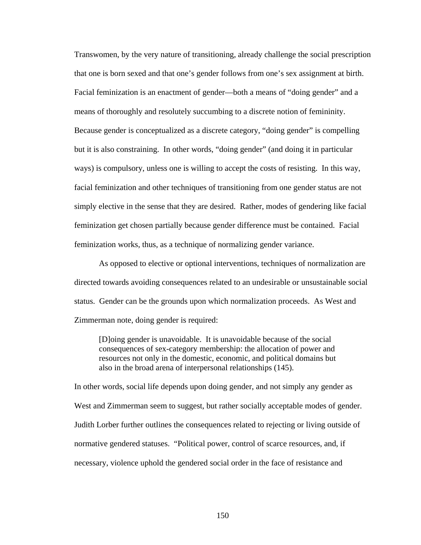Transwomen, by the very nature of transitioning, already challenge the social prescription that one is born sexed and that one's gender follows from one's sex assignment at birth. Facial feminization is an enactment of gender—both a means of "doing gender" and a means of thoroughly and resolutely succumbing to a discrete notion of femininity. Because gender is conceptualized as a discrete category, "doing gender" is compelling but it is also constraining. In other words, "doing gender" (and doing it in particular ways) is compulsory, unless one is willing to accept the costs of resisting. In this way, facial feminization and other techniques of transitioning from one gender status are not simply elective in the sense that they are desired. Rather, modes of gendering like facial feminization get chosen partially because gender difference must be contained. Facial feminization works, thus, as a technique of normalizing gender variance.

As opposed to elective or optional interventions, techniques of normalization are directed towards avoiding consequences related to an undesirable or unsustainable social status. Gender can be the grounds upon which normalization proceeds. As West and Zimmerman note, doing gender is required:

[D]oing gender is unavoidable. It is unavoidable because of the social consequences of sex-category membership: the allocation of power and resources not only in the domestic, economic, and political domains but also in the broad arena of interpersonal relationships (145).

In other words, social life depends upon doing gender, and not simply any gender as West and Zimmerman seem to suggest, but rather socially acceptable modes of gender. Judith Lorber further outlines the consequences related to rejecting or living outside of normative gendered statuses. "Political power, control of scarce resources, and, if necessary, violence uphold the gendered social order in the face of resistance and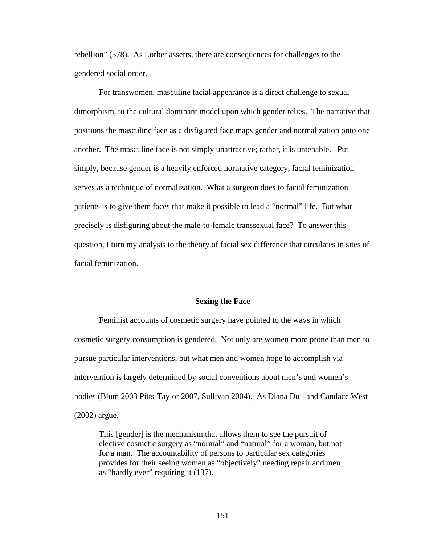rebellion" (578). As Lorber asserts, there are consequences for challenges to the gendered social order.

For transwomen, masculine facial appearance is a direct challenge to sexual dimorphism, to the cultural dominant model upon which gender relies. The narrative that positions the masculine face as a disfigured face maps gender and normalization onto one another. The masculine face is not simply unattractive; rather, it is untenable. Put simply, because gender is a heavily enforced normative category, facial feminization serves as a technique of normalization. What a surgeon does to facial feminization patients is to give them faces that make it possible to lead a "normal" life. But what precisely is disfiguring about the male-to-female transsexual face? To answer this question, I turn my analysis to the theory of facial sex difference that circulates in sites of facial feminization.

#### **Sexing the Face**

Feminist accounts of cosmetic surgery have pointed to the ways in which cosmetic surgery consumption is gendered. Not only are women more prone than men to pursue particular interventions, but what men and women hope to accomplish via intervention is largely determined by social conventions about men's and women's bodies (Blum 2003 Pitts-Taylor 2007, Sullivan 2004). As Diana Dull and Candace West (2002) argue,

This [gender] is the mechanism that allows them to see the pursuit of elective cosmetic surgery as "normal" and "natural" for a woman, but not for a man. The accountability of persons to particular sex categories provides for their seeing women as "objectively" needing repair and men as "hardly ever" requiring it (137).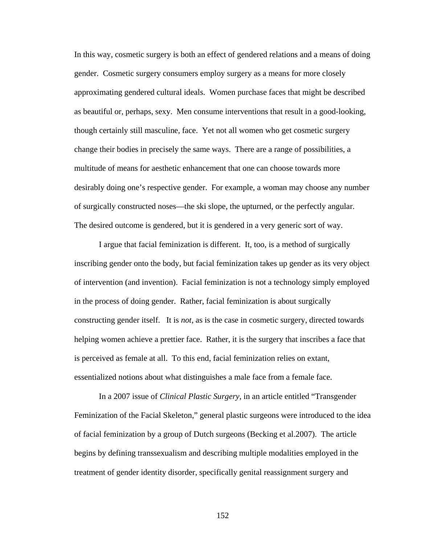In this way, cosmetic surgery is both an effect of gendered relations and a means of doing gender. Cosmetic surgery consumers employ surgery as a means for more closely approximating gendered cultural ideals. Women purchase faces that might be described as beautiful or, perhaps, sexy. Men consume interventions that result in a good-looking, though certainly still masculine, face. Yet not all women who get cosmetic surgery change their bodies in precisely the same ways. There are a range of possibilities, a multitude of means for aesthetic enhancement that one can choose towards more desirably doing one's respective gender. For example, a woman may choose any number of surgically constructed noses—the ski slope, the upturned, or the perfectly angular. The desired outcome is gendered, but it is gendered in a very generic sort of way.

I argue that facial feminization is different. It, too, is a method of surgically inscribing gender onto the body, but facial feminization takes up gender as its very object of intervention (and invention). Facial feminization is not a technology simply employed in the process of doing gender. Rather, facial feminization is about surgically constructing gender itself. It is *not*, as is the case in cosmetic surgery, directed towards helping women achieve a prettier face. Rather, it is the surgery that inscribes a face that is perceived as female at all. To this end, facial feminization relies on extant, essentialized notions about what distinguishes a male face from a female face.

In a 2007 issue of *Clinical Plastic Surgery*, in an article entitled "Transgender Feminization of the Facial Skeleton," general plastic surgeons were introduced to the idea of facial feminization by a group of Dutch surgeons (Becking et al.2007). The article begins by defining transsexualism and describing multiple modalities employed in the treatment of gender identity disorder, specifically genital reassignment surgery and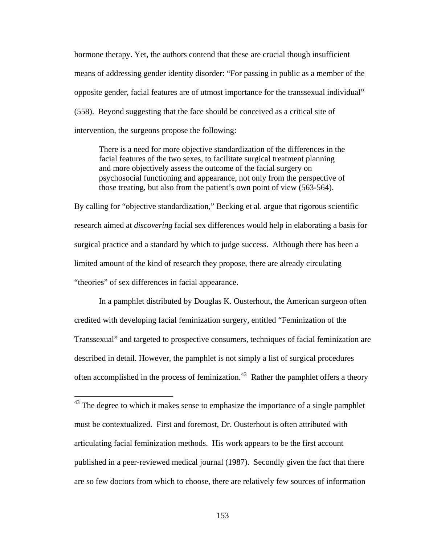hormone therapy. Yet, the authors contend that these are crucial though insufficient means of addressing gender identity disorder: "For passing in public as a member of the opposite gender, facial features are of utmost importance for the transsexual individual" (558).Beyond suggesting that the face should be conceived as a critical site of intervention, the surgeons propose the following:

There is a need for more objective standardization of the differences in the facial features of the two sexes, to facilitate surgical treatment planning and more objectively assess the outcome of the facial surgery on psychosocial functioning and appearance, not only from the perspective of those treating, but also from the patient's own point of view (563-564).

By calling for "objective standardization," Becking et al. argue that rigorous scientific research aimed at *discovering* facial sex differences would help in elaborating a basis for surgical practice and a standard by which to judge success. Although there has been a limited amount of the kind of research they propose, there are already circulating "theories" of sex differences in facial appearance.

In a pamphlet distributed by Douglas K. Ousterhout, the American surgeon often credited with developing facial feminization surgery, entitled "Feminization of the Transsexual" and targeted to prospective consumers, techniques of facial feminization are described in detail. However, the pamphlet is not simply a list of surgical procedures often accomplished in the process of feminization.<sup>[43](#page-166-0)</sup> Rather the pamphlet offers a theory

<span id="page-166-0"></span> $43$  The degree to which it makes sense to emphasize the importance of a single pamphlet must be contextualized. First and foremost, Dr. Ousterhout is often attributed with articulating facial feminization methods. His work appears to be the first account published in a peer-reviewed medical journal (1987). Secondly given the fact that there are so few doctors from which to choose, there are relatively few sources of information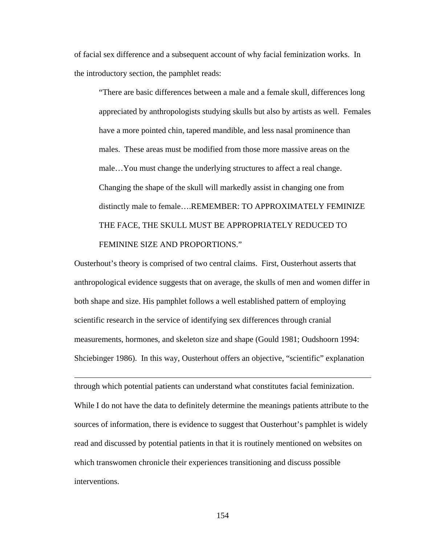of facial sex difference and a subsequent account of why facial feminization works. In the introductory section, the pamphlet reads:

"There are basic differences between a male and a female skull, differences long appreciated by anthropologists studying skulls but also by artists as well. Females have a more pointed chin, tapered mandible, and less nasal prominence than males. These areas must be modified from those more massive areas on the male…You must change the underlying structures to affect a real change. Changing the shape of the skull will markedly assist in changing one from distinctly male to female….REMEMBER: TO APPROXIMATELY FEMINIZE THE FACE, THE SKULL MUST BE APPROPRIATELY REDUCED TO FEMININE SIZE AND PROPORTIONS."

Ousterhout's theory is comprised of two central claims. First, Ousterhout asserts that anthropological evidence suggests that on average, the skulls of men and women differ in both shape and size. His pamphlet follows a well established pattern of employing scientific research in the service of identifying sex differences through cranial measurements, hormones, and skeleton size and shape (Gould 1981; Oudshoorn 1994: Shciebinger 1986). In this way, Ousterhout offers an objective, "scientific" explanation

through which potential patients can understand what constitutes facial feminization. While I do not have the data to definitely determine the meanings patients attribute to the sources of information, there is evidence to suggest that Ousterhout's pamphlet is widely read and discussed by potential patients in that it is routinely mentioned on websites on which transwomen chronicle their experiences transitioning and discuss possible interventions.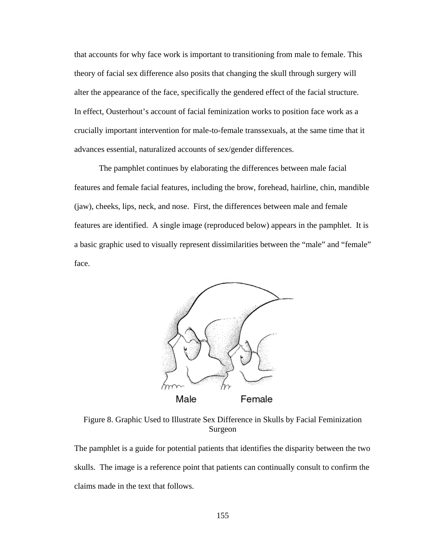that accounts for why face work is important to transitioning from male to female. This theory of facial sex difference also posits that changing the skull through surgery will alter the appearance of the face, specifically the gendered effect of the facial structure. In effect, Ousterhout's account of facial feminization works to position face work as a crucially important intervention for male-to-female transsexuals, at the same time that it advances essential, naturalized accounts of sex/gender differences.

The pamphlet continues by elaborating the differences between male facial features and female facial features, including the brow, forehead, hairline, chin, mandible (jaw), cheeks, lips, neck, and nose. First, the differences between male and female features are identified. A single image (reproduced below) appears in the pamphlet. It is a basic graphic used to visually represent dissimilarities between the "male" and "female" face.



Figure 8. Graphic Used to Illustrate Sex Difference in Skulls by Facial Feminization Surgeon

The pamphlet is a guide for potential patients that identifies the disparity between the two skulls. The image is a reference point that patients can continually consult to confirm the claims made in the text that follows.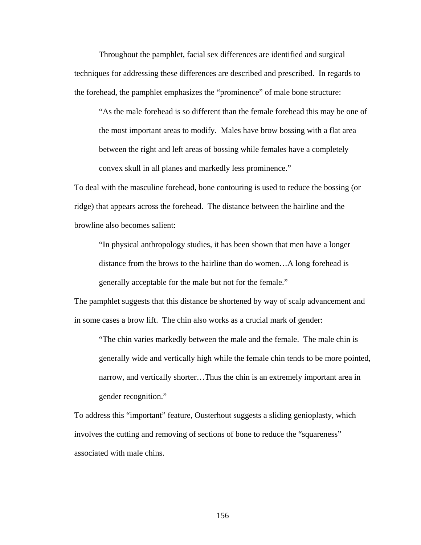Throughout the pamphlet, facial sex differences are identified and surgical techniques for addressing these differences are described and prescribed. In regards to the forehead, the pamphlet emphasizes the "prominence" of male bone structure:

"As the male forehead is so different than the female forehead this may be one of the most important areas to modify. Males have brow bossing with a flat area between the right and left areas of bossing while females have a completely convex skull in all planes and markedly less prominence."

To deal with the masculine forehead, bone contouring is used to reduce the bossing (or ridge) that appears across the forehead. The distance between the hairline and the browline also becomes salient:

"In physical anthropology studies, it has been shown that men have a longer distance from the brows to the hairline than do women…A long forehead is generally acceptable for the male but not for the female."

The pamphlet suggests that this distance be shortened by way of scalp advancement and in some cases a brow lift. The chin also works as a crucial mark of gender:

"The chin varies markedly between the male and the female. The male chin is generally wide and vertically high while the female chin tends to be more pointed, narrow, and vertically shorter…Thus the chin is an extremely important area in gender recognition."

To address this "important" feature, Ousterhout suggests a sliding genioplasty, which involves the cutting and removing of sections of bone to reduce the "squareness" associated with male chins.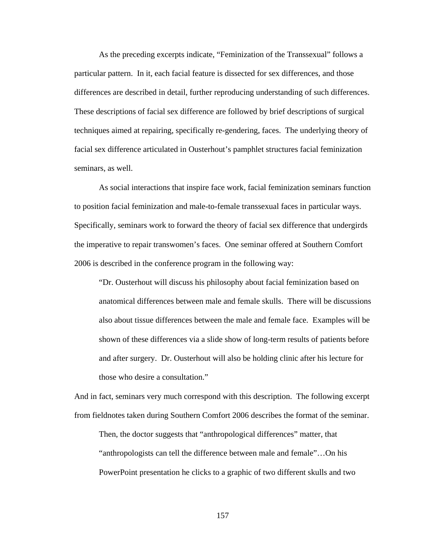As the preceding excerpts indicate, "Feminization of the Transsexual" follows a particular pattern. In it, each facial feature is dissected for sex differences, and those differences are described in detail, further reproducing understanding of such differences. These descriptions of facial sex difference are followed by brief descriptions of surgical techniques aimed at repairing, specifically re-gendering, faces. The underlying theory of facial sex difference articulated in Ousterhout's pamphlet structures facial feminization seminars, as well.

As social interactions that inspire face work, facial feminization seminars function to position facial feminization and male-to-female transsexual faces in particular ways. Specifically, seminars work to forward the theory of facial sex difference that undergirds the imperative to repair transwomen's faces. One seminar offered at Southern Comfort 2006 is described in the conference program in the following way:

"Dr. Ousterhout will discuss his philosophy about facial feminization based on anatomical differences between male and female skulls. There will be discussions also about tissue differences between the male and female face. Examples will be shown of these differences via a slide show of long-term results of patients before and after surgery. Dr. Ousterhout will also be holding clinic after his lecture for those who desire a consultation."

And in fact, seminars very much correspond with this description. The following excerpt from fieldnotes taken during Southern Comfort 2006 describes the format of the seminar. Then, the doctor suggests that "anthropological differences" matter, that "anthropologists can tell the difference between male and female"…On his PowerPoint presentation he clicks to a graphic of two different skulls and two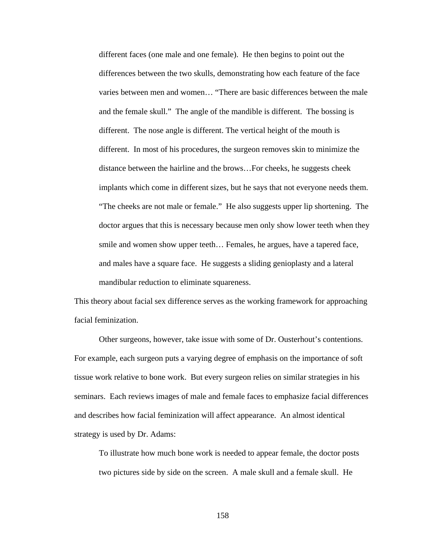different faces (one male and one female). He then begins to point out the differences between the two skulls, demonstrating how each feature of the face varies between men and women… "There are basic differences between the male and the female skull." The angle of the mandible is different. The bossing is different. The nose angle is different. The vertical height of the mouth is different. In most of his procedures, the surgeon removes skin to minimize the distance between the hairline and the brows…For cheeks, he suggests cheek implants which come in different sizes, but he says that not everyone needs them. "The cheeks are not male or female." He also suggests upper lip shortening. The doctor argues that this is necessary because men only show lower teeth when they smile and women show upper teeth… Females, he argues, have a tapered face, and males have a square face. He suggests a sliding genioplasty and a lateral mandibular reduction to eliminate squareness.

This theory about facial sex difference serves as the working framework for approaching facial feminization.

Other surgeons, however, take issue with some of Dr. Ousterhout's contentions. For example, each surgeon puts a varying degree of emphasis on the importance of soft tissue work relative to bone work. But every surgeon relies on similar strategies in his seminars. Each reviews images of male and female faces to emphasize facial differences and describes how facial feminization will affect appearance. An almost identical strategy is used by Dr. Adams:

To illustrate how much bone work is needed to appear female, the doctor posts two pictures side by side on the screen. A male skull and a female skull. He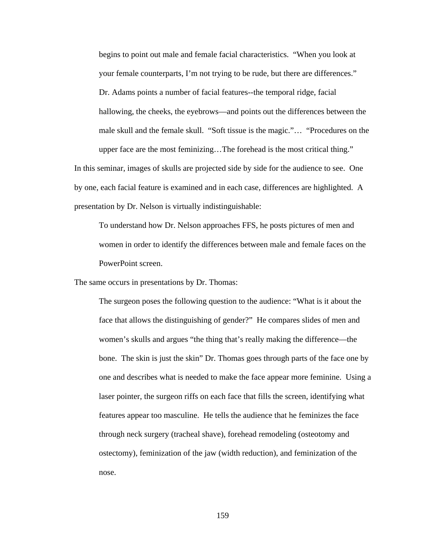begins to point out male and female facial characteristics. "When you look at your female counterparts, I'm not trying to be rude, but there are differences." Dr. Adams points a number of facial features--the temporal ridge, facial hallowing, the cheeks, the eyebrows—and points out the differences between the male skull and the female skull. "Soft tissue is the magic."… "Procedures on the upper face are the most feminizing…The forehead is the most critical thing."

In this seminar, images of skulls are projected side by side for the audience to see. One by one, each facial feature is examined and in each case, differences are highlighted. A presentation by Dr. Nelson is virtually indistinguishable:

To understand how Dr. Nelson approaches FFS, he posts pictures of men and women in order to identify the differences between male and female faces on the PowerPoint screen.

The same occurs in presentations by Dr. Thomas:

The surgeon poses the following question to the audience: "What is it about the face that allows the distinguishing of gender?" He compares slides of men and women's skulls and argues "the thing that's really making the difference—the bone. The skin is just the skin" Dr. Thomas goes through parts of the face one by one and describes what is needed to make the face appear more feminine. Using a laser pointer, the surgeon riffs on each face that fills the screen, identifying what features appear too masculine. He tells the audience that he feminizes the face through neck surgery (tracheal shave), forehead remodeling (osteotomy and ostectomy), feminization of the jaw (width reduction), and feminization of the nose.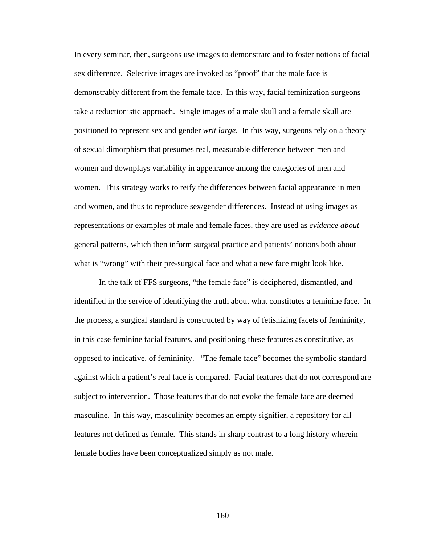In every seminar, then, surgeons use images to demonstrate and to foster notions of facial sex difference. Selective images are invoked as "proof" that the male face is demonstrably different from the female face. In this way, facial feminization surgeons take a reductionistic approach. Single images of a male skull and a female skull are positioned to represent sex and gender *writ large*. In this way, surgeons rely on a theory of sexual dimorphism that presumes real, measurable difference between men and women and downplays variability in appearance among the categories of men and women. This strategy works to reify the differences between facial appearance in men and women, and thus to reproduce sex/gender differences. Instead of using images as representations or examples of male and female faces, they are used as *evidence about* general patterns, which then inform surgical practice and patients' notions both about what is "wrong" with their pre-surgical face and what a new face might look like.

 In the talk of FFS surgeons, "the female face" is deciphered, dismantled, and identified in the service of identifying the truth about what constitutes a feminine face. In the process, a surgical standard is constructed by way of fetishizing facets of femininity, in this case feminine facial features, and positioning these features as constitutive, as opposed to indicative, of femininity. "The female face" becomes the symbolic standard against which a patient's real face is compared. Facial features that do not correspond are subject to intervention. Those features that do not evoke the female face are deemed masculine. In this way, masculinity becomes an empty signifier, a repository for all features not defined as female. This stands in sharp contrast to a long history wherein female bodies have been conceptualized simply as not male.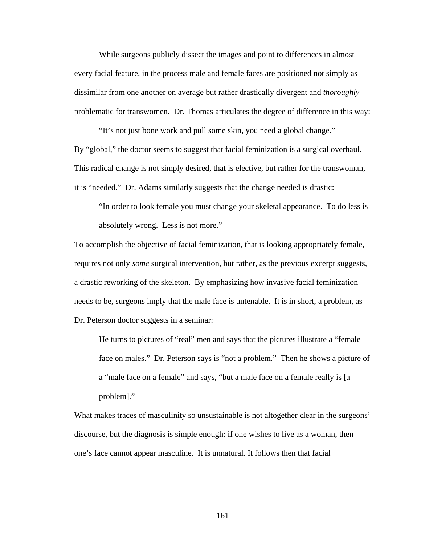While surgeons publicly dissect the images and point to differences in almost every facial feature, in the process male and female faces are positioned not simply as dissimilar from one another on average but rather drastically divergent and *thoroughly* problematic for transwomen. Dr. Thomas articulates the degree of difference in this way:

"It's not just bone work and pull some skin, you need a global change." By "global," the doctor seems to suggest that facial feminization is a surgical overhaul. This radical change is not simply desired, that is elective, but rather for the transwoman, it is "needed." Dr. Adams similarly suggests that the change needed is drastic:

"In order to look female you must change your skeletal appearance. To do less is absolutely wrong. Less is not more."

To accomplish the objective of facial feminization, that is looking appropriately female, requires not only *some* surgical intervention, but rather, as the previous excerpt suggests, a drastic reworking of the skeleton. By emphasizing how invasive facial feminization needs to be, surgeons imply that the male face is untenable. It is in short, a problem, as Dr. Peterson doctor suggests in a seminar:

He turns to pictures of "real" men and says that the pictures illustrate a "female face on males." Dr. Peterson says is "not a problem." Then he shows a picture of a "male face on a female" and says, "but a male face on a female really is [a problem]."

What makes traces of masculinity so unsustainable is not altogether clear in the surgeons' discourse, but the diagnosis is simple enough: if one wishes to live as a woman, then one's face cannot appear masculine. It is unnatural. It follows then that facial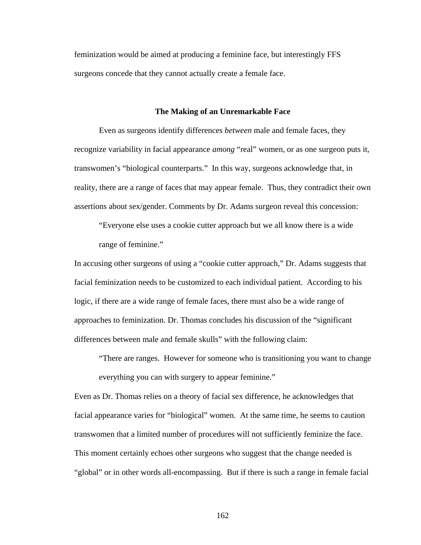feminization would be aimed at producing a feminine face, but interestingly FFS surgeons concede that they cannot actually create a female face.

#### **The Making of an Unremarkable Face**

 Even as surgeons identify differences *between* male and female faces, they recognize variability in facial appearance *among* "real" women, or as one surgeon puts it, transwomen's "biological counterparts." In this way, surgeons acknowledge that, in reality, there are a range of faces that may appear female. Thus, they contradict their own assertions about sex/gender. Comments by Dr. Adams surgeon reveal this concession:

"Everyone else uses a cookie cutter approach but we all know there is a wide range of feminine."

In accusing other surgeons of using a "cookie cutter approach," Dr. Adams suggests that facial feminization needs to be customized to each individual patient. According to his logic, if there are a wide range of female faces, there must also be a wide range of approaches to feminization. Dr. Thomas concludes his discussion of the "significant differences between male and female skulls" with the following claim:

"There are ranges. However for someone who is transitioning you want to change everything you can with surgery to appear feminine."

Even as Dr. Thomas relies on a theory of facial sex difference, he acknowledges that facial appearance varies for "biological" women. At the same time, he seems to caution transwomen that a limited number of procedures will not sufficiently feminize the face. This moment certainly echoes other surgeons who suggest that the change needed is "global" or in other words all-encompassing. But if there is such a range in female facial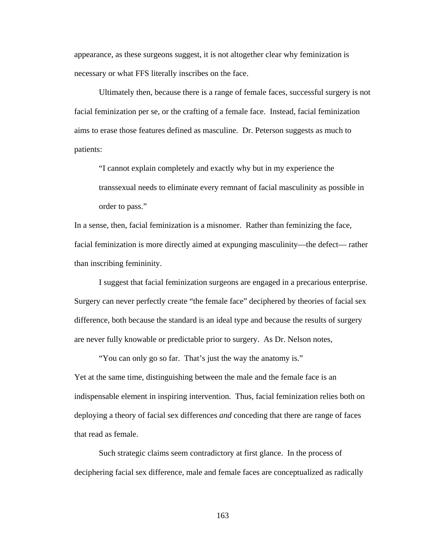appearance, as these surgeons suggest, it is not altogether clear why feminization is necessary or what FFS literally inscribes on the face.

Ultimately then, because there is a range of female faces, successful surgery is not facial feminization per se, or the crafting of a female face. Instead, facial feminization aims to erase those features defined as masculine. Dr. Peterson suggests as much to patients:

"I cannot explain completely and exactly why but in my experience the transsexual needs to eliminate every remnant of facial masculinity as possible in order to pass."

In a sense, then, facial feminization is a misnomer. Rather than feminizing the face, facial feminization is more directly aimed at expunging masculinity—the defect— rather than inscribing femininity.

I suggest that facial feminization surgeons are engaged in a precarious enterprise. Surgery can never perfectly create "the female face" deciphered by theories of facial sex difference, both because the standard is an ideal type and because the results of surgery are never fully knowable or predictable prior to surgery. As Dr. Nelson notes,

"You can only go so far. That's just the way the anatomy is." Yet at the same time, distinguishing between the male and the female face is an indispensable element in inspiring intervention. Thus, facial feminization relies both on deploying a theory of facial sex differences *and* conceding that there are range of faces that read as female.

Such strategic claims seem contradictory at first glance. In the process of deciphering facial sex difference, male and female faces are conceptualized as radically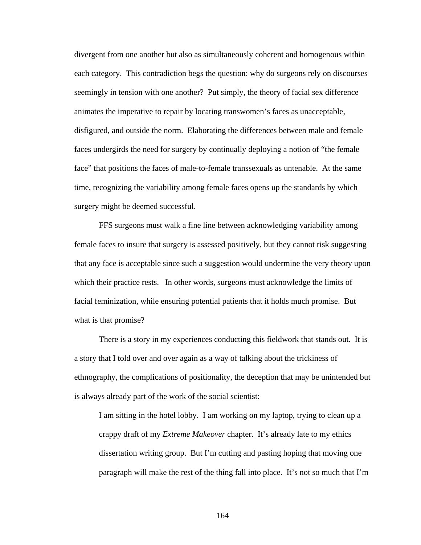divergent from one another but also as simultaneously coherent and homogenous within each category. This contradiction begs the question: why do surgeons rely on discourses seemingly in tension with one another? Put simply, the theory of facial sex difference animates the imperative to repair by locating transwomen's faces as unacceptable, disfigured, and outside the norm. Elaborating the differences between male and female faces undergirds the need for surgery by continually deploying a notion of "the female face" that positions the faces of male-to-female transsexuals as untenable. At the same time, recognizing the variability among female faces opens up the standards by which surgery might be deemed successful.

FFS surgeons must walk a fine line between acknowledging variability among female faces to insure that surgery is assessed positively, but they cannot risk suggesting that any face is acceptable since such a suggestion would undermine the very theory upon which their practice rests. In other words, surgeons must acknowledge the limits of facial feminization, while ensuring potential patients that it holds much promise. But what is that promise?

There is a story in my experiences conducting this fieldwork that stands out. It is a story that I told over and over again as a way of talking about the trickiness of ethnography, the complications of positionality, the deception that may be unintended but is always already part of the work of the social scientist:

I am sitting in the hotel lobby. I am working on my laptop, trying to clean up a crappy draft of my *Extreme Makeover* chapter. It's already late to my ethics dissertation writing group. But I'm cutting and pasting hoping that moving one paragraph will make the rest of the thing fall into place. It's not so much that I'm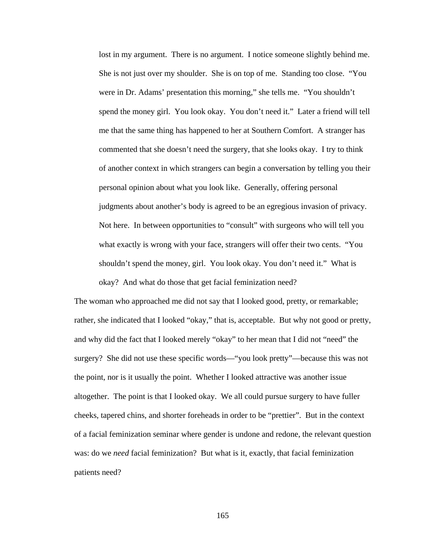lost in my argument. There is no argument. I notice someone slightly behind me. She is not just over my shoulder. She is on top of me. Standing too close. "You were in Dr. Adams' presentation this morning," she tells me. "You shouldn't spend the money girl. You look okay. You don't need it." Later a friend will tell me that the same thing has happened to her at Southern Comfort. A stranger has commented that she doesn't need the surgery, that she looks okay. I try to think of another context in which strangers can begin a conversation by telling you their personal opinion about what you look like. Generally, offering personal judgments about another's body is agreed to be an egregious invasion of privacy. Not here. In between opportunities to "consult" with surgeons who will tell you what exactly is wrong with your face, strangers will offer their two cents. "You shouldn't spend the money, girl. You look okay. You don't need it." What is okay? And what do those that get facial feminization need?

The woman who approached me did not say that I looked good, pretty, or remarkable; rather, she indicated that I looked "okay," that is, acceptable. But why not good or pretty, and why did the fact that I looked merely "okay" to her mean that I did not "need" the surgery? She did not use these specific words—"you look pretty"—because this was not the point, nor is it usually the point. Whether I looked attractive was another issue altogether. The point is that I looked okay. We all could pursue surgery to have fuller cheeks, tapered chins, and shorter foreheads in order to be "prettier". But in the context of a facial feminization seminar where gender is undone and redone, the relevant question was: do we *need* facial feminization? But what is it, exactly, that facial feminization patients need?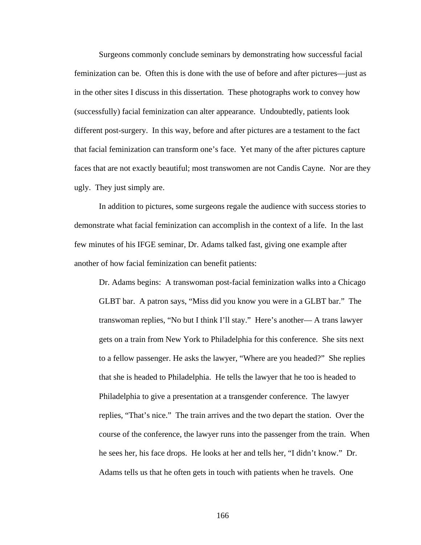Surgeons commonly conclude seminars by demonstrating how successful facial feminization can be. Often this is done with the use of before and after pictures—just as in the other sites I discuss in this dissertation. These photographs work to convey how (successfully) facial feminization can alter appearance. Undoubtedly, patients look different post-surgery. In this way, before and after pictures are a testament to the fact that facial feminization can transform one's face. Yet many of the after pictures capture faces that are not exactly beautiful; most transwomen are not Candis Cayne. Nor are they ugly. They just simply are.

In addition to pictures, some surgeons regale the audience with success stories to demonstrate what facial feminization can accomplish in the context of a life. In the last few minutes of his IFGE seminar, Dr. Adams talked fast, giving one example after another of how facial feminization can benefit patients:

Dr. Adams begins: A transwoman post-facial feminization walks into a Chicago GLBT bar. A patron says, "Miss did you know you were in a GLBT bar." The transwoman replies, "No but I think I'll stay." Here's another— A trans lawyer gets on a train from New York to Philadelphia for this conference. She sits next to a fellow passenger. He asks the lawyer, "Where are you headed?" She replies that she is headed to Philadelphia. He tells the lawyer that he too is headed to Philadelphia to give a presentation at a transgender conference. The lawyer replies, "That's nice." The train arrives and the two depart the station. Over the course of the conference, the lawyer runs into the passenger from the train. When he sees her, his face drops. He looks at her and tells her, "I didn't know." Dr. Adams tells us that he often gets in touch with patients when he travels. One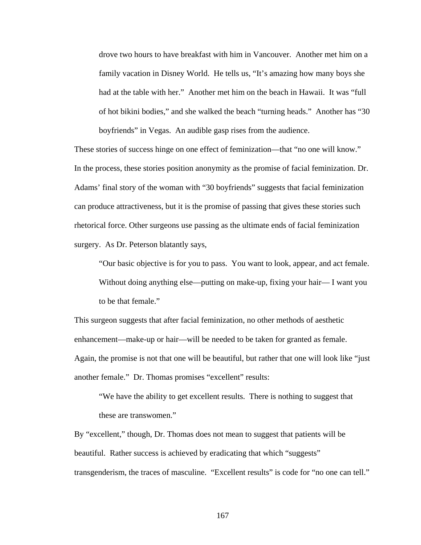drove two hours to have breakfast with him in Vancouver. Another met him on a family vacation in Disney World. He tells us, "It's amazing how many boys she had at the table with her." Another met him on the beach in Hawaii. It was "full of hot bikini bodies," and she walked the beach "turning heads." Another has "30 boyfriends" in Vegas. An audible gasp rises from the audience.

These stories of success hinge on one effect of feminization—that "no one will know." In the process, these stories position anonymity as the promise of facial feminization. Dr. Adams' final story of the woman with "30 boyfriends" suggests that facial feminization can produce attractiveness, but it is the promise of passing that gives these stories such rhetorical force. Other surgeons use passing as the ultimate ends of facial feminization surgery. As Dr. Peterson blatantly says,

"Our basic objective is for you to pass. You want to look, appear, and act female. Without doing anything else—putting on make-up, fixing your hair— I want you to be that female."

This surgeon suggests that after facial feminization, no other methods of aesthetic enhancement—make-up or hair—will be needed to be taken for granted as female. Again, the promise is not that one will be beautiful, but rather that one will look like "just another female." Dr. Thomas promises "excellent" results:

"We have the ability to get excellent results. There is nothing to suggest that these are transwomen."

By "excellent," though, Dr. Thomas does not mean to suggest that patients will be beautiful. Rather success is achieved by eradicating that which "suggests" transgenderism, the traces of masculine. "Excellent results" is code for "no one can tell."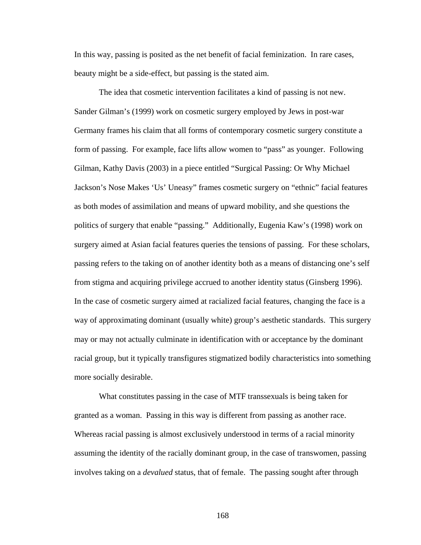In this way, passing is posited as the net benefit of facial feminization. In rare cases, beauty might be a side-effect, but passing is the stated aim.

 The idea that cosmetic intervention facilitates a kind of passing is not new. Sander Gilman's (1999) work on cosmetic surgery employed by Jews in post-war Germany frames his claim that all forms of contemporary cosmetic surgery constitute a form of passing. For example, face lifts allow women to "pass" as younger. Following Gilman, Kathy Davis (2003) in a piece entitled "Surgical Passing: Or Why Michael Jackson's Nose Makes 'Us' Uneasy" frames cosmetic surgery on "ethnic" facial features as both modes of assimilation and means of upward mobility, and she questions the politics of surgery that enable "passing." Additionally, Eugenia Kaw's (1998) work on surgery aimed at Asian facial features queries the tensions of passing. For these scholars, passing refers to the taking on of another identity both as a means of distancing one's self from stigma and acquiring privilege accrued to another identity status (Ginsberg 1996). In the case of cosmetic surgery aimed at racialized facial features, changing the face is a way of approximating dominant (usually white) group's aesthetic standards. This surgery may or may not actually culminate in identification with or acceptance by the dominant racial group, but it typically transfigures stigmatized bodily characteristics into something more socially desirable.

What constitutes passing in the case of MTF transsexuals is being taken for granted as a woman. Passing in this way is different from passing as another race. Whereas racial passing is almost exclusively understood in terms of a racial minority assuming the identity of the racially dominant group, in the case of transwomen, passing involves taking on a *devalued* status, that of female. The passing sought after through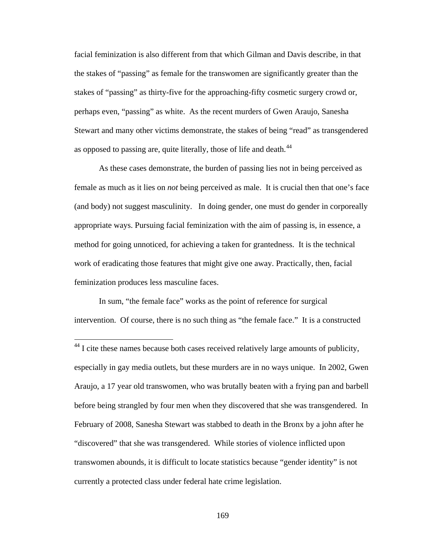facial feminization is also different from that which Gilman and Davis describe, in that the stakes of "passing" as female for the transwomen are significantly greater than the stakes of "passing" as thirty-five for the approaching-fifty cosmetic surgery crowd or, perhaps even, "passing" as white. As the recent murders of Gwen Araujo, Sanesha Stewart and many other victims demonstrate, the stakes of being "read" as transgendered as opposed to passing are, quite literally, those of life and death.<sup>[44](#page-182-0)</sup>

As these cases demonstrate, the burden of passing lies not in being perceived as female as much as it lies on *not* being perceived as male. It is crucial then that one's face (and body) not suggest masculinity. In doing gender, one must do gender in corporeally appropriate ways. Pursuing facial feminization with the aim of passing is, in essence, a method for going unnoticed, for achieving a taken for grantedness. It is the technical work of eradicating those features that might give one away. Practically, then, facial feminization produces less masculine faces.

In sum, "the female face" works as the point of reference for surgical intervention. Of course, there is no such thing as "the female face." It is a constructed

 $\overline{a}$ 

<span id="page-182-0"></span> $44$  I cite these names because both cases received relatively large amounts of publicity, especially in gay media outlets, but these murders are in no ways unique. In 2002, Gwen Araujo, a 17 year old transwomen, who was brutally beaten with a frying pan and barbell before being strangled by four men when they discovered that she was transgendered. In February of 2008, Sanesha Stewart was stabbed to death in the Bronx by a john after he "discovered" that she was transgendered. While stories of violence inflicted upon transwomen abounds, it is difficult to locate statistics because "gender identity" is not currently a protected class under federal hate crime legislation.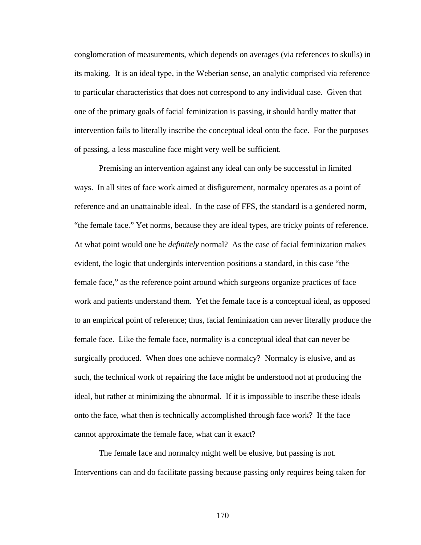conglomeration of measurements, which depends on averages (via references to skulls) in its making. It is an ideal type, in the Weberian sense, an analytic comprised via reference to particular characteristics that does not correspond to any individual case. Given that one of the primary goals of facial feminization is passing, it should hardly matter that intervention fails to literally inscribe the conceptual ideal onto the face. For the purposes of passing, a less masculine face might very well be sufficient.

Premising an intervention against any ideal can only be successful in limited ways. In all sites of face work aimed at disfigurement, normalcy operates as a point of reference and an unattainable ideal. In the case of FFS, the standard is a gendered norm, "the female face." Yet norms, because they are ideal types, are tricky points of reference. At what point would one be *definitely* normal? As the case of facial feminization makes evident, the logic that undergirds intervention positions a standard, in this case "the female face," as the reference point around which surgeons organize practices of face work and patients understand them. Yet the female face is a conceptual ideal, as opposed to an empirical point of reference; thus, facial feminization can never literally produce the female face. Like the female face, normality is a conceptual ideal that can never be surgically produced. When does one achieve normalcy? Normalcy is elusive, and as such, the technical work of repairing the face might be understood not at producing the ideal, but rather at minimizing the abnormal. If it is impossible to inscribe these ideals onto the face, what then is technically accomplished through face work? If the face cannot approximate the female face, what can it exact?

The female face and normalcy might well be elusive, but passing is not. Interventions can and do facilitate passing because passing only requires being taken for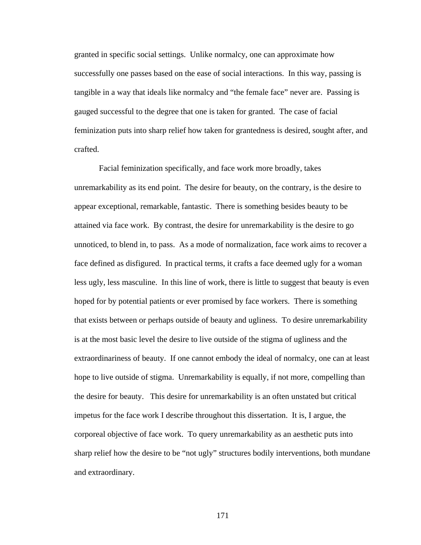granted in specific social settings. Unlike normalcy, one can approximate how successfully one passes based on the ease of social interactions. In this way, passing is tangible in a way that ideals like normalcy and "the female face" never are. Passing is gauged successful to the degree that one is taken for granted. The case of facial feminization puts into sharp relief how taken for grantedness is desired, sought after, and crafted.

Facial feminization specifically, and face work more broadly, takes unremarkability as its end point. The desire for beauty, on the contrary, is the desire to appear exceptional, remarkable, fantastic. There is something besides beauty to be attained via face work. By contrast, the desire for unremarkability is the desire to go unnoticed, to blend in, to pass. As a mode of normalization, face work aims to recover a face defined as disfigured. In practical terms, it crafts a face deemed ugly for a woman less ugly, less masculine. In this line of work, there is little to suggest that beauty is even hoped for by potential patients or ever promised by face workers. There is something that exists between or perhaps outside of beauty and ugliness. To desire unremarkability is at the most basic level the desire to live outside of the stigma of ugliness and the extraordinariness of beauty. If one cannot embody the ideal of normalcy, one can at least hope to live outside of stigma. Unremarkability is equally, if not more, compelling than the desire for beauty. This desire for unremarkability is an often unstated but critical impetus for the face work I describe throughout this dissertation. It is, I argue, the corporeal objective of face work. To query unremarkability as an aesthetic puts into sharp relief how the desire to be "not ugly" structures bodily interventions, both mundane and extraordinary.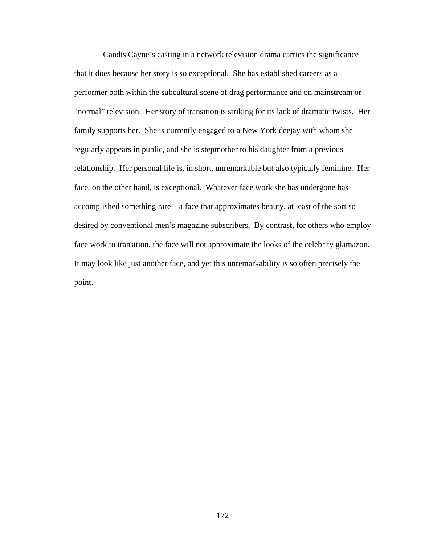Candis Cayne's casting in a network television drama carries the significance that it does because her story is so exceptional. She has established careers as a performer both within the subcultural scene of drag performance and on mainstream or "normal" television. Her story of transition is striking for its lack of dramatic twists. Her family supports her. She is currently engaged to a New York deejay with whom she regularly appears in public, and she is stepmother to his daughter from a previous relationship. Her personal life is, in short, unremarkable but also typically feminine. Her face, on the other hand, is exceptional. Whatever face work she has undergone has accomplished something rare—a face that approximates beauty, at least of the sort so desired by conventional men's magazine subscribers. By contrast, for others who employ face work to transition, the face will not approximate the looks of the celebrity glamazon. It may look like just another face, and yet this unremarkability is so often precisely the point.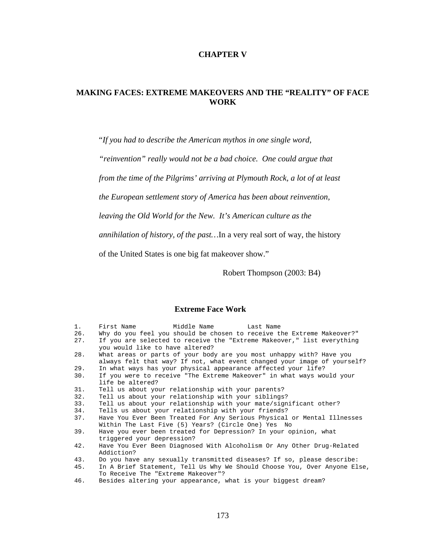## **CHAPTER V**

# **MAKING FACES: EXTREME MAKEOVERS AND THE "REALITY" OF FACE WORK**

"*If you had to describe the American mythos in one single word,* 

*"reinvention" really would not be a bad choice. One could argue that* 

*from the time of the Pilgrims' arriving at Plymouth Rock, a lot of at least* 

*the European settlement story of America has been about reinvention,* 

*leaving the Old World for the New. It's American culture as the* 

*annihilation of history, of the past…*In a very real sort of way, the history

of the United States is one big fat makeover show."

Robert Thompson (2003: B4)

## **Extreme Face Work**

| 1.  | First Name                                                               | Middle Name | Last Name                                                                 |
|-----|--------------------------------------------------------------------------|-------------|---------------------------------------------------------------------------|
| 26. |                                                                          |             | Why do you feel you should be chosen to receive the Extreme Makeover?"    |
| 27. |                                                                          |             | If you are selected to receive the "Extreme Makeover," list everything    |
|     | you would like to have altered?                                          |             |                                                                           |
| 28. | What areas or parts of your body are you most unhappy with? Have you     |             |                                                                           |
|     | always felt that way? If not, what event changed your image of yourself? |             |                                                                           |
| 29. | In what ways has your physical appearance affected your life?            |             |                                                                           |
| 30. |                                                                          |             | If you were to receive "The Extreme Makeover" in what ways would your     |
|     | life be altered?                                                         |             |                                                                           |
| 31. | Tell us about your relationship with your parents?                       |             |                                                                           |
| 32. | Tell us about your relationship with your siblings?                      |             |                                                                           |
| 33. | Tell us about your relationship with your mate/significant other?        |             |                                                                           |
| 34. | Tells us about your relationship with your friends?                      |             |                                                                           |
| 37. |                                                                          |             | Have You Ever Been Treated For Any Serious Physical or Mental Illnesses   |
|     | Within The Last Five (5) Years? (Circle One) Yes No                      |             |                                                                           |
| 39. |                                                                          |             | Have you ever been treated for Depression? In your opinion, what          |
|     | triggered your depression?                                               |             |                                                                           |
| 42. |                                                                          |             | Have You Ever Been Diagnosed With Alcoholism Or Any Other Drug-Related    |
|     | Addiction?                                                               |             |                                                                           |
| 43. | Do you have any sexually transmitted diseases? If so, please describe:   |             |                                                                           |
| 45. |                                                                          |             | In A Brief Statement, Tell Us Why We Should Choose You, Over Anyone Else, |
|     | To Receive The "Extreme Makeover"?                                       |             |                                                                           |
| 46. |                                                                          |             | Besides altering your appearance, what is your biggest dream?             |
|     |                                                                          |             |                                                                           |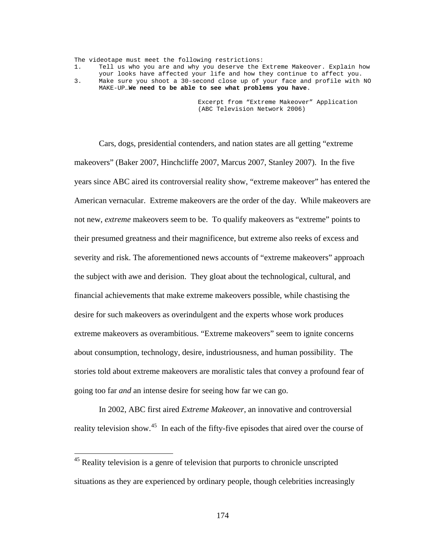The videotape must meet the following restrictions:<br>1 Tell us who you are and why you deserve the B

Tell us who you are and why you deserve the Extreme Makeover. Explain how your looks have affected your life and how they continue to affect you.

3. Make sure you shoot a 30-second close up of your face and profile with NO MAKE-UP…**We need to be able to see what problems you have**.

> Excerpt from "Extreme Makeover" Application (ABC Television Network 2006)

Cars, dogs, presidential contenders, and nation states are all getting "extreme makeovers" (Baker 2007, Hinchcliffe 2007, Marcus 2007, Stanley 2007). In the five years since ABC aired its controversial reality show, "extreme makeover" has entered the American vernacular. Extreme makeovers are the order of the day. While makeovers are not new, *extreme* makeovers seem to be. To qualify makeovers as "extreme" points to their presumed greatness and their magnificence, but extreme also reeks of excess and severity and risk. The aforementioned news accounts of "extreme makeovers" approach the subject with awe and derision. They gloat about the technological, cultural, and financial achievements that make extreme makeovers possible, while chastising the desire for such makeovers as overindulgent and the experts whose work produces extreme makeovers as overambitious. "Extreme makeovers" seem to ignite concerns about consumption, technology, desire, industriousness, and human possibility. The stories told about extreme makeovers are moralistic tales that convey a profound fear of going too far *and* an intense desire for seeing how far we can go.

 In 2002, ABC first aired *Extreme Makeover*, an innovative and controversial reality television show.<sup>[45](#page-187-0)</sup> In each of the fifty-five episodes that aired over the course of

 $\overline{a}$ 

<span id="page-187-0"></span> $45$  Reality television is a genre of television that purports to chronicle unscripted situations as they are experienced by ordinary people, though celebrities increasingly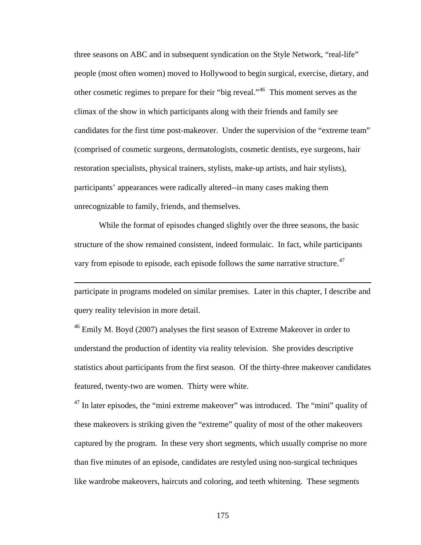three seasons on ABC and in subsequent syndication on the Style Network, "real-life" people (most often women) moved to Hollywood to begin surgical, exercise, dietary, and other cosmetic regimes to prepare for their "big reveal."[46](#page-188-0) This moment serves as the climax of the show in which participants along with their friends and family see candidates for the first time post-makeover. Under the supervision of the "extreme team" (comprised of cosmetic surgeons, dermatologists, cosmetic dentists, eye surgeons, hair restoration specialists, physical trainers, stylists, make-up artists, and hair stylists), participants' appearances were radically altered--in many cases making them unrecognizable to family, friends, and themselves.

 While the format of episodes changed slightly over the three seasons, the basic structure of the show remained consistent, indeed formulaic. In fact, while participants vary from episode to episode, each episode follows the *same* narrative structure.<sup>[47](#page-188-1)</sup>

 $\overline{a}$ 

participate in programs modeled on similar premises. Later in this chapter, I describe and query reality television in more detail.

<span id="page-188-0"></span> $46$  Emily M. Boyd (2007) analyses the first season of Extreme Makeover in order to understand the production of identity via reality television. She provides descriptive statistics about participants from the first season. Of the thirty-three makeover candidates featured, twenty-two are women. Thirty were white.

<span id="page-188-1"></span> $47$  In later episodes, the "mini extreme makeover" was introduced. The "mini" quality of these makeovers is striking given the "extreme" quality of most of the other makeovers captured by the program. In these very short segments, which usually comprise no more than five minutes of an episode, candidates are restyled using non-surgical techniques like wardrobe makeovers, haircuts and coloring, and teeth whitening. These segments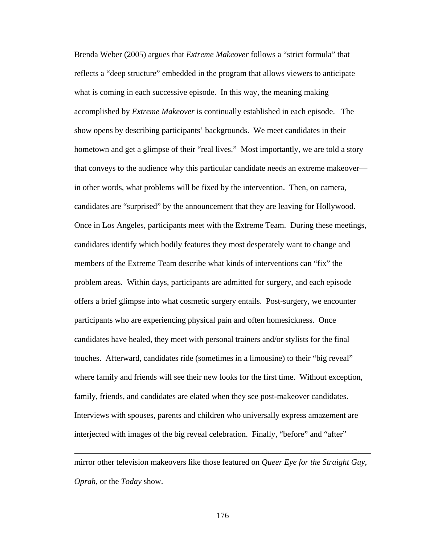Brenda Weber (2005) argues that *Extreme Makeover* follows a "strict formula" that reflects a "deep structure" embedded in the program that allows viewers to anticipate what is coming in each successive episode. In this way, the meaning making accomplished by *Extreme Makeover* is continually established in each episode. The show opens by describing participants' backgrounds. We meet candidates in their hometown and get a glimpse of their "real lives." Most importantly, we are told a story that conveys to the audience why this particular candidate needs an extreme makeover in other words, what problems will be fixed by the intervention. Then, on camera, candidates are "surprised" by the announcement that they are leaving for Hollywood. Once in Los Angeles, participants meet with the Extreme Team. During these meetings, candidates identify which bodily features they most desperately want to change and members of the Extreme Team describe what kinds of interventions can "fix" the problem areas. Within days, participants are admitted for surgery, and each episode offers a brief glimpse into what cosmetic surgery entails. Post-surgery, we encounter participants who are experiencing physical pain and often homesickness. Once candidates have healed, they meet with personal trainers and/or stylists for the final touches. Afterward, candidates ride (sometimes in a limousine) to their "big reveal" where family and friends will see their new looks for the first time. Without exception, family, friends, and candidates are elated when they see post-makeover candidates. Interviews with spouses, parents and children who universally express amazement are interjected with images of the big reveal celebration. Finally, "before" and "after"

mirror other television makeovers like those featured on *Queer Eye for the Straight Guy*, *Oprah*, or the *Today* show.

 $\overline{a}$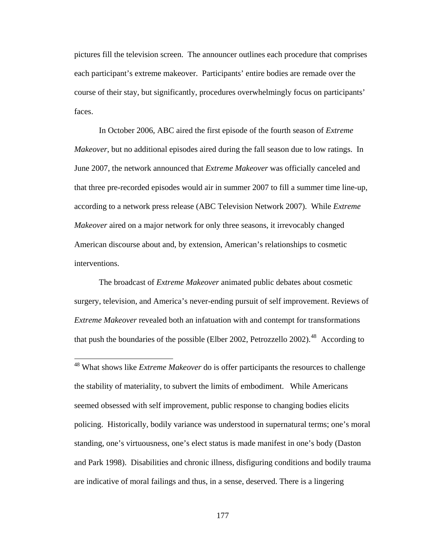pictures fill the television screen. The announcer outlines each procedure that comprises each participant's extreme makeover. Participants' entire bodies are remade over the course of their stay, but significantly, procedures overwhelmingly focus on participants' faces.

In October 2006, ABC aired the first episode of the fourth season of *Extreme Makeover*, but no additional episodes aired during the fall season due to low ratings. In June 2007, the network announced that *Extreme Makeover* was officially canceled and that three pre-recorded episodes would air in summer 2007 to fill a summer time line-up, according to a network press release (ABC Television Network 2007). While *Extreme Makeover* aired on a major network for only three seasons, it irrevocably changed American discourse about and, by extension, American's relationships to cosmetic interventions.

The broadcast of *Extreme Makeover* animated public debates about cosmetic surgery, television, and America's never-ending pursuit of self improvement. Reviews of *Extreme Makeover* revealed both an infatuation with and contempt for transformations that push the boundaries of the possible (Elber 2002, Petrozzello 2002).<sup>[48](#page-190-0)</sup> According to

 $\overline{a}$ 

<span id="page-190-0"></span><sup>48</sup> What shows like *Extreme Makeover* do is offer participants the resources to challenge the stability of materiality, to subvert the limits of embodiment. While Americans seemed obsessed with self improvement, public response to changing bodies elicits policing. Historically, bodily variance was understood in supernatural terms; one's moral standing, one's virtuousness, one's elect status is made manifest in one's body (Daston and Park 1998). Disabilities and chronic illness, disfiguring conditions and bodily trauma are indicative of moral failings and thus, in a sense, deserved. There is a lingering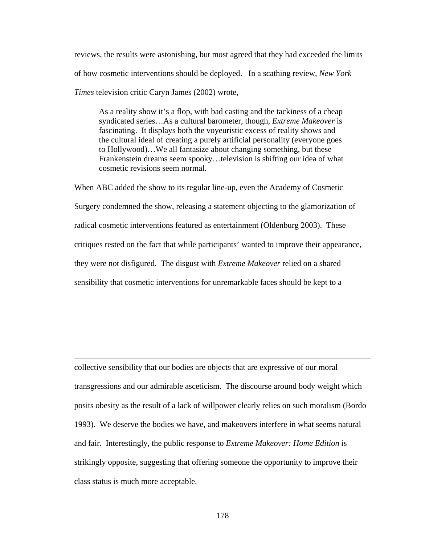reviews, the results were astonishing, but most agreed that they had exceeded the limits of how cosmetic interventions should be deployed. In a scathing review, *New York Times* television critic Caryn James (2002) wrote,

As a reality show it's a flop, with bad casting and the tackiness of a cheap syndicated series…As a cultural barometer, though, *Extreme Makeover* is fascinating. It displays both the voyeuristic excess of reality shows and the cultural ideal of creating a purely artificial personality (everyone goes to Hollywood)…We all fantasize about changing something, but these Frankenstein dreams seem spooky…television is shifting our idea of what cosmetic revisions seem normal.

When ABC added the show to its regular line-up, even the Academy of Cosmetic Surgery condemned the show, releasing a statement objecting to the glamorization of radical cosmetic interventions featured as entertainment (Oldenburg 2003). These critiques rested on the fact that while participants' wanted to improve their appearance, they were not disfigured. The disgust with *Extreme Makeover* relied on a shared sensibility that cosmetic interventions for unremarkable faces should be kept to a

collective sensibility that our bodies are objects that are expressive of our moral transgressions and our admirable asceticism. The discourse around body weight which posits obesity as the result of a lack of willpower clearly relies on such moralism (Bordo 1993). We deserve the bodies we have, and makeovers interfere in what seems natural and fair. Interestingly, the public response to *Extreme Makeover: Home Edition* is strikingly opposite, suggesting that offering someone the opportunity to improve their class status is much more acceptable.

 $\overline{a}$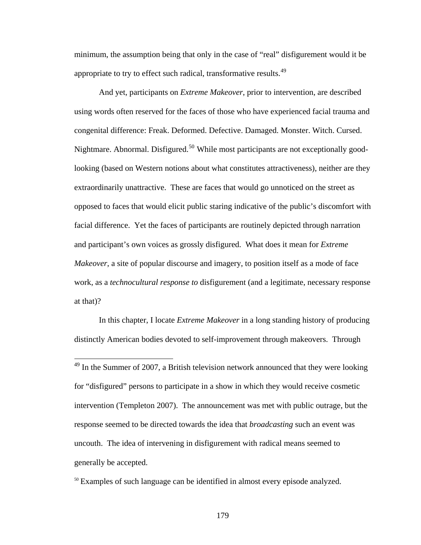minimum, the assumption being that only in the case of "real" disfigurement would it be appropriate to try to effect such radical, transformative results.<sup>[49](#page-192-0)</sup>

And yet, participants on *Extreme Makeover*, prior to intervention, are described using words often reserved for the faces of those who have experienced facial trauma and congenital difference: Freak. Deformed. Defective. Damaged. Monster. Witch. Cursed. Nightmare. Abnormal. Disfigured.<sup>[50](#page-192-1)</sup> While most participants are not exceptionally goodlooking (based on Western notions about what constitutes attractiveness), neither are they extraordinarily unattractive. These are faces that would go unnoticed on the street as opposed to faces that would elicit public staring indicative of the public's discomfort with facial difference. Yet the faces of participants are routinely depicted through narration and participant's own voices as grossly disfigured. What does it mean for *Extreme Makeover*, a site of popular discourse and imagery, to position itself as a mode of face work, as a *technocultural response to* disfigurement (and a legitimate, necessary response at that)?

In this chapter, I locate *Extreme Makeover* in a long standing history of producing distinctly American bodies devoted to self-improvement through makeovers. Through

 $\overline{a}$ 

<span id="page-192-1"></span> $50$  Examples of such language can be identified in almost every episode analyzed.

<span id="page-192-0"></span> $49$  In the Summer of 2007, a British television network announced that they were looking for "disfigured" persons to participate in a show in which they would receive cosmetic intervention (Templeton 2007). The announcement was met with public outrage, but the response seemed to be directed towards the idea that *broadcasting* such an event was uncouth. The idea of intervening in disfigurement with radical means seemed to generally be accepted.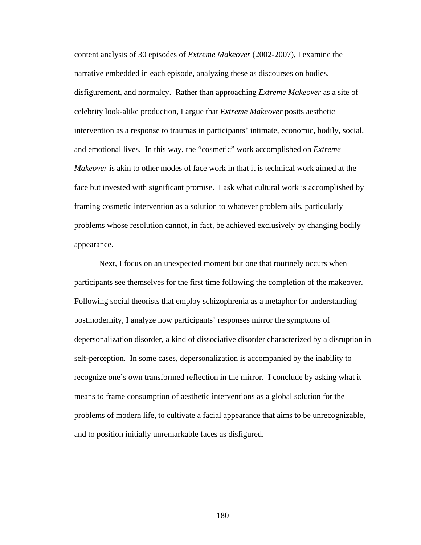content analysis of 30 episodes of *Extreme Makeover* (2002-2007), I examine the narrative embedded in each episode, analyzing these as discourses on bodies, disfigurement, and normalcy. Rather than approaching *Extreme Makeover* as a site of celebrity look-alike production, I argue that *Extreme Makeover* posits aesthetic intervention as a response to traumas in participants' intimate, economic, bodily, social, and emotional lives. In this way, the "cosmetic" work accomplished on *Extreme Makeover* is akin to other modes of face work in that it is technical work aimed at the face but invested with significant promise. I ask what cultural work is accomplished by framing cosmetic intervention as a solution to whatever problem ails, particularly problems whose resolution cannot, in fact, be achieved exclusively by changing bodily appearance.

Next, I focus on an unexpected moment but one that routinely occurs when participants see themselves for the first time following the completion of the makeover. Following social theorists that employ schizophrenia as a metaphor for understanding postmodernity, I analyze how participants' responses mirror the symptoms of depersonalization disorder, a kind of dissociative disorder characterized by a disruption in self-perception. In some cases, depersonalization is accompanied by the inability to recognize one's own transformed reflection in the mirror. I conclude by asking what it means to frame consumption of aesthetic interventions as a global solution for the problems of modern life, to cultivate a facial appearance that aims to be unrecognizable, and to position initially unremarkable faces as disfigured.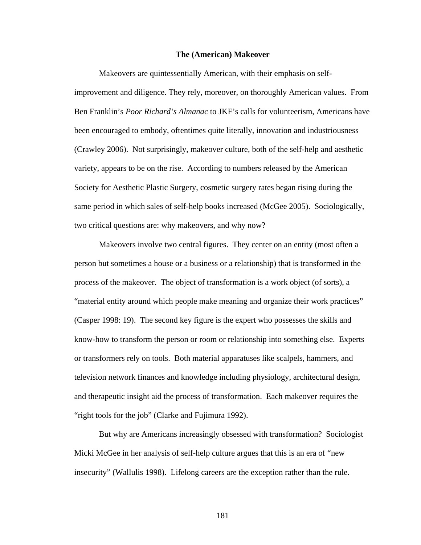#### **The (American) Makeover**

Makeovers are quintessentially American, with their emphasis on selfimprovement and diligence. They rely, moreover, on thoroughly American values. From Ben Franklin's *Poor Richard's Almanac* to JKF's calls for volunteerism, Americans have been encouraged to embody, oftentimes quite literally, innovation and industriousness (Crawley 2006). Not surprisingly, makeover culture, both of the self-help and aesthetic variety, appears to be on the rise. According to numbers released by the American Society for Aesthetic Plastic Surgery, cosmetic surgery rates began rising during the same period in which sales of self-help books increased (McGee 2005). Sociologically, two critical questions are: why makeovers, and why now?

 Makeovers involve two central figures. They center on an entity (most often a person but sometimes a house or a business or a relationship) that is transformed in the process of the makeover. The object of transformation is a work object (of sorts), a "material entity around which people make meaning and organize their work practices" (Casper 1998: 19). The second key figure is the expert who possesses the skills and know-how to transform the person or room or relationship into something else. Experts or transformers rely on tools. Both material apparatuses like scalpels, hammers, and television network finances and knowledge including physiology, architectural design, and therapeutic insight aid the process of transformation. Each makeover requires the "right tools for the job" (Clarke and Fujimura 1992).

But why are Americans increasingly obsessed with transformation? Sociologist Micki McGee in her analysis of self-help culture argues that this is an era of "new insecurity" (Wallulis 1998). Lifelong careers are the exception rather than the rule.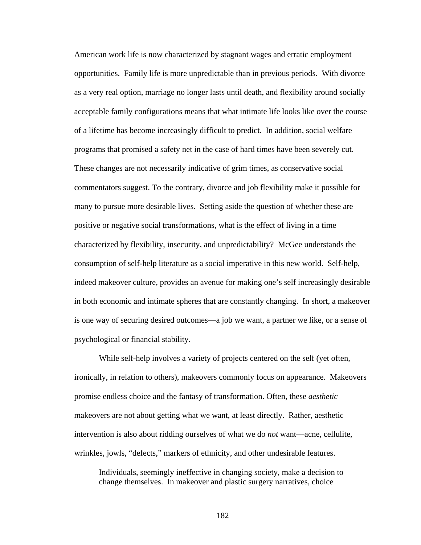American work life is now characterized by stagnant wages and erratic employment opportunities. Family life is more unpredictable than in previous periods. With divorce as a very real option, marriage no longer lasts until death, and flexibility around socially acceptable family configurations means that what intimate life looks like over the course of a lifetime has become increasingly difficult to predict. In addition, social welfare programs that promised a safety net in the case of hard times have been severely cut. These changes are not necessarily indicative of grim times, as conservative social commentators suggest. To the contrary, divorce and job flexibility make it possible for many to pursue more desirable lives. Setting aside the question of whether these are positive or negative social transformations, what is the effect of living in a time characterized by flexibility, insecurity, and unpredictability? McGee understands the consumption of self-help literature as a social imperative in this new world. Self-help, indeed makeover culture, provides an avenue for making one's self increasingly desirable in both economic and intimate spheres that are constantly changing. In short, a makeover is one way of securing desired outcomes—a job we want, a partner we like, or a sense of psychological or financial stability.

While self-help involves a variety of projects centered on the self (yet often, ironically, in relation to others), makeovers commonly focus on appearance. Makeovers promise endless choice and the fantasy of transformation. Often, these *aesthetic*  makeovers are not about getting what we want, at least directly. Rather, aesthetic intervention is also about ridding ourselves of what we do *not* want—acne, cellulite, wrinkles, jowls, "defects," markers of ethnicity, and other undesirable features.

Individuals, seemingly ineffective in changing society, make a decision to change themselves. In makeover and plastic surgery narratives, choice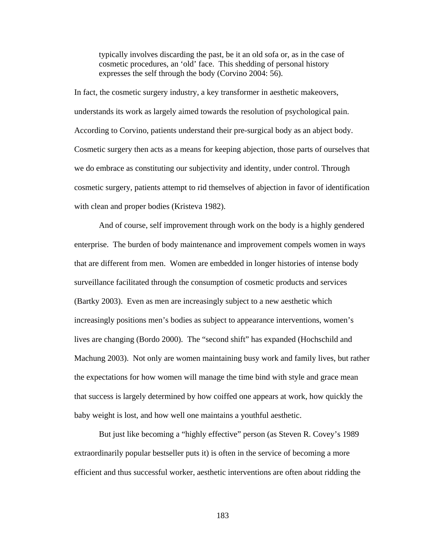typically involves discarding the past, be it an old sofa or, as in the case of cosmetic procedures, an 'old' face. This shedding of personal history expresses the self through the body (Corvino 2004: 56).

In fact, the cosmetic surgery industry, a key transformer in aesthetic makeovers, understands its work as largely aimed towards the resolution of psychological pain. According to Corvino, patients understand their pre-surgical body as an abject body. Cosmetic surgery then acts as a means for keeping abjection, those parts of ourselves that we do embrace as constituting our subjectivity and identity, under control. Through cosmetic surgery, patients attempt to rid themselves of abjection in favor of identification with clean and proper bodies (Kristeva 1982).

And of course, self improvement through work on the body is a highly gendered enterprise. The burden of body maintenance and improvement compels women in ways that are different from men. Women are embedded in longer histories of intense body surveillance facilitated through the consumption of cosmetic products and services (Bartky 2003). Even as men are increasingly subject to a new aesthetic which increasingly positions men's bodies as subject to appearance interventions, women's lives are changing (Bordo 2000). The "second shift" has expanded (Hochschild and Machung 2003). Not only are women maintaining busy work and family lives, but rather the expectations for how women will manage the time bind with style and grace mean that success is largely determined by how coiffed one appears at work, how quickly the baby weight is lost, and how well one maintains a youthful aesthetic.

But just like becoming a "highly effective" person (as Steven R. Covey's 1989 extraordinarily popular bestseller puts it) is often in the service of becoming a more efficient and thus successful worker, aesthetic interventions are often about ridding the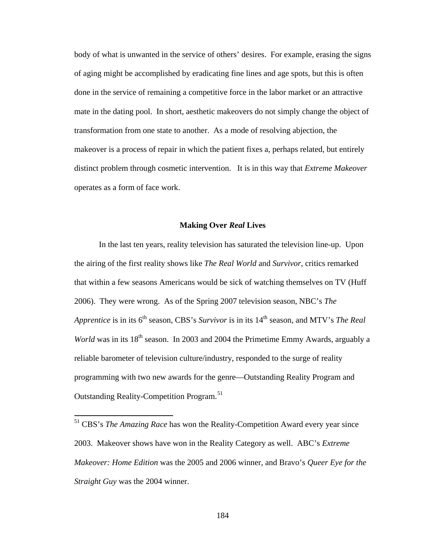body of what is unwanted in the service of others' desires. For example, erasing the signs of aging might be accomplished by eradicating fine lines and age spots, but this is often done in the service of remaining a competitive force in the labor market or an attractive mate in the dating pool. In short, aesthetic makeovers do not simply change the object of transformation from one state to another. As a mode of resolving abjection, the makeover is a process of repair in which the patient fixes a, perhaps related, but entirely distinct problem through cosmetic intervention. It is in this way that *Extreme Makeover* operates as a form of face work.

### **Making Over** *Real* **Lives**

 In the last ten years, reality television has saturated the television line-up. Upon the airing of the first reality shows like *The Real World* and *Survivor*, critics remarked that within a few seasons Americans would be sick of watching themselves on TV (Huff 2006). They were wrong. As of the Spring 2007 television season, NBC's *The Apprentice* is in its 6<sup>th</sup> season, CBS's *Survivor* is in its 14<sup>th</sup> season, and MTV's *The Real World* was in its 18<sup>th</sup> season. In 2003 and 2004 the Primetime Emmy Awards, arguably a reliable barometer of television culture/industry, responded to the surge of reality programming with two new awards for the genre—Outstanding Reality Program and Outstanding Reality-Competition Program.<sup>[51](#page-197-0)</sup>

 $\overline{a}$ 

<span id="page-197-0"></span><sup>51</sup> CBS's *The Amazing Race* has won the Reality-Competition Award every year since 2003. Makeover shows have won in the Reality Category as well. ABC's *Extreme Makeover: Home Edition* was the 2005 and 2006 winner, and Bravo's *Queer Eye for the Straight Guy* was the 2004 winner.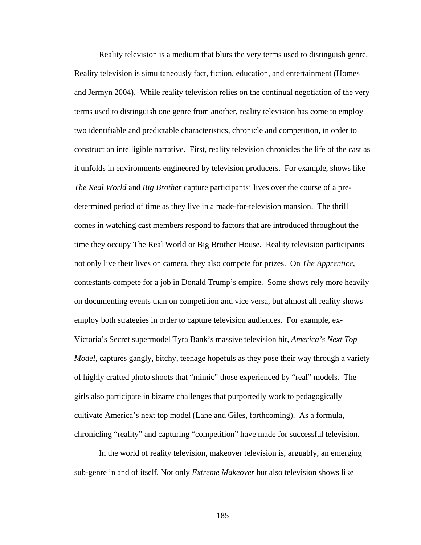Reality television is a medium that blurs the very terms used to distinguish genre. Reality television is simultaneously fact, fiction, education, and entertainment (Homes and Jermyn 2004). While reality television relies on the continual negotiation of the very terms used to distinguish one genre from another, reality television has come to employ two identifiable and predictable characteristics, chronicle and competition, in order to construct an intelligible narrative. First, reality television chronicles the life of the cast as it unfolds in environments engineered by television producers. For example, shows like *The Real World* and *Big Brother* capture participants' lives over the course of a predetermined period of time as they live in a made-for-television mansion. The thrill comes in watching cast members respond to factors that are introduced throughout the time they occupy The Real World or Big Brother House. Reality television participants not only live their lives on camera, they also compete for prizes. On *The Apprentice*, contestants compete for a job in Donald Trump's empire. Some shows rely more heavily on documenting events than on competition and vice versa, but almost all reality shows employ both strategies in order to capture television audiences. For example, ex-Victoria's Secret supermodel Tyra Bank's massive television hit, *America's Next Top Model,* captures gangly, bitchy, teenage hopefuls as they pose their way through a variety of highly crafted photo shoots that "mimic" those experienced by "real" models. The girls also participate in bizarre challenges that purportedly work to pedagogically cultivate America's next top model (Lane and Giles, forthcoming). As a formula, chronicling "reality" and capturing "competition" have made for successful television.

In the world of reality television, makeover television is, arguably, an emerging sub-genre in and of itself. Not only *Extreme Makeover* but also television shows like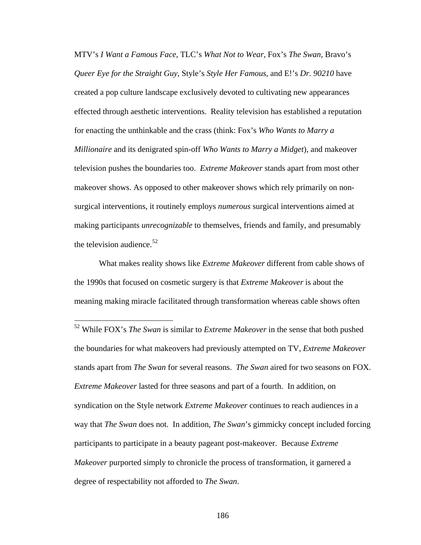MTV's *I Want a Famous Face*, TLC's *What Not to Wear*, Fox's *The Swan*, Bravo's *Queer Eye for the Straight Guy*, Style's *Style Her Famous*, and E!'s *Dr. 90210* have created a pop culture landscape exclusively devoted to cultivating new appearances effected through aesthetic interventions. Reality television has established a reputation for enacting the unthinkable and the crass (think: Fox's *Who Wants to Marry a Millionaire* and its denigrated spin-off *Who Wants to Marry a Midget*), and makeover television pushes the boundaries too. *Extreme Makeover* stands apart from most other makeover shows. As opposed to other makeover shows which rely primarily on nonsurgical interventions, it routinely employs *numerous* surgical interventions aimed at making participants *unrecognizable* to themselves, friends and family, and presumably the television audience. $52$ 

What makes reality shows like *Extreme Makeover* different from cable shows of the 1990s that focused on cosmetic surgery is that *Extreme Makeover* is about the meaning making miracle facilitated through transformation whereas cable shows often

<span id="page-199-0"></span><sup>52</sup> While FOX's *The Swan* is similar to *Extreme Makeover* in the sense that both pushed the boundaries for what makeovers had previously attempted on TV, *Extreme Makeover* stands apart from *The Swan* for several reasons. *The Swan* aired for two seasons on FOX. *Extreme Makeover* lasted for three seasons and part of a fourth. In addition, on syndication on the Style network *Extreme Makeover* continues to reach audiences in a way that *The Swan* does not. In addition, *The Swan*'s gimmicky concept included forcing participants to participate in a beauty pageant post-makeover. Because *Extreme Makeover* purported simply to chronicle the process of transformation, it garnered a degree of respectability not afforded to *The Swan*.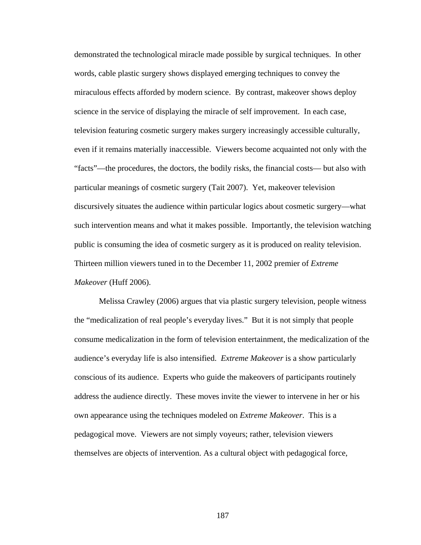demonstrated the technological miracle made possible by surgical techniques. In other words, cable plastic surgery shows displayed emerging techniques to convey the miraculous effects afforded by modern science. By contrast, makeover shows deploy science in the service of displaying the miracle of self improvement. In each case, television featuring cosmetic surgery makes surgery increasingly accessible culturally, even if it remains materially inaccessible. Viewers become acquainted not only with the "facts"—the procedures, the doctors, the bodily risks, the financial costs— but also with particular meanings of cosmetic surgery (Tait 2007). Yet, makeover television discursively situates the audience within particular logics about cosmetic surgery—what such intervention means and what it makes possible. Importantly, the television watching public is consuming the idea of cosmetic surgery as it is produced on reality television. Thirteen million viewers tuned in to the December 11, 2002 premier of *Extreme Makeover* (Huff 2006).

Melissa Crawley (2006) argues that via plastic surgery television, people witness the "medicalization of real people's everyday lives." But it is not simply that people consume medicalization in the form of television entertainment, the medicalization of the audience's everyday life is also intensified. *Extreme Makeover* is a show particularly conscious of its audience. Experts who guide the makeovers of participants routinely address the audience directly. These moves invite the viewer to intervene in her or his own appearance using the techniques modeled on *Extreme Makeover*. This is a pedagogical move. Viewers are not simply voyeurs; rather, television viewers themselves are objects of intervention. As a cultural object with pedagogical force,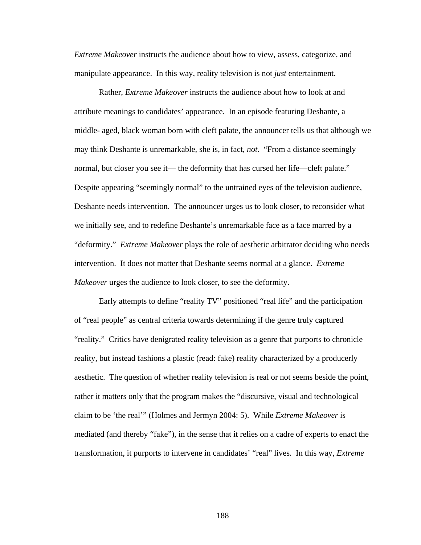*Extreme Makeover* instructs the audience about how to view, assess, categorize, and manipulate appearance. In this way, reality television is not *just* entertainment.

 Rather, *Extreme Makeover* instructs the audience about how to look at and attribute meanings to candidates' appearance. In an episode featuring Deshante, a middle- aged, black woman born with cleft palate, the announcer tells us that although we may think Deshante is unremarkable, she is, in fact, *not*. "From a distance seemingly normal, but closer you see it— the deformity that has cursed her life—cleft palate." Despite appearing "seemingly normal" to the untrained eyes of the television audience, Deshante needs intervention. The announcer urges us to look closer, to reconsider what we initially see, and to redefine Deshante's unremarkable face as a face marred by a "deformity." *Extreme Makeover* plays the role of aesthetic arbitrator deciding who needs intervention. It does not matter that Deshante seems normal at a glance. *Extreme Makeover* urges the audience to look closer, to see the deformity.

Early attempts to define "reality TV" positioned "real life" and the participation of "real people" as central criteria towards determining if the genre truly captured "reality." Critics have denigrated reality television as a genre that purports to chronicle reality, but instead fashions a plastic (read: fake) reality characterized by a producerly aesthetic. The question of whether reality television is real or not seems beside the point, rather it matters only that the program makes the "discursive, visual and technological claim to be 'the real'" (Holmes and Jermyn 2004: 5). While *Extreme Makeover* is mediated (and thereby "fake"), in the sense that it relies on a cadre of experts to enact the transformation, it purports to intervene in candidates' "real" lives. In this way, *Extreme*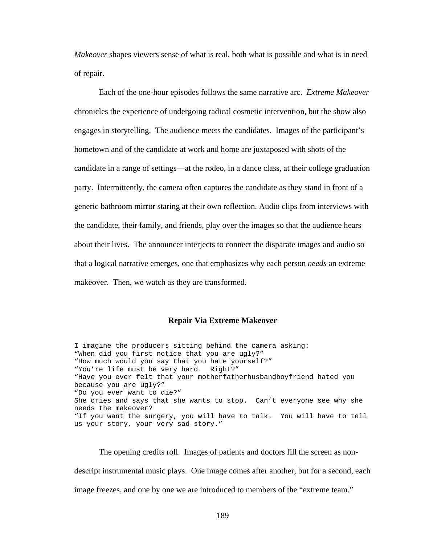*Makeover* shapes viewers sense of what is real, both what is possible and what is in need of repair.

Each of the one-hour episodes follows the same narrative arc. *Extreme Makeover* chronicles the experience of undergoing radical cosmetic intervention, but the show also engages in storytelling. The audience meets the candidates. Images of the participant's hometown and of the candidate at work and home are juxtaposed with shots of the candidate in a range of settings—at the rodeo, in a dance class, at their college graduation party. Intermittently, the camera often captures the candidate as they stand in front of a generic bathroom mirror staring at their own reflection. Audio clips from interviews with the candidate, their family, and friends, play over the images so that the audience hears about their lives. The announcer interjects to connect the disparate images and audio so that a logical narrative emerges, one that emphasizes why each person *needs* an extreme makeover. Then, we watch as they are transformed.

#### **Repair Via Extreme Makeover**

I imagine the producers sitting behind the camera asking: "When did you first notice that you are ugly?" "How much would you say that you hate yourself?" "You're life must be very hard. Right?" "Have you ever felt that your motherfatherhusbandboyfriend hated you because you are ugly?" "Do you ever want to die?" She cries and says that she wants to stop. Can't everyone see why she needs the makeover? "If you want the surgery, you will have to talk. You will have to tell us your story, your very sad story."

The opening credits roll. Images of patients and doctors fill the screen as nondescript instrumental music plays. One image comes after another, but for a second, each image freezes, and one by one we are introduced to members of the "extreme team."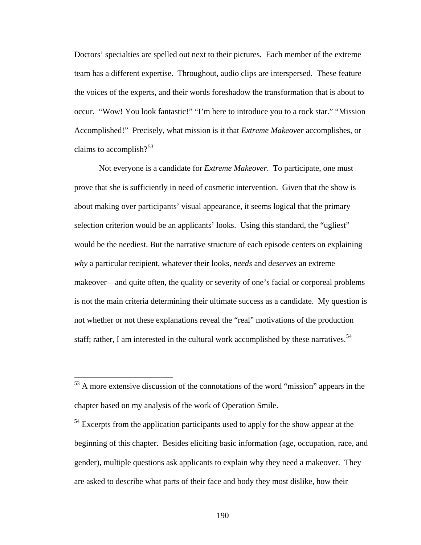Doctors' specialties are spelled out next to their pictures. Each member of the extreme team has a different expertise. Throughout, audio clips are interspersed. These feature the voices of the experts, and their words foreshadow the transformation that is about to occur. "Wow! You look fantastic!" "I'm here to introduce you to a rock star." "Mission Accomplished!" Precisely, what mission is it that *Extreme Makeover* accomplishes, or claims to accomplish? $53$ 

 Not everyone is a candidate for *Extreme Makeover*. To participate, one must prove that she is sufficiently in need of cosmetic intervention. Given that the show is about making over participants' visual appearance, it seems logical that the primary selection criterion would be an applicants' looks. Using this standard, the "ugliest" would be the neediest. But the narrative structure of each episode centers on explaining *why* a particular recipient, whatever their looks, *needs* and *deserves* an extreme makeover—and quite often, the quality or severity of one's facial or corporeal problems is not the main criteria determining their ultimate success as a candidate. My question is not whether or not these explanations reveal the "real" motivations of the production staff; rather, I am interested in the cultural work accomplished by these narratives.<sup>[54](#page-203-1)</sup>

 $\overline{a}$ 

<span id="page-203-1"></span><sup>54</sup> Excerpts from the application participants used to apply for the show appear at the beginning of this chapter. Besides eliciting basic information (age, occupation, race, and gender), multiple questions ask applicants to explain why they need a makeover. They are asked to describe what parts of their face and body they most dislike, how their

<span id="page-203-0"></span> $53$  A more extensive discussion of the connotations of the word "mission" appears in the chapter based on my analysis of the work of Operation Smile.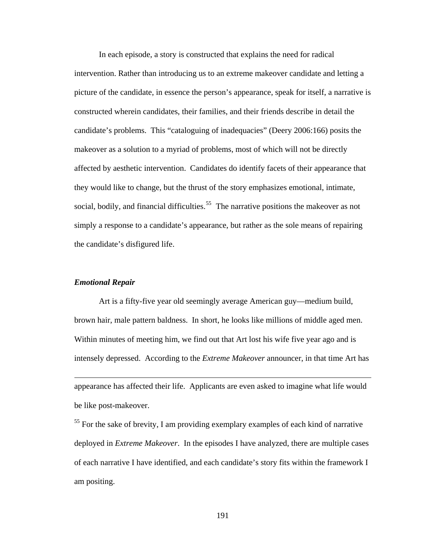In each episode, a story is constructed that explains the need for radical intervention. Rather than introducing us to an extreme makeover candidate and letting a picture of the candidate, in essence the person's appearance, speak for itself, a narrative is constructed wherein candidates, their families, and their friends describe in detail the candidate's problems. This "cataloguing of inadequacies" (Deery 2006:166) posits the makeover as a solution to a myriad of problems, most of which will not be directly affected by aesthetic intervention. Candidates do identify facets of their appearance that they would like to change, but the thrust of the story emphasizes emotional, intimate, social, bodily, and financial difficulties.<sup>[55](#page-204-0)</sup> The narrative positions the makeover as not simply a response to a candidate's appearance, but rather as the sole means of repairing the candidate's disfigured life.

## *Emotional Repair*

 $\overline{a}$ 

 Art is a fifty-five year old seemingly average American guy—medium build, brown hair, male pattern baldness. In short, he looks like millions of middle aged men. Within minutes of meeting him, we find out that Art lost his wife five year ago and is intensely depressed. According to the *Extreme Makeover* announcer, in that time Art has

appearance has affected their life. Applicants are even asked to imagine what life would be like post-makeover.

<span id="page-204-0"></span><sup>55</sup> For the sake of brevity, I am providing exemplary examples of each kind of narrative deployed in *Extreme Makeover*. In the episodes I have analyzed, there are multiple cases of each narrative I have identified, and each candidate's story fits within the framework I am positing.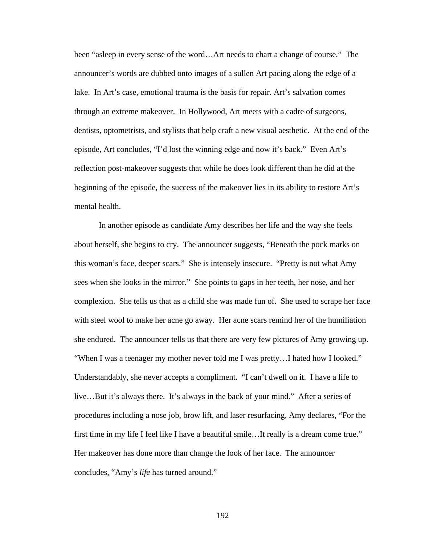been "asleep in every sense of the word…Art needs to chart a change of course." The announcer's words are dubbed onto images of a sullen Art pacing along the edge of a lake. In Art's case, emotional trauma is the basis for repair. Art's salvation comes through an extreme makeover. In Hollywood, Art meets with a cadre of surgeons, dentists, optometrists, and stylists that help craft a new visual aesthetic. At the end of the episode, Art concludes, "I'd lost the winning edge and now it's back." Even Art's reflection post-makeover suggests that while he does look different than he did at the beginning of the episode, the success of the makeover lies in its ability to restore Art's mental health.

 In another episode as candidate Amy describes her life and the way she feels about herself, she begins to cry. The announcer suggests, "Beneath the pock marks on this woman's face, deeper scars." She is intensely insecure. "Pretty is not what Amy sees when she looks in the mirror." She points to gaps in her teeth, her nose, and her complexion. She tells us that as a child she was made fun of. She used to scrape her face with steel wool to make her acne go away. Her acne scars remind her of the humiliation she endured. The announcer tells us that there are very few pictures of Amy growing up. "When I was a teenager my mother never told me I was pretty…I hated how I looked." Understandably, she never accepts a compliment. "I can't dwell on it. I have a life to live…But it's always there. It's always in the back of your mind." After a series of procedures including a nose job, brow lift, and laser resurfacing, Amy declares, "For the first time in my life I feel like I have a beautiful smile…It really is a dream come true." Her makeover has done more than change the look of her face. The announcer concludes, "Amy's *life* has turned around."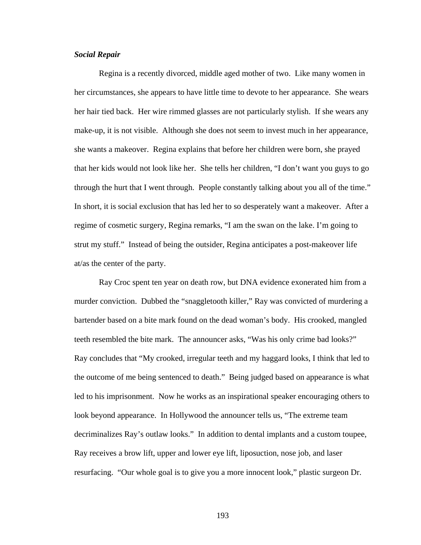### *Social Repair*

 Regina is a recently divorced, middle aged mother of two. Like many women in her circumstances, she appears to have little time to devote to her appearance. She wears her hair tied back. Her wire rimmed glasses are not particularly stylish. If she wears any make-up, it is not visible. Although she does not seem to invest much in her appearance, she wants a makeover. Regina explains that before her children were born, she prayed that her kids would not look like her. She tells her children, "I don't want you guys to go through the hurt that I went through. People constantly talking about you all of the time." In short, it is social exclusion that has led her to so desperately want a makeover. After a regime of cosmetic surgery, Regina remarks, "I am the swan on the lake. I'm going to strut my stuff." Instead of being the outsider, Regina anticipates a post-makeover life at/as the center of the party.

 Ray Croc spent ten year on death row, but DNA evidence exonerated him from a murder conviction. Dubbed the "snaggletooth killer," Ray was convicted of murdering a bartender based on a bite mark found on the dead woman's body. His crooked, mangled teeth resembled the bite mark. The announcer asks, "Was his only crime bad looks?" Ray concludes that "My crooked, irregular teeth and my haggard looks, I think that led to the outcome of me being sentenced to death." Being judged based on appearance is what led to his imprisonment. Now he works as an inspirational speaker encouraging others to look beyond appearance. In Hollywood the announcer tells us, "The extreme team decriminalizes Ray's outlaw looks." In addition to dental implants and a custom toupee, Ray receives a brow lift, upper and lower eye lift, liposuction, nose job, and laser resurfacing. "Our whole goal is to give you a more innocent look," plastic surgeon Dr.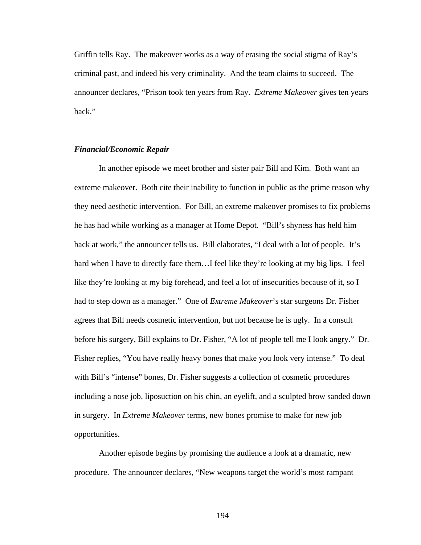Griffin tells Ray. The makeover works as a way of erasing the social stigma of Ray's criminal past, and indeed his very criminality. And the team claims to succeed. The announcer declares, "Prison took ten years from Ray. *Extreme Makeover* gives ten years back."

## *Financial/Economic Repair*

 In another episode we meet brother and sister pair Bill and Kim. Both want an extreme makeover. Both cite their inability to function in public as the prime reason why they need aesthetic intervention. For Bill, an extreme makeover promises to fix problems he has had while working as a manager at Home Depot. "Bill's shyness has held him back at work," the announcer tells us. Bill elaborates, "I deal with a lot of people. It's hard when I have to directly face them...I feel like they're looking at my big lips. I feel like they're looking at my big forehead, and feel a lot of insecurities because of it, so I had to step down as a manager." One of *Extreme Makeover*'s star surgeons Dr. Fisher agrees that Bill needs cosmetic intervention, but not because he is ugly. In a consult before his surgery, Bill explains to Dr. Fisher, "A lot of people tell me I look angry." Dr. Fisher replies, "You have really heavy bones that make you look very intense." To deal with Bill's "intense" bones, Dr. Fisher suggests a collection of cosmetic procedures including a nose job, liposuction on his chin, an eyelift, and a sculpted brow sanded down in surgery. In *Extreme Makeover* terms, new bones promise to make for new job opportunities.

 Another episode begins by promising the audience a look at a dramatic, new procedure. The announcer declares, "New weapons target the world's most rampant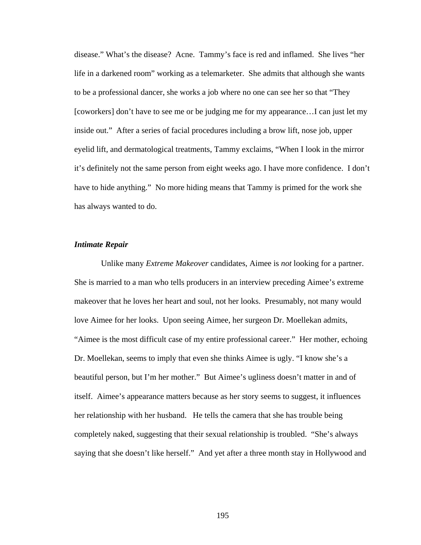disease." What's the disease? Acne. Tammy's face is red and inflamed. She lives "her life in a darkened room" working as a telemarketer. She admits that although she wants to be a professional dancer, she works a job where no one can see her so that "They [coworkers] don't have to see me or be judging me for my appearance…I can just let my inside out." After a series of facial procedures including a brow lift, nose job, upper eyelid lift, and dermatological treatments, Tammy exclaims, "When I look in the mirror it's definitely not the same person from eight weeks ago. I have more confidence. I don't have to hide anything." No more hiding means that Tammy is primed for the work she has always wanted to do.

## *Intimate Repair*

 Unlike many *Extreme Makeover* candidates, Aimee is *not* looking for a partner. She is married to a man who tells producers in an interview preceding Aimee's extreme makeover that he loves her heart and soul, not her looks. Presumably, not many would love Aimee for her looks. Upon seeing Aimee, her surgeon Dr. Moellekan admits, "Aimee is the most difficult case of my entire professional career." Her mother, echoing Dr. Moellekan, seems to imply that even she thinks Aimee is ugly. "I know she's a beautiful person, but I'm her mother." But Aimee's ugliness doesn't matter in and of itself. Aimee's appearance matters because as her story seems to suggest, it influences her relationship with her husband. He tells the camera that she has trouble being completely naked, suggesting that their sexual relationship is troubled. "She's always saying that she doesn't like herself." And yet after a three month stay in Hollywood and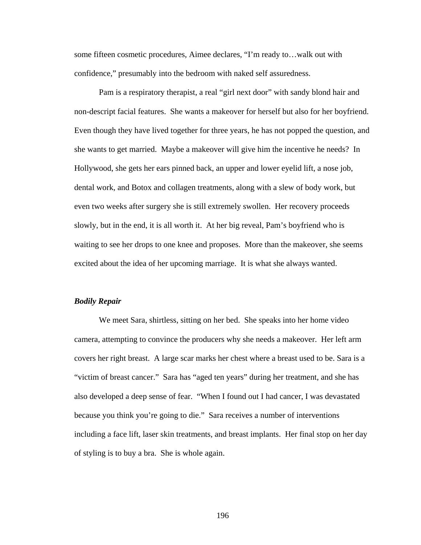some fifteen cosmetic procedures, Aimee declares, "I'm ready to…walk out with confidence," presumably into the bedroom with naked self assuredness.

 Pam is a respiratory therapist, a real "girl next door" with sandy blond hair and non-descript facial features. She wants a makeover for herself but also for her boyfriend. Even though they have lived together for three years, he has not popped the question, and she wants to get married. Maybe a makeover will give him the incentive he needs? In Hollywood, she gets her ears pinned back, an upper and lower eyelid lift, a nose job, dental work, and Botox and collagen treatments, along with a slew of body work, but even two weeks after surgery she is still extremely swollen. Her recovery proceeds slowly, but in the end, it is all worth it. At her big reveal, Pam's boyfriend who is waiting to see her drops to one knee and proposes. More than the makeover, she seems excited about the idea of her upcoming marriage. It is what she always wanted.

#### *Bodily Repair*

 We meet Sara, shirtless, sitting on her bed. She speaks into her home video camera, attempting to convince the producers why she needs a makeover. Her left arm covers her right breast. A large scar marks her chest where a breast used to be. Sara is a "victim of breast cancer." Sara has "aged ten years" during her treatment, and she has also developed a deep sense of fear. "When I found out I had cancer, I was devastated because you think you're going to die." Sara receives a number of interventions including a face lift, laser skin treatments, and breast implants. Her final stop on her day of styling is to buy a bra. She is whole again.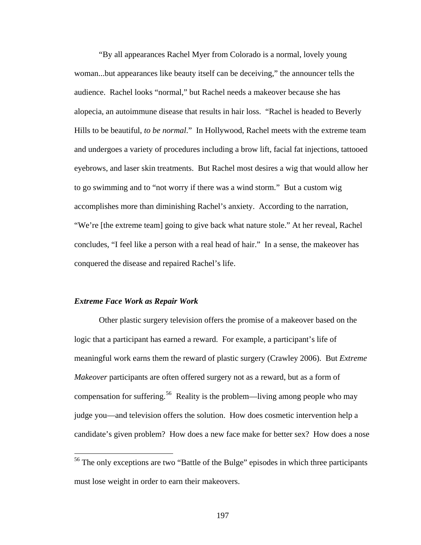"By all appearances Rachel Myer from Colorado is a normal, lovely young woman...but appearances like beauty itself can be deceiving," the announcer tells the audience. Rachel looks "normal," but Rachel needs a makeover because she has alopecia, an autoimmune disease that results in hair loss. "Rachel is headed to Beverly Hills to be beautiful, *to be normal*." In Hollywood, Rachel meets with the extreme team and undergoes a variety of procedures including a brow lift, facial fat injections, tattooed eyebrows, and laser skin treatments. But Rachel most desires a wig that would allow her to go swimming and to "not worry if there was a wind storm." But a custom wig accomplishes more than diminishing Rachel's anxiety. According to the narration, "We're [the extreme team] going to give back what nature stole." At her reveal, Rachel concludes, "I feel like a person with a real head of hair." In a sense, the makeover has conquered the disease and repaired Rachel's life.

#### *Extreme Face Work as Repair Work*

 $\overline{a}$ 

Other plastic surgery television offers the promise of a makeover based on the logic that a participant has earned a reward. For example, a participant's life of meaningful work earns them the reward of plastic surgery (Crawley 2006). But *Extreme Makeover* participants are often offered surgery not as a reward, but as a form of compensation for suffering.<sup>[56](#page-210-0)</sup> Reality is the problem—living among people who may judge you—and television offers the solution. How does cosmetic intervention help a candidate's given problem? How does a new face make for better sex? How does a nose

<span id="page-210-0"></span><sup>&</sup>lt;sup>56</sup> The only exceptions are two "Battle of the Bulge" episodes in which three participants must lose weight in order to earn their makeovers.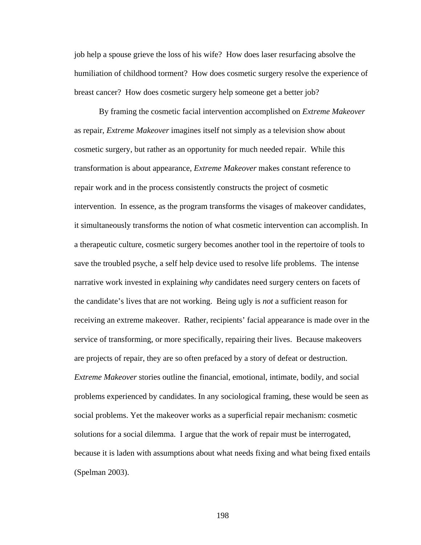job help a spouse grieve the loss of his wife? How does laser resurfacing absolve the humiliation of childhood torment? How does cosmetic surgery resolve the experience of breast cancer? How does cosmetic surgery help someone get a better job?

By framing the cosmetic facial intervention accomplished on *Extreme Makeover* as repair, *Extreme Makeover* imagines itself not simply as a television show about cosmetic surgery, but rather as an opportunity for much needed repair. While this transformation is about appearance, *Extreme Makeover* makes constant reference to repair work and in the process consistently constructs the project of cosmetic intervention. In essence, as the program transforms the visages of makeover candidates, it simultaneously transforms the notion of what cosmetic intervention can accomplish. In a therapeutic culture, cosmetic surgery becomes another tool in the repertoire of tools to save the troubled psyche, a self help device used to resolve life problems. The intense narrative work invested in explaining *why* candidates need surgery centers on facets of the candidate's lives that are not working. Being ugly is *not* a sufficient reason for receiving an extreme makeover. Rather, recipients' facial appearance is made over in the service of transforming, or more specifically, repairing their lives. Because makeovers are projects of repair, they are so often prefaced by a story of defeat or destruction. *Extreme Makeover* stories outline the financial, emotional, intimate, bodily, and social problems experienced by candidates. In any sociological framing, these would be seen as social problems. Yet the makeover works as a superficial repair mechanism: cosmetic solutions for a social dilemma. I argue that the work of repair must be interrogated, because it is laden with assumptions about what needs fixing and what being fixed entails (Spelman 2003).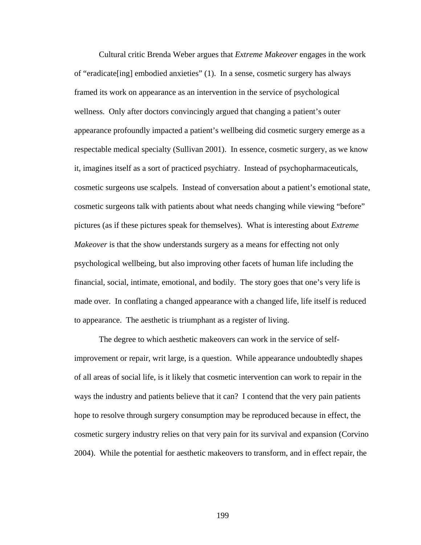Cultural critic Brenda Weber argues that *Extreme Makeover* engages in the work of "eradicate[ing] embodied anxieties" (1). In a sense, cosmetic surgery has always framed its work on appearance as an intervention in the service of psychological wellness. Only after doctors convincingly argued that changing a patient's outer appearance profoundly impacted a patient's wellbeing did cosmetic surgery emerge as a respectable medical specialty (Sullivan 2001). In essence, cosmetic surgery, as we know it, imagines itself as a sort of practiced psychiatry. Instead of psychopharmaceuticals, cosmetic surgeons use scalpels. Instead of conversation about a patient's emotional state, cosmetic surgeons talk with patients about what needs changing while viewing "before" pictures (as if these pictures speak for themselves). What is interesting about *Extreme Makeover* is that the show understands surgery as a means for effecting not only psychological wellbeing, but also improving other facets of human life including the financial, social, intimate, emotional, and bodily. The story goes that one's very life is made over. In conflating a changed appearance with a changed life, life itself is reduced to appearance. The aesthetic is triumphant as a register of living.

The degree to which aesthetic makeovers can work in the service of selfimprovement or repair, writ large, is a question. While appearance undoubtedly shapes of all areas of social life, is it likely that cosmetic intervention can work to repair in the ways the industry and patients believe that it can? I contend that the very pain patients hope to resolve through surgery consumption may be reproduced because in effect, the cosmetic surgery industry relies on that very pain for its survival and expansion (Corvino 2004). While the potential for aesthetic makeovers to transform, and in effect repair, the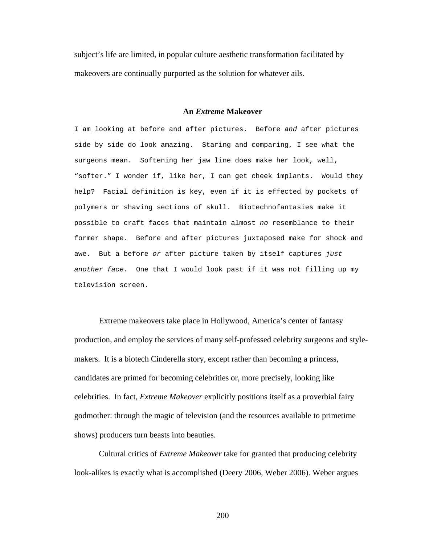subject's life are limited, in popular culture aesthetic transformation facilitated by makeovers are continually purported as the solution for whatever ails.

#### **An** *Extreme* **Makeover**

I am looking at before and after pictures. Before *and* after pictures side by side do look amazing. Staring and comparing, I see what the surgeons mean. Softening her jaw line does make her look, well, "softer." I wonder if, like her, I can get cheek implants. Would they help? Facial definition is key, even if it is effected by pockets of polymers or shaving sections of skull. Biotechnofantasies make it possible to craft faces that maintain almost *no* resemblance to their former shape. Before and after pictures juxtaposed make for shock and awe. But a before *or* after picture taken by itself captures *just another face*. One that I would look past if it was not filling up my television screen.

Extreme makeovers take place in Hollywood, America's center of fantasy production, and employ the services of many self-professed celebrity surgeons and stylemakers. It is a biotech Cinderella story, except rather than becoming a princess, candidates are primed for becoming celebrities or, more precisely, looking like celebrities. In fact, *Extreme Makeover* explicitly positions itself as a proverbial fairy godmother: through the magic of television (and the resources available to primetime shows) producers turn beasts into beauties.

Cultural critics of *Extreme Makeover* take for granted that producing celebrity look-alikes is exactly what is accomplished (Deery 2006, Weber 2006). Weber argues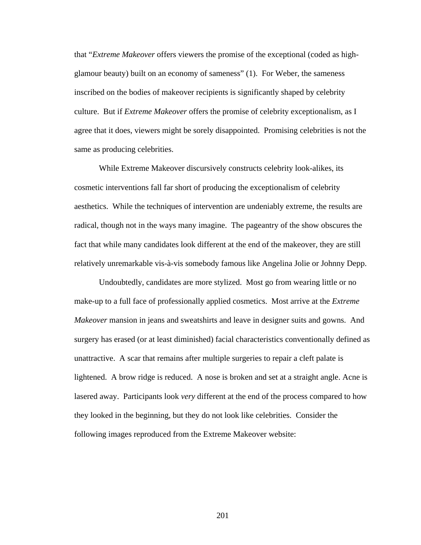that "*Extreme Makeover* offers viewers the promise of the exceptional (coded as highglamour beauty) built on an economy of sameness" (1). For Weber, the sameness inscribed on the bodies of makeover recipients is significantly shaped by celebrity culture. But if *Extreme Makeover* offers the promise of celebrity exceptionalism, as I agree that it does, viewers might be sorely disappointed. Promising celebrities is not the same as producing celebrities.

While Extreme Makeover discursively constructs celebrity look-alikes, its cosmetic interventions fall far short of producing the exceptionalism of celebrity aesthetics. While the techniques of intervention are undeniably extreme, the results are radical, though not in the ways many imagine. The pageantry of the show obscures the fact that while many candidates look different at the end of the makeover, they are still relatively unremarkable vis-à-vis somebody famous like Angelina Jolie or Johnny Depp.

Undoubtedly, candidates are more stylized. Most go from wearing little or no make-up to a full face of professionally applied cosmetics. Most arrive at the *Extreme Makeover* mansion in jeans and sweatshirts and leave in designer suits and gowns. And surgery has erased (or at least diminished) facial characteristics conventionally defined as unattractive. A scar that remains after multiple surgeries to repair a cleft palate is lightened. A brow ridge is reduced. A nose is broken and set at a straight angle. Acne is lasered away. Participants look *very* different at the end of the process compared to how they looked in the beginning, but they do not look like celebrities. Consider the following images reproduced from the Extreme Makeover website: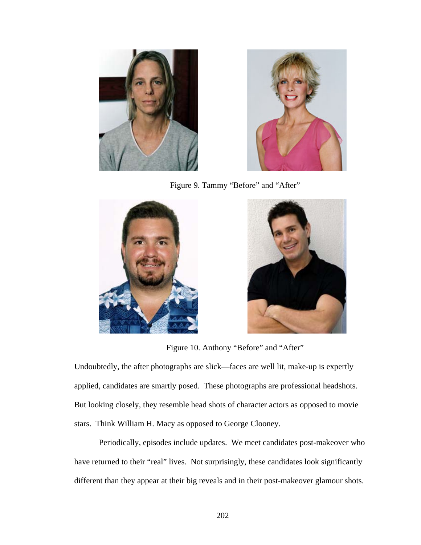



Figure 9. Tammy "Before" and "After"





Figure 10. Anthony "Before" and "After"

Undoubtedly, the after photographs are slick—faces are well lit, make-up is expertly applied, candidates are smartly posed. These photographs are professional headshots. But looking closely, they resemble head shots of character actors as opposed to movie stars. Think William H. Macy as opposed to George Clooney.

Periodically, episodes include updates. We meet candidates post-makeover who have returned to their "real" lives. Not surprisingly, these candidates look significantly different than they appear at their big reveals and in their post-makeover glamour shots.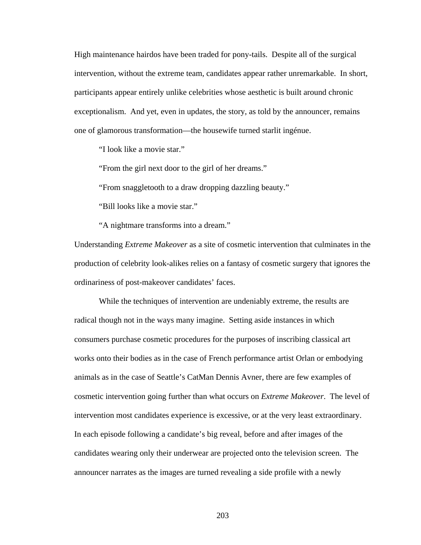High maintenance hairdos have been traded for pony-tails. Despite all of the surgical intervention, without the extreme team, candidates appear rather unremarkable. In short, participants appear entirely unlike celebrities whose aesthetic is built around chronic exceptionalism. And yet, even in updates, the story, as told by the announcer, remains one of glamorous transformation—the housewife turned starlit ingénue.

"I look like a movie star."

"From the girl next door to the girl of her dreams."

"From snaggletooth to a draw dropping dazzling beauty."

"Bill looks like a movie star."

"A nightmare transforms into a dream."

Understanding *Extreme Makeover* as a site of cosmetic intervention that culminates in the production of celebrity look-alikes relies on a fantasy of cosmetic surgery that ignores the ordinariness of post-makeover candidates' faces.

While the techniques of intervention are undeniably extreme, the results are radical though not in the ways many imagine. Setting aside instances in which consumers purchase cosmetic procedures for the purposes of inscribing classical art works onto their bodies as in the case of French performance artist Orlan or embodying animals as in the case of Seattle's CatMan Dennis Avner, there are few examples of cosmetic intervention going further than what occurs on *Extreme Makeover*. The level of intervention most candidates experience is excessive, or at the very least extraordinary. In each episode following a candidate's big reveal, before and after images of the candidates wearing only their underwear are projected onto the television screen. The announcer narrates as the images are turned revealing a side profile with a newly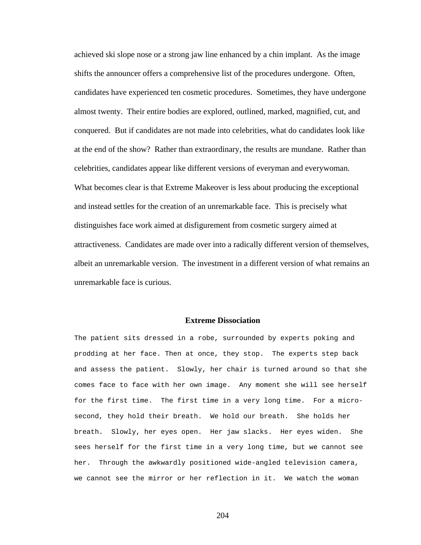achieved ski slope nose or a strong jaw line enhanced by a chin implant. As the image shifts the announcer offers a comprehensive list of the procedures undergone. Often, candidates have experienced ten cosmetic procedures. Sometimes, they have undergone almost twenty. Their entire bodies are explored, outlined, marked, magnified, cut, and conquered. But if candidates are not made into celebrities, what do candidates look like at the end of the show? Rather than extraordinary, the results are mundane. Rather than celebrities, candidates appear like different versions of everyman and everywoman. What becomes clear is that Extreme Makeover is less about producing the exceptional and instead settles for the creation of an unremarkable face. This is precisely what distinguishes face work aimed at disfigurement from cosmetic surgery aimed at attractiveness. Candidates are made over into a radically different version of themselves, albeit an unremarkable version. The investment in a different version of what remains an unremarkable face is curious.

#### **Extreme Dissociation**

The patient sits dressed in a robe, surrounded by experts poking and prodding at her face. Then at once, they stop. The experts step back and assess the patient. Slowly, her chair is turned around so that she comes face to face with her own image. Any moment she will see herself for the first time. The first time in a very long time. For a microsecond, they hold their breath. We hold our breath. She holds her breath. Slowly, her eyes open. Her jaw slacks. Her eyes widen. She sees herself for the first time in a very long time, but we cannot see her. Through the awkwardly positioned wide-angled television camera, we cannot see the mirror or her reflection in it. We watch the woman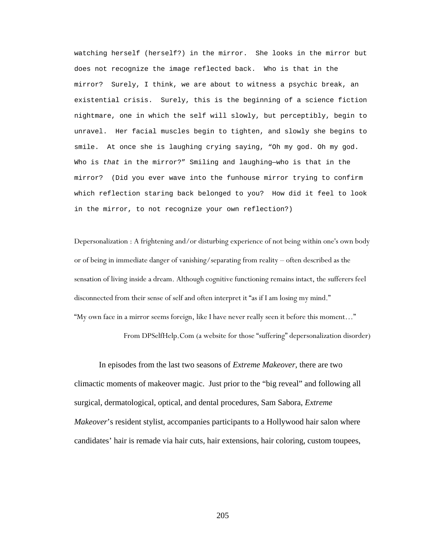watching herself (herself?) in the mirror. She looks in the mirror but does not recognize the image reflected back. Who is that in the mirror? Surely, I think, we are about to witness a psychic break, an existential crisis. Surely, this is the beginning of a science fiction nightmare, one in which the self will slowly, but perceptibly, begin to unravel. Her facial muscles begin to tighten, and slowly she begins to smile. At once she is laughing crying saying, "Oh my god. Oh my god. Who is *that* in the mirror?" Smiling and laughing—who is that in the mirror? (Did you ever wave into the funhouse mirror trying to confirm which reflection staring back belonged to you? How did it feel to look in the mirror, to not recognize your own reflection?)

Depersonalization : A frightening and/or disturbing experience of not being within one's own body or of being in immediate danger of vanishing/separating from reality – often described as the sensation of living inside a dream. Although cognitive functioning remains intact, the sufferers feel disconnected from their sense of self and often interpret it "as if I am losing my mind." "My own face in a mirror seems foreign, like I have never really seen it before this moment…"

From DPSelfHelp.Com (a website for those "suffering" depersonalization disorder)

In episodes from the last two seasons of *Extreme Makeover*, there are two climactic moments of makeover magic. Just prior to the "big reveal" and following all surgical, dermatological, optical, and dental procedures, Sam Sabora, *Extreme Makeover*'s resident stylist, accompanies participants to a Hollywood hair salon where candidates' hair is remade via hair cuts, hair extensions, hair coloring, custom toupees,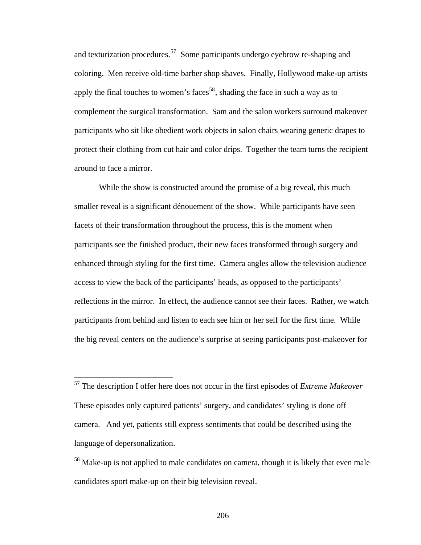and texturization procedures.<sup>[57](#page-219-0)</sup> Some participants undergo eyebrow re-shaping and coloring. Men receive old-time barber shop shaves. Finally, Hollywood make-up artists apply the final touches to women's faces<sup>[58](#page-219-1)</sup>, shading the face in such a way as to complement the surgical transformation. Sam and the salon workers surround makeover participants who sit like obedient work objects in salon chairs wearing generic drapes to protect their clothing from cut hair and color drips. Together the team turns the recipient around to face a mirror.

While the show is constructed around the promise of a big reveal, this much smaller reveal is a significant dénouement of the show. While participants have seen facets of their transformation throughout the process, this is the moment when participants see the finished product, their new faces transformed through surgery and enhanced through styling for the first time. Camera angles allow the television audience access to view the back of the participants' heads, as opposed to the participants' reflections in the mirror. In effect, the audience cannot see their faces. Rather, we watch participants from behind and listen to each see him or her self for the first time. While the big reveal centers on the audience's surprise at seeing participants post-makeover for

<span id="page-219-0"></span><sup>57</sup> The description I offer here does not occur in the first episodes of *Extreme Makeover*  These episodes only captured patients' surgery, and candidates' styling is done off camera.And yet, patients still express sentiments that could be described using the language of depersonalization.

<span id="page-219-1"></span><sup>&</sup>lt;sup>58</sup> Make-up is not applied to male candidates on camera, though it is likely that even male candidates sport make-up on their big television reveal.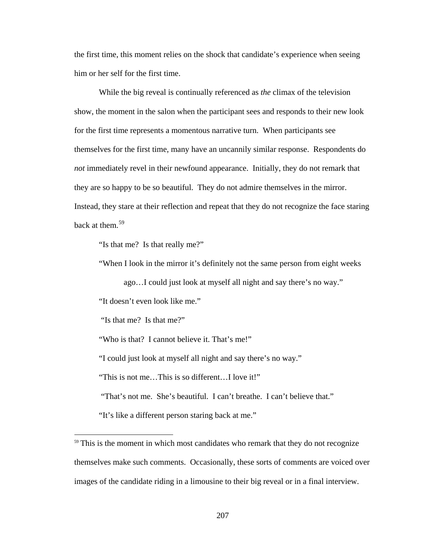the first time, this moment relies on the shock that candidate's experience when seeing him or her self for the first time.

While the big reveal is continually referenced as *the* climax of the television show, the moment in the salon when the participant sees and responds to their new look for the first time represents a momentous narrative turn. When participants see themselves for the first time, many have an uncannily similar response. Respondents do *not* immediately revel in their newfound appearance. Initially, they do not remark that they are so happy to be so beautiful. They do not admire themselves in the mirror. Instead, they stare at their reflection and repeat that they do not recognize the face staring back at them.[59](#page-220-0)

"Is that me? Is that really me?"

"When I look in the mirror it's definitely not the same person from eight weeks

ago…I could just look at myself all night and say there's no way."

"It doesn't even look like me."

"Is that me? Is that me?"

 $\overline{a}$ 

"Who is that? I cannot believe it. That's me!"

"I could just look at myself all night and say there's no way."

"This is not me…This is so different…I love it!"

"That's not me. She's beautiful. I can't breathe. I can't believe that."

"It's like a different person staring back at me."

<span id="page-220-0"></span> $59$  This is the moment in which most candidates who remark that they do not recognize themselves make such comments. Occasionally, these sorts of comments are voiced over images of the candidate riding in a limousine to their big reveal or in a final interview.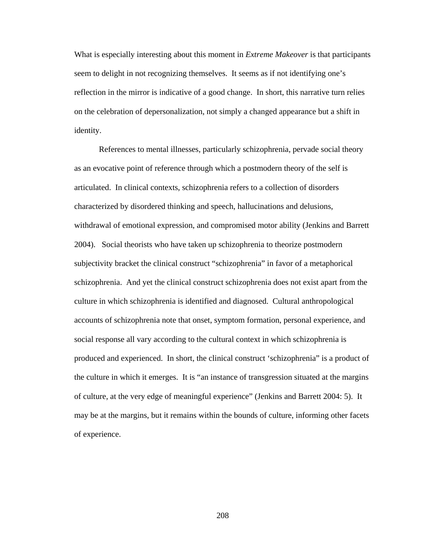What is especially interesting about this moment in *Extreme Makeover* is that participants seem to delight in not recognizing themselves. It seems as if not identifying one's reflection in the mirror is indicative of a good change. In short, this narrative turn relies on the celebration of depersonalization, not simply a changed appearance but a shift in identity.

References to mental illnesses, particularly schizophrenia, pervade social theory as an evocative point of reference through which a postmodern theory of the self is articulated. In clinical contexts, schizophrenia refers to a collection of disorders characterized by disordered thinking and speech, hallucinations and delusions, withdrawal of emotional expression, and compromised motor ability (Jenkins and Barrett 2004). Social theorists who have taken up schizophrenia to theorize postmodern subjectivity bracket the clinical construct "schizophrenia" in favor of a metaphorical schizophrenia. And yet the clinical construct schizophrenia does not exist apart from the culture in which schizophrenia is identified and diagnosed. Cultural anthropological accounts of schizophrenia note that onset, symptom formation, personal experience, and social response all vary according to the cultural context in which schizophrenia is produced and experienced. In short, the clinical construct 'schizophrenia" is a product of the culture in which it emerges. It is "an instance of transgression situated at the margins of culture, at the very edge of meaningful experience" (Jenkins and Barrett 2004: 5). It may be at the margins, but it remains within the bounds of culture, informing other facets of experience.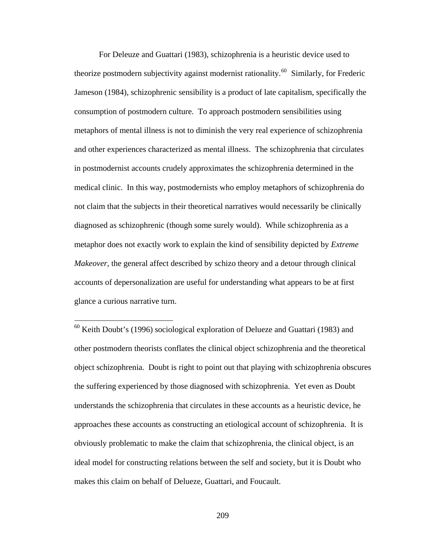For Deleuze and Guattari (1983), schizophrenia is a heuristic device used to theorize postmodern subjectivity against modernist rationality.<sup>[60](#page-222-0)</sup> Similarly, for Frederic Jameson (1984), schizophrenic sensibility is a product of late capitalism, specifically the consumption of postmodern culture. To approach postmodern sensibilities using metaphors of mental illness is not to diminish the very real experience of schizophrenia and other experiences characterized as mental illness. The schizophrenia that circulates in postmodernist accounts crudely approximates the schizophrenia determined in the medical clinic. In this way, postmodernists who employ metaphors of schizophrenia do not claim that the subjects in their theoretical narratives would necessarily be clinically diagnosed as schizophrenic (though some surely would). While schizophrenia as a metaphor does not exactly work to explain the kind of sensibility depicted by *Extreme Makeover*, the general affect described by schizo theory and a detour through clinical accounts of depersonalization are useful for understanding what appears to be at first glance a curious narrative turn.

 $\overline{a}$ 

<span id="page-222-0"></span><sup>60</sup> Keith Doubt's (1996) sociological exploration of Delueze and Guattari (1983) and other postmodern theorists conflates the clinical object schizophrenia and the theoretical object schizophrenia. Doubt is right to point out that playing with schizophrenia obscures the suffering experienced by those diagnosed with schizophrenia. Yet even as Doubt understands the schizophrenia that circulates in these accounts as a heuristic device, he approaches these accounts as constructing an etiological account of schizophrenia. It is obviously problematic to make the claim that schizophrenia, the clinical object, is an ideal model for constructing relations between the self and society, but it is Doubt who makes this claim on behalf of Delueze, Guattari, and Foucault.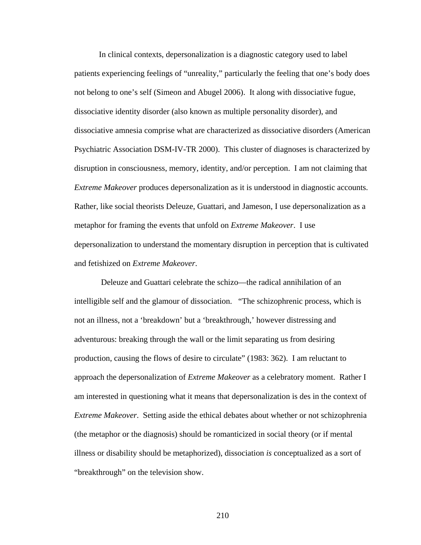In clinical contexts, depersonalization is a diagnostic category used to label patients experiencing feelings of "unreality," particularly the feeling that one's body does not belong to one's self (Simeon and Abugel 2006). It along with dissociative fugue, dissociative identity disorder (also known as multiple personality disorder), and dissociative amnesia comprise what are characterized as dissociative disorders (American Psychiatric Association DSM-IV-TR 2000). This cluster of diagnoses is characterized by disruption in consciousness, memory, identity, and/or perception. I am not claiming that *Extreme Makeover* produces depersonalization as it is understood in diagnostic accounts. Rather, like social theorists Deleuze, Guattari, and Jameson, I use depersonalization as a metaphor for framing the events that unfold on *Extreme Makeover*. I use depersonalization to understand the momentary disruption in perception that is cultivated and fetishized on *Extreme Makeover*.

 Deleuze and Guattari celebrate the schizo—the radical annihilation of an intelligible self and the glamour of dissociation. "The schizophrenic process, which is not an illness, not a 'breakdown' but a 'breakthrough,' however distressing and adventurous: breaking through the wall or the limit separating us from desiring production, causing the flows of desire to circulate" (1983: 362). I am reluctant to approach the depersonalization of *Extreme Makeover* as a celebratory moment. Rather I am interested in questioning what it means that depersonalization is des in the context of *Extreme Makeover*. Setting aside the ethical debates about whether or not schizophrenia (the metaphor or the diagnosis) should be romanticized in social theory (or if mental illness or disability should be metaphorized), dissociation *is* conceptualized as a sort of "breakthrough" on the television show.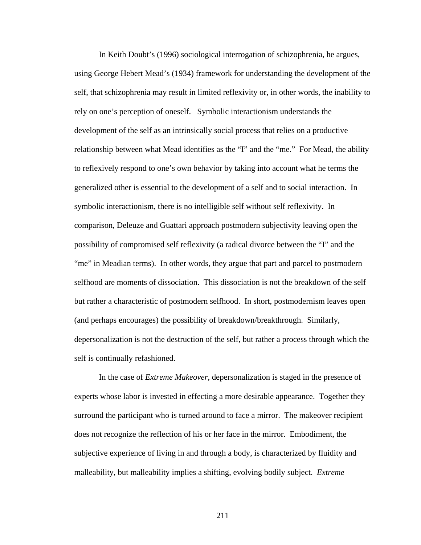In Keith Doubt's (1996) sociological interrogation of schizophrenia, he argues, using George Hebert Mead's (1934) framework for understanding the development of the self, that schizophrenia may result in limited reflexivity or, in other words, the inability to rely on one's perception of oneself. Symbolic interactionism understands the development of the self as an intrinsically social process that relies on a productive relationship between what Mead identifies as the "I" and the "me." For Mead, the ability to reflexively respond to one's own behavior by taking into account what he terms the generalized other is essential to the development of a self and to social interaction. In symbolic interactionism, there is no intelligible self without self reflexivity. In comparison, Deleuze and Guattari approach postmodern subjectivity leaving open the possibility of compromised self reflexivity (a radical divorce between the "I" and the "me" in Meadian terms). In other words, they argue that part and parcel to postmodern selfhood are moments of dissociation. This dissociation is not the breakdown of the self but rather a characteristic of postmodern selfhood. In short, postmodernism leaves open (and perhaps encourages) the possibility of breakdown/breakthrough. Similarly, depersonalization is not the destruction of the self, but rather a process through which the self is continually refashioned.

In the case of *Extreme Makeover*, depersonalization is staged in the presence of experts whose labor is invested in effecting a more desirable appearance. Together they surround the participant who is turned around to face a mirror. The makeover recipient does not recognize the reflection of his or her face in the mirror. Embodiment, the subjective experience of living in and through a body, is characterized by fluidity and malleability, but malleability implies a shifting, evolving bodily subject. *Extreme*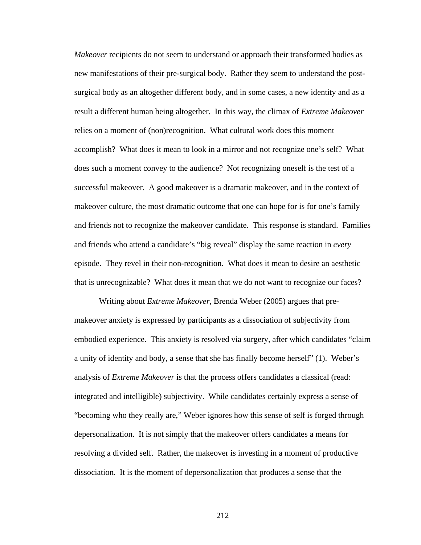*Makeover* recipients do not seem to understand or approach their transformed bodies as new manifestations of their pre-surgical body. Rather they seem to understand the postsurgical body as an altogether different body, and in some cases, a new identity and as a result a different human being altogether. In this way, the climax of *Extreme Makeover* relies on a moment of (non)recognition. What cultural work does this moment accomplish? What does it mean to look in a mirror and not recognize one's self? What does such a moment convey to the audience? Not recognizing oneself is the test of a successful makeover. A good makeover is a dramatic makeover, and in the context of makeover culture, the most dramatic outcome that one can hope for is for one's family and friends not to recognize the makeover candidate. This response is standard. Families and friends who attend a candidate's "big reveal" display the same reaction in *every* episode. They revel in their non-recognition. What does it mean to desire an aesthetic that is unrecognizable? What does it mean that we do not want to recognize our faces?

Writing about *Extreme Makeover*, Brenda Weber (2005) argues that premakeover anxiety is expressed by participants as a dissociation of subjectivity from embodied experience. This anxiety is resolved via surgery, after which candidates "claim a unity of identity and body, a sense that she has finally become herself" (1). Weber's analysis of *Extreme Makeover* is that the process offers candidates a classical (read: integrated and intelligible) subjectivity. While candidates certainly express a sense of "becoming who they really are," Weber ignores how this sense of self is forged through depersonalization. It is not simply that the makeover offers candidates a means for resolving a divided self. Rather, the makeover is investing in a moment of productive dissociation. It is the moment of depersonalization that produces a sense that the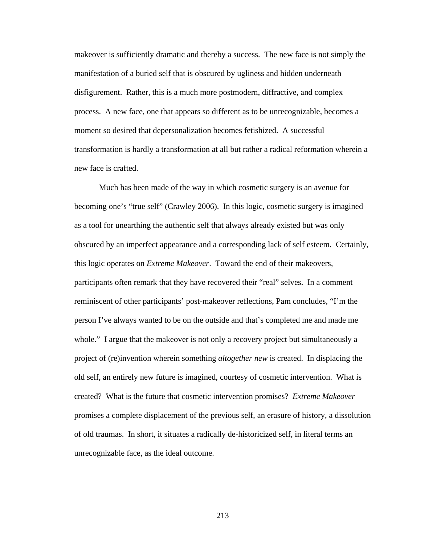makeover is sufficiently dramatic and thereby a success. The new face is not simply the manifestation of a buried self that is obscured by ugliness and hidden underneath disfigurement. Rather, this is a much more postmodern, diffractive, and complex process. A new face, one that appears so different as to be unrecognizable, becomes a moment so desired that depersonalization becomes fetishized. A successful transformation is hardly a transformation at all but rather a radical reformation wherein a new face is crafted.

 Much has been made of the way in which cosmetic surgery is an avenue for becoming one's "true self" (Crawley 2006). In this logic, cosmetic surgery is imagined as a tool for unearthing the authentic self that always already existed but was only obscured by an imperfect appearance and a corresponding lack of self esteem. Certainly, this logic operates on *Extreme Makeover*. Toward the end of their makeovers, participants often remark that they have recovered their "real" selves. In a comment reminiscent of other participants' post-makeover reflections, Pam concludes, "I'm the person I've always wanted to be on the outside and that's completed me and made me whole." I argue that the makeover is not only a recovery project but simultaneously a project of (re)invention wherein something *altogether new* is created. In displacing the old self, an entirely new future is imagined, courtesy of cosmetic intervention. What is created? What is the future that cosmetic intervention promises? *Extreme Makeover* promises a complete displacement of the previous self, an erasure of history, a dissolution of old traumas. In short, it situates a radically de-historicized self, in literal terms an unrecognizable face, as the ideal outcome.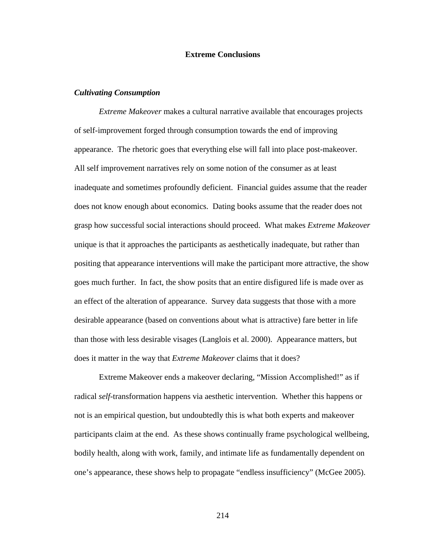## **Extreme Conclusions**

## *Cultivating Consumption*

*Extreme Makeover* makes a cultural narrative available that encourages projects of self-improvement forged through consumption towards the end of improving appearance. The rhetoric goes that everything else will fall into place post-makeover. All self improvement narratives rely on some notion of the consumer as at least inadequate and sometimes profoundly deficient. Financial guides assume that the reader does not know enough about economics. Dating books assume that the reader does not grasp how successful social interactions should proceed. What makes *Extreme Makeover* unique is that it approaches the participants as aesthetically inadequate, but rather than positing that appearance interventions will make the participant more attractive, the show goes much further. In fact, the show posits that an entire disfigured life is made over as an effect of the alteration of appearance. Survey data suggests that those with a more desirable appearance (based on conventions about what is attractive) fare better in life than those with less desirable visages (Langlois et al. 2000). Appearance matters, but does it matter in the way that *Extreme Makeover* claims that it does?

 Extreme Makeover ends a makeover declaring, "Mission Accomplished!" as if radical *self*-transformation happens via aesthetic intervention. Whether this happens or not is an empirical question, but undoubtedly this is what both experts and makeover participants claim at the end. As these shows continually frame psychological wellbeing, bodily health, along with work, family, and intimate life as fundamentally dependent on one's appearance, these shows help to propagate "endless insufficiency" (McGee 2005).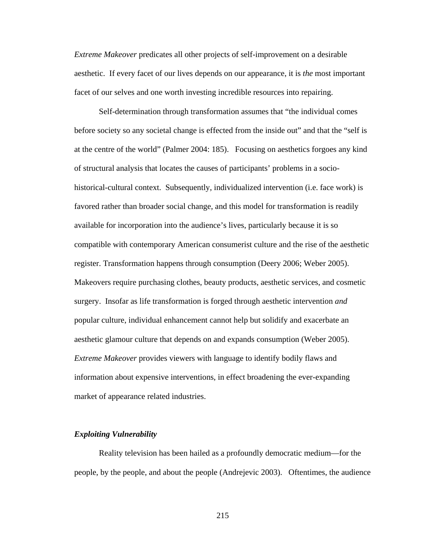*Extreme Makeover* predicates all other projects of self-improvement on a desirable aesthetic. If every facet of our lives depends on our appearance, it is *the* most important facet of our selves and one worth investing incredible resources into repairing.

Self-determination through transformation assumes that "the individual comes before society so any societal change is effected from the inside out" and that the "self is at the centre of the world" (Palmer 2004: 185). Focusing on aesthetics forgoes any kind of structural analysis that locates the causes of participants' problems in a sociohistorical-cultural context. Subsequently, individualized intervention (i.e. face work) is favored rather than broader social change, and this model for transformation is readily available for incorporation into the audience's lives, particularly because it is so compatible with contemporary American consumerist culture and the rise of the aesthetic register. Transformation happens through consumption (Deery 2006; Weber 2005). Makeovers require purchasing clothes, beauty products, aesthetic services, and cosmetic surgery. Insofar as life transformation is forged through aesthetic intervention *and* popular culture, individual enhancement cannot help but solidify and exacerbate an aesthetic glamour culture that depends on and expands consumption (Weber 2005). *Extreme Makeover* provides viewers with language to identify bodily flaws and information about expensive interventions, in effect broadening the ever-expanding market of appearance related industries.

### *Exploiting Vulnerability*

Reality television has been hailed as a profoundly democratic medium—for the people, by the people, and about the people (Andrejevic 2003). Oftentimes, the audience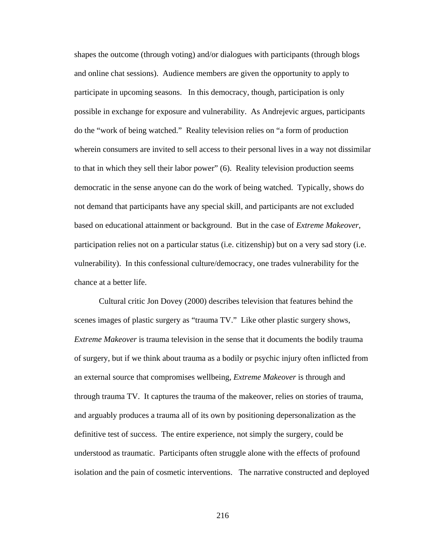shapes the outcome (through voting) and/or dialogues with participants (through blogs and online chat sessions). Audience members are given the opportunity to apply to participate in upcoming seasons. In this democracy, though, participation is only possible in exchange for exposure and vulnerability. As Andrejevic argues, participants do the "work of being watched." Reality television relies on "a form of production wherein consumers are invited to sell access to their personal lives in a way not dissimilar to that in which they sell their labor power" (6). Reality television production seems democratic in the sense anyone can do the work of being watched. Typically, shows do not demand that participants have any special skill, and participants are not excluded based on educational attainment or background. But in the case of *Extreme Makeover*, participation relies not on a particular status (i.e. citizenship) but on a very sad story (i.e. vulnerability). In this confessional culture/democracy, one trades vulnerability for the chance at a better life.

Cultural critic Jon Dovey (2000) describes television that features behind the scenes images of plastic surgery as "trauma TV." Like other plastic surgery shows, *Extreme Makeover* is trauma television in the sense that it documents the bodily trauma of surgery, but if we think about trauma as a bodily or psychic injury often inflicted from an external source that compromises wellbeing, *Extreme Makeover* is through and through trauma TV. It captures the trauma of the makeover, relies on stories of trauma, and arguably produces a trauma all of its own by positioning depersonalization as the definitive test of success. The entire experience, not simply the surgery, could be understood as traumatic. Participants often struggle alone with the effects of profound isolation and the pain of cosmetic interventions. The narrative constructed and deployed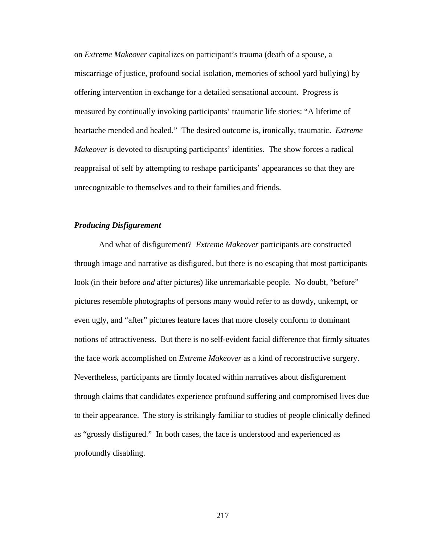on *Extreme Makeover* capitalizes on participant's trauma (death of a spouse, a miscarriage of justice, profound social isolation, memories of school yard bullying) by offering intervention in exchange for a detailed sensational account. Progress is measured by continually invoking participants' traumatic life stories: "A lifetime of heartache mended and healed." The desired outcome is, ironically, traumatic. *Extreme Makeover* is devoted to disrupting participants' identities. The show forces a radical reappraisal of self by attempting to reshape participants' appearances so that they are unrecognizable to themselves and to their families and friends.

# *Producing Disfigurement*

And what of disfigurement? *Extreme Makeover* participants are constructed through image and narrative as disfigured, but there is no escaping that most participants look (in their before *and* after pictures) like unremarkable people. No doubt, "before" pictures resemble photographs of persons many would refer to as dowdy, unkempt, or even ugly, and "after" pictures feature faces that more closely conform to dominant notions of attractiveness. But there is no self-evident facial difference that firmly situates the face work accomplished on *Extreme Makeover* as a kind of reconstructive surgery. Nevertheless, participants are firmly located within narratives about disfigurement through claims that candidates experience profound suffering and compromised lives due to their appearance. The story is strikingly familiar to studies of people clinically defined as "grossly disfigured." In both cases, the face is understood and experienced as profoundly disabling.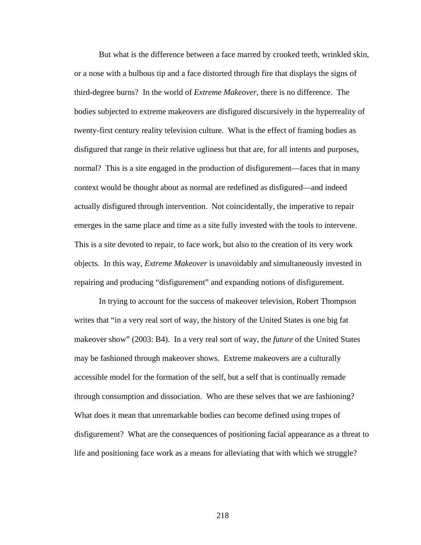But what is the difference between a face marred by crooked teeth, wrinkled skin, or a nose with a bulbous tip and a face distorted through fire that displays the signs of third-degree burns? In the world of *Extreme Makeover*, there is no difference. The bodies subjected to extreme makeovers are disfigured discursively in the hyperreality of twenty-first century reality television culture. What is the effect of framing bodies as disfigured that range in their relative ugliness but that are, for all intents and purposes, normal? This is a site engaged in the production of disfigurement—faces that in many context would be thought about as normal are redefined as disfigured—and indeed actually disfigured through intervention. Not coincidentally, the imperative to repair emerges in the same place and time as a site fully invested with the tools to intervene. This is a site devoted to repair, to face work, but also to the creation of its very work objects. In this way, *Extreme Makeover* is unavoidably and simultaneously invested in repairing and producing "disfigurement" and expanding notions of disfigurement.

In trying to account for the success of makeover television, Robert Thompson writes that "in a very real sort of way, the history of the United States is one big fat makeover show" (2003: B4). In a very real sort of way, the *future* of the United States may be fashioned through makeover shows. Extreme makeovers are a culturally accessible model for the formation of the self, but a self that is continually remade through consumption and dissociation. Who are these selves that we are fashioning? What does it mean that unremarkable bodies can become defined using tropes of disfigurement? What are the consequences of positioning facial appearance as a threat to life and positioning face work as a means for alleviating that with which we struggle?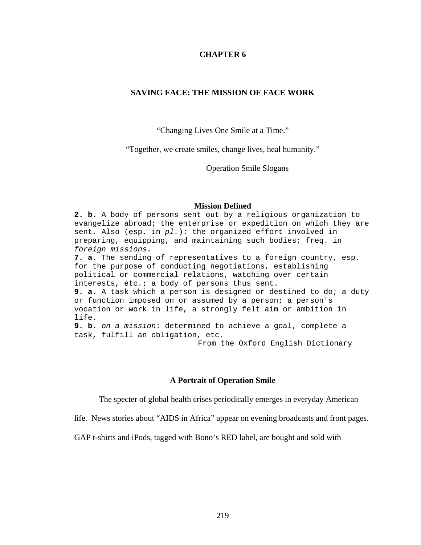## **CHAPTER 6**

# **SAVING FACE: THE MISSION OF FACE WORK**

"Changing Lives One Smile at a Time."

"Together, we create smiles, change lives, heal humanity."

Operation Smile Slogans

#### **Mission Defined**

**2. b.** A body of persons sent out by a religious organization to evangelize abroad; the enterprise or expedition on which they are sent. Also (esp. in *pl.*): the organized effort involved in preparing, equipping, and maintaining such bodies; freq. in *foreign missions*. **7. a.** The sending of representatives to a foreign country, esp. for the purpose of conducting negotiations, establishing political or commercial relations, watching over certain interests, etc.; a body of persons thus sent. **9. a.** A task which a person is designed or destined to do; a duty or function imposed on or assumed by a person; a person's vocation or work in life, a strongly felt aim or ambition in life. **9. b.** *on a mission*: determined to achieve a goal, complete a task, fulfill an obligation, etc. From the Oxford English Dictionary

## **A Portrait of Operation Smile**

The specter of global health crises periodically emerges in everyday American

life. News stories about "AIDS in Africa" appear on evening broadcasts and front pages.

GAP t-shirts and iPods, tagged with Bono's RED label, are bought and sold with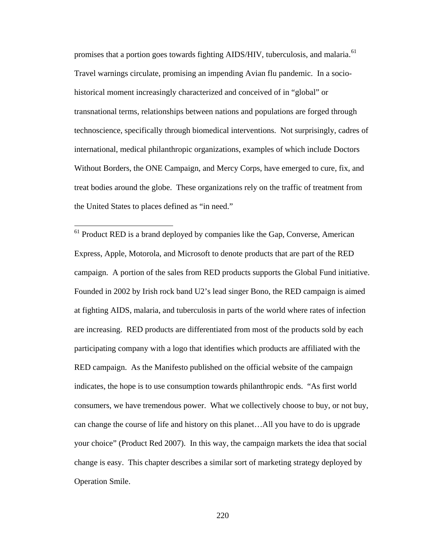promises that a portion goes towards fighting AIDS/HIV, tuberculosis, and malaria.<sup>[61](#page-233-0)</sup> Travel warnings circulate, promising an impending Avian flu pandemic. In a sociohistorical moment increasingly characterized and conceived of in "global" or transnational terms, relationships between nations and populations are forged through technoscience, specifically through biomedical interventions. Not surprisingly, cadres of international, medical philanthropic organizations, examples of which include Doctors Without Borders, the ONE Campaign, and Mercy Corps, have emerged to cure, fix, and treat bodies around the globe. These organizations rely on the traffic of treatment from the United States to places defined as "in need."

1

<span id="page-233-0"></span> $61$  Product RED is a brand deployed by companies like the Gap, Converse, American Express, Apple, Motorola, and Microsoft to denote products that are part of the RED campaign. A portion of the sales from RED products supports the Global Fund initiative. Founded in 2002 by Irish rock band U2's lead singer Bono, the RED campaign is aimed at fighting AIDS, malaria, and tuberculosis in parts of the world where rates of infection are increasing. RED products are differentiated from most of the products sold by each participating company with a logo that identifies which products are affiliated with the RED campaign. As the Manifesto published on the official website of the campaign indicates, the hope is to use consumption towards philanthropic ends. "As first world consumers, we have tremendous power. What we collectively choose to buy, or not buy, can change the course of life and history on this planet…All you have to do is upgrade your choice" (Product Red 2007). In this way, the campaign markets the idea that social change is easy. This chapter describes a similar sort of marketing strategy deployed by Operation Smile.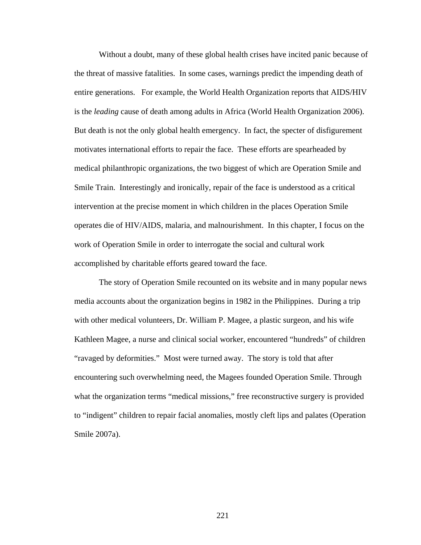Without a doubt, many of these global health crises have incited panic because of the threat of massive fatalities. In some cases, warnings predict the impending death of entire generations. For example, the World Health Organization reports that AIDS/HIV is the *leading* cause of death among adults in Africa (World Health Organization 2006). But death is not the only global health emergency. In fact, the specter of disfigurement motivates international efforts to repair the face. These efforts are spearheaded by medical philanthropic organizations, the two biggest of which are Operation Smile and Smile Train. Interestingly and ironically, repair of the face is understood as a critical intervention at the precise moment in which children in the places Operation Smile operates die of HIV/AIDS, malaria, and malnourishment. In this chapter, I focus on the work of Operation Smile in order to interrogate the social and cultural work accomplished by charitable efforts geared toward the face.

The story of Operation Smile recounted on its website and in many popular news media accounts about the organization begins in 1982 in the Philippines. During a trip with other medical volunteers, Dr. William P. Magee, a plastic surgeon, and his wife Kathleen Magee, a nurse and clinical social worker, encountered "hundreds" of children "ravaged by deformities." Most were turned away. The story is told that after encountering such overwhelming need, the Magees founded Operation Smile. Through what the organization terms "medical missions," free reconstructive surgery is provided to "indigent" children to repair facial anomalies, mostly cleft lips and palates (Operation Smile 2007a).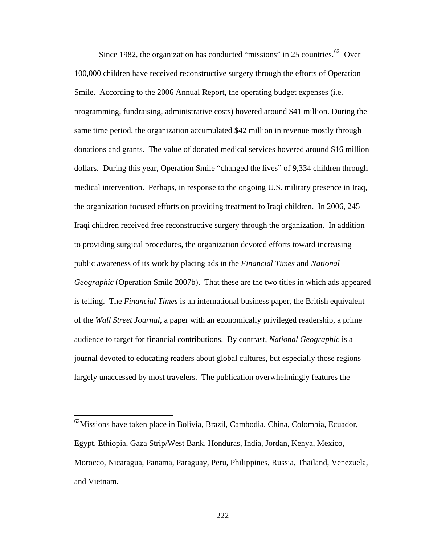Since 1982, the organization has conducted "missions" in 25 countries.<sup>[62](#page-235-0)</sup> Over 100,000 children have received reconstructive surgery through the efforts of Operation Smile. According to the 2006 Annual Report, the operating budget expenses (i.e. programming, fundraising, administrative costs) hovered around \$41 million. During the same time period, the organization accumulated \$42 million in revenue mostly through donations and grants. The value of donated medical services hovered around \$16 million dollars. During this year, Operation Smile "changed the lives" of 9,334 children through medical intervention. Perhaps, in response to the ongoing U.S. military presence in Iraq, the organization focused efforts on providing treatment to Iraqi children. In 2006, 245 Iraqi children received free reconstructive surgery through the organization. In addition to providing surgical procedures, the organization devoted efforts toward increasing public awareness of its work by placing ads in the *Financial Times* and *National Geographic* (Operation Smile 2007b). That these are the two titles in which ads appeared is telling. The *Financial Times* is an international business paper, the British equivalent of the *Wall Street Journal*, a paper with an economically privileged readership, a prime audience to target for financial contributions. By contrast, *National Geographic* is a journal devoted to educating readers about global cultures, but especially those regions largely unaccessed by most travelers. The publication overwhelmingly features the

 $\overline{a}$ 

<span id="page-235-0"></span> $62$ Missions have taken place in Bolivia, Brazil, Cambodia, China, Colombia, Ecuador, Egypt, Ethiopia, Gaza Strip/West Bank, Honduras, India, Jordan, Kenya, Mexico, Morocco, Nicaragua, Panama, Paraguay, Peru, Philippines, Russia, Thailand, Venezuela, and Vietnam.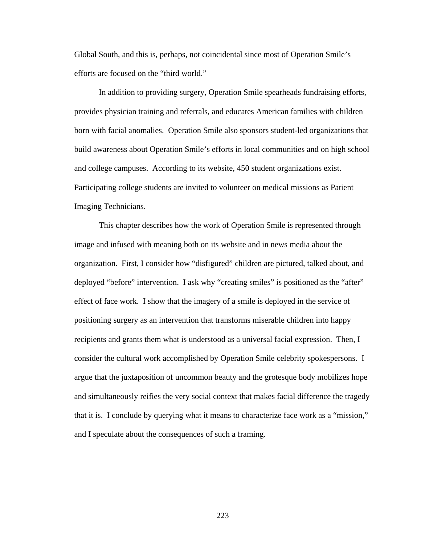Global South, and this is, perhaps, not coincidental since most of Operation Smile's efforts are focused on the "third world."

In addition to providing surgery, Operation Smile spearheads fundraising efforts, provides physician training and referrals, and educates American families with children born with facial anomalies. Operation Smile also sponsors student-led organizations that build awareness about Operation Smile's efforts in local communities and on high school and college campuses. According to its website, 450 student organizations exist. Participating college students are invited to volunteer on medical missions as Patient Imaging Technicians.

This chapter describes how the work of Operation Smile is represented through image and infused with meaning both on its website and in news media about the organization. First, I consider how "disfigured" children are pictured, talked about, and deployed "before" intervention. I ask why "creating smiles" is positioned as the "after" effect of face work. I show that the imagery of a smile is deployed in the service of positioning surgery as an intervention that transforms miserable children into happy recipients and grants them what is understood as a universal facial expression. Then, I consider the cultural work accomplished by Operation Smile celebrity spokespersons. I argue that the juxtaposition of uncommon beauty and the grotesque body mobilizes hope and simultaneously reifies the very social context that makes facial difference the tragedy that it is. I conclude by querying what it means to characterize face work as a "mission," and I speculate about the consequences of such a framing.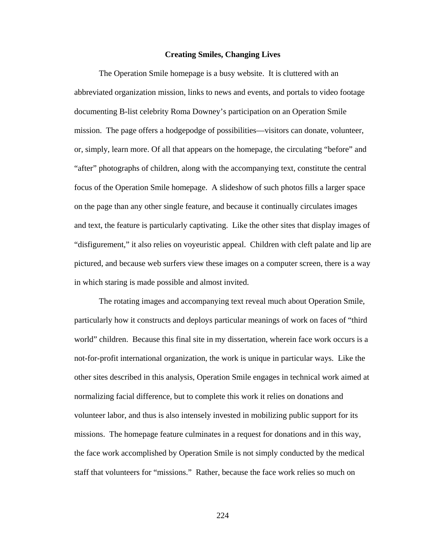#### **Creating Smiles, Changing Lives**

The Operation Smile homepage is a busy website. It is cluttered with an abbreviated organization mission, links to news and events, and portals to video footage documenting B-list celebrity Roma Downey's participation on an Operation Smile mission. The page offers a hodgepodge of possibilities—visitors can donate, volunteer, or, simply, learn more. Of all that appears on the homepage, the circulating "before" and "after" photographs of children, along with the accompanying text, constitute the central focus of the Operation Smile homepage. A slideshow of such photos fills a larger space on the page than any other single feature, and because it continually circulates images and text, the feature is particularly captivating. Like the other sites that display images of "disfigurement," it also relies on voyeuristic appeal. Children with cleft palate and lip are pictured, and because web surfers view these images on a computer screen, there is a way in which staring is made possible and almost invited.

The rotating images and accompanying text reveal much about Operation Smile, particularly how it constructs and deploys particular meanings of work on faces of "third world" children. Because this final site in my dissertation, wherein face work occurs is a not-for-profit international organization, the work is unique in particular ways. Like the other sites described in this analysis, Operation Smile engages in technical work aimed at normalizing facial difference, but to complete this work it relies on donations and volunteer labor, and thus is also intensely invested in mobilizing public support for its missions. The homepage feature culminates in a request for donations and in this way, the face work accomplished by Operation Smile is not simply conducted by the medical staff that volunteers for "missions." Rather, because the face work relies so much on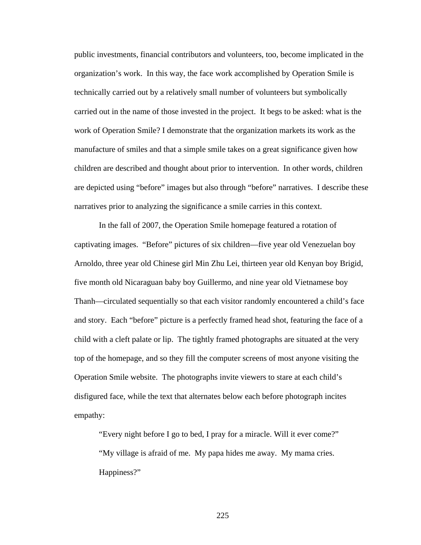public investments, financial contributors and volunteers, too, become implicated in the organization's work. In this way, the face work accomplished by Operation Smile is technically carried out by a relatively small number of volunteers but symbolically carried out in the name of those invested in the project. It begs to be asked: what is the work of Operation Smile? I demonstrate that the organization markets its work as the manufacture of smiles and that a simple smile takes on a great significance given how children are described and thought about prior to intervention. In other words, children are depicted using "before" images but also through "before" narratives. I describe these narratives prior to analyzing the significance a smile carries in this context.

 In the fall of 2007, the Operation Smile homepage featured a rotation of captivating images. "Before" pictures of six children—five year old Venezuelan boy Arnoldo, three year old Chinese girl Min Zhu Lei, thirteen year old Kenyan boy Brigid, five month old Nicaraguan baby boy Guillermo, and nine year old Vietnamese boy Thanh—circulated sequentially so that each visitor randomly encountered a child's face and story. Each "before" picture is a perfectly framed head shot, featuring the face of a child with a cleft palate or lip. The tightly framed photographs are situated at the very top of the homepage, and so they fill the computer screens of most anyone visiting the Operation Smile website. The photographs invite viewers to stare at each child's disfigured face, while the text that alternates below each before photograph incites empathy:

"Every night before I go to bed, I pray for a miracle. Will it ever come?" "My village is afraid of me. My papa hides me away. My mama cries. Happiness?"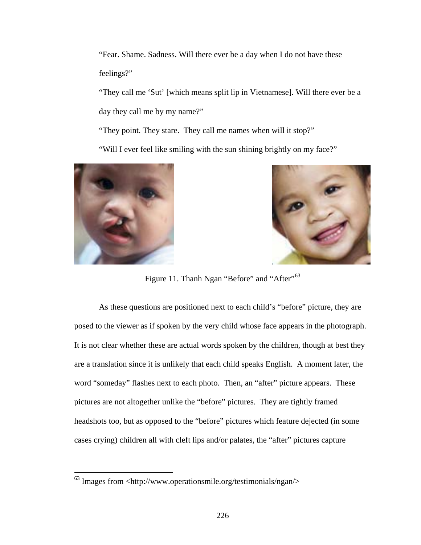"Fear. Shame. Sadness. Will there ever be a day when I do not have these feelings?"

"They call me 'Sut' [which means split lip in Vietnamese]. Will there ever be a day they call me by my name?"

"They point. They stare. They call me names when will it stop?"

"Will I ever feel like smiling with the sun shining brightly on my face?"



 $\overline{a}$ 



Figure 11. Thanh Ngan "Before" and "After"<sup>[63](#page-239-0)</sup>

As these questions are positioned next to each child's "before" picture, they are posed to the viewer as if spoken by the very child whose face appears in the photograph. It is not clear whether these are actual words spoken by the children, though at best they are a translation since it is unlikely that each child speaks English. A moment later, the word "someday" flashes next to each photo. Then, an "after" picture appears. These pictures are not altogether unlike the "before" pictures. They are tightly framed headshots too, but as opposed to the "before" pictures which feature dejected (in some cases crying) children all with cleft lips and/or palates, the "after" pictures capture

<span id="page-239-0"></span> $63$  Images from  $\langle$ http://www.operationsmile.org/testimonials/ngan/ $>$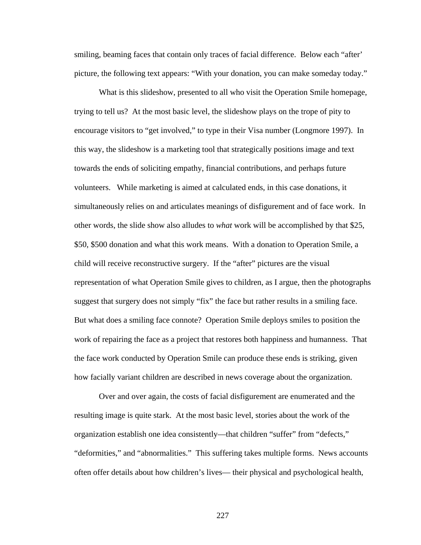smiling, beaming faces that contain only traces of facial difference. Below each "after' picture, the following text appears: "With your donation, you can make someday today."

What is this slideshow, presented to all who visit the Operation Smile homepage, trying to tell us? At the most basic level, the slideshow plays on the trope of pity to encourage visitors to "get involved," to type in their Visa number (Longmore 1997). In this way, the slideshow is a marketing tool that strategically positions image and text towards the ends of soliciting empathy, financial contributions, and perhaps future volunteers. While marketing is aimed at calculated ends, in this case donations, it simultaneously relies on and articulates meanings of disfigurement and of face work. In other words, the slide show also alludes to *what* work will be accomplished by that \$25, \$50, \$500 donation and what this work means. With a donation to Operation Smile, a child will receive reconstructive surgery. If the "after" pictures are the visual representation of what Operation Smile gives to children, as I argue, then the photographs suggest that surgery does not simply "fix" the face but rather results in a smiling face. But what does a smiling face connote? Operation Smile deploys smiles to position the work of repairing the face as a project that restores both happiness and humanness. That the face work conducted by Operation Smile can produce these ends is striking, given how facially variant children are described in news coverage about the organization.

Over and over again, the costs of facial disfigurement are enumerated and the resulting image is quite stark. At the most basic level, stories about the work of the organization establish one idea consistently—that children "suffer" from "defects," "deformities," and "abnormalities." This suffering takes multiple forms. News accounts often offer details about how children's lives— their physical and psychological health,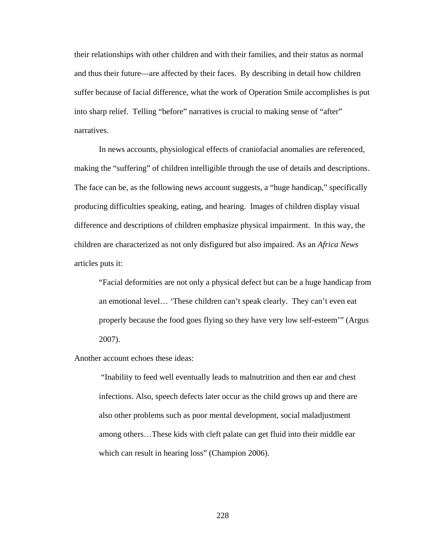their relationships with other children and with their families, and their status as normal and thus their future—are affected by their faces. By describing in detail how children suffer because of facial difference, what the work of Operation Smile accomplishes is put into sharp relief. Telling "before" narratives is crucial to making sense of "after" narratives.

In news accounts, physiological effects of craniofacial anomalies are referenced, making the "suffering" of children intelligible through the use of details and descriptions. The face can be, as the following news account suggests, a "huge handicap," specifically producing difficulties speaking, eating, and hearing. Images of children display visual difference and descriptions of children emphasize physical impairment. In this way, the children are characterized as not only disfigured but also impaired. As an *Africa News* articles puts it:

"Facial deformities are not only a physical defect but can be a huge handicap from an emotional level… 'These children can't speak clearly. They can't even eat properly because the food goes flying so they have very low self-esteem'" (Argus 2007).

Another account echoes these ideas:

 "Inability to feed well eventually leads to malnutrition and then ear and chest infections. Also, speech defects later occur as the child grows up and there are also other problems such as poor mental development, social maladjustment among others…These kids with cleft palate can get fluid into their middle ear which can result in hearing loss" (Champion 2006).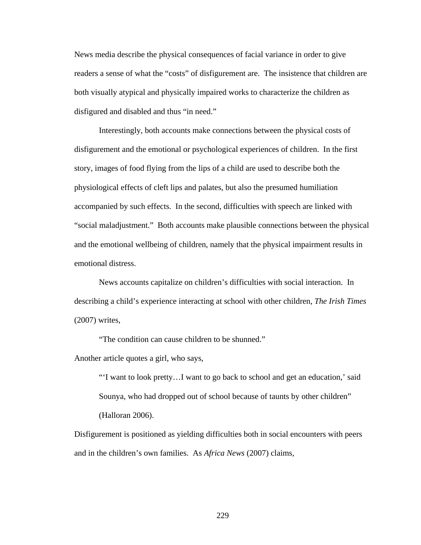News media describe the physical consequences of facial variance in order to give readers a sense of what the "costs" of disfigurement are. The insistence that children are both visually atypical and physically impaired works to characterize the children as disfigured and disabled and thus "in need."

Interestingly, both accounts make connections between the physical costs of disfigurement and the emotional or psychological experiences of children. In the first story, images of food flying from the lips of a child are used to describe both the physiological effects of cleft lips and palates, but also the presumed humiliation accompanied by such effects. In the second, difficulties with speech are linked with "social maladjustment." Both accounts make plausible connections between the physical and the emotional wellbeing of children, namely that the physical impairment results in emotional distress.

News accounts capitalize on children's difficulties with social interaction. In describing a child's experience interacting at school with other children, *The Irish Times* (2007) writes,

"The condition can cause children to be shunned."

Another article quotes a girl, who says,

"'I want to look pretty…I want to go back to school and get an education,' said Sounya, who had dropped out of school because of taunts by other children" (Halloran 2006).

Disfigurement is positioned as yielding difficulties both in social encounters with peers and in the children's own families. As *Africa News* (2007) claims,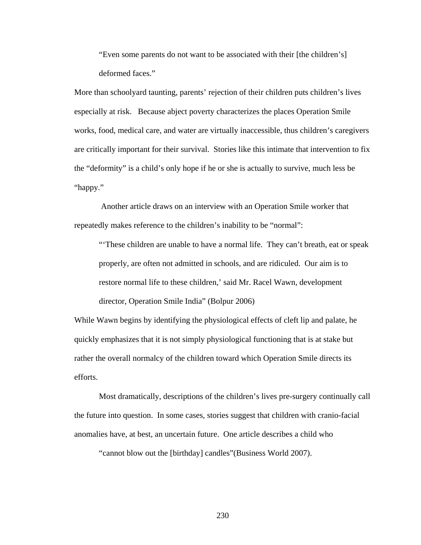"Even some parents do not want to be associated with their [the children's] deformed faces."

More than schoolyard taunting, parents' rejection of their children puts children's lives especially at risk. Because abject poverty characterizes the places Operation Smile works, food, medical care, and water are virtually inaccessible, thus children's caregivers are critically important for their survival. Stories like this intimate that intervention to fix the "deformity" is a child's only hope if he or she is actually to survive, much less be "happy."

 Another article draws on an interview with an Operation Smile worker that repeatedly makes reference to the children's inability to be "normal":

"'These children are unable to have a normal life. They can't breath, eat or speak properly, are often not admitted in schools, and are ridiculed. Our aim is to restore normal life to these children,' said Mr. Racel Wawn, development director, Operation Smile India" (Bolpur 2006)

While Wawn begins by identifying the physiological effects of cleft lip and palate, he quickly emphasizes that it is not simply physiological functioning that is at stake but rather the overall normalcy of the children toward which Operation Smile directs its efforts.

 Most dramatically, descriptions of the children's lives pre-surgery continually call the future into question. In some cases, stories suggest that children with cranio-facial anomalies have, at best, an uncertain future. One article describes a child who

"cannot blow out the [birthday] candles"(Business World 2007).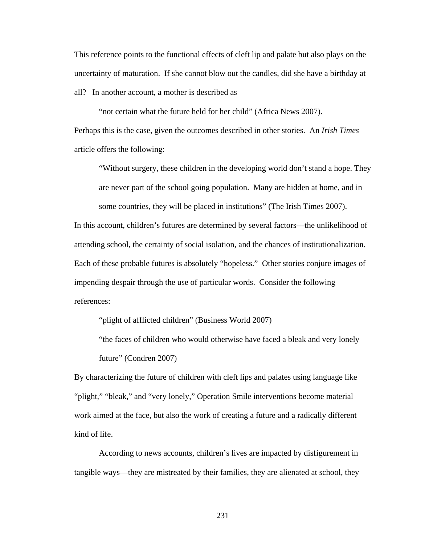This reference points to the functional effects of cleft lip and palate but also plays on the uncertainty of maturation. If she cannot blow out the candles, did she have a birthday at all? In another account, a mother is described as

"not certain what the future held for her child" (Africa News 2007).

Perhaps this is the case, given the outcomes described in other stories. An *Irish Times* article offers the following:

"Without surgery, these children in the developing world don't stand a hope. They are never part of the school going population. Many are hidden at home, and in some countries, they will be placed in institutions" (The Irish Times 2007).

In this account, children's futures are determined by several factors—the unlikelihood of attending school, the certainty of social isolation, and the chances of institutionalization. Each of these probable futures is absolutely "hopeless." Other stories conjure images of impending despair through the use of particular words. Consider the following references:

"plight of afflicted children" (Business World 2007)

"the faces of children who would otherwise have faced a bleak and very lonely future" (Condren 2007)

By characterizing the future of children with cleft lips and palates using language like "plight," "bleak," and "very lonely," Operation Smile interventions become material work aimed at the face, but also the work of creating a future and a radically different kind of life.

According to news accounts, children's lives are impacted by disfigurement in tangible ways—they are mistreated by their families, they are alienated at school, they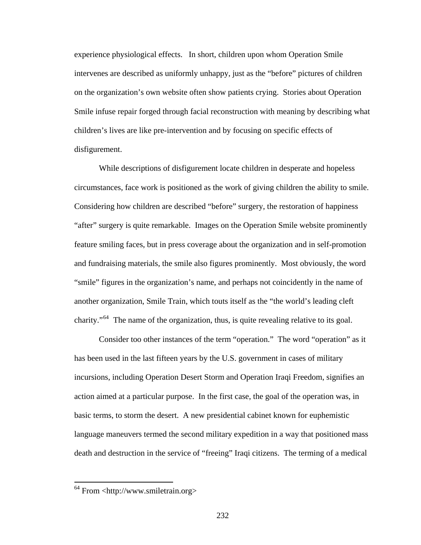experience physiological effects. In short, children upon whom Operation Smile intervenes are described as uniformly unhappy, just as the "before" pictures of children on the organization's own website often show patients crying. Stories about Operation Smile infuse repair forged through facial reconstruction with meaning by describing what children's lives are like pre-intervention and by focusing on specific effects of disfigurement.

While descriptions of disfigurement locate children in desperate and hopeless circumstances, face work is positioned as the work of giving children the ability to smile. Considering how children are described "before" surgery, the restoration of happiness "after" surgery is quite remarkable. Images on the Operation Smile website prominently feature smiling faces, but in press coverage about the organization and in self-promotion and fundraising materials, the smile also figures prominently. Most obviously, the word "smile" figures in the organization's name, and perhaps not coincidently in the name of another organization, Smile Train, which touts itself as the "the world's leading cleft charity."[64](#page-245-0) The name of the organization, thus, is quite revealing relative to its goal.

Consider too other instances of the term "operation." The word "operation" as it has been used in the last fifteen years by the U.S. government in cases of military incursions, including Operation Desert Storm and Operation Iraqi Freedom, signifies an action aimed at a particular purpose. In the first case, the goal of the operation was, in basic terms, to storm the desert. A new presidential cabinet known for euphemistic language maneuvers termed the second military expedition in a way that positioned mass death and destruction in the service of "freeing" Iraqi citizens. The terming of a medical

 $\overline{a}$ 

<span id="page-245-0"></span> $64$  From <http://www.smiletrain.org>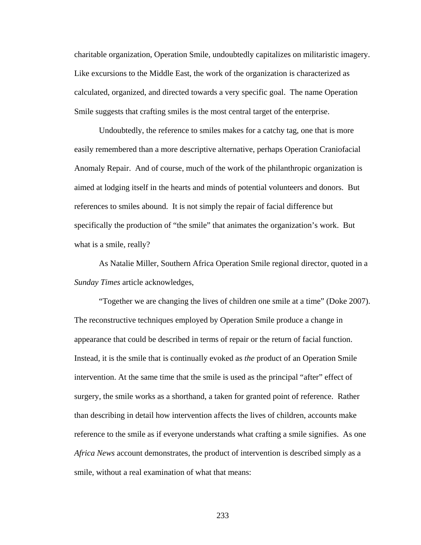charitable organization, Operation Smile, undoubtedly capitalizes on militaristic imagery. Like excursions to the Middle East, the work of the organization is characterized as calculated, organized, and directed towards a very specific goal. The name Operation Smile suggests that crafting smiles is the most central target of the enterprise.

Undoubtedly, the reference to smiles makes for a catchy tag, one that is more easily remembered than a more descriptive alternative, perhaps Operation Craniofacial Anomaly Repair. And of course, much of the work of the philanthropic organization is aimed at lodging itself in the hearts and minds of potential volunteers and donors. But references to smiles abound. It is not simply the repair of facial difference but specifically the production of "the smile" that animates the organization's work. But what is a smile, really?

 As Natalie Miller, Southern Africa Operation Smile regional director, quoted in a *Sunday Times* article acknowledges,

"Together we are changing the lives of children one smile at a time" (Doke 2007). The reconstructive techniques employed by Operation Smile produce a change in appearance that could be described in terms of repair or the return of facial function. Instead, it is the smile that is continually evoked as *the* product of an Operation Smile intervention. At the same time that the smile is used as the principal "after" effect of surgery, the smile works as a shorthand, a taken for granted point of reference. Rather than describing in detail how intervention affects the lives of children, accounts make reference to the smile as if everyone understands what crafting a smile signifies. As one *Africa News* account demonstrates, the product of intervention is described simply as a smile, without a real examination of what that means: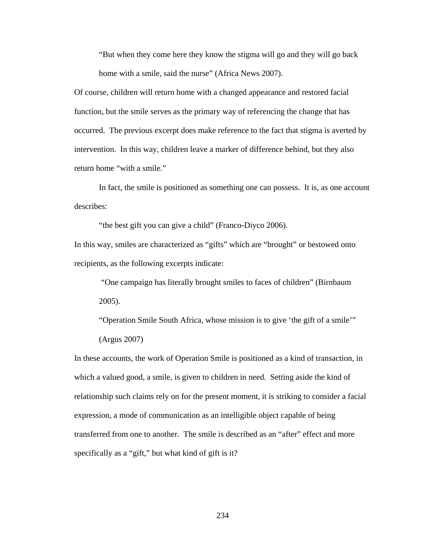"But when they come here they know the stigma will go and they will go back home with a smile, said the nurse" (Africa News 2007).

Of course, children will return home with a changed appearance and restored facial function, but the smile serves as the primary way of referencing the change that has occurred. The previous excerpt does make reference to the fact that stigma is averted by intervention. In this way, children leave a marker of difference behind, but they also return home "with a smile."

 In fact, the smile is positioned as something one can possess. It is, as one account describes:

"the best gift you can give a child" (Franco-Diyco 2006).

In this way, smiles are characterized as "gifts" which are "brought" or bestowed onto recipients, as the following excerpts indicate:

"One campaign has literally brought smiles to faces of children" (Birnbaum 2005).

"Operation Smile South Africa, whose mission is to give 'the gift of a smile'" (Argus 2007)

In these accounts, the work of Operation Smile is positioned as a kind of transaction, in which a valued good, a smile, is given to children in need. Setting aside the kind of relationship such claims rely on for the present moment, it is striking to consider a facial expression, a mode of communication as an intelligible object capable of being transferred from one to another. The smile is described as an "after" effect and more specifically as a "gift," but what kind of gift is it?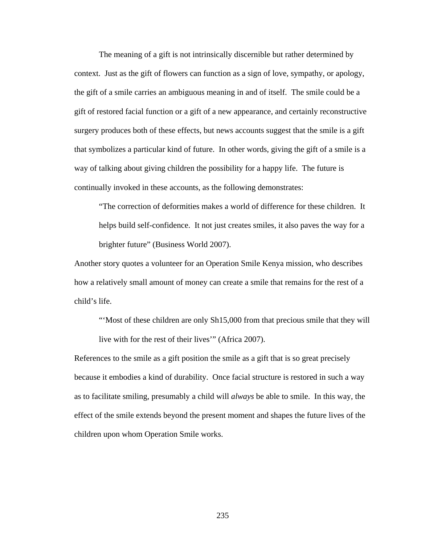The meaning of a gift is not intrinsically discernible but rather determined by context. Just as the gift of flowers can function as a sign of love, sympathy, or apology, the gift of a smile carries an ambiguous meaning in and of itself. The smile could be a gift of restored facial function or a gift of a new appearance, and certainly reconstructive surgery produces both of these effects, but news accounts suggest that the smile is a gift that symbolizes a particular kind of future. In other words, giving the gift of a smile is a way of talking about giving children the possibility for a happy life. The future is continually invoked in these accounts, as the following demonstrates:

"The correction of deformities makes a world of difference for these children. It helps build self-confidence. It not just creates smiles, it also paves the way for a brighter future" (Business World 2007).

Another story quotes a volunteer for an Operation Smile Kenya mission, who describes how a relatively small amount of money can create a smile that remains for the rest of a child's life.

"Most of these children are only Sh15,000 from that precious smile that they will live with for the rest of their lives'" (Africa 2007).

References to the smile as a gift position the smile as a gift that is so great precisely because it embodies a kind of durability. Once facial structure is restored in such a way as to facilitate smiling, presumably a child will *always* be able to smile. In this way, the effect of the smile extends beyond the present moment and shapes the future lives of the children upon whom Operation Smile works.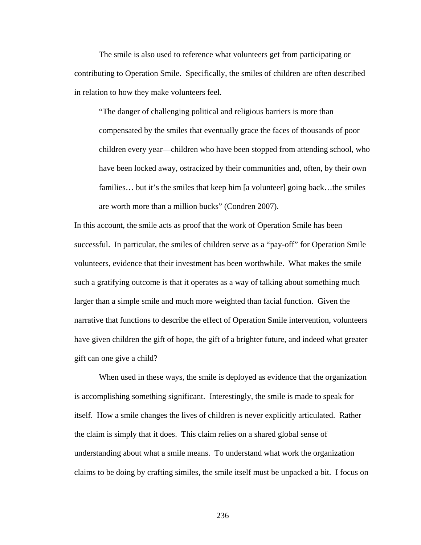The smile is also used to reference what volunteers get from participating or contributing to Operation Smile. Specifically, the smiles of children are often described in relation to how they make volunteers feel.

"The danger of challenging political and religious barriers is more than compensated by the smiles that eventually grace the faces of thousands of poor children every year—children who have been stopped from attending school, who have been locked away, ostracized by their communities and, often, by their own families... but it's the smiles that keep him [a volunteer] going back...the smiles are worth more than a million bucks" (Condren 2007).

In this account, the smile acts as proof that the work of Operation Smile has been successful. In particular, the smiles of children serve as a "pay-off" for Operation Smile volunteers, evidence that their investment has been worthwhile. What makes the smile such a gratifying outcome is that it operates as a way of talking about something much larger than a simple smile and much more weighted than facial function. Given the narrative that functions to describe the effect of Operation Smile intervention, volunteers have given children the gift of hope, the gift of a brighter future, and indeed what greater gift can one give a child?

When used in these ways, the smile is deployed as evidence that the organization is accomplishing something significant. Interestingly, the smile is made to speak for itself. How a smile changes the lives of children is never explicitly articulated. Rather the claim is simply that it does. This claim relies on a shared global sense of understanding about what a smile means. To understand what work the organization claims to be doing by crafting similes, the smile itself must be unpacked a bit. I focus on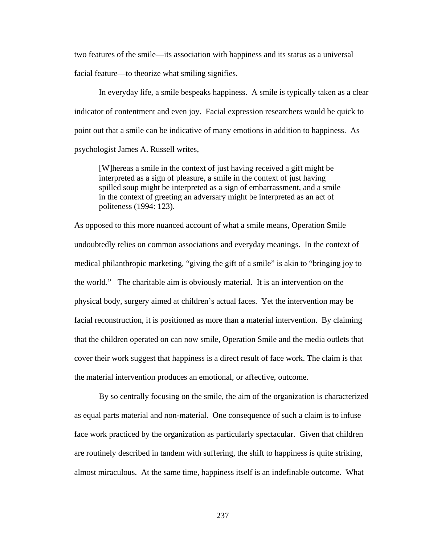two features of the smile—its association with happiness and its status as a universal facial feature—to theorize what smiling signifies.

In everyday life, a smile bespeaks happiness. A smile is typically taken as a clear indicator of contentment and even joy. Facial expression researchers would be quick to point out that a smile can be indicative of many emotions in addition to happiness. As psychologist James A. Russell writes,

[W]hereas a smile in the context of just having received a gift might be interpreted as a sign of pleasure, a smile in the context of just having spilled soup might be interpreted as a sign of embarrassment, and a smile in the context of greeting an adversary might be interpreted as an act of politeness (1994: 123).

As opposed to this more nuanced account of what a smile means, Operation Smile undoubtedly relies on common associations and everyday meanings. In the context of medical philanthropic marketing, "giving the gift of a smile" is akin to "bringing joy to the world." The charitable aim is obviously material. It is an intervention on the physical body, surgery aimed at children's actual faces. Yet the intervention may be facial reconstruction, it is positioned as more than a material intervention. By claiming that the children operated on can now smile, Operation Smile and the media outlets that cover their work suggest that happiness is a direct result of face work. The claim is that the material intervention produces an emotional, or affective, outcome.

By so centrally focusing on the smile, the aim of the organization is characterized as equal parts material and non-material. One consequence of such a claim is to infuse face work practiced by the organization as particularly spectacular. Given that children are routinely described in tandem with suffering, the shift to happiness is quite striking, almost miraculous. At the same time, happiness itself is an indefinable outcome. What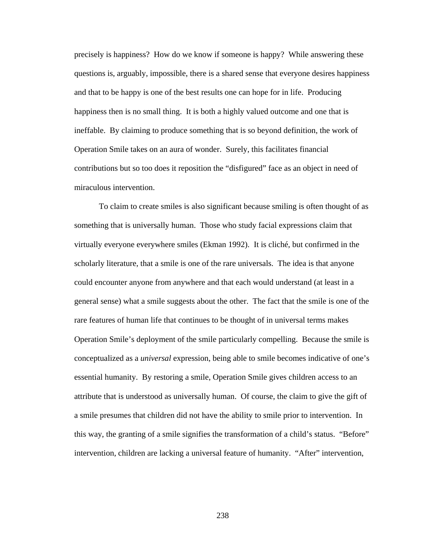precisely is happiness? How do we know if someone is happy? While answering these questions is, arguably, impossible, there is a shared sense that everyone desires happiness and that to be happy is one of the best results one can hope for in life. Producing happiness then is no small thing. It is both a highly valued outcome and one that is ineffable. By claiming to produce something that is so beyond definition, the work of Operation Smile takes on an aura of wonder. Surely, this facilitates financial contributions but so too does it reposition the "disfigured" face as an object in need of miraculous intervention.

To claim to create smiles is also significant because smiling is often thought of as something that is universally human. Those who study facial expressions claim that virtually everyone everywhere smiles (Ekman 1992). It is cliché, but confirmed in the scholarly literature, that a smile is one of the rare universals. The idea is that anyone could encounter anyone from anywhere and that each would understand (at least in a general sense) what a smile suggests about the other. The fact that the smile is one of the rare features of human life that continues to be thought of in universal terms makes Operation Smile's deployment of the smile particularly compelling. Because the smile is conceptualized as a *universal* expression, being able to smile becomes indicative of one's essential humanity. By restoring a smile, Operation Smile gives children access to an attribute that is understood as universally human. Of course, the claim to give the gift of a smile presumes that children did not have the ability to smile prior to intervention. In this way, the granting of a smile signifies the transformation of a child's status. "Before" intervention, children are lacking a universal feature of humanity. "After" intervention,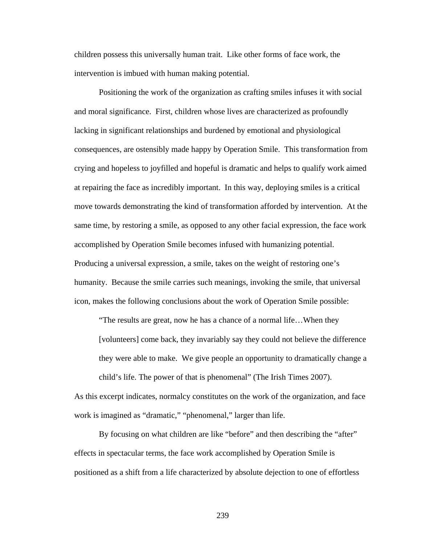children possess this universally human trait. Like other forms of face work, the intervention is imbued with human making potential.

 Positioning the work of the organization as crafting smiles infuses it with social and moral significance. First, children whose lives are characterized as profoundly lacking in significant relationships and burdened by emotional and physiological consequences, are ostensibly made happy by Operation Smile. This transformation from crying and hopeless to joyfilled and hopeful is dramatic and helps to qualify work aimed at repairing the face as incredibly important. In this way, deploying smiles is a critical move towards demonstrating the kind of transformation afforded by intervention. At the same time, by restoring a smile, as opposed to any other facial expression, the face work accomplished by Operation Smile becomes infused with humanizing potential. Producing a universal expression, a smile, takes on the weight of restoring one's humanity. Because the smile carries such meanings, invoking the smile, that universal icon, makes the following conclusions about the work of Operation Smile possible:

"The results are great, now he has a chance of a normal life…When they [volunteers] come back, they invariably say they could not believe the difference they were able to make. We give people an opportunity to dramatically change a child's life. The power of that is phenomenal" (The Irish Times 2007).

As this excerpt indicates, normalcy constitutes on the work of the organization, and face work is imagined as "dramatic," "phenomenal," larger than life.

By focusing on what children are like "before" and then describing the "after" effects in spectacular terms, the face work accomplished by Operation Smile is positioned as a shift from a life characterized by absolute dejection to one of effortless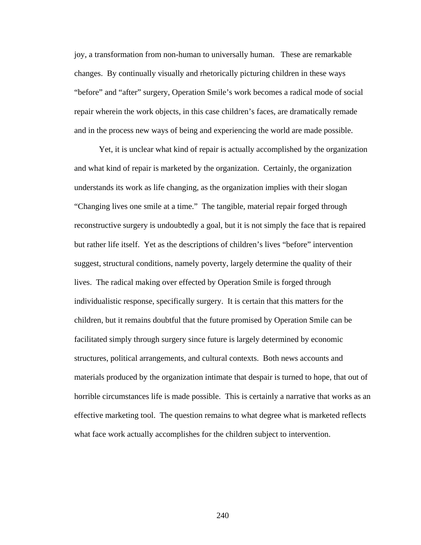joy, a transformation from non-human to universally human. These are remarkable changes. By continually visually and rhetorically picturing children in these ways "before" and "after" surgery, Operation Smile's work becomes a radical mode of social repair wherein the work objects, in this case children's faces, are dramatically remade and in the process new ways of being and experiencing the world are made possible.

Yet, it is unclear what kind of repair is actually accomplished by the organization and what kind of repair is marketed by the organization. Certainly, the organization understands its work as life changing, as the organization implies with their slogan "Changing lives one smile at a time." The tangible, material repair forged through reconstructive surgery is undoubtedly a goal, but it is not simply the face that is repaired but rather life itself. Yet as the descriptions of children's lives "before" intervention suggest, structural conditions, namely poverty, largely determine the quality of their lives. The radical making over effected by Operation Smile is forged through individualistic response, specifically surgery. It is certain that this matters for the children, but it remains doubtful that the future promised by Operation Smile can be facilitated simply through surgery since future is largely determined by economic structures, political arrangements, and cultural contexts. Both news accounts and materials produced by the organization intimate that despair is turned to hope, that out of horrible circumstances life is made possible. This is certainly a narrative that works as an effective marketing tool. The question remains to what degree what is marketed reflects what face work actually accomplishes for the children subject to intervention.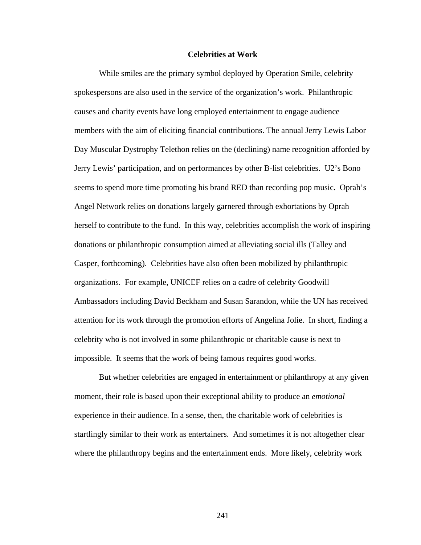# **Celebrities at Work**

While smiles are the primary symbol deployed by Operation Smile, celebrity spokespersons are also used in the service of the organization's work. Philanthropic causes and charity events have long employed entertainment to engage audience members with the aim of eliciting financial contributions. The annual Jerry Lewis Labor Day Muscular Dystrophy Telethon relies on the (declining) name recognition afforded by Jerry Lewis' participation, and on performances by other B-list celebrities. U2's Bono seems to spend more time promoting his brand RED than recording pop music. Oprah's Angel Network relies on donations largely garnered through exhortations by Oprah herself to contribute to the fund. In this way, celebrities accomplish the work of inspiring donations or philanthropic consumption aimed at alleviating social ills (Talley and Casper, forthcoming). Celebrities have also often been mobilized by philanthropic organizations. For example, UNICEF relies on a cadre of celebrity Goodwill Ambassadors including David Beckham and Susan Sarandon, while the UN has received attention for its work through the promotion efforts of Angelina Jolie. In short, finding a celebrity who is not involved in some philanthropic or charitable cause is next to impossible. It seems that the work of being famous requires good works.

But whether celebrities are engaged in entertainment or philanthropy at any given moment, their role is based upon their exceptional ability to produce an *emotional* experience in their audience. In a sense, then, the charitable work of celebrities is startlingly similar to their work as entertainers. And sometimes it is not altogether clear where the philanthropy begins and the entertainment ends. More likely, celebrity work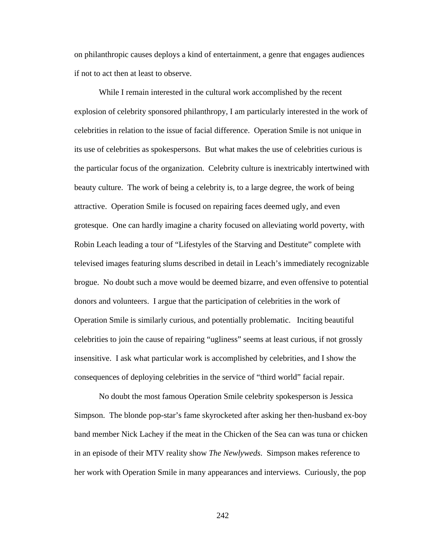on philanthropic causes deploys a kind of entertainment, a genre that engages audiences if not to act then at least to observe.

While I remain interested in the cultural work accomplished by the recent explosion of celebrity sponsored philanthropy, I am particularly interested in the work of celebrities in relation to the issue of facial difference. Operation Smile is not unique in its use of celebrities as spokespersons. But what makes the use of celebrities curious is the particular focus of the organization. Celebrity culture is inextricably intertwined with beauty culture. The work of being a celebrity is, to a large degree, the work of being attractive. Operation Smile is focused on repairing faces deemed ugly, and even grotesque. One can hardly imagine a charity focused on alleviating world poverty, with Robin Leach leading a tour of "Lifestyles of the Starving and Destitute" complete with televised images featuring slums described in detail in Leach's immediately recognizable brogue. No doubt such a move would be deemed bizarre, and even offensive to potential donors and volunteers. I argue that the participation of celebrities in the work of Operation Smile is similarly curious, and potentially problematic. Inciting beautiful celebrities to join the cause of repairing "ugliness" seems at least curious, if not grossly insensitive. I ask what particular work is accomplished by celebrities, and I show the consequences of deploying celebrities in the service of "third world" facial repair.

No doubt the most famous Operation Smile celebrity spokesperson is Jessica Simpson. The blonde pop-star's fame skyrocketed after asking her then-husband ex-boy band member Nick Lachey if the meat in the Chicken of the Sea can was tuna or chicken in an episode of their MTV reality show *The Newlyweds*. Simpson makes reference to her work with Operation Smile in many appearances and interviews. Curiously, the pop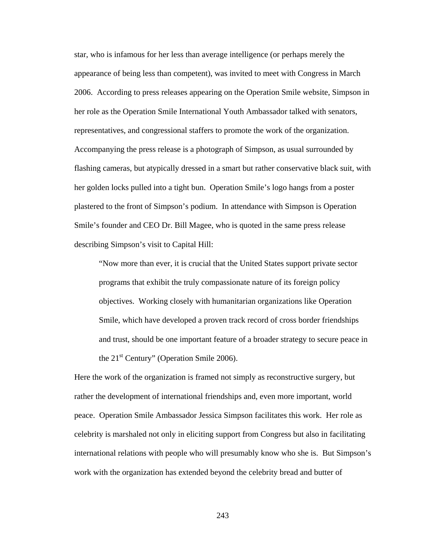star, who is infamous for her less than average intelligence (or perhaps merely the appearance of being less than competent), was invited to meet with Congress in March 2006. According to press releases appearing on the Operation Smile website, Simpson in her role as the Operation Smile International Youth Ambassador talked with senators, representatives, and congressional staffers to promote the work of the organization. Accompanying the press release is a photograph of Simpson, as usual surrounded by flashing cameras, but atypically dressed in a smart but rather conservative black suit, with her golden locks pulled into a tight bun. Operation Smile's logo hangs from a poster plastered to the front of Simpson's podium. In attendance with Simpson is Operation Smile's founder and CEO Dr. Bill Magee, who is quoted in the same press release describing Simpson's visit to Capital Hill:

"Now more than ever, it is crucial that the United States support private sector programs that exhibit the truly compassionate nature of its foreign policy objectives. Working closely with humanitarian organizations like Operation Smile, which have developed a proven track record of cross border friendships and trust, should be one important feature of a broader strategy to secure peace in the  $21<sup>st</sup>$  Century" (Operation Smile 2006).

Here the work of the organization is framed not simply as reconstructive surgery, but rather the development of international friendships and, even more important, world peace. Operation Smile Ambassador Jessica Simpson facilitates this work. Her role as celebrity is marshaled not only in eliciting support from Congress but also in facilitating international relations with people who will presumably know who she is. But Simpson's work with the organization has extended beyond the celebrity bread and butter of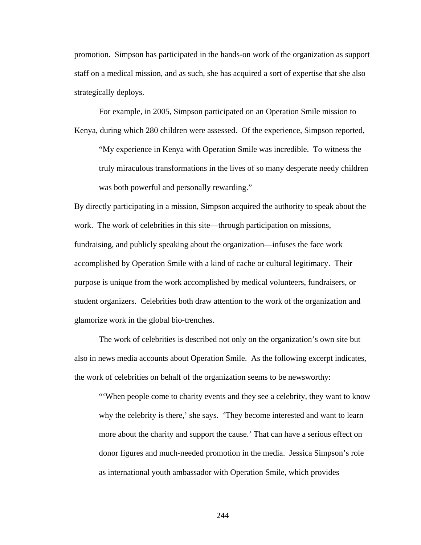promotion. Simpson has participated in the hands-on work of the organization as support staff on a medical mission, and as such, she has acquired a sort of expertise that she also strategically deploys.

For example, in 2005, Simpson participated on an Operation Smile mission to Kenya, during which 280 children were assessed. Of the experience, Simpson reported,

"My experience in Kenya with Operation Smile was incredible. To witness the truly miraculous transformations in the lives of so many desperate needy children was both powerful and personally rewarding."

By directly participating in a mission, Simpson acquired the authority to speak about the work. The work of celebrities in this site—through participation on missions, fundraising, and publicly speaking about the organization—infuses the face work accomplished by Operation Smile with a kind of cache or cultural legitimacy. Their purpose is unique from the work accomplished by medical volunteers, fundraisers, or student organizers. Celebrities both draw attention to the work of the organization and glamorize work in the global bio-trenches.

 The work of celebrities is described not only on the organization's own site but also in news media accounts about Operation Smile. As the following excerpt indicates, the work of celebrities on behalf of the organization seems to be newsworthy:

"'When people come to charity events and they see a celebrity, they want to know why the celebrity is there,' she says. 'They become interested and want to learn more about the charity and support the cause.' That can have a serious effect on donor figures and much-needed promotion in the media. Jessica Simpson's role as international youth ambassador with Operation Smile, which provides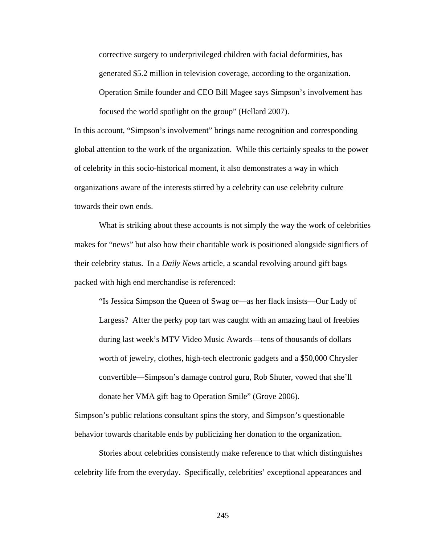corrective surgery to underprivileged children with facial deformities, has generated \$5.2 million in television coverage, according to the organization.

Operation Smile founder and CEO Bill Magee says Simpson's involvement has

focused the world spotlight on the group" (Hellard 2007).

In this account, "Simpson's involvement" brings name recognition and corresponding global attention to the work of the organization. While this certainly speaks to the power of celebrity in this socio-historical moment, it also demonstrates a way in which organizations aware of the interests stirred by a celebrity can use celebrity culture towards their own ends.

What is striking about these accounts is not simply the way the work of celebrities makes for "news" but also how their charitable work is positioned alongside signifiers of their celebrity status. In a *Daily News* article, a scandal revolving around gift bags packed with high end merchandise is referenced:

"Is Jessica Simpson the Queen of Swag or—as her flack insists—Our Lady of Largess? After the perky pop tart was caught with an amazing haul of freebies during last week's MTV Video Music Awards—tens of thousands of dollars worth of jewelry, clothes, high-tech electronic gadgets and a \$50,000 Chrysler convertible—Simpson's damage control guru, Rob Shuter, vowed that she'll donate her VMA gift bag to Operation Smile" (Grove 2006).

Simpson's public relations consultant spins the story, and Simpson's questionable behavior towards charitable ends by publicizing her donation to the organization.

 Stories about celebrities consistently make reference to that which distinguishes celebrity life from the everyday. Specifically, celebrities' exceptional appearances and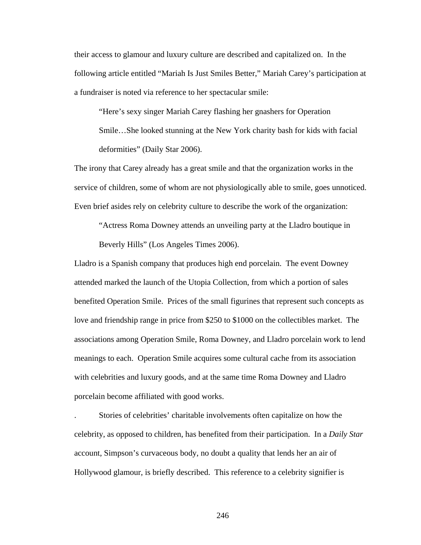their access to glamour and luxury culture are described and capitalized on. In the following article entitled "Mariah Is Just Smiles Better," Mariah Carey's participation at a fundraiser is noted via reference to her spectacular smile:

"Here's sexy singer Mariah Carey flashing her gnashers for Operation Smile…She looked stunning at the New York charity bash for kids with facial deformities" (Daily Star 2006).

The irony that Carey already has a great smile and that the organization works in the service of children, some of whom are not physiologically able to smile, goes unnoticed. Even brief asides rely on celebrity culture to describe the work of the organization:

"Actress Roma Downey attends an unveiling party at the Lladro boutique in Beverly Hills" (Los Angeles Times 2006).

Lladro is a Spanish company that produces high end porcelain. The event Downey attended marked the launch of the Utopia Collection, from which a portion of sales benefited Operation Smile. Prices of the small figurines that represent such concepts as love and friendship range in price from \$250 to \$1000 on the collectibles market. The associations among Operation Smile, Roma Downey, and Lladro porcelain work to lend meanings to each. Operation Smile acquires some cultural cache from its association with celebrities and luxury goods, and at the same time Roma Downey and Lladro porcelain become affiliated with good works.

. Stories of celebrities' charitable involvements often capitalize on how the celebrity, as opposed to children, has benefited from their participation. In a *Daily Star* account, Simpson's curvaceous body, no doubt a quality that lends her an air of Hollywood glamour, is briefly described. This reference to a celebrity signifier is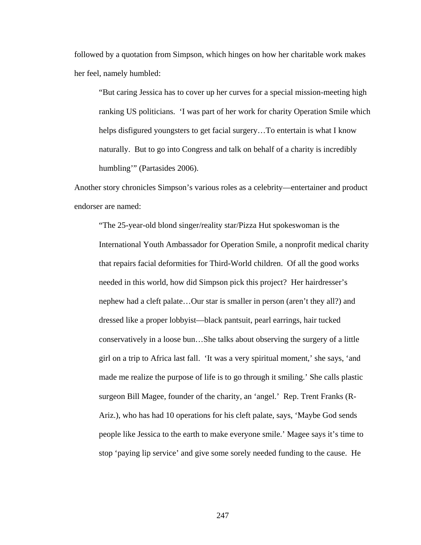followed by a quotation from Simpson, which hinges on how her charitable work makes her feel, namely humbled:

"But caring Jessica has to cover up her curves for a special mission-meeting high ranking US politicians. 'I was part of her work for charity Operation Smile which helps disfigured youngsters to get facial surgery…To entertain is what I know naturally. But to go into Congress and talk on behalf of a charity is incredibly humbling" (Partasides 2006).

Another story chronicles Simpson's various roles as a celebrity—entertainer and product endorser are named:

"The 25-year-old blond singer/reality star/Pizza Hut spokeswoman is the International Youth Ambassador for Operation Smile, a nonprofit medical charity that repairs facial deformities for Third-World children. Of all the good works needed in this world, how did Simpson pick this project? Her hairdresser's nephew had a cleft palate…Our star is smaller in person (aren't they all?) and dressed like a proper lobbyist—black pantsuit, pearl earrings, hair tucked conservatively in a loose bun…She talks about observing the surgery of a little girl on a trip to Africa last fall. 'It was a very spiritual moment,' she says, 'and made me realize the purpose of life is to go through it smiling.' She calls plastic surgeon Bill Magee, founder of the charity, an 'angel.' Rep. Trent Franks (R-Ariz.), who has had 10 operations for his cleft palate, says, 'Maybe God sends people like Jessica to the earth to make everyone smile.' Magee says it's time to stop 'paying lip service' and give some sorely needed funding to the cause. He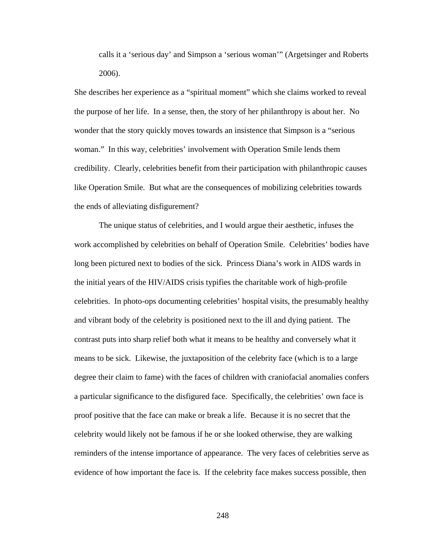calls it a 'serious day' and Simpson a 'serious woman'" (Argetsinger and Roberts 2006).

She describes her experience as a "spiritual moment" which she claims worked to reveal the purpose of her life. In a sense, then, the story of her philanthropy is about her. No wonder that the story quickly moves towards an insistence that Simpson is a "serious woman." In this way, celebrities' involvement with Operation Smile lends them credibility. Clearly, celebrities benefit from their participation with philanthropic causes like Operation Smile. But what are the consequences of mobilizing celebrities towards the ends of alleviating disfigurement?

The unique status of celebrities, and I would argue their aesthetic, infuses the work accomplished by celebrities on behalf of Operation Smile. Celebrities' bodies have long been pictured next to bodies of the sick. Princess Diana's work in AIDS wards in the initial years of the HIV/AIDS crisis typifies the charitable work of high-profile celebrities. In photo-ops documenting celebrities' hospital visits, the presumably healthy and vibrant body of the celebrity is positioned next to the ill and dying patient. The contrast puts into sharp relief both what it means to be healthy and conversely what it means to be sick. Likewise, the juxtaposition of the celebrity face (which is to a large degree their claim to fame) with the faces of children with craniofacial anomalies confers a particular significance to the disfigured face. Specifically, the celebrities' own face is proof positive that the face can make or break a life. Because it is no secret that the celebrity would likely not be famous if he or she looked otherwise, they are walking reminders of the intense importance of appearance. The very faces of celebrities serve as evidence of how important the face is. If the celebrity face makes success possible, then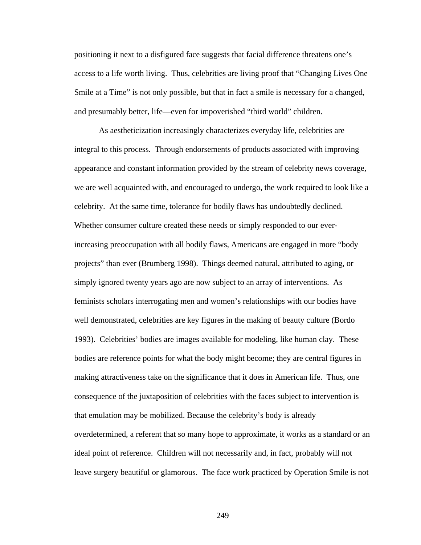positioning it next to a disfigured face suggests that facial difference threatens one's access to a life worth living. Thus, celebrities are living proof that "Changing Lives One Smile at a Time" is not only possible, but that in fact a smile is necessary for a changed, and presumably better, life—even for impoverished "third world" children.

 As aestheticization increasingly characterizes everyday life, celebrities are integral to this process. Through endorsements of products associated with improving appearance and constant information provided by the stream of celebrity news coverage, we are well acquainted with, and encouraged to undergo, the work required to look like a celebrity. At the same time, tolerance for bodily flaws has undoubtedly declined. Whether consumer culture created these needs or simply responded to our everincreasing preoccupation with all bodily flaws, Americans are engaged in more "body projects" than ever (Brumberg 1998). Things deemed natural, attributed to aging, or simply ignored twenty years ago are now subject to an array of interventions. As feminists scholars interrogating men and women's relationships with our bodies have well demonstrated, celebrities are key figures in the making of beauty culture (Bordo 1993). Celebrities' bodies are images available for modeling, like human clay. These bodies are reference points for what the body might become; they are central figures in making attractiveness take on the significance that it does in American life. Thus, one consequence of the juxtaposition of celebrities with the faces subject to intervention is that emulation may be mobilized. Because the celebrity's body is already overdetermined, a referent that so many hope to approximate, it works as a standard or an ideal point of reference. Children will not necessarily and, in fact, probably will not leave surgery beautiful or glamorous. The face work practiced by Operation Smile is not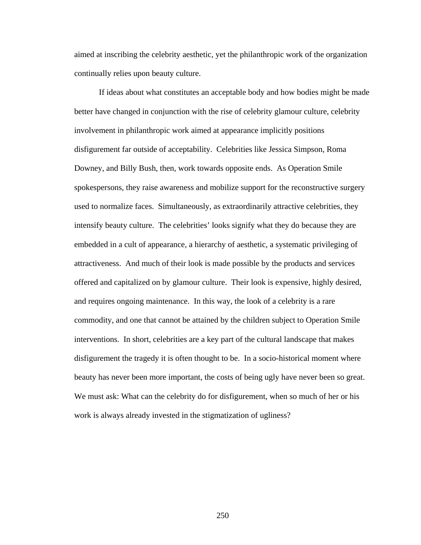aimed at inscribing the celebrity aesthetic, yet the philanthropic work of the organization continually relies upon beauty culture.

 If ideas about what constitutes an acceptable body and how bodies might be made better have changed in conjunction with the rise of celebrity glamour culture, celebrity involvement in philanthropic work aimed at appearance implicitly positions disfigurement far outside of acceptability. Celebrities like Jessica Simpson, Roma Downey, and Billy Bush, then, work towards opposite ends. As Operation Smile spokespersons, they raise awareness and mobilize support for the reconstructive surgery used to normalize faces. Simultaneously, as extraordinarily attractive celebrities, they intensify beauty culture. The celebrities' looks signify what they do because they are embedded in a cult of appearance, a hierarchy of aesthetic, a systematic privileging of attractiveness. And much of their look is made possible by the products and services offered and capitalized on by glamour culture. Their look is expensive, highly desired, and requires ongoing maintenance. In this way, the look of a celebrity is a rare commodity, and one that cannot be attained by the children subject to Operation Smile interventions. In short, celebrities are a key part of the cultural landscape that makes disfigurement the tragedy it is often thought to be. In a socio-historical moment where beauty has never been more important, the costs of being ugly have never been so great. We must ask: What can the celebrity do for disfigurement, when so much of her or his work is always already invested in the stigmatization of ugliness?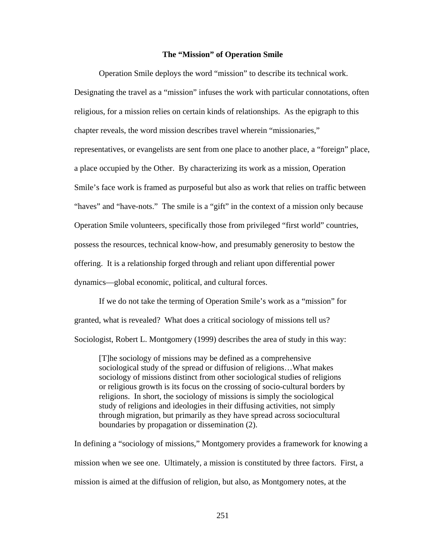# **The "Mission" of Operation Smile**

Operation Smile deploys the word "mission" to describe its technical work. Designating the travel as a "mission" infuses the work with particular connotations, often religious, for a mission relies on certain kinds of relationships. As the epigraph to this chapter reveals, the word mission describes travel wherein "missionaries," representatives, or evangelists are sent from one place to another place, a "foreign" place, a place occupied by the Other. By characterizing its work as a mission, Operation Smile's face work is framed as purposeful but also as work that relies on traffic between "haves" and "have-nots." The smile is a "gift" in the context of a mission only because Operation Smile volunteers, specifically those from privileged "first world" countries, possess the resources, technical know-how, and presumably generosity to bestow the offering. It is a relationship forged through and reliant upon differential power dynamics—global economic, political, and cultural forces.

If we do not take the terming of Operation Smile's work as a "mission" for granted, what is revealed? What does a critical sociology of missions tell us? Sociologist, Robert L. Montgomery (1999) describes the area of study in this way:

[T]he sociology of missions may be defined as a comprehensive sociological study of the spread or diffusion of religions…What makes sociology of missions distinct from other sociological studies of religions or religious growth is its focus on the crossing of socio-cultural borders by religions. In short, the sociology of missions is simply the sociological study of religions and ideologies in their diffusing activities, not simply through migration, but primarily as they have spread across sociocultural boundaries by propagation or dissemination (2).

In defining a "sociology of missions," Montgomery provides a framework for knowing a mission when we see one. Ultimately, a mission is constituted by three factors. First, a mission is aimed at the diffusion of religion, but also, as Montgomery notes, at the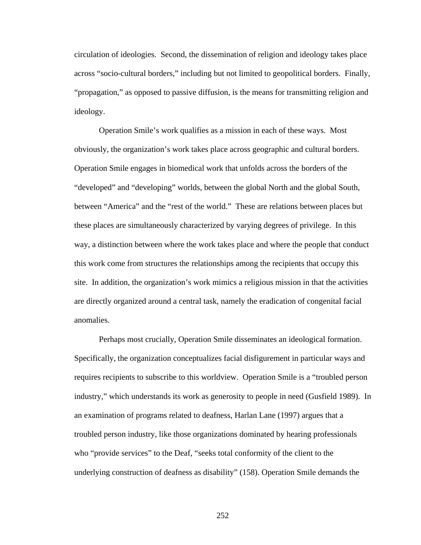circulation of ideologies. Second, the dissemination of religion and ideology takes place across "socio-cultural borders," including but not limited to geopolitical borders. Finally, "propagation," as opposed to passive diffusion, is the means for transmitting religion and ideology.

Operation Smile's work qualifies as a mission in each of these ways. Most obviously, the organization's work takes place across geographic and cultural borders. Operation Smile engages in biomedical work that unfolds across the borders of the "developed" and "developing" worlds, between the global North and the global South, between "America" and the "rest of the world." These are relations between places but these places are simultaneously characterized by varying degrees of privilege. In this way, a distinction between where the work takes place and where the people that conduct this work come from structures the relationships among the recipients that occupy this site. In addition, the organization's work mimics a religious mission in that the activities are directly organized around a central task, namely the eradication of congenital facial anomalies.

Perhaps most crucially, Operation Smile disseminates an ideological formation. Specifically, the organization conceptualizes facial disfigurement in particular ways and requires recipients to subscribe to this worldview. Operation Smile is a "troubled person industry," which understands its work as generosity to people in need (Gusfield 1989). In an examination of programs related to deafness, Harlan Lane (1997) argues that a troubled person industry, like those organizations dominated by hearing professionals who "provide services" to the Deaf, "seeks total conformity of the client to the underlying construction of deafness as disability" (158). Operation Smile demands the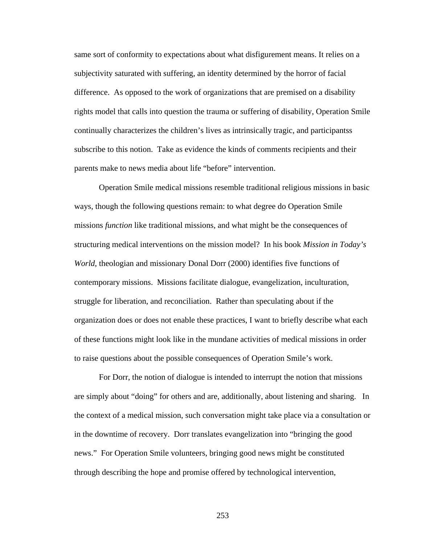same sort of conformity to expectations about what disfigurement means. It relies on a subjectivity saturated with suffering, an identity determined by the horror of facial difference. As opposed to the work of organizations that are premised on a disability rights model that calls into question the trauma or suffering of disability, Operation Smile continually characterizes the children's lives as intrinsically tragic, and participantss subscribe to this notion. Take as evidence the kinds of comments recipients and their parents make to news media about life "before" intervention.

Operation Smile medical missions resemble traditional religious missions in basic ways, though the following questions remain: to what degree do Operation Smile missions *function* like traditional missions, and what might be the consequences of structuring medical interventions on the mission model? In his book *Mission in Today's World*, theologian and missionary Donal Dorr (2000) identifies five functions of contemporary missions. Missions facilitate dialogue, evangelization, inculturation, struggle for liberation, and reconciliation. Rather than speculating about if the organization does or does not enable these practices, I want to briefly describe what each of these functions might look like in the mundane activities of medical missions in order to raise questions about the possible consequences of Operation Smile's work.

For Dorr, the notion of dialogue is intended to interrupt the notion that missions are simply about "doing" for others and are, additionally, about listening and sharing. In the context of a medical mission, such conversation might take place via a consultation or in the downtime of recovery. Dorr translates evangelization into "bringing the good news." For Operation Smile volunteers, bringing good news might be constituted through describing the hope and promise offered by technological intervention,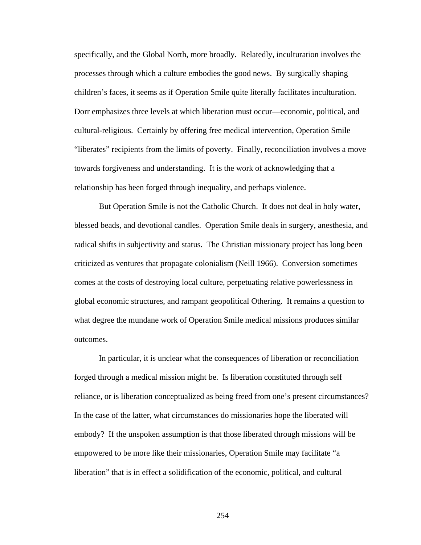specifically, and the Global North, more broadly. Relatedly, inculturation involves the processes through which a culture embodies the good news. By surgically shaping children's faces, it seems as if Operation Smile quite literally facilitates inculturation. Dorr emphasizes three levels at which liberation must occur—economic, political, and cultural-religious. Certainly by offering free medical intervention, Operation Smile "liberates" recipients from the limits of poverty. Finally, reconciliation involves a move towards forgiveness and understanding. It is the work of acknowledging that a relationship has been forged through inequality, and perhaps violence.

But Operation Smile is not the Catholic Church. It does not deal in holy water, blessed beads, and devotional candles. Operation Smile deals in surgery, anesthesia, and radical shifts in subjectivity and status. The Christian missionary project has long been criticized as ventures that propagate colonialism (Neill 1966). Conversion sometimes comes at the costs of destroying local culture, perpetuating relative powerlessness in global economic structures, and rampant geopolitical Othering. It remains a question to what degree the mundane work of Operation Smile medical missions produces similar outcomes.

In particular, it is unclear what the consequences of liberation or reconciliation forged through a medical mission might be. Is liberation constituted through self reliance, or is liberation conceptualized as being freed from one's present circumstances? In the case of the latter, what circumstances do missionaries hope the liberated will embody? If the unspoken assumption is that those liberated through missions will be empowered to be more like their missionaries, Operation Smile may facilitate "a liberation" that is in effect a solidification of the economic, political, and cultural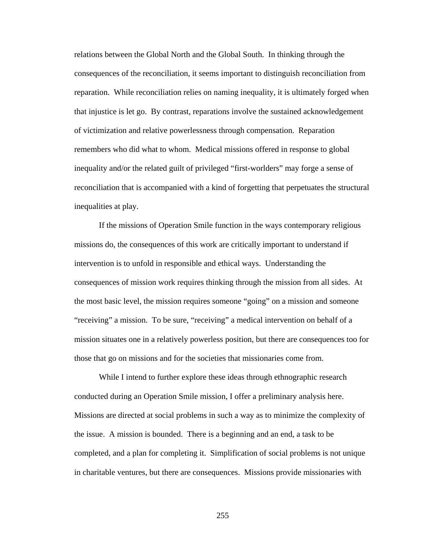relations between the Global North and the Global South. In thinking through the consequences of the reconciliation, it seems important to distinguish reconciliation from reparation. While reconciliation relies on naming inequality, it is ultimately forged when that injustice is let go. By contrast, reparations involve the sustained acknowledgement of victimization and relative powerlessness through compensation. Reparation remembers who did what to whom. Medical missions offered in response to global inequality and/or the related guilt of privileged "first-worlders" may forge a sense of reconciliation that is accompanied with a kind of forgetting that perpetuates the structural inequalities at play.

If the missions of Operation Smile function in the ways contemporary religious missions do, the consequences of this work are critically important to understand if intervention is to unfold in responsible and ethical ways. Understanding the consequences of mission work requires thinking through the mission from all sides. At the most basic level, the mission requires someone "going" on a mission and someone "receiving" a mission. To be sure, "receiving" a medical intervention on behalf of a mission situates one in a relatively powerless position, but there are consequences too for those that go on missions and for the societies that missionaries come from.

While I intend to further explore these ideas through ethnographic research conducted during an Operation Smile mission, I offer a preliminary analysis here. Missions are directed at social problems in such a way as to minimize the complexity of the issue. A mission is bounded. There is a beginning and an end, a task to be completed, and a plan for completing it. Simplification of social problems is not unique in charitable ventures, but there are consequences. Missions provide missionaries with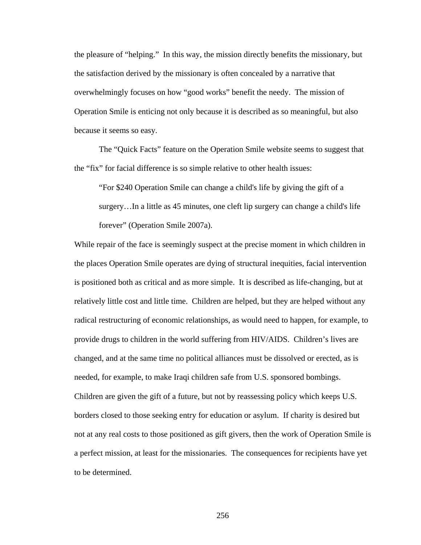the pleasure of "helping." In this way, the mission directly benefits the missionary, but the satisfaction derived by the missionary is often concealed by a narrative that overwhelmingly focuses on how "good works" benefit the needy. The mission of Operation Smile is enticing not only because it is described as so meaningful, but also because it seems so easy.

The "Quick Facts" feature on the Operation Smile website seems to suggest that the "fix" for facial difference is so simple relative to other health issues:

"For \$240 Operation Smile can change a child's life by giving the gift of a surgery…In a little as 45 minutes, one cleft lip surgery can change a child's life forever" (Operation Smile 2007a).

While repair of the face is seemingly suspect at the precise moment in which children in the places Operation Smile operates are dying of structural inequities, facial intervention is positioned both as critical and as more simple. It is described as life-changing, but at relatively little cost and little time. Children are helped, but they are helped without any radical restructuring of economic relationships, as would need to happen, for example, to provide drugs to children in the world suffering from HIV/AIDS. Children's lives are changed, and at the same time no political alliances must be dissolved or erected, as is needed, for example, to make Iraqi children safe from U.S. sponsored bombings. Children are given the gift of a future, but not by reassessing policy which keeps U.S. borders closed to those seeking entry for education or asylum. If charity is desired but not at any real costs to those positioned as gift givers, then the work of Operation Smile is a perfect mission, at least for the missionaries. The consequences for recipients have yet to be determined.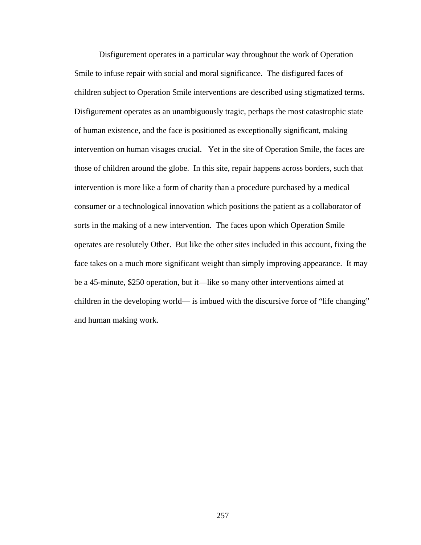Disfigurement operates in a particular way throughout the work of Operation Smile to infuse repair with social and moral significance. The disfigured faces of children subject to Operation Smile interventions are described using stigmatized terms. Disfigurement operates as an unambiguously tragic, perhaps the most catastrophic state of human existence, and the face is positioned as exceptionally significant, making intervention on human visages crucial. Yet in the site of Operation Smile, the faces are those of children around the globe. In this site, repair happens across borders, such that intervention is more like a form of charity than a procedure purchased by a medical consumer or a technological innovation which positions the patient as a collaborator of sorts in the making of a new intervention. The faces upon which Operation Smile operates are resolutely Other. But like the other sites included in this account, fixing the face takes on a much more significant weight than simply improving appearance. It may be a 45-minute, \$250 operation, but it—like so many other interventions aimed at children in the developing world— is imbued with the discursive force of "life changing" and human making work.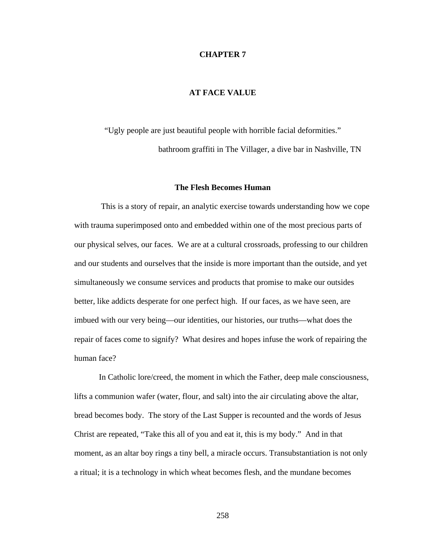# **CHAPTER 7**

# **AT FACE VALUE**

"Ugly people are just beautiful people with horrible facial deformities." bathroom graffiti in The Villager, a dive bar in Nashville, TN

# **The Flesh Becomes Human**

 This is a story of repair, an analytic exercise towards understanding how we cope with trauma superimposed onto and embedded within one of the most precious parts of our physical selves, our faces. We are at a cultural crossroads, professing to our children and our students and ourselves that the inside is more important than the outside, and yet simultaneously we consume services and products that promise to make our outsides better, like addicts desperate for one perfect high. If our faces, as we have seen, are imbued with our very being—our identities, our histories, our truths—what does the repair of faces come to signify? What desires and hopes infuse the work of repairing the human face?

 In Catholic lore/creed, the moment in which the Father, deep male consciousness, lifts a communion wafer (water, flour, and salt) into the air circulating above the altar, bread becomes body. The story of the Last Supper is recounted and the words of Jesus Christ are repeated, "Take this all of you and eat it, this is my body." And in that moment, as an altar boy rings a tiny bell, a miracle occurs. Transubstantiation is not only a ritual; it is a technology in which wheat becomes flesh, and the mundane becomes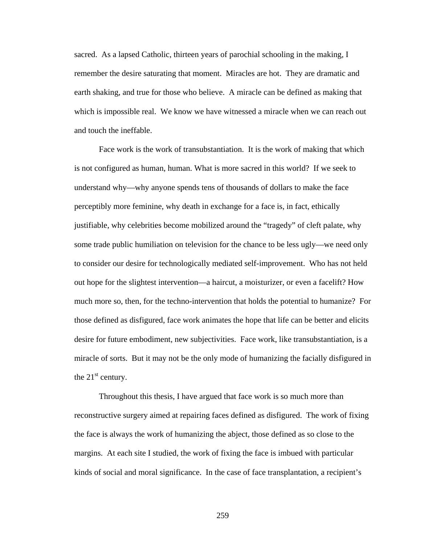sacred. As a lapsed Catholic, thirteen years of parochial schooling in the making, I remember the desire saturating that moment. Miracles are hot. They are dramatic and earth shaking, and true for those who believe. A miracle can be defined as making that which is impossible real. We know we have witnessed a miracle when we can reach out and touch the ineffable.

 Face work is the work of transubstantiation. It is the work of making that which is not configured as human, human. What is more sacred in this world? If we seek to understand why—why anyone spends tens of thousands of dollars to make the face perceptibly more feminine, why death in exchange for a face is, in fact, ethically justifiable, why celebrities become mobilized around the "tragedy" of cleft palate, why some trade public humiliation on television for the chance to be less ugly—we need only to consider our desire for technologically mediated self-improvement. Who has not held out hope for the slightest intervention—a haircut, a moisturizer, or even a facelift? How much more so, then, for the techno-intervention that holds the potential to humanize? For those defined as disfigured, face work animates the hope that life can be better and elicits desire for future embodiment, new subjectivities. Face work, like transubstantiation, is a miracle of sorts. But it may not be the only mode of humanizing the facially disfigured in the  $21<sup>st</sup>$  century.

 Throughout this thesis, I have argued that face work is so much more than reconstructive surgery aimed at repairing faces defined as disfigured. The work of fixing the face is always the work of humanizing the abject, those defined as so close to the margins. At each site I studied, the work of fixing the face is imbued with particular kinds of social and moral significance. In the case of face transplantation, a recipient's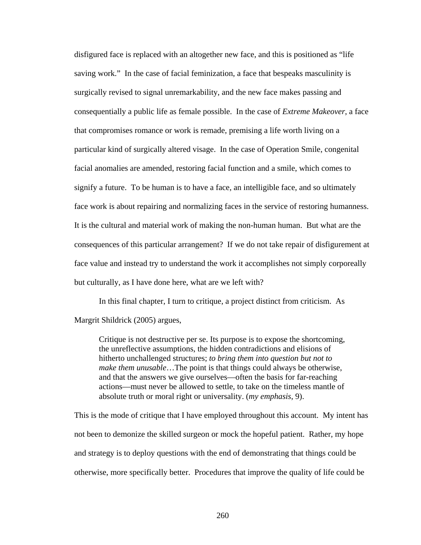disfigured face is replaced with an altogether new face, and this is positioned as "life saving work." In the case of facial feminization, a face that bespeaks masculinity is surgically revised to signal unremarkability, and the new face makes passing and consequentially a public life as female possible. In the case of *Extreme Makeover*, a face that compromises romance or work is remade, premising a life worth living on a particular kind of surgically altered visage. In the case of Operation Smile, congenital facial anomalies are amended, restoring facial function and a smile, which comes to signify a future. To be human is to have a face, an intelligible face, and so ultimately face work is about repairing and normalizing faces in the service of restoring humanness. It is the cultural and material work of making the non-human human. But what are the consequences of this particular arrangement? If we do not take repair of disfigurement at face value and instead try to understand the work it accomplishes not simply corporeally but culturally, as I have done here, what are we left with?

In this final chapter, I turn to critique, a project distinct from criticism. As Margrit Shildrick (2005) argues,

Critique is not destructive per se. Its purpose is to expose the shortcoming, the unreflective assumptions, the hidden contradictions and elisions of hitherto unchallenged structures; *to bring them into question but not to make them unusable*…The point is that things could always be otherwise, and that the answers we give ourselves—often the basis for far-reaching actions—must never be allowed to settle, to take on the timeless mantle of absolute truth or moral right or universality. (*my emphasis*, 9).

This is the mode of critique that I have employed throughout this account. My intent has not been to demonize the skilled surgeon or mock the hopeful patient. Rather, my hope and strategy is to deploy questions with the end of demonstrating that things could be otherwise, more specifically better. Procedures that improve the quality of life could be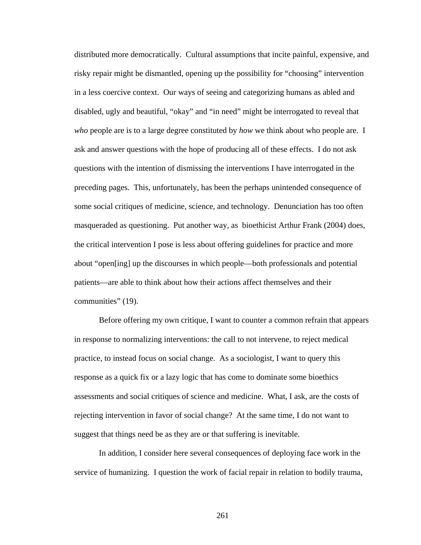distributed more democratically. Cultural assumptions that incite painful, expensive, and risky repair might be dismantled, opening up the possibility for "choosing" intervention in a less coercive context. Our ways of seeing and categorizing humans as abled and disabled, ugly and beautiful, "okay" and "in need" might be interrogated to reveal that *who* people are is to a large degree constituted by *how* we think about who people are. I ask and answer questions with the hope of producing all of these effects. I do not ask questions with the intention of dismissing the interventions I have interrogated in the preceding pages. This, unfortunately, has been the perhaps unintended consequence of some social critiques of medicine, science, and technology. Denunciation has too often masqueraded as questioning. Put another way, as bioethicist Arthur Frank (2004) does, the critical intervention I pose is less about offering guidelines for practice and more about "open[ing] up the discourses in which people—both professionals and potential patients—are able to think about how their actions affect themselves and their communities" (19).

Before offering my own critique, I want to counter a common refrain that appears in response to normalizing interventions: the call to not intervene, to reject medical practice, to instead focus on social change. As a sociologist, I want to query this response as a quick fix or a lazy logic that has come to dominate some bioethics assessments and social critiques of science and medicine. What, I ask, are the costs of rejecting intervention in favor of social change? At the same time, I do not want to suggest that things need be as they are or that suffering is inevitable.

In addition, I consider here several consequences of deploying face work in the service of humanizing. I question the work of facial repair in relation to bodily trauma,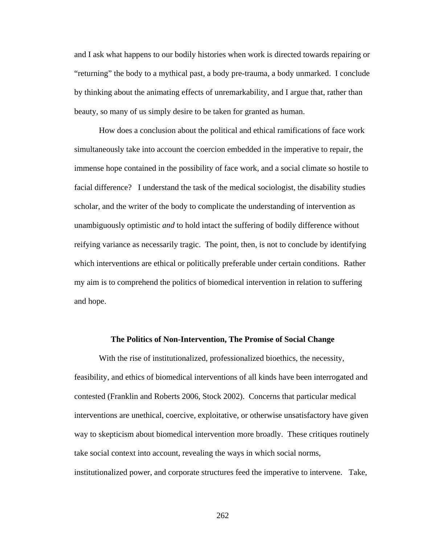and I ask what happens to our bodily histories when work is directed towards repairing or "returning" the body to a mythical past, a body pre-trauma, a body unmarked. I conclude by thinking about the animating effects of unremarkability, and I argue that, rather than beauty, so many of us simply desire to be taken for granted as human.

How does a conclusion about the political and ethical ramifications of face work simultaneously take into account the coercion embedded in the imperative to repair, the immense hope contained in the possibility of face work, and a social climate so hostile to facial difference? I understand the task of the medical sociologist, the disability studies scholar, and the writer of the body to complicate the understanding of intervention as unambiguously optimistic *and* to hold intact the suffering of bodily difference without reifying variance as necessarily tragic. The point, then, is not to conclude by identifying which interventions are ethical or politically preferable under certain conditions. Rather my aim is to comprehend the politics of biomedical intervention in relation to suffering and hope.

## **The Politics of Non-Intervention, The Promise of Social Change**

 With the rise of institutionalized, professionalized bioethics, the necessity, feasibility, and ethics of biomedical interventions of all kinds have been interrogated and contested (Franklin and Roberts 2006, Stock 2002). Concerns that particular medical interventions are unethical, coercive, exploitative, or otherwise unsatisfactory have given way to skepticism about biomedical intervention more broadly. These critiques routinely take social context into account, revealing the ways in which social norms, institutionalized power, and corporate structures feed the imperative to intervene. Take,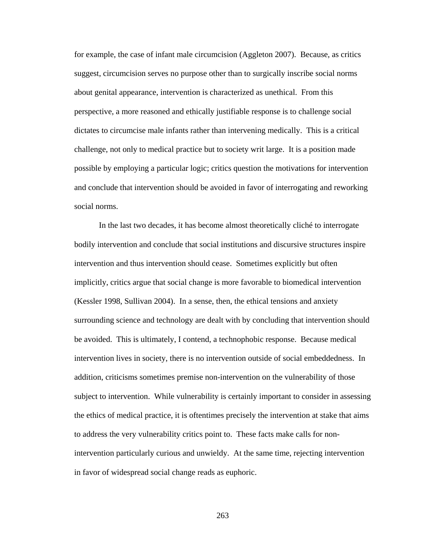for example, the case of infant male circumcision (Aggleton 2007). Because, as critics suggest, circumcision serves no purpose other than to surgically inscribe social norms about genital appearance, intervention is characterized as unethical. From this perspective, a more reasoned and ethically justifiable response is to challenge social dictates to circumcise male infants rather than intervening medically. This is a critical challenge, not only to medical practice but to society writ large. It is a position made possible by employing a particular logic; critics question the motivations for intervention and conclude that intervention should be avoided in favor of interrogating and reworking social norms.

In the last two decades, it has become almost theoretically cliché to interrogate bodily intervention and conclude that social institutions and discursive structures inspire intervention and thus intervention should cease. Sometimes explicitly but often implicitly, critics argue that social change is more favorable to biomedical intervention (Kessler 1998, Sullivan 2004). In a sense, then, the ethical tensions and anxiety surrounding science and technology are dealt with by concluding that intervention should be avoided. This is ultimately, I contend, a technophobic response. Because medical intervention lives in society, there is no intervention outside of social embeddedness. In addition, criticisms sometimes premise non-intervention on the vulnerability of those subject to intervention. While vulnerability is certainly important to consider in assessing the ethics of medical practice, it is oftentimes precisely the intervention at stake that aims to address the very vulnerability critics point to. These facts make calls for nonintervention particularly curious and unwieldy. At the same time, rejecting intervention in favor of widespread social change reads as euphoric.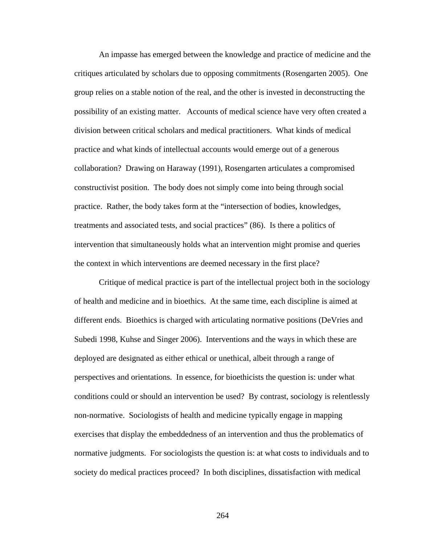An impasse has emerged between the knowledge and practice of medicine and the critiques articulated by scholars due to opposing commitments (Rosengarten 2005). One group relies on a stable notion of the real, and the other is invested in deconstructing the possibility of an existing matter. Accounts of medical science have very often created a division between critical scholars and medical practitioners. What kinds of medical practice and what kinds of intellectual accounts would emerge out of a generous collaboration? Drawing on Haraway (1991), Rosengarten articulates a compromised constructivist position. The body does not simply come into being through social practice. Rather, the body takes form at the "intersection of bodies, knowledges, treatments and associated tests, and social practices" (86). Is there a politics of intervention that simultaneously holds what an intervention might promise and queries the context in which interventions are deemed necessary in the first place?

Critique of medical practice is part of the intellectual project both in the sociology of health and medicine and in bioethics. At the same time, each discipline is aimed at different ends. Bioethics is charged with articulating normative positions (DeVries and Subedi 1998, Kuhse and Singer 2006). Interventions and the ways in which these are deployed are designated as either ethical or unethical, albeit through a range of perspectives and orientations. In essence, for bioethicists the question is: under what conditions could or should an intervention be used? By contrast, sociology is relentlessly non-normative. Sociologists of health and medicine typically engage in mapping exercises that display the embeddedness of an intervention and thus the problematics of normative judgments. For sociologists the question is: at what costs to individuals and to society do medical practices proceed? In both disciplines, dissatisfaction with medical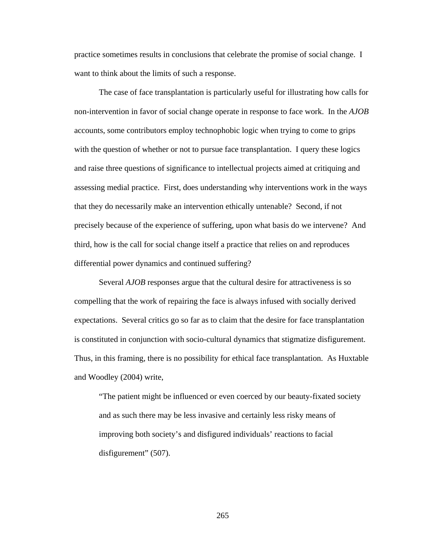practice sometimes results in conclusions that celebrate the promise of social change. I want to think about the limits of such a response.

The case of face transplantation is particularly useful for illustrating how calls for non-intervention in favor of social change operate in response to face work. In the *AJOB* accounts, some contributors employ technophobic logic when trying to come to grips with the question of whether or not to pursue face transplantation. I query these logics and raise three questions of significance to intellectual projects aimed at critiquing and assessing medial practice. First, does understanding why interventions work in the ways that they do necessarily make an intervention ethically untenable? Second, if not precisely because of the experience of suffering, upon what basis do we intervene? And third, how is the call for social change itself a practice that relies on and reproduces differential power dynamics and continued suffering?

Several *AJOB* responses argue that the cultural desire for attractiveness is so compelling that the work of repairing the face is always infused with socially derived expectations. Several critics go so far as to claim that the desire for face transplantation is constituted in conjunction with socio-cultural dynamics that stigmatize disfigurement. Thus, in this framing, there is no possibility for ethical face transplantation. As Huxtable and Woodley (2004) write,

"The patient might be influenced or even coerced by our beauty-fixated society and as such there may be less invasive and certainly less risky means of improving both society's and disfigured individuals' reactions to facial disfigurement" (507).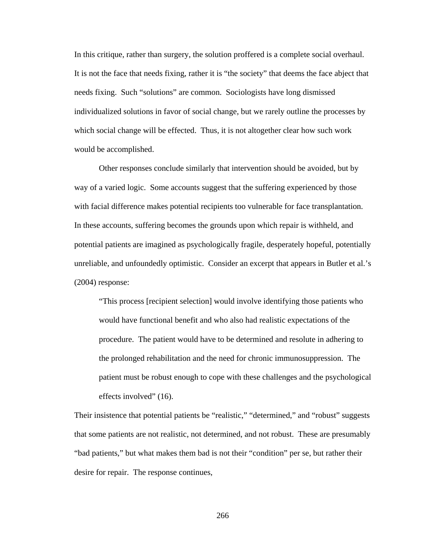In this critique, rather than surgery, the solution proffered is a complete social overhaul. It is not the face that needs fixing, rather it is "the society" that deems the face abject that needs fixing. Such "solutions" are common. Sociologists have long dismissed individualized solutions in favor of social change, but we rarely outline the processes by which social change will be effected. Thus, it is not altogether clear how such work would be accomplished.

Other responses conclude similarly that intervention should be avoided, but by way of a varied logic. Some accounts suggest that the suffering experienced by those with facial difference makes potential recipients too vulnerable for face transplantation. In these accounts, suffering becomes the grounds upon which repair is withheld, and potential patients are imagined as psychologically fragile, desperately hopeful, potentially unreliable, and unfoundedly optimistic. Consider an excerpt that appears in Butler et al.'s (2004) response:

"This process [recipient selection] would involve identifying those patients who would have functional benefit and who also had realistic expectations of the procedure. The patient would have to be determined and resolute in adhering to the prolonged rehabilitation and the need for chronic immunosuppression. The patient must be robust enough to cope with these challenges and the psychological effects involved" (16).

Their insistence that potential patients be "realistic," "determined," and "robust" suggests that some patients are not realistic, not determined, and not robust. These are presumably "bad patients," but what makes them bad is not their "condition" per se, but rather their desire for repair. The response continues,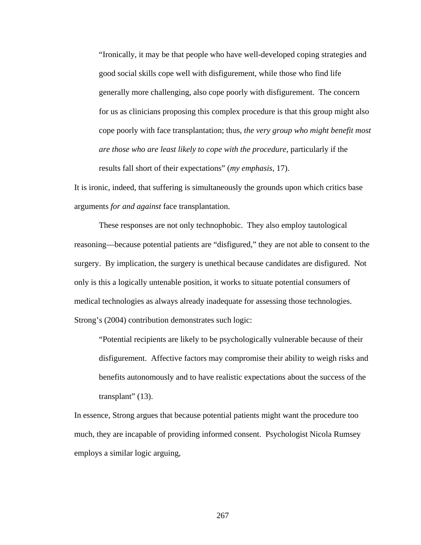"Ironically, it may be that people who have well-developed coping strategies and good social skills cope well with disfigurement, while those who find life generally more challenging, also cope poorly with disfigurement. The concern for us as clinicians proposing this complex procedure is that this group might also cope poorly with face transplantation; thus, *the very group who might benefit most are those who are least likely to cope with the procedure*, particularly if the results fall short of their expectations" (*my emphasis*, 17).

It is ironic, indeed, that suffering is simultaneously the grounds upon which critics base arguments *for and against* face transplantation.

These responses are not only technophobic. They also employ tautological reasoning—because potential patients are "disfigured," they are not able to consent to the surgery. By implication, the surgery is unethical because candidates are disfigured. Not only is this a logically untenable position, it works to situate potential consumers of medical technologies as always already inadequate for assessing those technologies. Strong's (2004) contribution demonstrates such logic:

"Potential recipients are likely to be psychologically vulnerable because of their disfigurement. Affective factors may compromise their ability to weigh risks and benefits autonomously and to have realistic expectations about the success of the transplant" (13).

In essence, Strong argues that because potential patients might want the procedure too much, they are incapable of providing informed consent. Psychologist Nicola Rumsey employs a similar logic arguing,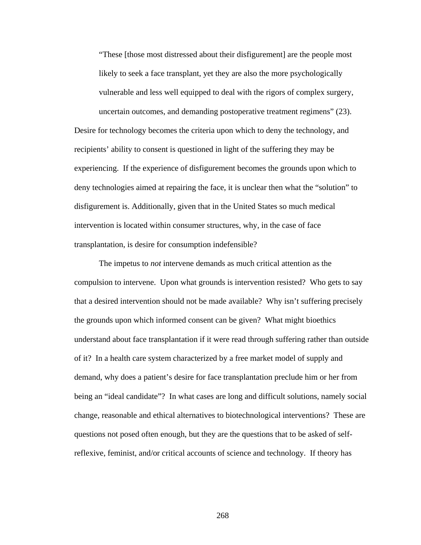"These [those most distressed about their disfigurement] are the people most likely to seek a face transplant, yet they are also the more psychologically vulnerable and less well equipped to deal with the rigors of complex surgery,

uncertain outcomes, and demanding postoperative treatment regimens" (23). Desire for technology becomes the criteria upon which to deny the technology, and recipients' ability to consent is questioned in light of the suffering they may be experiencing. If the experience of disfigurement becomes the grounds upon which to deny technologies aimed at repairing the face, it is unclear then what the "solution" to disfigurement is. Additionally, given that in the United States so much medical intervention is located within consumer structures, why, in the case of face transplantation, is desire for consumption indefensible?

The impetus to *not* intervene demands as much critical attention as the compulsion to intervene. Upon what grounds is intervention resisted? Who gets to say that a desired intervention should not be made available? Why isn't suffering precisely the grounds upon which informed consent can be given? What might bioethics understand about face transplantation if it were read through suffering rather than outside of it? In a health care system characterized by a free market model of supply and demand, why does a patient's desire for face transplantation preclude him or her from being an "ideal candidate"?In what cases are long and difficult solutions, namely social change, reasonable and ethical alternatives to biotechnological interventions? These are questions not posed often enough, but they are the questions that to be asked of selfreflexive, feminist, and/or critical accounts of science and technology. If theory has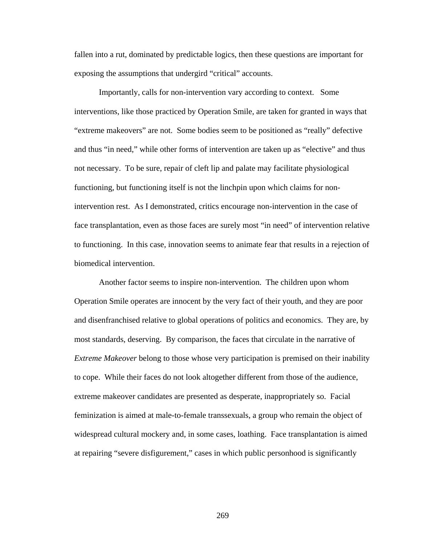fallen into a rut, dominated by predictable logics, then these questions are important for exposing the assumptions that undergird "critical" accounts.

Importantly, calls for non-intervention vary according to context. Some interventions, like those practiced by Operation Smile, are taken for granted in ways that "extreme makeovers" are not. Some bodies seem to be positioned as "really" defective and thus "in need," while other forms of intervention are taken up as "elective" and thus not necessary. To be sure, repair of cleft lip and palate may facilitate physiological functioning, but functioning itself is not the linchpin upon which claims for nonintervention rest. As I demonstrated, critics encourage non-intervention in the case of face transplantation, even as those faces are surely most "in need" of intervention relative to functioning. In this case, innovation seems to animate fear that results in a rejection of biomedical intervention.

Another factor seems to inspire non-intervention. The children upon whom Operation Smile operates are innocent by the very fact of their youth, and they are poor and disenfranchised relative to global operations of politics and economics. They are, by most standards, deserving. By comparison, the faces that circulate in the narrative of *Extreme Makeover* belong to those whose very participation is premised on their inability to cope. While their faces do not look altogether different from those of the audience, extreme makeover candidates are presented as desperate, inappropriately so. Facial feminization is aimed at male-to-female transsexuals, a group who remain the object of widespread cultural mockery and, in some cases, loathing. Face transplantation is aimed at repairing "severe disfigurement," cases in which public personhood is significantly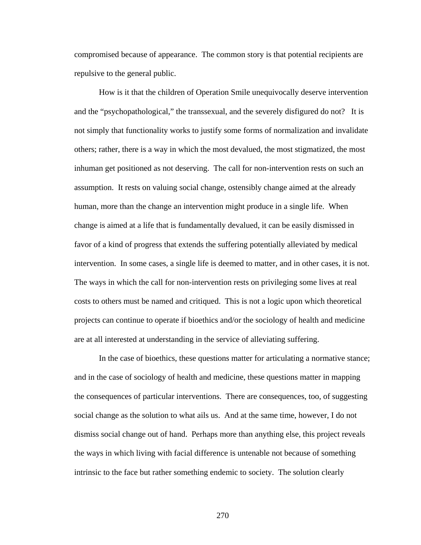compromised because of appearance. The common story is that potential recipients are repulsive to the general public.

How is it that the children of Operation Smile unequivocally deserve intervention and the "psychopathological," the transsexual, and the severely disfigured do not? It is not simply that functionality works to justify some forms of normalization and invalidate others; rather, there is a way in which the most devalued, the most stigmatized, the most inhuman get positioned as not deserving. The call for non-intervention rests on such an assumption. It rests on valuing social change, ostensibly change aimed at the already human, more than the change an intervention might produce in a single life. When change is aimed at a life that is fundamentally devalued, it can be easily dismissed in favor of a kind of progress that extends the suffering potentially alleviated by medical intervention. In some cases, a single life is deemed to matter, and in other cases, it is not. The ways in which the call for non-intervention rests on privileging some lives at real costs to others must be named and critiqued. This is not a logic upon which theoretical projects can continue to operate if bioethics and/or the sociology of health and medicine are at all interested at understanding in the service of alleviating suffering.

In the case of bioethics, these questions matter for articulating a normative stance; and in the case of sociology of health and medicine, these questions matter in mapping the consequences of particular interventions. There are consequences, too, of suggesting social change as the solution to what ails us. And at the same time, however, I do not dismiss social change out of hand. Perhaps more than anything else, this project reveals the ways in which living with facial difference is untenable not because of something intrinsic to the face but rather something endemic to society. The solution clearly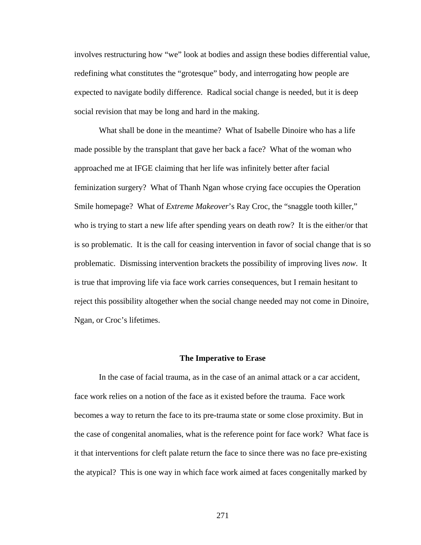involves restructuring how "we" look at bodies and assign these bodies differential value, redefining what constitutes the "grotesque" body, and interrogating how people are expected to navigate bodily difference. Radical social change is needed, but it is deep social revision that may be long and hard in the making.

What shall be done in the meantime? What of Isabelle Dinoire who has a life made possible by the transplant that gave her back a face? What of the woman who approached me at IFGE claiming that her life was infinitely better after facial feminization surgery? What of Thanh Ngan whose crying face occupies the Operation Smile homepage? What of *Extreme Makeover*'s Ray Croc, the "snaggle tooth killer," who is trying to start a new life after spending years on death row? It is the either/or that is so problematic. It is the call for ceasing intervention in favor of social change that is so problematic. Dismissing intervention brackets the possibility of improving lives *now*. It is true that improving life via face work carries consequences, but I remain hesitant to reject this possibility altogether when the social change needed may not come in Dinoire, Ngan, or Croc's lifetimes.

#### **The Imperative to Erase**

In the case of facial trauma, as in the case of an animal attack or a car accident, face work relies on a notion of the face as it existed before the trauma. Face work becomes a way to return the face to its pre-trauma state or some close proximity. But in the case of congenital anomalies, what is the reference point for face work? What face is it that interventions for cleft palate return the face to since there was no face pre-existing the atypical? This is one way in which face work aimed at faces congenitally marked by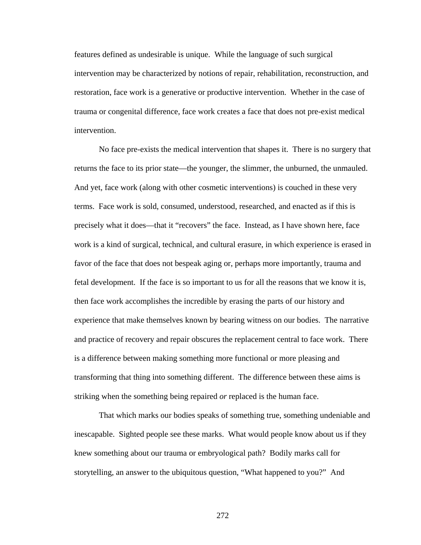features defined as undesirable is unique. While the language of such surgical intervention may be characterized by notions of repair, rehabilitation, reconstruction, and restoration, face work is a generative or productive intervention. Whether in the case of trauma or congenital difference, face work creates a face that does not pre-exist medical intervention.

 No face pre-exists the medical intervention that shapes it. There is no surgery that returns the face to its prior state—the younger, the slimmer, the unburned, the unmauled. And yet, face work (along with other cosmetic interventions) is couched in these very terms. Face work is sold, consumed, understood, researched, and enacted as if this is precisely what it does—that it "recovers" the face. Instead, as I have shown here, face work is a kind of surgical, technical, and cultural erasure, in which experience is erased in favor of the face that does not bespeak aging or, perhaps more importantly, trauma and fetal development. If the face is so important to us for all the reasons that we know it is, then face work accomplishes the incredible by erasing the parts of our history and experience that make themselves known by bearing witness on our bodies. The narrative and practice of recovery and repair obscures the replacement central to face work. There is a difference between making something more functional or more pleasing and transforming that thing into something different. The difference between these aims is striking when the something being repaired *or* replaced is the human face.

 That which marks our bodies speaks of something true, something undeniable and inescapable. Sighted people see these marks. What would people know about us if they knew something about our trauma or embryological path? Bodily marks call for storytelling, an answer to the ubiquitous question, "What happened to you?" And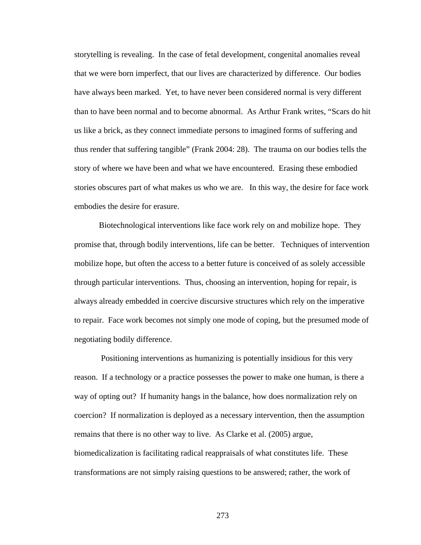storytelling is revealing. In the case of fetal development, congenital anomalies reveal that we were born imperfect, that our lives are characterized by difference. Our bodies have always been marked. Yet, to have never been considered normal is very different than to have been normal and to become abnormal. As Arthur Frank writes, "Scars do hit us like a brick, as they connect immediate persons to imagined forms of suffering and thus render that suffering tangible" (Frank 2004: 28). The trauma on our bodies tells the story of where we have been and what we have encountered. Erasing these embodied stories obscures part of what makes us who we are. In this way, the desire for face work embodies the desire for erasure.

Biotechnological interventions like face work rely on and mobilize hope. They promise that, through bodily interventions, life can be better. Techniques of intervention mobilize hope, but often the access to a better future is conceived of as solely accessible through particular interventions. Thus, choosing an intervention, hoping for repair, is always already embedded in coercive discursive structures which rely on the imperative to repair. Face work becomes not simply one mode of coping, but the presumed mode of negotiating bodily difference.

 Positioning interventions as humanizing is potentially insidious for this very reason. If a technology or a practice possesses the power to make one human, is there a way of opting out? If humanity hangs in the balance, how does normalization rely on coercion? If normalization is deployed as a necessary intervention, then the assumption remains that there is no other way to live. As Clarke et al. (2005) argue, biomedicalization is facilitating radical reappraisals of what constitutes life. These transformations are not simply raising questions to be answered; rather, the work of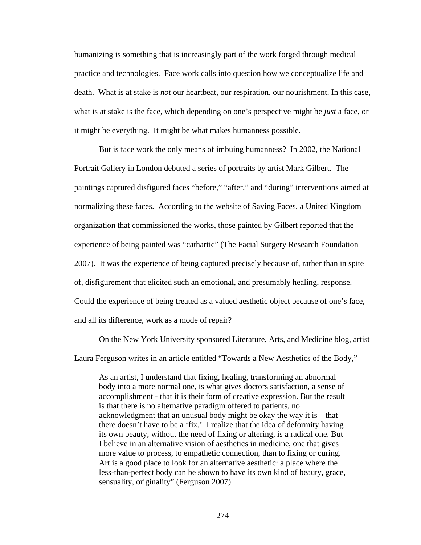humanizing is something that is increasingly part of the work forged through medical practice and technologies. Face work calls into question how we conceptualize life and death. What is at stake is *not* our heartbeat, our respiration, our nourishment. In this case, what is at stake is the face, which depending on one's perspective might be *just* a face, or it might be everything. It might be what makes humanness possible.

 But is face work the only means of imbuing humanness? In 2002, the National Portrait Gallery in London debuted a series of portraits by artist Mark Gilbert. The paintings captured disfigured faces "before," "after," and "during" interventions aimed at normalizing these faces. According to the website of Saving Faces, a United Kingdom organization that commissioned the works, those painted by Gilbert reported that the experience of being painted was "cathartic" (The Facial Surgery Research Foundation 2007). It was the experience of being captured precisely because of, rather than in spite of, disfigurement that elicited such an emotional, and presumably healing, response. Could the experience of being treated as a valued aesthetic object because of one's face, and all its difference, work as a mode of repair?

 On the New York University sponsored Literature, Arts, and Medicine blog, artist Laura Ferguson writes in an article entitled "Towards a New Aesthetics of the Body,"

As an artist, I understand that fixing, healing, transforming an abnormal body into a more normal one, is what gives doctors satisfaction, a sense of accomplishment - that it is their form of creative expression. But the result is that there is no alternative paradigm offered to patients, no acknowledgment that an unusual body might be okay the way it is – that there doesn't have to be a 'fix.' I realize that the idea of deformity having its own beauty, without the need of fixing or altering, is a radical one. But I believe in an alternative vision of aesthetics in medicine, one that gives more value to process, to empathetic connection, than to fixing or curing. Art is a good place to look for an alternative aesthetic: a place where the less-than-perfect body can be shown to have its own kind of beauty, grace, sensuality, originality" (Ferguson 2007).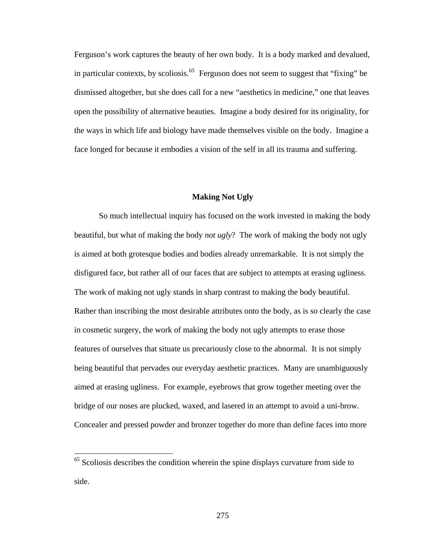Ferguson's work captures the beauty of her own body. It is a body marked and devalued, in particular contexts, by scoliosis.<sup>[65](#page-288-0)</sup> Ferguson does not seem to suggest that "fixing" be dismissed altogether, but she does call for a new "aesthetics in medicine," one that leaves open the possibility of alternative beauties. Imagine a body desired for its originality, for the ways in which life and biology have made themselves visible on the body. Imagine a face longed for because it embodies a vision of the self in all its trauma and suffering.

## **Making Not Ugly**

 So much intellectual inquiry has focused on the work invested in making the body beautiful, but what of making the body *not ugly*? The work of making the body not ugly is aimed at both grotesque bodies and bodies already unremarkable. It is not simply the disfigured face, but rather all of our faces that are subject to attempts at erasing ugliness. The work of making not ugly stands in sharp contrast to making the body beautiful. Rather than inscribing the most desirable attributes onto the body, as is so clearly the case in cosmetic surgery, the work of making the body not ugly attempts to erase those features of ourselves that situate us precariously close to the abnormal. It is not simply being beautiful that pervades our everyday aesthetic practices. Many are unambiguously aimed at erasing ugliness. For example, eyebrows that grow together meeting over the bridge of our noses are plucked, waxed, and lasered in an attempt to avoid a uni-brow. Concealer and pressed powder and bronzer together do more than define faces into more

 $\overline{a}$ 

<span id="page-288-0"></span><sup>&</sup>lt;sup>65</sup> Scoliosis describes the condition wherein the spine displays curvature from side to side.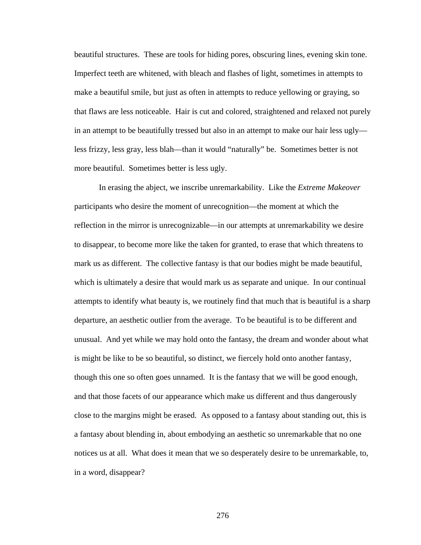beautiful structures. These are tools for hiding pores, obscuring lines, evening skin tone. Imperfect teeth are whitened, with bleach and flashes of light, sometimes in attempts to make a beautiful smile, but just as often in attempts to reduce yellowing or graying, so that flaws are less noticeable. Hair is cut and colored, straightened and relaxed not purely in an attempt to be beautifully tressed but also in an attempt to make our hair less ugly less frizzy, less gray, less blah—than it would "naturally" be. Sometimes better is not more beautiful. Sometimes better is less ugly.

In erasing the abject, we inscribe unremarkability. Like the *Extreme Makeover* participants who desire the moment of unrecognition—the moment at which the reflection in the mirror is unrecognizable—in our attempts at unremarkability we desire to disappear, to become more like the taken for granted, to erase that which threatens to mark us as different. The collective fantasy is that our bodies might be made beautiful, which is ultimately a desire that would mark us as separate and unique. In our continual attempts to identify what beauty is, we routinely find that much that is beautiful is a sharp departure, an aesthetic outlier from the average. To be beautiful is to be different and unusual. And yet while we may hold onto the fantasy, the dream and wonder about what is might be like to be so beautiful, so distinct, we fiercely hold onto another fantasy, though this one so often goes unnamed. It is the fantasy that we will be good enough, and that those facets of our appearance which make us different and thus dangerously close to the margins might be erased. As opposed to a fantasy about standing out, this is a fantasy about blending in, about embodying an aesthetic so unremarkable that no one notices us at all. What does it mean that we so desperately desire to be unremarkable, to, in a word, disappear?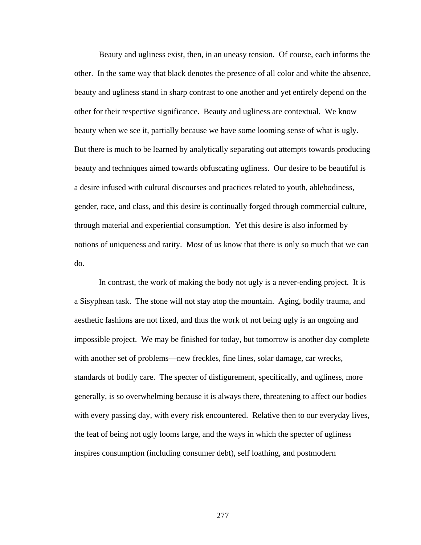Beauty and ugliness exist, then, in an uneasy tension. Of course, each informs the other. In the same way that black denotes the presence of all color and white the absence, beauty and ugliness stand in sharp contrast to one another and yet entirely depend on the other for their respective significance. Beauty and ugliness are contextual. We know beauty when we see it, partially because we have some looming sense of what is ugly. But there is much to be learned by analytically separating out attempts towards producing beauty and techniques aimed towards obfuscating ugliness. Our desire to be beautiful is a desire infused with cultural discourses and practices related to youth, ablebodiness, gender, race, and class, and this desire is continually forged through commercial culture, through material and experiential consumption. Yet this desire is also informed by notions of uniqueness and rarity. Most of us know that there is only so much that we can do.

In contrast, the work of making the body not ugly is a never-ending project. It is a Sisyphean task. The stone will not stay atop the mountain. Aging, bodily trauma, and aesthetic fashions are not fixed, and thus the work of not being ugly is an ongoing and impossible project. We may be finished for today, but tomorrow is another day complete with another set of problems—new freckles, fine lines, solar damage, car wrecks, standards of bodily care. The specter of disfigurement, specifically, and ugliness, more generally, is so overwhelming because it is always there, threatening to affect our bodies with every passing day, with every risk encountered. Relative then to our everyday lives, the feat of being not ugly looms large, and the ways in which the specter of ugliness inspires consumption (including consumer debt), self loathing, and postmodern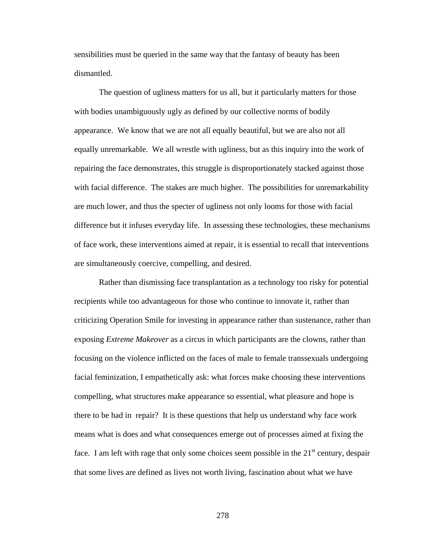sensibilities must be queried in the same way that the fantasy of beauty has been dismantled.

The question of ugliness matters for us all, but it particularly matters for those with bodies unambiguously ugly as defined by our collective norms of bodily appearance. We know that we are not all equally beautiful, but we are also not all equally unremarkable. We all wrestle with ugliness, but as this inquiry into the work of repairing the face demonstrates, this struggle is disproportionately stacked against those with facial difference. The stakes are much higher. The possibilities for unremarkability are much lower, and thus the specter of ugliness not only looms for those with facial difference but it infuses everyday life. In assessing these technologies, these mechanisms of face work, these interventions aimed at repair, it is essential to recall that interventions are simultaneously coercive, compelling, and desired.

Rather than dismissing face transplantation as a technology too risky for potential recipients while too advantageous for those who continue to innovate it, rather than criticizing Operation Smile for investing in appearance rather than sustenance, rather than exposing *Extreme Makeover* as a circus in which participants are the clowns, rather than focusing on the violence inflicted on the faces of male to female transsexuals undergoing facial feminization, I empathetically ask: what forces make choosing these interventions compelling, what structures make appearance so essential, what pleasure and hope is there to be had in repair? It is these questions that help us understand why face work means what is does and what consequences emerge out of processes aimed at fixing the face. I am left with rage that only some choices seem possible in the  $21<sup>st</sup>$  century, despair that some lives are defined as lives not worth living, fascination about what we have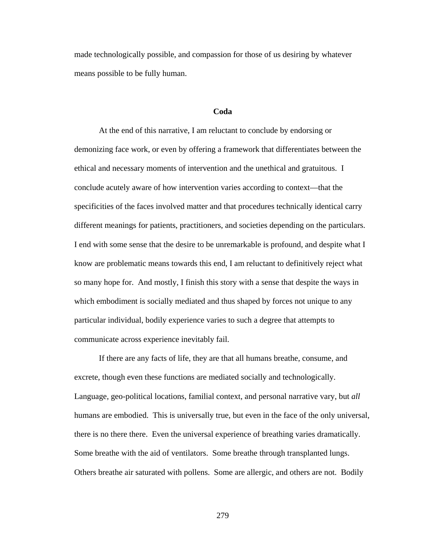made technologically possible, and compassion for those of us desiring by whatever means possible to be fully human.

## **Coda**

At the end of this narrative, I am reluctant to conclude by endorsing or demonizing face work, or even by offering a framework that differentiates between the ethical and necessary moments of intervention and the unethical and gratuitous. I conclude acutely aware of how intervention varies according to context—that the specificities of the faces involved matter and that procedures technically identical carry different meanings for patients, practitioners, and societies depending on the particulars. I end with some sense that the desire to be unremarkable is profound, and despite what I know are problematic means towards this end, I am reluctant to definitively reject what so many hope for. And mostly, I finish this story with a sense that despite the ways in which embodiment is socially mediated and thus shaped by forces not unique to any particular individual, bodily experience varies to such a degree that attempts to communicate across experience inevitably fail.

If there are any facts of life, they are that all humans breathe, consume, and excrete, though even these functions are mediated socially and technologically. Language, geo-political locations, familial context, and personal narrative vary, but *all* humans are embodied. This is universally true, but even in the face of the only universal, there is no there there. Even the universal experience of breathing varies dramatically. Some breathe with the aid of ventilators. Some breathe through transplanted lungs. Others breathe air saturated with pollens. Some are allergic, and others are not. Bodily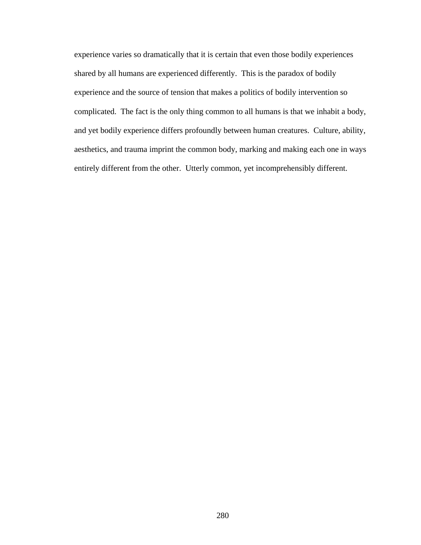experience varies so dramatically that it is certain that even those bodily experiences shared by all humans are experienced differently. This is the paradox of bodily experience and the source of tension that makes a politics of bodily intervention so complicated. The fact is the only thing common to all humans is that we inhabit a body, and yet bodily experience differs profoundly between human creatures. Culture, ability, aesthetics, and trauma imprint the common body, marking and making each one in ways entirely different from the other. Utterly common, yet incomprehensibly different.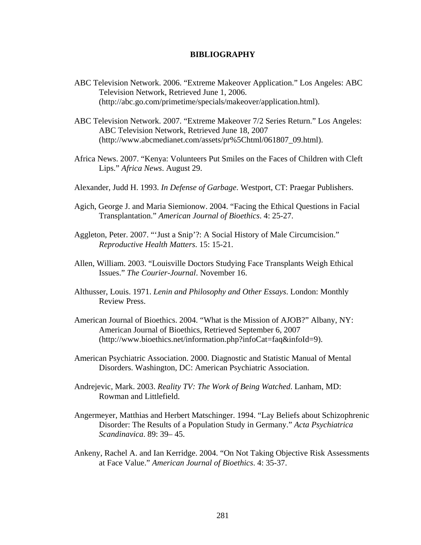## **BIBLIOGRAPHY**

- ABC Television Network. 2006. "Extreme Makeover Application." Los Angeles: ABC Television Network, Retrieved June 1, 2006. (http://abc.go.com/primetime/specials/makeover/application.html).
- ABC Television Network. 2007. "Extreme Makeover 7/2 Series Return." Los Angeles: ABC Television Network, Retrieved June 18, 2007 (http://www.abcmedianet.com/assets/pr%5Chtml/061807\_09.html).
- Africa News. 2007. "Kenya: Volunteers Put Smiles on the Faces of Children with Cleft Lips." *Africa News*. August 29.
- Alexander, Judd H. 1993. *In Defense of Garbage*. Westport, CT: Praegar Publishers.
- Agich, George J. and Maria Siemionow. 2004. "Facing the Ethical Questions in Facial Transplantation." *American Journal of Bioethics*. 4: 25-27.
- Aggleton, Peter. 2007. "'Just a Snip'?: A Social History of Male Circumcision." *Reproductive Health Matters*. 15: 15-21.
- Allen, William. 2003. "Louisville Doctors Studying Face Transplants Weigh Ethical Issues." *The Courier-Journal*. November 16.
- Althusser, Louis. 1971. *Lenin and Philosophy and Other Essays*. London: Monthly Review Press.
- American Journal of Bioethics. 2004. "What is the Mission of AJOB?" Albany, NY: American Journal of Bioethics, Retrieved September 6, 2007 (http://www.bioethics.net/information.php?infoCat=faq&infoId=9).
- American Psychiatric Association. 2000. Diagnostic and Statistic Manual of Mental Disorders. Washington, DC: American Psychiatric Association.
- Andrejevic, Mark. 2003. *Reality TV: The Work of Being Watched*. Lanham, MD: Rowman and Littlefield.
- Angermeyer, Matthias and Herbert Matschinger. 1994. "Lay Beliefs about Schizophrenic Disorder: The Results of a Population Study in Germany." *Acta Psychiatrica Scandinavica*. 89: 39– 45.
- Ankeny, Rachel A. and Ian Kerridge. 2004. "On Not Taking Objective Risk Assessments at Face Value." *American Journal of Bioethics*. 4: 35-37.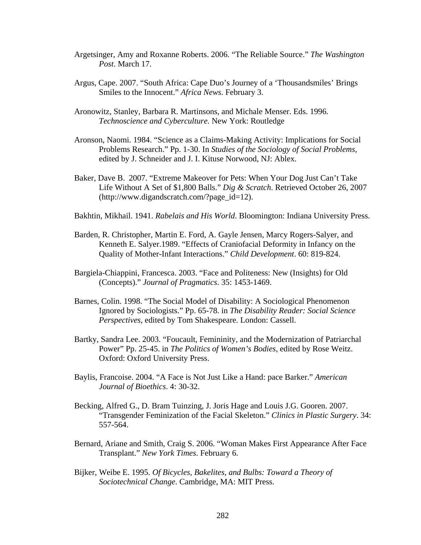- Argetsinger, Amy and Roxanne Roberts. 2006. "The Reliable Source." *The Washington Post*. March 17.
- Argus, Cape. 2007. "South Africa: Cape Duo's Journey of a 'Thousandsmiles' Brings Smiles to the Innocent." *Africa News*. February 3.
- Aronowitz, Stanley, Barbara R. Martinsons, and Michale Menser. Eds. 1996. *Technoscience and Cyberculture*. New York: Routledge
- Aronson, Naomi. 1984. "Science as a Claims-Making Activity: Implications for Social Problems Research." Pp. 1-30. In *Studies of the Sociology of Social Problems*, edited by J. Schneider and J. I. Kituse Norwood, NJ: Ablex.
- Baker, Dave B. 2007. "Extreme Makeover for Pets: When Your Dog Just Can't Take Life Without A Set of \$1,800 Balls." *Dig & Scratch*. Retrieved October 26, 2007 (http://www.digandscratch.com/?page\_id=12).
- Bakhtin, Mikhail. 1941. *Rabelais and His World*. Bloomington: Indiana University Press.
- Barden, R. Christopher, Martin E. Ford, A. Gayle Jensen, Marcy Rogers-Salyer, and Kenneth E. Salyer.1989. "Effects of Craniofacial Deformity in Infancy on the Quality of Mother-Infant Interactions." *Child Development*. 60: 819-824.
- Bargiela-Chiappini, Francesca. 2003. "Face and Politeness: New (Insights) for Old (Concepts)." *Journal of Pragmatics*. 35: 1453-1469.
- Barnes, Colin. 1998. "The Social Model of Disability: A Sociological Phenomenon Ignored by Sociologists." Pp. 65-78. in *The Disability Reader: Social Science Perspectives*, edited by Tom Shakespeare. London: Cassell.
- Bartky, Sandra Lee. 2003. "Foucault, Femininity, and the Modernization of Patriarchal Power" Pp. 25-45. in *The Politics of Women's Bodies*, edited by Rose Weitz. Oxford: Oxford University Press.
- Baylis, Francoise. 2004. "A Face is Not Just Like a Hand: pace Barker." *American Journal of Bioethics*. 4: 30-32.
- Becking, Alfred G., D. Bram Tuinzing, J. Joris Hage and Louis J.G. Gooren. 2007. "Transgender Feminization of the Facial Skeleton." *Clinics in Plastic Surgery*. 34: 557-564.
- Bernard, Ariane and Smith, Craig S. 2006. "Woman Makes First Appearance After Face Transplant." *New York Times*. February 6.
- Bijker, Weibe E. 1995. *Of Bicycles, Bakelites, and Bulbs: Toward a Theory of Sociotechnical Change*. Cambridge, MA: MIT Press.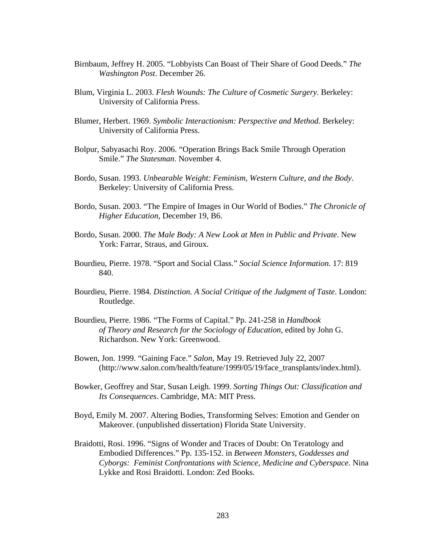- Birnbaum, Jeffrey H. 2005. "Lobbyists Can Boast of Their Share of Good Deeds." *The Washington Post*. December 26.
- Blum, Virginia L. 2003. *Flesh Wounds: The Culture of Cosmetic Surgery*. Berkeley: University of California Press.
- Blumer, Herbert. 1969. *Symbolic Interactionism: Perspective and Method*. Berkeley: University of California Press.
- Bolpur, Sabyasachi Roy. 2006. "Operation Brings Back Smile Through Operation Smile." *The Statesman*. November 4.
- Bordo, Susan. 1993. *Unbearable Weight: Feminism, Western Culture, and the Body*. Berkeley: University of California Press.
- Bordo, Susan. 2003. "The Empire of Images in Our World of Bodies." *The Chronicle of Higher Education*, December 19, B6.
- Bordo, Susan. 2000. *The Male Body: A New Look at Men in Public and Private*. New York: Farrar, Straus, and Giroux.
- Bourdieu, Pierre. 1978. "Sport and Social Class." *Social Science Information*. 17: 819 840.
- Bourdieu, Pierre. 1984. *Distinction. A Social Critique of the Judgment of Taste*. London: Routledge.
- Bourdieu, Pierre. 1986. "The Forms of Capital." Pp. 241-258 in *Handbook of Theory and Research for the Sociology of Education*, edited by John G. Richardson. New York: Greenwood.
- Bowen, Jon. 1999. "Gaining Face." *Salon*, May 19. Retrieved July 22, 2007 (http://www.salon.com/health/feature/1999/05/19/face\_transplants/index.html).
- Bowker, Geoffrey and Star, Susan Leigh. 1999. *Sorting Things Out: Classification and Its Consequences*. Cambridge, MA: MIT Press.
- Boyd, Emily M. 2007. Altering Bodies, Transforming Selves: Emotion and Gender on Makeover. (unpublished dissertation) Florida State University.
- Braidotti, Rosi. 1996. "Signs of Wonder and Traces of Doubt: On Teratology and Embodied Differences." Pp. 135-152. in *Between Monsters, Goddesses and Cyborgs: Feminist Confrontations with Science, Medicine and Cyberspace*. Nina Lykke and Rosi Braidotti. London: Zed Books.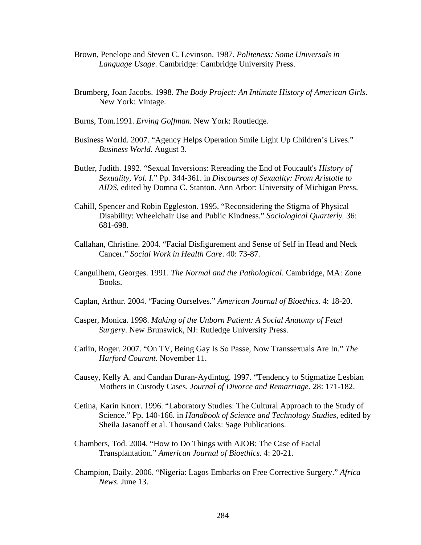- Brown, Penelope and Steven C. Levinson. 1987. *Politeness: Some Universals in Language Usage*. Cambridge: Cambridge University Press.
- Brumberg, Joan Jacobs. 1998. *The Body Project: An Intimate History of American Girls*. New York: Vintage.
- Burns, Tom.1991. *Erving Goffman*. New York: Routledge.
- Business World. 2007. "Agency Helps Operation Smile Light Up Children's Lives." *Business World*. August 3.
- Butler, Judith. 1992. "Sexual Inversions: Rereading the End of Foucault's *History of Sexuality, Vol. I*." Pp. 344-361. in *Discourses of Sexuality: From Aristotle to AIDS*, edited by Domna C. Stanton. Ann Arbor: University of Michigan Press.
- Cahill, Spencer and Robin Eggleston. 1995. "Reconsidering the Stigma of Physical Disability: Wheelchair Use and Public Kindness." *Sociological Quarterly.* 36: 681-698.
- Callahan, Christine. 2004. "Facial Disfigurement and Sense of Self in Head and Neck Cancer." *Social Work in Health Care*. 40: 73-87.
- Canguilhem, Georges. 1991. *The Normal and the Pathological*. Cambridge, MA: Zone Books.
- Caplan, Arthur. 2004. "Facing Ourselves." *American Journal of Bioethics*. 4: 18-20.
- Casper, Monica. 1998. *Making of the Unborn Patient: A Social Anatomy of Fetal Surgery*. New Brunswick, NJ: Rutledge University Press.
- Catlin, Roger. 2007. "On TV, Being Gay Is So Passe, Now Transsexuals Are In." *The Harford Courant*. November 11.
- Causey, Kelly A. and Candan Duran-Aydintug. 1997. "Tendency to Stigmatize Lesbian Mothers in Custody Cases. *Journal of Divorce and Remarriage*. 28: 171-182.
- Cetina, Karin Knorr. 1996. "Laboratory Studies: The Cultural Approach to the Study of Science." Pp. 140-166. in *Handbook of Science and Technology Studies*, edited by Sheila Jasanoff et al. Thousand Oaks: Sage Publications.
- Chambers, Tod. 2004. "How to Do Things with AJOB: The Case of Facial Transplantation." *American Journal of Bioethics*. 4: 20-21.
- Champion, Daily. 2006. "Nigeria: Lagos Embarks on Free Corrective Surgery." *Africa News*. June 13.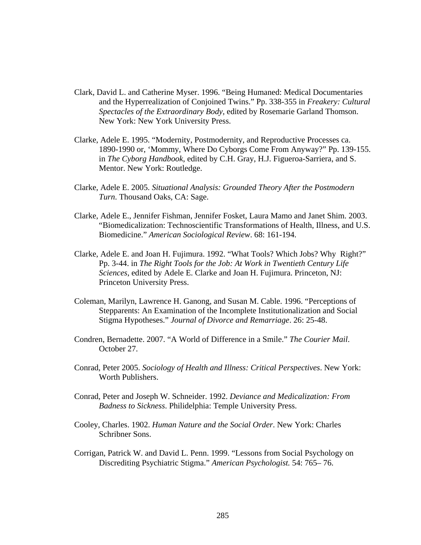- Clark, David L. and Catherine Myser. 1996. "Being Humaned: Medical Documentaries and the Hyperrealization of Conjoined Twins." Pp. 338-355 in *Freakery: Cultural Spectacles of the Extraordinary Body*, edited by Rosemarie Garland Thomson. New York: New York University Press.
- Clarke, Adele E. 1995. "Modernity, Postmodernity, and Reproductive Processes ca. 1890-1990 or, 'Mommy, Where Do Cyborgs Come From Anyway?" Pp. 139-155. in *The Cyborg Handbook*, edited by C.H. Gray, H.J. Figueroa-Sarriera, and S. Mentor. New York: Routledge.
- Clarke, Adele E. 2005. *Situational Analysis: Grounded Theory After the Postmodern Turn*. Thousand Oaks, CA: Sage.
- Clarke, Adele E., Jennifer Fishman, Jennifer Fosket, Laura Mamo and Janet Shim. 2003. "Biomedicalization: Technoscientific Transformations of Health, Illness, and U.S. Biomedicine." *American Sociological Review*. 68: 161-194.
- Clarke, Adele E. and Joan H. Fujimura. 1992. "What Tools? Which Jobs? Why Right?" Pp. 3-44. in *The Right Tools for the Job: At Work in Twentieth Century Life Sciences*, edited by Adele E. Clarke and Joan H. Fujimura. Princeton, NJ: Princeton University Press.
- Coleman, Marilyn, Lawrence H. Ganong, and Susan M. Cable. 1996. "Perceptions of Stepparents: An Examination of the Incomplete Institutionalization and Social Stigma Hypotheses." *Journal of Divorce and Remarriage*. 26: 25-48.
- Condren, Bernadette. 2007. "A World of Difference in a Smile." *The Courier Mail*. October 27.
- Conrad, Peter 2005. *Sociology of Health and Illness: Critical Perspectives*. New York: Worth Publishers.
- Conrad, Peter and Joseph W. Schneider. 1992. *Deviance and Medicalization: From Badness to Sickness*. Philidelphia: Temple University Press.
- Cooley, Charles. 1902. *Human Nature and the Social Order*. New York: Charles Schribner Sons.
- Corrigan, Patrick W. and David L. Penn. 1999. "Lessons from Social Psychology on Discrediting Psychiatric Stigma." *American Psychologist.* 54: 765– 76.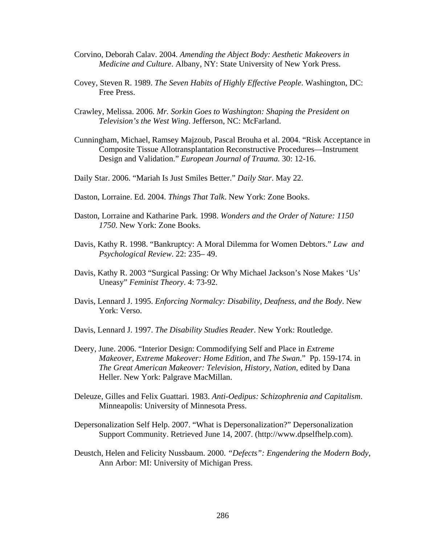- Corvino, Deborah Calav. 2004. *Amending the Abject Body: Aesthetic Makeovers in Medicine and Culture*. Albany, NY: State University of New York Press.
- Covey, Steven R. 1989. *The Seven Habits of Highly Effective People*. Washington, DC: Free Press.
- Crawley, Melissa. 2006. *Mr. Sorkin Goes to Washington: Shaping the President on Television's the West Wing*. Jefferson, NC: McFarland.
- Cunningham, Michael, Ramsey Majzoub, Pascal Brouha et al. 2004. "Risk Acceptance in Composite Tissue Allotransplantation Reconstructive Procedures—Instrument Design and Validation." *European Journal of Trauma.* 30: 12-16.
- Daily Star. 2006. "Mariah Is Just Smiles Better." *Daily Star*. May 22.
- Daston, Lorraine. Ed. 2004. *Things That Talk*. New York: Zone Books.
- Daston, Lorraine and Katharine Park. 1998. *Wonders and the Order of Nature: 1150 1750*. New York: Zone Books.
- Davis, Kathy R. 1998. "Bankruptcy: A Moral Dilemma for Women Debtors." *Law and Psychological Review*. 22: 235– 49.
- Davis, Kathy R. 2003 "Surgical Passing: Or Why Michael Jackson's Nose Makes 'Us' Uneasy" *Feminist Theory*. 4: 73-92.
- Davis, Lennard J. 1995. *Enforcing Normalcy: Disability, Deafness, and the Body*. New York: Verso.
- Davis, Lennard J. 1997. *The Disability Studies Reader*. New York: Routledge.
- Deery, June. 2006. "Interior Design: Commodifying Self and Place in *Extreme Makeover*, *Extreme Makeover: Home Edition*, and *The Swan*." Pp. 159-174. in *The Great American Makeover: Television, History, Nation*, edited by Dana Heller. New York: Palgrave MacMillan.
- Deleuze, Gilles and Felix Guattari. 1983. *Anti-Oedipus: Schizophrenia and Capitalism*. Minneapolis: University of Minnesota Press.
- Depersonalization Self Help. 2007. "What is Depersonalization?" Depersonalization Support Community. Retrieved June 14, 2007. (http://www.dpselfhelp.com).
- Deustch, Helen and Felicity Nussbaum. 2000. *"Defects": Engendering the Modern Body*, Ann Arbor: MI: University of Michigan Press.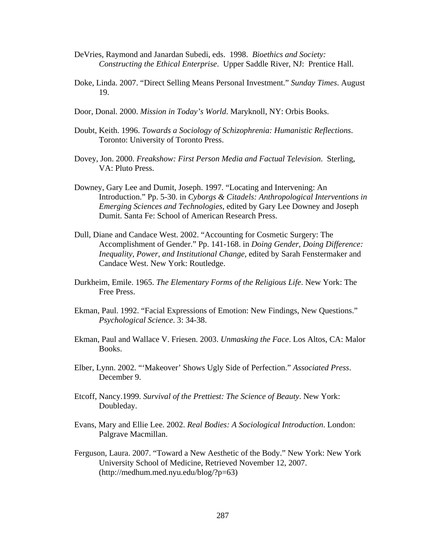- DeVries, Raymond and Janardan Subedi, eds. 1998. *Bioethics and Society: Constructing the Ethical Enterprise*. Upper Saddle River, NJ: Prentice Hall.
- Doke, Linda. 2007. "Direct Selling Means Personal Investment." *Sunday Times*. August 19.
- Door, Donal. 2000. *Mission in Today's World*. Maryknoll, NY: Orbis Books.
- Doubt, Keith. 1996. *Towards a Sociology of Schizophrenia: Humanistic Reflections*. Toronto: University of Toronto Press.
- Dovey, Jon. 2000. *Freakshow: First Person Media and Factual Television*. Sterling, VA: Pluto Press.
- Downey, Gary Lee and Dumit, Joseph. 1997. "Locating and Intervening: An Introduction." Pp. 5-30. in *Cyborgs & Citadels: Anthropological Interventions in Emerging Sciences and Technologies*, edited by Gary Lee Downey and Joseph Dumit. Santa Fe: School of American Research Press.
- Dull, Diane and Candace West. 2002. "Accounting for Cosmetic Surgery: The Accomplishment of Gender." Pp. 141-168. in *Doing Gender, Doing Difference: Inequality, Power, and Institutional Change*, edited by Sarah Fenstermaker and Candace West. New York: Routledge.
- Durkheim, Emile. 1965. *The Elementary Forms of the Religious Life*. New York: The Free Press.
- Ekman, Paul. 1992. "Facial Expressions of Emotion: New Findings, New Questions." *Psychological Science*. 3: 34-38.
- Ekman, Paul and Wallace V. Friesen. 2003. *Unmasking the Face*. Los Altos, CA: Malor Books.
- Elber, Lynn. 2002. "'Makeover' Shows Ugly Side of Perfection." *Associated Press*. December 9.
- Etcoff, Nancy.1999. *Survival of the Prettiest: The Science of Beauty*. New York: Doubleday.
- Evans, Mary and Ellie Lee. 2002. *Real Bodies: A Sociological Introduction*. London: Palgrave Macmillan.
- Ferguson, Laura. 2007. "Toward a New Aesthetic of the Body." New York: New York University School of Medicine, Retrieved November 12, 2007. (http://medhum.med.nyu.edu/blog/?p=63)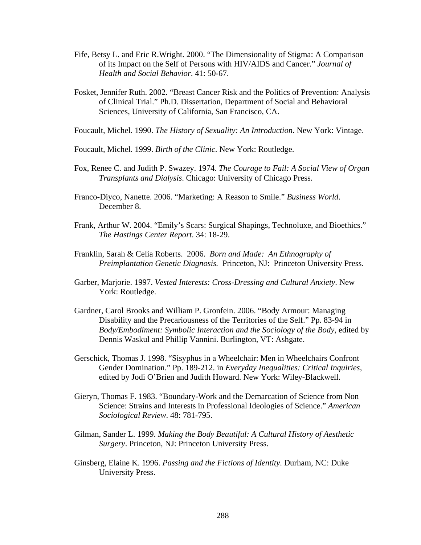- Fife, Betsy L. and Eric R.Wright. 2000. "The Dimensionality of Stigma: A Comparison of its Impact on the Self of Persons with HIV/AIDS and Cancer." *Journal of Health and Social Behavior*. 41: 50-67.
- Fosket, Jennifer Ruth. 2002. "Breast Cancer Risk and the Politics of Prevention: Analysis of Clinical Trial." Ph.D. Dissertation, Department of Social and Behavioral Sciences, University of California, San Francisco, CA.

Foucault, Michel. 1990. *The History of Sexuality: An Introduction*. New York: Vintage.

Foucault, Michel. 1999. *Birth of the Clinic*. New York: Routledge.

- Fox, Renee C. and Judith P. Swazey. 1974. *The Courage to Fail: A Social View of Organ Transplants and Dialysis*. Chicago: University of Chicago Press.
- Franco-Diyco, Nanette. 2006. "Marketing: A Reason to Smile." *Business World*. December 8.
- Frank, Arthur W. 2004. "Emily's Scars: Surgical Shapings, Technoluxe, and Bioethics." *The Hastings Center Report*. 34: 18-29.
- Franklin, Sarah & Celia Roberts. 2006. *Born and Made: An Ethnography of Preimplantation Genetic Diagnosis.* Princeton, NJ: Princeton University Press.
- Garber, Marjorie. 1997. *Vested Interests: Cross-Dressing and Cultural Anxiety*. New York: Routledge.
- Gardner, Carol Brooks and William P. Gronfein. 2006. "Body Armour: Managing Disability and the Precariousness of the Territories of the Self." Pp. 83-94 in *Body/Embodiment: Symbolic Interaction and the Sociology of the Body*, edited by Dennis Waskul and Phillip Vannini. Burlington, VT: Ashgate.
- Gerschick, Thomas J. 1998. "Sisyphus in a Wheelchair: Men in Wheelchairs Confront Gender Domination." Pp. 189-212. in *Everyday Inequalities: Critical Inquiries*, edited by Jodi O'Brien and Judith Howard. New York: Wiley-Blackwell.
- Gieryn, Thomas F. 1983. "Boundary-Work and the Demarcation of Science from Non Science: Strains and Interests in Professional Ideologies of Science." *American Sociological Review*. 48: 781-795.
- Gilman, Sander L. 1999. *Making the Body Beautiful: A Cultural History of Aesthetic Surgery*. Princeton, NJ: Princeton University Press.
- Ginsberg, Elaine K. 1996. *Passing and the Fictions of Identity*. Durham, NC: Duke University Press.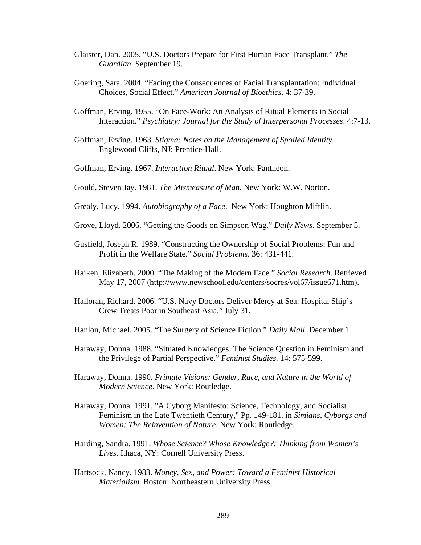- Glaister, Dan. 2005. "U.S. Doctors Prepare for First Human Face Transplant." *The Guardian*. September 19.
- Goering, Sara. 2004. "Facing the Consequences of Facial Transplantation: Individual Choices, Social Effect." *American Journal of Bioethics*. 4: 37-39.
- Goffman, Erving. 1955. "On Face-Work: An Analysis of Ritual Elements in Social Interaction." *Psychiatry: Journal for the Study of Interpersonal Processes*. 4:7-13.
- Goffman, Erving. 1963. *Stigma: Notes on the Management of Spoiled Identity*. Englewood Cliffs, NJ: Prentice-Hall.
- Goffman, Erving. 1967. *Interaction Ritual*. New York: Pantheon.
- Gould, Steven Jay. 1981. *The Mismeasure of Man*. New York: W.W. Norton.
- Grealy, Lucy. 1994. *Autobiography of a Face*. New York: Houghton Mifflin.
- Grove, Lloyd. 2006. "Getting the Goods on Simpson Wag." *Daily News*. September 5.
- Gusfield, Joseph R. 1989. "Constructing the Ownership of Social Problems: Fun and Profit in the Welfare State." *Social Problems*. 36: 431-441.
- Haiken, Elizabeth. 2000. "The Making of the Modern Face." *Social Research*. Retrieved May 17, 2007 (http://www.newschool.edu/centers/socres/vol67/issue671.htm).
- Halloran, Richard. 2006. "U.S. Navy Doctors Deliver Mercy at Sea: Hospital Ship's Crew Treats Poor in Southeast Asia." July 31.
- Hanlon, Michael. 2005. "The Surgery of Science Fiction." *Daily Mail*. December 1.
- Haraway, Donna. 1988. "Situated Knowledges: The Science Question in Feminism and the Privilege of Partial Perspective." *Feminist Studies*. 14: 575-599.
- Haraway, Donna. 1990. *Primate Visions: Gender, Race, and Nature in the World of Modern Science*. New York: Routledge.
- Haraway, Donna. 1991. "A Cyborg Manifesto: Science, Technology, and Socialist Feminism in the Late Twentieth Century," Pp. 149-181. in *Simians, Cyborgs and Women: The Reinvention of Nature*. New York: Routledge.
- Harding, Sandra. 1991. *Whose Science? Whose Knowledge?: Thinking from Women's Lives*. Ithaca, NY: Cornell University Press.
- Hartsock, Nancy. 1983. *Money, Sex, and Power: Toward a Feminist Historical Materialism*. Boston: Northeastern University Press.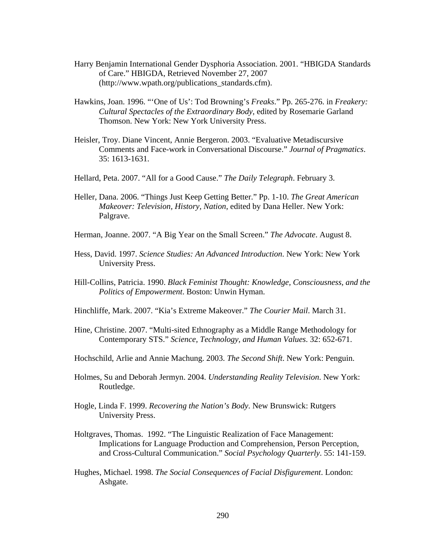- Harry Benjamin International Gender Dysphoria Association. 2001. "HBIGDA Standards of Care." HBIGDA, Retrieved November 27, 2007 (http://www.wpath.org/publications\_standards.cfm).
- Hawkins, Joan. 1996. "'One of Us': Tod Browning's *Freaks*." Pp. 265-276. in *Freakery: Cultural Spectacles of the Extraordinary Body*, edited by Rosemarie Garland Thomson. New York: New York University Press.
- Heisler, Troy. Diane Vincent, Annie Bergeron. 2003. "Evaluative Metadiscursive Comments and Face-work in Conversational Discourse." *Journal of Pragmatics*. 35: 1613-1631.
- Hellard, Peta. 2007. "All for a Good Cause." *The Daily Telegraph*. February 3.
- Heller, Dana. 2006. "Things Just Keep Getting Better." Pp. 1-10. *The Great American Makeover: Television, History, Nation*, edited by Dana Heller. New York: Palgrave.
- Herman, Joanne. 2007. "A Big Year on the Small Screen." *The Advocate*. August 8.
- Hess, David. 1997. *Science Studies: An Advanced Introduction*. New York: New York University Press.
- Hill-Collins, Patricia. 1990. *Black Feminist Thought: Knowledge, Consciousness, and the Politics of Empowerment*. Boston: Unwin Hyman.
- Hinchliffe, Mark. 2007. "Kia's Extreme Makeover." *The Courier Mail*. March 31.
- Hine, Christine. 2007. "Multi-sited Ethnography as a Middle Range Methodology for Contemporary STS." *Science, Technology, and Human Values*. 32: 652-671.
- Hochschild, Arlie and Annie Machung. 2003. *The Second Shift*. New York: Penguin.
- Holmes, Su and Deborah Jermyn. 2004. *Understanding Reality Television*. New York: Routledge.
- Hogle, Linda F. 1999. *Recovering the Nation's Body*. New Brunswick: Rutgers University Press.
- Holtgraves, Thomas. 1992. "The Linguistic Realization of Face Management: Implications for Language Production and Comprehension, Person Perception, and Cross-Cultural Communication." *Social Psychology Quarterly*. 55: 141-159.
- Hughes, Michael. 1998. *The Social Consequences of Facial Disfigurement*. London: Ashgate.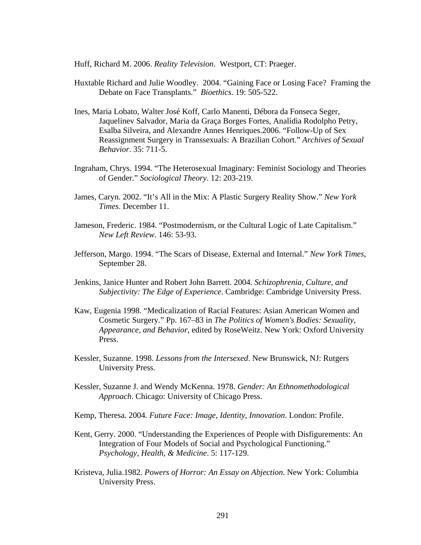Huff, Richard M. 2006. *Reality Television*. Westport, CT: Praeger.

- Huxtable Richard and Julie Woodley. 2004. "Gaining Face or Losing Face? Framing the Debate on Face Transplants." *Bioethics*. 19: 505-522.
- Ines, Maria Lobato, Walter José Koff, Carlo Manenti, Débora da Fonseca Seger, Jaquelinev Salvador, Maria da Graça Borges Fortes, Analídia Rodolpho Petry, Esalba Silveira, and Alexandre Annes Henriques.2006. "Follow-Up of Sex Reassignment Surgery in Transsexuals: A Brazilian Cohort." *Archives of Sexual Behavior*. 35: 711-5.
- Ingraham, Chrys. 1994. "The Heterosexual Imaginary: Feminist Sociology and Theories of Gender." *Sociological Theory*. 12: 203-219.
- James, Caryn. 2002. "It's All in the Mix: A Plastic Surgery Reality Show." *New York Times*. December 11.
- Jameson, Frederic. 1984. "Postmodernism, or the Cultural Logic of Late Capitalism." *New Left Review*. 146: 53-93.
- Jefferson, Margo. 1994. "The Scars of Disease, External and Internal." *New York Times*, September 28.
- Jenkins, Janice Hunter and Robert John Barrett. 2004. *Schizophrenia, Culture, and Subjectivity: The Edge of Experience*. Cambridge: Cambridge University Press.
- Kaw, Eugenia 1998. "Medicalization of Racial Features: Asian American Women and Cosmetic Surgery." Pp. 167–83 in *The Politics of Women's Bodies: Sexuality, Appearance, and Behavior*, edited by RoseWeitz. New York: Oxford University Press.
- Kessler, Suzanne. 1998. *Lessons from the Intersexed*. New Brunswick, NJ: Rutgers University Press.
- Kessler, Suzanne J. and Wendy McKenna. 1978. *Gender: An Ethnomethodological Approach*. Chicago: University of Chicago Press.
- Kemp, Theresa. 2004. *Future Face: Image, Identity, Innovation*. London: Profile.
- Kent, Gerry. 2000. "Understanding the Experiences of People with Disfigurements: An Integration of Four Models of Social and Psychological Functioning." *Psychology, Health, & Medicine*. 5: 117-129.
- Kristeva, Julia.1982. *Powers of Horror: An Essay on Abjection*. New York: Columbia University Press.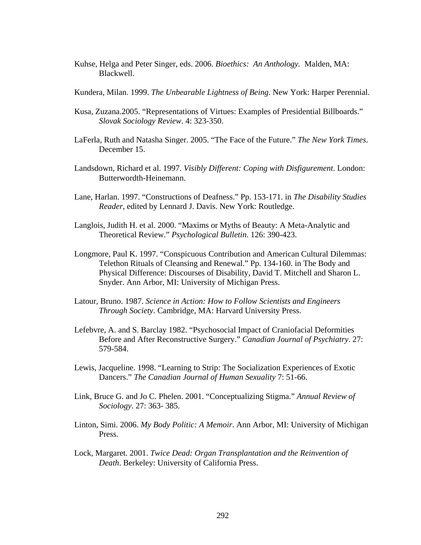- Kuhse, Helga and Peter Singer, eds. 2006. *Bioethics: An Anthology.* Malden, MA: Blackwell.
- Kundera, Milan. 1999. *The Unbearable Lightness of Being*. New York: Harper Perennial.
- Kusa, Zuzana.2005. "Representations of Virtues: Examples of Presidential Billboards." *Slovak Sociology Review*. 4: 323-350.
- LaFerla, Ruth and Natasha Singer. 2005. "The Face of the Future." *The New York Times*. December 15.
- Landsdown, Richard et al. 1997. *Visibly Different: Coping with Disfigurement*. London: Butterwordth-Heinemann.
- Lane, Harlan. 1997. "Constructions of Deafness." Pp. 153-171. in *The Disability Studies Reader*, edited by Lennard J. Davis. New York: Routledge.
- Langlois, Judith H. et al. 2000. "Maxims or Myths of Beauty: A Meta-Analytic and Theoretical Review." *Psychological Bulletin*. 126: 390-423.
- Longmore, Paul K. 1997. "Conspicuous Contribution and American Cultural Dilemmas: Telethon Rituals of Cleansing and Renewal." Pp. 134-160. in The Body and Physical Difference: Discourses of Disability, David T. Mitchell and Sharon L. Snyder. Ann Arbor, MI: University of Michigan Press.
- Latour, Bruno. 1987. *Science in Action: How to Follow Scientists and Engineers Through Society*. Cambridge, MA: Harvard University Press.
- Lefebvre, A. and S. Barclay 1982. "Psychosocial Impact of Craniofacial Deformities Before and After Reconstructive Surgery." *Canadian Journal of Psychiatry*. 27: 579-584.
- Lewis, Jacqueline. 1998. "Learning to Strip: The Socialization Experiences of Exotic Dancers." *The Canadian Journal of Human Sexuality* 7: 51-66.
- Link, Bruce G. and Jo C. Phelen. 2001. "Conceptualizing Stigma." *Annual Review of Sociology*. 27: 363- 385.
- Linton, Simi. 2006. *My Body Politic: A Memoir*. Ann Arbor, MI: University of Michigan Press.
- Lock, Margaret. 2001. *Twice Dead: Organ Transplantation and the Reinvention of Death*. Berkeley: University of California Press.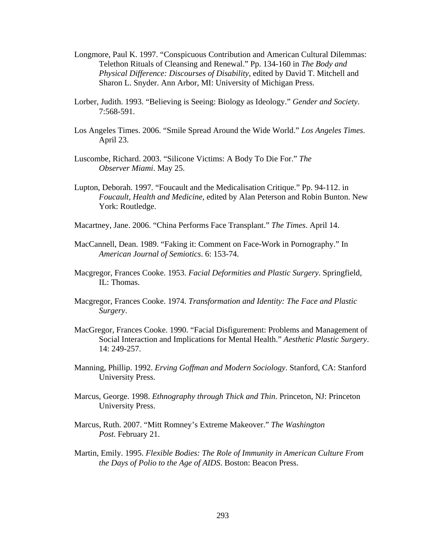- Longmore, Paul K. 1997. "Conspicuous Contribution and American Cultural Dilemmas: Telethon Rituals of Cleansing and Renewal." Pp. 134-160 in *The Body and Physical Difference: Discourses of Disability*, edited by David T. Mitchell and Sharon L. Snyder. Ann Arbor, MI: University of Michigan Press.
- Lorber, Judith. 1993. "Believing is Seeing: Biology as Ideology." *Gender and Society*. 7:568-591.
- Los Angeles Times. 2006. "Smile Spread Around the Wide World." *Los Angeles Times*. April 23.
- Luscombe, Richard. 2003. "Silicone Victims: A Body To Die For." *The Observer Miami*. May 25.
- Lupton, Deborah. 1997. "Foucault and the Medicalisation Critique." Pp. 94-112. in *Foucault, Health and Medicine*, edited by Alan Peterson and Robin Bunton. New York: Routledge.
- Macartney, Jane. 2006. "China Performs Face Transplant." *The Times*. April 14.
- MacCannell, Dean. 1989. "Faking it: Comment on Face-Work in Pornography." In *American Journal of Semiotics*. 6: 153-74.
- Macgregor, Frances Cooke. 1953. *Facial Deformities and Plastic Surgery*. Springfield, IL: Thomas.
- Macgregor, Frances Cooke. 1974. *Transformation and Identity: The Face and Plastic Surgery*.
- MacGregor, Frances Cooke. 1990. "Facial Disfigurement: Problems and Management of Social Interaction and Implications for Mental Health." *Aesthetic Plastic Surgery*. 14: 249-257.
- Manning, Phillip. 1992. *Erving Goffman and Modern Sociology*. Stanford, CA: Stanford University Press.
- Marcus, George. 1998. *Ethnography through Thick and Thin*. Princeton, NJ: Princeton University Press.
- Marcus, Ruth. 2007. "Mitt Romney's Extreme Makeover." *The Washington Post*. February 21.
- Martin, Emily. 1995. *Flexible Bodies: The Role of Immunity in American Culture From the Days of Polio to the Age of AIDS*. Boston: Beacon Press.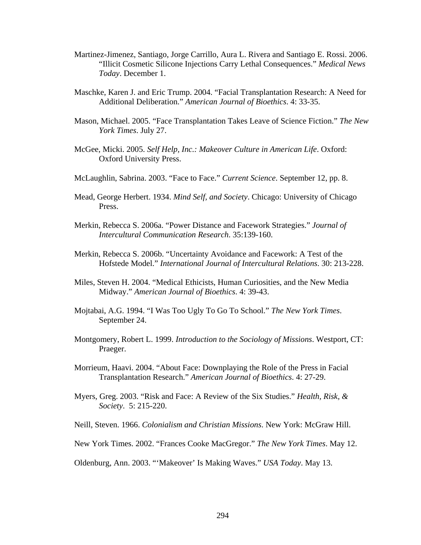- Martinez-Jimenez, Santiago, Jorge Carrillo, Aura L. Rivera and Santiago E. Rossi. 2006. "Illicit Cosmetic Silicone Injections Carry Lethal Consequences." *Medical News Today*. December 1.
- Maschke, Karen J. and Eric Trump. 2004. "Facial Transplantation Research: A Need for Additional Deliberation." *American Journal of Bioethics*. 4: 33-35.
- Mason, Michael. 2005. "Face Transplantation Takes Leave of Science Fiction." *The New York Times*. July 27.
- McGee, Micki. 2005. *Self Help, Inc.: Makeover Culture in American Life*. Oxford: Oxford University Press.
- McLaughlin, Sabrina. 2003. "Face to Face." *Current Science*. September 12, pp. 8.
- Mead, George Herbert. 1934. *Mind Self, and Society*. Chicago: University of Chicago Press.
- Merkin, Rebecca S. 2006a. "Power Distance and Facework Strategies." *Journal of Intercultural Communication Research*. 35:139-160.
- Merkin, Rebecca S. 2006b. "Uncertainty Avoidance and Facework: A Test of the Hofstede Model." *International Journal of Intercultural Relations*. 30: 213-228.
- Miles, Steven H. 2004. "Medical Ethicists, Human Curiosities, and the New Media Midway." *American Journal of Bioethics*. 4: 39-43.
- Mojtabai, A.G. 1994. "I Was Too Ugly To Go To School." *The New York Times*. September 24.
- Montgomery, Robert L. 1999. *Introduction to the Sociology of Missions*. Westport, CT: Praeger.
- Morrieum, Haavi. 2004. "About Face: Downplaying the Role of the Press in Facial Transplantation Research." *American Journal of Bioethics*. 4: 27-29.
- Myers, Greg. 2003. "Risk and Face: A Review of the Six Studies." *Health, Risk, & Society*. 5: 215-220.
- Neill, Steven. 1966. *Colonialism and Christian Missions*. New York: McGraw Hill.
- New York Times. 2002. "Frances Cooke MacGregor." *The New York Times*. May 12.

Oldenburg, Ann. 2003. "'Makeover' Is Making Waves." *USA Today*. May 13.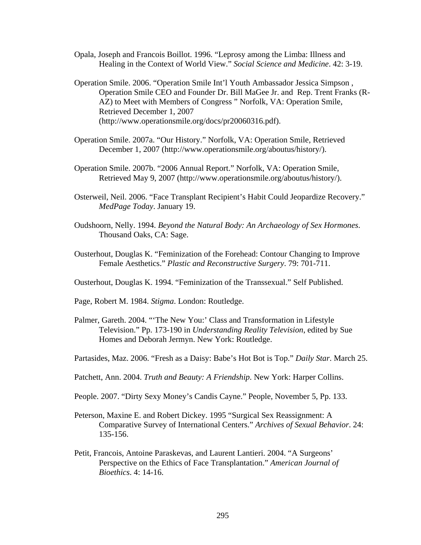- Opala, Joseph and Francois Boillot. 1996. "Leprosy among the Limba: Illness and Healing in the Context of World View." *Social Science and Medicine*. 42: 3-19.
- Operation Smile. 2006. "Operation Smile Int'l Youth Ambassador Jessica Simpson , Operation Smile CEO and Founder Dr. Bill MaGee Jr. and Rep. Trent Franks (R-AZ) to Meet with Members of Congress " Norfolk, VA: Operation Smile, Retrieved December 1, 2007 (http://www.operationsmile.org/docs/pr20060316.pdf).
- Operation Smile. 2007a. "Our History." Norfolk, VA: Operation Smile, Retrieved December 1, 2007 (http://www.operationsmile.org/aboutus/history/).
- Operation Smile. 2007b. "2006 Annual Report." Norfolk, VA: Operation Smile, Retrieved May 9, 2007 (http://www.operationsmile.org/aboutus/history/).
- Osterweil, Neil. 2006. "Face Transplant Recipient's Habit Could Jeopardize Recovery." *MedPage Today*. January 19.
- Oudshoorn, Nelly. 1994. *Beyond the Natural Body: An Archaeology of Sex Hormones*. Thousand Oaks, CA: Sage.
- Ousterhout, Douglas K. "Feminization of the Forehead: Contour Changing to Improve Female Aesthetics." *Plastic and Reconstructive Surgery*. 79: 701-711.
- Ousterhout, Douglas K. 1994. "Feminization of the Transsexual." Self Published.
- Page, Robert M. 1984. *Stigma*. London: Routledge.
- Palmer, Gareth. 2004. "'The New You:' Class and Transformation in Lifestyle Television." Pp. 173-190 in *Understanding Reality Television*, edited by Sue Homes and Deborah Jermyn. New York: Routledge.
- Partasides, Maz. 2006. "Fresh as a Daisy: Babe's Hot Bot is Top." *Daily Star*. March 25.
- Patchett, Ann. 2004. *Truth and Beauty: A Friendship*. New York: Harper Collins.
- People. 2007. "Dirty Sexy Money's Candis Cayne." People, November 5, Pp. 133.
- Peterson, Maxine E. and Robert Dickey. 1995 "Surgical Sex Reassignment: A Comparative Survey of International Centers." *Archives of Sexual Behavior*. 24: 135-156.
- Petit, Francois, Antoine Paraskevas, and Laurent Lantieri. 2004. "A Surgeons' Perspective on the Ethics of Face Transplantation." *American Journal of Bioethics*. 4: 14-16.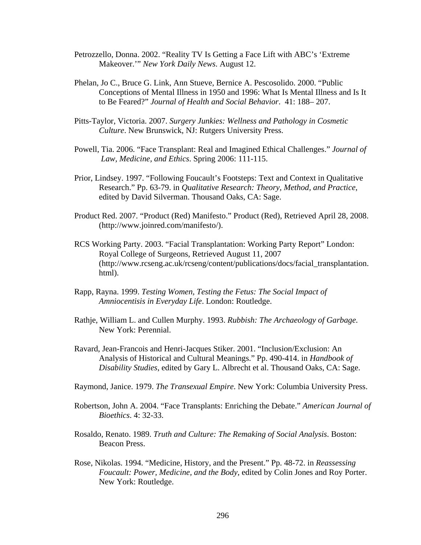- Petrozzello, Donna. 2002. "Reality TV Is Getting a Face Lift with ABC's 'Extreme Makeover.'" *New York Daily News*. August 12.
- Phelan, Jo C., Bruce G. Link, Ann Stueve, Bernice A. Pescosolido. 2000. "Public Conceptions of Mental Illness in 1950 and 1996: What Is Mental Illness and Is It to Be Feared?" *Journal of Health and Social Behavior*. 41: 188– 207.
- Pitts-Taylor, Victoria. 2007. *Surgery Junkies: Wellness and Pathology in Cosmetic Culture*. New Brunswick, NJ: Rutgers University Press.
- Powell, Tia. 2006. "Face Transplant: Real and Imagined Ethical Challenges." *Journal of Law, Medicine, and Ethics*. Spring 2006: 111-115.
- Prior, Lindsey. 1997. "Following Foucault's Footsteps: Text and Context in Qualitative Research." Pp. 63-79. in *Qualitative Research: Theory, Method, and Practice*, edited by David Silverman. Thousand Oaks, CA: Sage.
- Product Red. 2007. "Product (Red) Manifesto." Product (Red), Retrieved April 28, 2008. (http://www.joinred.com/manifesto/).
- RCS Working Party. 2003. "Facial Transplantation: Working Party Report" London: Royal College of Surgeons, Retrieved August 11, 2007 (http://www.rcseng.ac.uk/rcseng/content/publications/docs/facial\_transplantation. html).
- Rapp, Rayna. 1999. *Testing Women, Testing the Fetus: The Social Impact of Amniocentisis in Everyday Life*. London: Routledge.
- Rathje, William L. and Cullen Murphy. 1993. *Rubbish: The Archaeology of Garbage*. New York: Perennial.
- Ravard, Jean-Francois and Henri-Jacques Stiker. 2001. "Inclusion/Exclusion: An Analysis of Historical and Cultural Meanings." Pp. 490-414. in *Handbook of Disability Studies*, edited by Gary L. Albrecht et al. Thousand Oaks, CA: Sage.
- Raymond, Janice. 1979. *The Transexual Empire*. New York: Columbia University Press.
- Robertson, John A. 2004. "Face Transplants: Enriching the Debate." *American Journal of Bioethics*. 4: 32-33.
- Rosaldo, Renato. 1989. *Truth and Culture: The Remaking of Social Analysis*. Boston: Beacon Press.
- Rose, Nikolas. 1994. "Medicine, History, and the Present." Pp. 48-72. in *Reassessing Foucault: Power, Medicine, and the Body*, edited by Colin Jones and Roy Porter. New York: Routledge.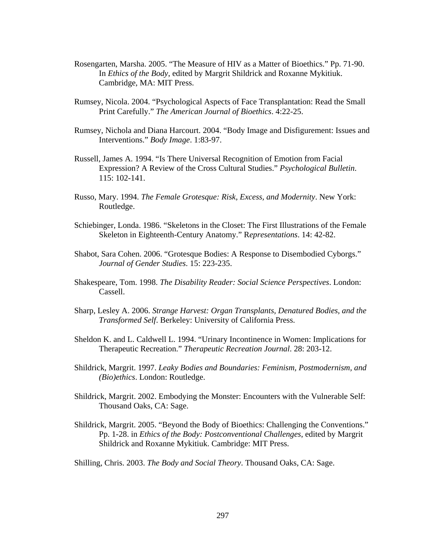- Rosengarten, Marsha. 2005. "The Measure of HIV as a Matter of Bioethics." Pp. 71-90. In *Ethics of the Body*, edited by Margrit Shildrick and Roxanne Mykitiuk. Cambridge, MA: MIT Press.
- Rumsey, Nicola. 2004. "Psychological Aspects of Face Transplantation: Read the Small Print Carefully." *The American Journal of Bioethics*. 4:22-25.
- Rumsey, Nichola and Diana Harcourt. 2004. "Body Image and Disfigurement: Issues and Interventions." *Body Image*. 1:83-97.
- Russell, James A. 1994. "Is There Universal Recognition of Emotion from Facial Expression? A Review of the Cross Cultural Studies." *Psychological Bulletin*. 115: 102-141.
- Russo, Mary. 1994. *The Female Grotesque: Risk, Excess, and Modernity*. New York: Routledge.
- Schiebinger, Londa. 1986. "Skeletons in the Closet: The First Illustrations of the Female Skeleton in Eighteenth-Century Anatomy." R*epresentations*. 14: 42-82.
- Shabot, Sara Cohen. 2006. "Grotesque Bodies: A Response to Disembodied Cyborgs." *Journal of Gender Studies*. 15: 223-235.
- Shakespeare, Tom. 1998. *The Disability Reader: Social Science Perspectives*. London: Cassell.
- Sharp, Lesley A. 2006. *Strange Harvest: Organ Transplants, Denatured Bodies, and the Transformed Self*. Berkeley: University of California Press.
- Sheldon K. and L. Caldwell L. 1994. "Urinary Incontinence in Women: Implications for Therapeutic Recreation." *Therapeutic Recreation Journal*. 28: 203-12.
- Shildrick, Margrit. 1997. *Leaky Bodies and Boundaries: Feminism, Postmodernism, and (Bio)ethics*. London: Routledge.
- Shildrick, Margrit. 2002. Embodying the Monster: Encounters with the Vulnerable Self: Thousand Oaks, CA: Sage.
- Shildrick, Margrit. 2005. "Beyond the Body of Bioethics: Challenging the Conventions." Pp. 1-28. in *Ethics of the Body: Postconventional Challenges*, edited by Margrit Shildrick and Roxanne Mykitiuk. Cambridge: MIT Press.
- Shilling, Chris. 2003. *The Body and Social Theory*. Thousand Oaks, CA: Sage.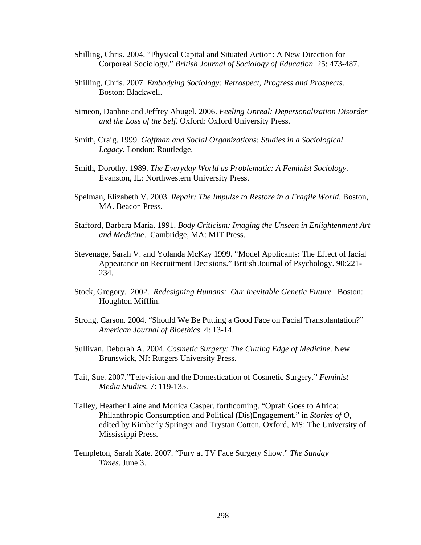- Shilling, Chris. 2004. "Physical Capital and Situated Action: A New Direction for Corporeal Sociology." *British Journal of Sociology of Education*. 25: 473-487.
- Shilling, Chris. 2007. *Embodying Sociology: Retrospect, Progress and Prospects*. Boston: Blackwell.
- Simeon, Daphne and Jeffrey Abugel. 2006. *Feeling Unreal: Depersonalization Disorder and the Loss of the Self*. Oxford: Oxford University Press.
- Smith, Craig. 1999. *Goffman and Social Organizations: Studies in a Sociological Legacy*. London: Routledge.
- Smith, Dorothy. 1989. *The Everyday World as Problematic: A Feminist Sociology*. Evanston, IL: Northwestern University Press.
- Spelman, Elizabeth V. 2003. *Repair: The Impulse to Restore in a Fragile World*. Boston, MA. Beacon Press.
- Stafford, Barbara Maria. 1991. *Body Criticism: Imaging the Unseen in Enlightenment Art and Medicine*. Cambridge, MA: MIT Press.
- Stevenage, Sarah V. and Yolanda McKay 1999. "Model Applicants: The Effect of facial Appearance on Recruitment Decisions." British Journal of Psychology. 90:221- 234.
- Stock, Gregory. 2002. *Redesigning Humans: Our Inevitable Genetic Future.* Boston: Houghton Mifflin.
- Strong, Carson. 2004. "Should We Be Putting a Good Face on Facial Transplantation?" *American Journal of Bioethics*. 4: 13-14.
- Sullivan, Deborah A. 2004. *Cosmetic Surgery: The Cutting Edge of Medicine*. New Brunswick, NJ: Rutgers University Press.
- Tait, Sue. 2007."Television and the Domestication of Cosmetic Surgery." *Feminist Media Studies*. 7: 119-135.
- Talley, Heather Laine and Monica Casper. forthcoming. "Oprah Goes to Africa: Philanthropic Consumption and Political (Dis)Engagement." in *Stories of O*, edited by Kimberly Springer and Trystan Cotten. Oxford, MS: The University of Mississippi Press.
- Templeton, Sarah Kate. 2007. "Fury at TV Face Surgery Show." *The Sunday Times*. June 3.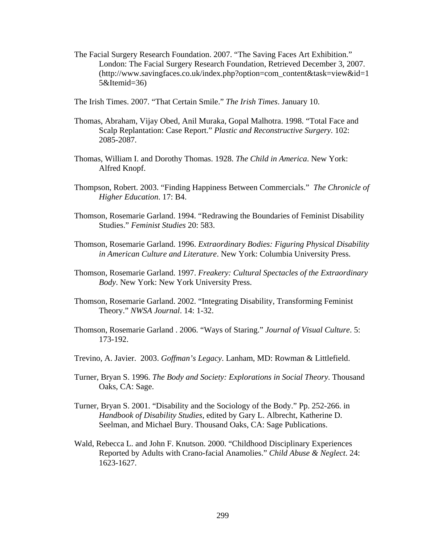- The Facial Surgery Research Foundation. 2007. "The Saving Faces Art Exhibition." London: The Facial Surgery Research Foundation, Retrieved December 3, 2007. (http://www.savingfaces.co.uk/index.php?option=com\_content&task=view&id=1 5&Itemid=36)
- The Irish Times. 2007. "That Certain Smile." *The Irish Times*. January 10.
- Thomas, Abraham, Vijay Obed, Anil Muraka, Gopal Malhotra. 1998. "Total Face and Scalp Replantation: Case Report." *Plastic and Reconstructive Surgery*. 102: 2085-2087.
- Thomas, William I. and Dorothy Thomas. 1928. *The Child in America*. New York: Alfred Knopf.
- Thompson, Robert. 2003. "Finding Happiness Between Commercials." *The Chronicle of Higher Education*. 17: B4.
- Thomson, Rosemarie Garland. 1994. "Redrawing the Boundaries of Feminist Disability Studies." *Feminist Studies* 20: 583.
- Thomson, Rosemarie Garland. 1996. *Extraordinary Bodies: Figuring Physical Disability in American Culture and Literature*. New York: Columbia University Press.
- Thomson, Rosemarie Garland. 1997. *Freakery: Cultural Spectacles of the Extraordinary Body*. New York: New York University Press.
- Thomson, Rosemarie Garland. 2002. "Integrating Disability, Transforming Feminist Theory." *NWSA Journal*. 14: 1-32.
- Thomson, Rosemarie Garland . 2006. "Ways of Staring." *Journal of Visual Culture*. 5: 173-192.
- Trevino, A. Javier. 2003. *Goffman's Legacy*. Lanham, MD: Rowman & Littlefield.
- Turner, Bryan S. 1996. *The Body and Society: Explorations in Social Theory*. Thousand Oaks, CA: Sage.
- Turner, Bryan S. 2001. "Disability and the Sociology of the Body." Pp. 252-266. in *Handbook of Disability Studies*, edited by Gary L. Albrecht, Katherine D. Seelman, and Michael Bury. Thousand Oaks, CA: Sage Publications.
- Wald, Rebecca L. and John F. Knutson. 2000. "Childhood Disciplinary Experiences Reported by Adults with Crano-facial Anamolies." *Child Abuse & Neglect*. 24: 1623-1627.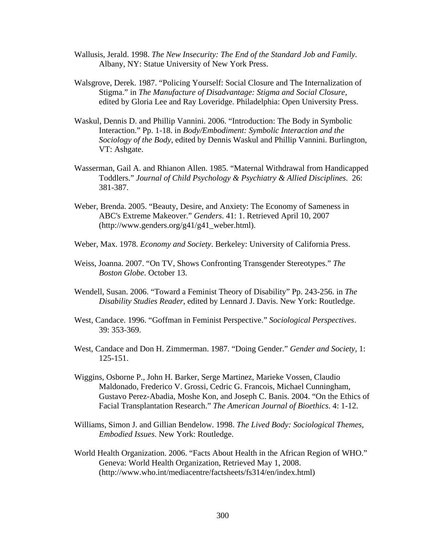- Wallusis, Jerald. 1998. *The New Insecurity: The End of the Standard Job and Family*. Albany, NY: Statue University of New York Press.
- Walsgrove, Derek. 1987. "Policing Yourself: Social Closure and The Internalization of Stigma." in *The Manufacture of Disadvantage: Stigma and Social Closure*, edited by Gloria Lee and Ray Loveridge. Philadelphia: Open University Press.
- Waskul, Dennis D. and Phillip Vannini. 2006. "Introduction: The Body in Symbolic Interaction." Pp. 1-18. in *Body/Embodiment: Symbolic Interaction and the Sociology of the Body*, edited by Dennis Waskul and Phillip Vannini. Burlington, VT: Ashgate.
- Wasserman, Gail A. and Rhianon Allen. 1985. "Maternal Withdrawal from Handicapped Toddlers." *Journal of Child Psychology & Psychiatry & Allied Disciplines*. 26: 381-387.
- Weber, Brenda. 2005. "Beauty, Desire, and Anxiety: The Economy of Sameness in ABC's Extreme Makeover." *Genders*. 41: 1. Retrieved April 10, 2007 (http://www.genders.org/g41/g41\_weber.html).
- Weber, Max. 1978. *Economy and Society*. Berkeley: University of California Press.
- Weiss, Joanna. 2007. "On TV, Shows Confronting Transgender Stereotypes." *The Boston Globe*. October 13.
- Wendell, Susan. 2006. "Toward a Feminist Theory of Disability" Pp. 243-256. in *The Disability Studies Reader*, edited by Lennard J. Davis. New York: Routledge.
- West, Candace. 1996. "Goffman in Feminist Perspective." *Sociological Perspectives*. 39: 353-369.
- West, Candace and Don H. Zimmerman. 1987. "Doing Gender." *Gender and Society*, 1: 125-151.
- Wiggins, Osborne P., John H. Barker, Serge Martinez, Marieke Vossen, Claudio Maldonado, Frederico V. Grossi, Cedric G. Francois, Michael Cunningham, Gustavo Perez-Abadia, Moshe Kon, and Joseph C. Banis. 2004. "On the Ethics of Facial Transplantation Research." *The American Journal of Bioethics*. 4: 1-12.
- Williams, Simon J. and Gillian Bendelow. 1998. *The Lived Body: Sociological Themes, Embodied Issues*. New York: Routledge.
- World Health Organization. 2006. "Facts About Health in the African Region of WHO." Geneva: World Health Organization, Retrieved May 1, 2008. (http://www.who.int/mediacentre/factsheets/fs314/en/index.html)